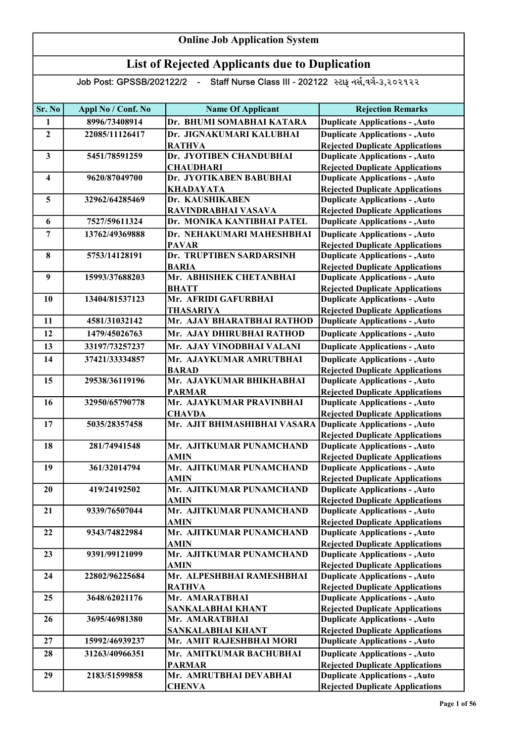| Sr. No                  | Appl No / Conf. No | <b>Name Of Applicant</b>                | <b>Rejection Remarks</b>                                                         |
|-------------------------|--------------------|-----------------------------------------|----------------------------------------------------------------------------------|
| 1                       | 8996/73408914      | Dr. BHUMI SOMABHAI KATARA               | <b>Duplicate Applications - , Auto</b>                                           |
| $\overline{2}$          | 22085/11126417     | Dr. JIGNAKUMARI KALUBHAI                | <b>Duplicate Applications - , Auto</b>                                           |
|                         |                    | <b>RATHVA</b>                           | <b>Rejected Duplicate Applications</b>                                           |
| $\mathbf{3}$            | 5451/78591259      | Dr. JYOTIBEN CHANDUBHAI                 | <b>Duplicate Applications - , Auto</b>                                           |
|                         |                    | <b>CHAUDHARI</b>                        | <b>Rejected Duplicate Applications</b>                                           |
| $\overline{\mathbf{4}}$ | 9620/87049700      | Dr. JYOTIKABEN BABUBHAI                 | <b>Duplicate Applications - , Auto</b>                                           |
|                         |                    | <b>KHADAYATA</b>                        | <b>Rejected Duplicate Applications</b>                                           |
| 5                       | 32962/64285469     | Dr. KAUSHIKABEN                         | <b>Duplicate Applications - , Auto</b>                                           |
|                         |                    | RAVINDRABHAI VASAVA                     | <b>Rejected Duplicate Applications</b>                                           |
| 6                       | 7527/59611324      | Dr. MONIKA KANTIBHAI PATEL              | <b>Duplicate Applications - , Auto</b>                                           |
| $\overline{7}$          | 13762/49369888     | Dr. NEHAKUMARI MAHESHBHAI               | <b>Duplicate Applications - , Auto</b>                                           |
|                         |                    | <b>PAVAR</b>                            | <b>Rejected Duplicate Applications</b>                                           |
| 8                       | 5753/14128191      | Dr. TRUPTIBEN SARDARSINH                | <b>Duplicate Applications - , Auto</b>                                           |
|                         |                    | <b>BARIA</b>                            | <b>Rejected Duplicate Applications</b>                                           |
| 9                       | 15993/37688203     | Mr. ABHISHEK CHETANBHAI                 | <b>Duplicate Applications - , Auto</b>                                           |
|                         |                    | <b>BHATT</b>                            | <b>Rejected Duplicate Applications</b>                                           |
| 10                      | 13404/81537123     | Mr. AFRIDI GAFURBHAI                    | <b>Duplicate Applications - , Auto</b>                                           |
|                         |                    | <b>THASARIYA</b>                        | <b>Rejected Duplicate Applications</b>                                           |
| 11                      | 4581/31032142      | Mr. AJAY BHARATBHAI RATHOD              | <b>Duplicate Applications - , Auto</b>                                           |
| 12                      | 1479/45026763      | Mr. AJAY DHIRUBHAI RATHOD               | <b>Duplicate Applications - , Auto</b>                                           |
| 13                      | 33197/73257237     | Mr. AJAY VINODBHAI VALANI               | <b>Duplicate Applications - , Auto</b>                                           |
| 14                      | 37421/33334857     | Mr. AJAYKUMAR AMRUTBHAI                 | <b>Duplicate Applications - , Auto</b>                                           |
|                         |                    | <b>BARAD</b>                            | <b>Rejected Duplicate Applications</b>                                           |
| 15                      | 29538/36119196     | Mr. AJAYKUMAR BHIKHABHAI                | <b>Duplicate Applications - , Auto</b>                                           |
|                         |                    | <b>PARMAR</b>                           | <b>Rejected Duplicate Applications</b>                                           |
| 16                      | 32950/65790778     | Mr. AJAYKUMAR PRAVINBHAI                | <b>Duplicate Applications - , Auto</b>                                           |
|                         |                    | <b>CHAVDA</b>                           | <b>Rejected Duplicate Applications</b>                                           |
| 17                      | 5035/28357458      | Mr. AJIT BHIMASHIBHAI VASARA            | <b>Duplicate Applications - , Auto</b>                                           |
|                         |                    |                                         | <b>Rejected Duplicate Applications</b>                                           |
| 18                      | 281/74941548       | Mr. AJITKUMAR PUNAMCHAND                | <b>Duplicate Applications - , Auto</b>                                           |
|                         |                    | <b>AMIN</b>                             | <b>Rejected Duplicate Applications</b>                                           |
| 19                      | 361/32014794       | Mr. AJITKUMAR PUNAMCHAND                | <b>Duplicate Applications - , Auto</b>                                           |
|                         |                    | <b>AMIN</b>                             | <b>Rejected Duplicate Applications</b>                                           |
| 20                      | 419/24192502       | Mr. AJITKUMAR PUNAMCHAND                | <b>Duplicate Applications - , Auto</b>                                           |
| 21                      | 9339/76507044      | <b>AMIN</b><br>Mr. AJITKUMAR PUNAMCHAND | <b>Rejected Duplicate Applications</b><br><b>Duplicate Applications - , Auto</b> |
|                         |                    | <b>AMIN</b>                             | <b>Rejected Duplicate Applications</b>                                           |
| 22                      | 9343/74822984      | Mr. AJITKUMAR PUNAMCHAND                | <b>Duplicate Applications - , Auto</b>                                           |
|                         |                    | <b>AMIN</b>                             | <b>Rejected Duplicate Applications</b>                                           |
| 23                      | 9391/99121099      | Mr. AJITKUMAR PUNAMCHAND                | <b>Duplicate Applications - , Auto</b>                                           |
|                         |                    | <b>AMIN</b>                             | <b>Rejected Duplicate Applications</b>                                           |
| 24                      | 22802/96225684     | Mr. ALPESHBHAI RAMESHBHAI               | <b>Duplicate Applications - , Auto</b>                                           |
|                         |                    | <b>RATHVA</b>                           | <b>Rejected Duplicate Applications</b>                                           |
| 25                      | 3648/62021176      | Mr. AMARATBHAI                          | <b>Duplicate Applications - , Auto</b>                                           |
|                         |                    | SANKALABHAI KHANT                       | <b>Rejected Duplicate Applications</b>                                           |
| 26                      | 3695/46981380      | Mr. AMARATBHAI                          | <b>Duplicate Applications - , Auto</b>                                           |
|                         |                    | <b>SANKALABHAI KHANT</b>                | <b>Rejected Duplicate Applications</b>                                           |
| 27                      | 15992/46939237     | Mr. AMIT RAJESHBHAI MORI                | <b>Duplicate Applications - , Auto</b>                                           |
| 28                      | 31263/40966351     | Mr. AMITKUMAR BACHUBHAI                 | <b>Duplicate Applications - , Auto</b>                                           |
|                         |                    | <b>PARMAR</b>                           | <b>Rejected Duplicate Applications</b>                                           |
| 29                      | 2183/51599858      | Mr. AMRUTBHAI DEVABHAI                  | <b>Duplicate Applications - , Auto</b>                                           |
|                         |                    | <b>CHENVA</b>                           | <b>Rejected Duplicate Applications</b>                                           |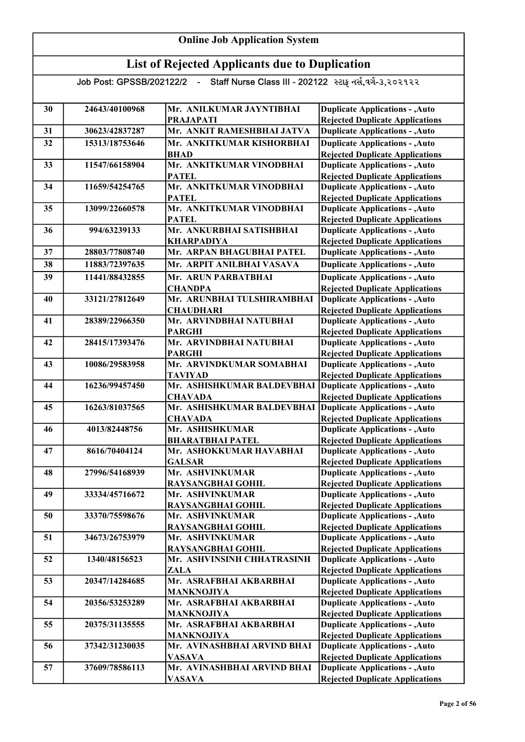| 30 | 24643/40100968 | Mr. ANILKUMAR JAYNTIBHAI                        | <b>Duplicate Applications - , Auto</b>                                           |
|----|----------------|-------------------------------------------------|----------------------------------------------------------------------------------|
| 31 | 30623/42837287 | <b>PRAJAPATI</b><br>Mr. ANKIT RAMESHBHAI JATVA  | <b>Rejected Duplicate Applications</b><br><b>Duplicate Applications - , Auto</b> |
|    |                |                                                 |                                                                                  |
| 32 | 15313/18753646 | Mr. ANKITKUMAR KISHORBHAI<br><b>BHAD</b>        | <b>Duplicate Applications - , Auto</b><br><b>Rejected Duplicate Applications</b> |
| 33 | 11547/66158904 | Mr. ANKITKUMAR VINODBHAI                        | <b>Duplicate Applications - , Auto</b>                                           |
|    |                | <b>PATEL</b>                                    | <b>Rejected Duplicate Applications</b>                                           |
| 34 | 11659/54254765 | Mr. ANKITKUMAR VINODBHAI                        | <b>Duplicate Applications - , Auto</b>                                           |
|    |                | <b>PATEL</b>                                    | <b>Rejected Duplicate Applications</b>                                           |
| 35 | 13099/22660578 | Mr. ANKITKUMAR VINODBHAI                        | <b>Duplicate Applications - , Auto</b>                                           |
|    |                | <b>PATEL</b>                                    | <b>Rejected Duplicate Applications</b>                                           |
| 36 | 994/63239133   | Mr. ANKURBHAI SATISHBHAI                        | <b>Duplicate Applications - , Auto</b>                                           |
|    |                | <b>KHARPADIYA</b>                               | <b>Rejected Duplicate Applications</b>                                           |
| 37 | 28803/77808740 | Mr. ARPAN BHAGUBHAI PATEL                       | <b>Duplicate Applications - , Auto</b>                                           |
| 38 | 11883/72397635 | Mr. ARPIT ANILBHAI VASAVA                       | <b>Duplicate Applications - , Auto</b>                                           |
| 39 | 11441/88432855 | Mr. ARUN PARBATBHAI                             | <b>Duplicate Applications - , Auto</b>                                           |
|    |                | <b>CHANDPA</b>                                  | <b>Rejected Duplicate Applications</b>                                           |
| 40 | 33121/27812649 | Mr. ARUNBHAI TULSHIRAMBHAI                      | <b>Duplicate Applications - , Auto</b>                                           |
|    |                | <b>CHAUDHARI</b>                                | <b>Rejected Duplicate Applications</b>                                           |
| 41 | 28389/22966350 | Mr. ARVINDBHAI NATUBHAI                         | <b>Duplicate Applications - , Auto</b>                                           |
|    |                | <b>PARGHI</b>                                   | <b>Rejected Duplicate Applications</b>                                           |
| 42 | 28415/17393476 | Mr. ARVINDBHAI NATUBHAI                         | <b>Duplicate Applications - , Auto</b>                                           |
|    |                | <b>PARGHI</b>                                   | <b>Rejected Duplicate Applications</b>                                           |
| 43 | 10086/29583958 | Mr. ARVINDKUMAR SOMABHAI                        | <b>Duplicate Applications - , Auto</b>                                           |
|    |                | <b>TAVIYAD</b>                                  | <b>Rejected Duplicate Applications</b>                                           |
| 44 | 16236/99457450 | Mr. ASHISHKUMAR BALDEVBHAI                      | <b>Duplicate Applications - , Auto</b>                                           |
| 45 | 16263/81037565 | <b>CHAVADA</b><br>Mr. ASHISHKUMAR BALDEVBHAI    | <b>Rejected Duplicate Applications</b><br><b>Duplicate Applications - , Auto</b> |
|    |                | <b>CHAVADA</b>                                  | <b>Rejected Duplicate Applications</b>                                           |
| 46 | 4013/82448756  | Mr. ASHISHKUMAR                                 | <b>Duplicate Applications - , Auto</b>                                           |
|    |                | <b>BHARATBHAI PATEL</b>                         | <b>Rejected Duplicate Applications</b>                                           |
| 47 | 8616/70404124  | Mr. ASHOKKUMAR HAVABHAI                         | <b>Duplicate Applications - , Auto</b>                                           |
|    |                | <b>GALSAR</b>                                   | <b>Rejected Duplicate Applications</b>                                           |
| 48 | 27996/54168939 | Mr. ASHVINKUMAR                                 | <b>Duplicate Applications - , Auto</b>                                           |
|    |                | <b>RAYSANGBHAI GOHIL</b>                        | <b>Rejected Duplicate Applications</b>                                           |
| 49 | 33334/45716672 | Mr. ASHVINKUMAR                                 | <b>Duplicate Applications - , Auto</b>                                           |
|    |                | RAYSANGBHAI GOHIL                               | <b>Rejected Duplicate Applications</b>                                           |
| 50 | 33370/75598676 | Mr. ASHVINKUMAR                                 | <b>Duplicate Applications - , Auto</b>                                           |
|    |                | <b>RAYSANGBHAI GOHIL</b>                        | <b>Rejected Duplicate Applications</b>                                           |
| 51 | 34673/26753979 | Mr. ASHVINKUMAR                                 | <b>Duplicate Applications - , Auto</b>                                           |
| 52 | 1340/48156523  | RAYSANGBHAI GOHIL<br>Mr. ASHVINSINH CHHATRASINH | <b>Rejected Duplicate Applications</b><br><b>Duplicate Applications - , Auto</b> |
|    |                | <b>ZALA</b>                                     | <b>Rejected Duplicate Applications</b>                                           |
| 53 | 20347/14284685 | Mr. ASRAFBHAI AKBARBHAI                         | <b>Duplicate Applications - , Auto</b>                                           |
|    |                | <b>MANKNOJIYA</b>                               | <b>Rejected Duplicate Applications</b>                                           |
| 54 | 20356/53253289 | Mr. ASRAFBHAI AKBARBHAI                         | <b>Duplicate Applications - , Auto</b>                                           |
|    |                | <b>MANKNOJIYA</b>                               | <b>Rejected Duplicate Applications</b>                                           |
| 55 | 20375/31135555 | Mr. ASRAFBHAI AKBARBHAI                         | <b>Duplicate Applications - , Auto</b>                                           |
|    |                | <b>MANKNOJIYA</b>                               | <b>Rejected Duplicate Applications</b>                                           |
| 56 | 37342/31230035 | Mr. AVINASHBHAI ARVIND BHAI                     | <b>Duplicate Applications - , Auto</b>                                           |
|    |                | <b>VASAVA</b>                                   | <b>Rejected Duplicate Applications</b>                                           |
| 57 | 37609/78586113 | Mr. AVINASHBHAI ARVIND BHAI                     | <b>Duplicate Applications - , Auto</b>                                           |
|    |                | <b>VASAVA</b>                                   | <b>Rejected Duplicate Applications</b>                                           |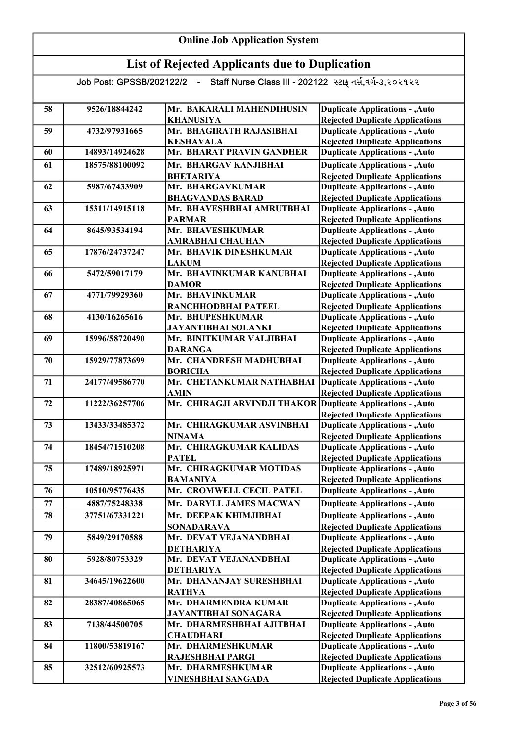| <b>Online Job Application System</b> |                |                                                                                    |                                                                                                                            |
|--------------------------------------|----------------|------------------------------------------------------------------------------------|----------------------------------------------------------------------------------------------------------------------------|
|                                      |                | <b>List of Rejected Applicants due to Duplication</b>                              |                                                                                                                            |
|                                      |                | Job Post: GPSSB/202122/2 - Staff Nurse Class III - 202122 સ્ટાફ નર્સ,વર્ગ-૩,૨૦૨૧૨૨ |                                                                                                                            |
| 58                                   | 9526/18844242  | Mr. BAKARALI MAHENDIHUSIN<br><b>KHANUSIYA</b>                                      | <b>Duplicate Applications - , Auto</b><br><b>Rejected Duplicate Applications</b>                                           |
| 59                                   | 4732/97931665  | Mr. BHAGIRATH RAJASIBHAI<br><b>KESHAVALA</b>                                       | <b>Duplicate Applications - , Auto</b><br><b>Rejected Duplicate Applications</b>                                           |
| 60                                   | 14893/14924628 | Mr. BHARAT PRAVIN GANDHER                                                          | <b>Duplicate Applications - , Auto</b>                                                                                     |
| 61                                   | 18575/88100092 | Mr. BHARGAV KANJIBHAI<br><b>BHETARIYA</b>                                          | <b>Duplicate Applications - , Auto</b><br><b>Rejected Duplicate Applications</b>                                           |
| 62                                   | 5987/67433909  | Mr. BHARGAVKUMAR<br><b>BHAGVANDAS BARAD</b>                                        | <b>Duplicate Applications - , Auto</b><br><b>Rejected Duplicate Applications</b>                                           |
| 63                                   | 15311/14915118 | Mr. BHAVESHBHAI AMRUTBHAI<br><b>PARMAR</b>                                         | <b>Duplicate Applications - , Auto</b>                                                                                     |
| 64                                   | 8645/93534194  | Mr. BHAVESHKUMAR<br><b>AMRABHAI CHAUHAN</b>                                        | <b>Rejected Duplicate Applications</b><br><b>Duplicate Applications - , Auto</b><br><b>Rejected Duplicate Applications</b> |
| 65                                   | 17876/24737247 | Mr. BHAVIK DINESHKUMAR<br><b>LAKUM</b>                                             | <b>Duplicate Applications - , Auto</b><br><b>Rejected Duplicate Applications</b>                                           |
| 66                                   | 5472/59017179  | Mr. BHAVINKUMAR KANUBHAI<br><b>DAMOR</b>                                           | <b>Duplicate Applications - , Auto</b><br><b>Rejected Duplicate Applications</b>                                           |
| 67                                   | 4771/79929360  | Mr. BHAVINKUMAR<br>RANCHHODBHAI PATEEL                                             | <b>Duplicate Applications - , Auto</b>                                                                                     |
| 68                                   | 4130/16265616  | Mr. BHUPESHKUMAR<br><b>JAYANTIBHAI SOLANKI</b>                                     | <b>Rejected Duplicate Applications</b><br><b>Duplicate Applications - , Auto</b><br><b>Rejected Duplicate Applications</b> |
| 69                                   | 15996/58720490 | Mr. BINITKUMAR VALJIBHAI<br><b>DARANGA</b>                                         | <b>Duplicate Applications - , Auto</b><br><b>Rejected Duplicate Applications</b>                                           |
| 70                                   | 15929/77873699 | Mr. CHANDRESH MADHUBHAI<br><b>BORICHA</b>                                          | <b>Duplicate Applications - , Auto</b><br><b>Rejected Duplicate Applications</b>                                           |
| 71                                   | 24177/49586770 | Mr. CHETANKUMAR NATHABHAI<br><b>AMIN</b>                                           | <b>Duplicate Applications - , Auto</b><br><b>Rejected Duplicate Applications</b>                                           |
| 72                                   | 11222/36257706 | Mr. CHIRAGJI ARVINDJI THAKOR Duplicate Applications - , Auto                       | <b>Rejected Duplicate Applications</b>                                                                                     |
| 73                                   | 13433/33485372 | Mr. CHIRAGKUMAR ASVINBHAI<br><b>NINAMA</b>                                         | <b>Duplicate Applications - , Auto</b><br><b>Rejected Duplicate Applications</b>                                           |
| 74                                   | 18454/71510208 | Mr. CHIRAGKUMAR KALIDAS<br><b>PATEL</b>                                            | <b>Duplicate Applications - , Auto</b><br><b>Rejected Duplicate Applications</b>                                           |
| 75                                   | 17489/18925971 | Mr. CHIRAGKUMAR MOTIDAS                                                            | <b>Duplicate Applications - , Auto</b>                                                                                     |
| 76                                   | 10510/95776435 | <b>BAMANIYA</b><br>Mr. CROMWELL CECIL PATEL                                        | <b>Rejected Duplicate Applications</b><br><b>Duplicate Applications - , Auto</b>                                           |
| 77                                   | 4887/75248338  | Mr. DARYLL JAMES MACWAN                                                            | <b>Duplicate Applications - , Auto</b>                                                                                     |
| 78                                   | 37751/67331221 | Mr. DEEPAK KHIMJIBHAI<br><b>SONADARAVA</b>                                         | <b>Duplicate Applications - , Auto</b><br><b>Rejected Duplicate Applications</b>                                           |
| 79                                   | 5849/29170588  | Mr. DEVAT VEJANANDBHAI<br><b>DETHARIYA</b>                                         | <b>Duplicate Applications - , Auto</b><br><b>Rejected Duplicate Applications</b>                                           |
| 80                                   | 5928/80753329  | Mr. DEVAT VEJANANDBHAI<br><b>DETHARIYA</b>                                         | <b>Duplicate Applications - , Auto</b><br><b>Rejected Duplicate Applications</b>                                           |
| 81                                   | 34645/19622600 | Mr. DHANANJAY SURESHBHAI<br><b>RATHVA</b>                                          | <b>Duplicate Applications - , Auto</b><br><b>Rejected Duplicate Applications</b>                                           |
| 82                                   | 28387/40865065 | Mr. DHARMENDRA KUMAR                                                               | <b>Duplicate Applications - , Auto</b>                                                                                     |
| 83                                   | 7138/44500705  | <b>JAYANTIBHAI SONAGARA</b><br>Mr. DHARMESHBHAI AJITBHAI                           | <b>Rejected Duplicate Applications</b><br><b>Duplicate Applications - , Auto</b>                                           |
| 84                                   | 11800/53819167 | <b>CHAUDHARI</b><br>Mr. DHARMESHKUMAR                                              | <b>Rejected Duplicate Applications</b><br><b>Duplicate Applications - , Auto</b>                                           |
| 85                                   | 32512/60925573 | RAJESHBHAI PARGI<br>Mr. DHARMESHKUMAR<br><b>VINESHBHAI SANGADA</b>                 | <b>Rejected Duplicate Applications</b><br><b>Duplicate Applications - , Auto</b><br><b>Rejected Duplicate Applications</b> |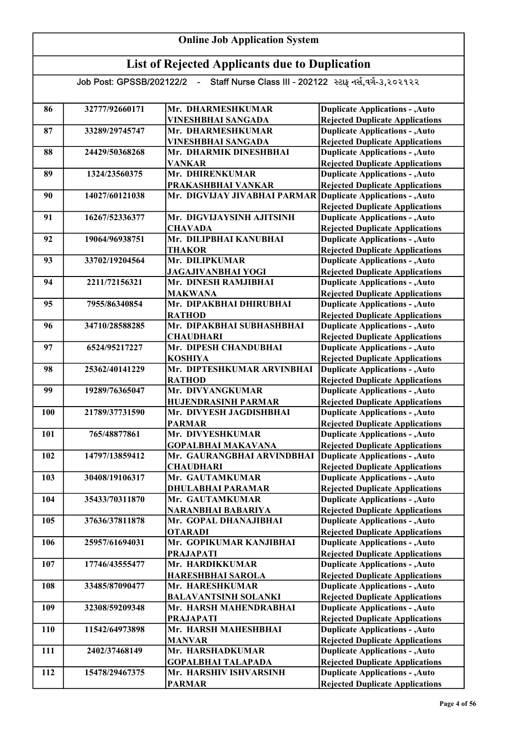| <b>Online Job Application System</b>                  |                          |                                                                   |                                                                                  |
|-------------------------------------------------------|--------------------------|-------------------------------------------------------------------|----------------------------------------------------------------------------------|
| <b>List of Rejected Applicants due to Duplication</b> |                          |                                                                   |                                                                                  |
|                                                       | Job Post: GPSSB/202122/2 | Staff Nurse Class III - 202122 સ્ટાફ નર્સ,વર્ગ-૩,૨૦૨૧૨૨<br>$\sim$ |                                                                                  |
| 86                                                    | 32777/92660171           | Mr. DHARMESHKUMAR<br>VINESHBHAI SANGADA                           | <b>Duplicate Applications - , Auto</b><br><b>Rejected Duplicate Applications</b> |
| 87                                                    | 33289/29745747           | Mr. DHARMESHKUMAR<br><b>VINESHBHAI SANGADA</b>                    | <b>Duplicate Applications - , Auto</b><br><b>Rejected Duplicate Applications</b> |
| 88                                                    | 24429/50368268           | Mr. DHARMIK DINESHBHAI<br><b>VANKAR</b>                           | <b>Duplicate Applications - , Auto</b><br><b>Rejected Duplicate Applications</b> |
| 89                                                    | 1324/23560375            | Mr. DHIRENKUMAR<br>PRAKASHBHAI VANKAR                             | <b>Duplicate Applications - , Auto</b><br><b>Rejected Duplicate Applications</b> |
| 90                                                    | 14027/60121038           | Mr. DIGVIJAY JIVABHAI PARMAR Duplicate Applications - , Auto      | <b>Rejected Duplicate Applications</b>                                           |
| 91                                                    | 16267/52336377           | Mr. DIGVIJAYSINH AJITSINH<br><b>CHAVADA</b>                       | <b>Duplicate Applications - , Auto</b><br><b>Rejected Duplicate Applications</b> |
| 92                                                    | 19064/96938751           | Mr. DILIPBHAI KANUBHAI<br><b>THAKOR</b>                           | <b>Duplicate Applications - , Auto</b><br><b>Rejected Duplicate Applications</b> |
| 93                                                    | 33702/19204564           | Mr. DILIPKUMAR<br><b>JAGAJIVANBHAI YOGI</b>                       | <b>Duplicate Applications - , Auto</b><br><b>Rejected Duplicate Applications</b> |
| 94                                                    | 2211/72156321            | Mr. DINESH RAMJIBHAI<br><b>MAKWANA</b>                            | <b>Duplicate Applications - , Auto</b><br><b>Rejected Duplicate Applications</b> |
| 95                                                    | 7955/86340854            | Mr. DIPAKBHAI DHIRUBHAI<br><b>RATHOD</b>                          | <b>Duplicate Applications - , Auto</b><br><b>Rejected Duplicate Applications</b> |
| 96                                                    | 34710/28588285           | Mr. DIPAKBHAI SUBHASHBHAI<br><b>CHAUDHARI</b>                     | <b>Duplicate Applications - , Auto</b><br><b>Rejected Duplicate Applications</b> |
| 97                                                    | 6524/95217227            | Mr. DIPESH CHANDUBHAI<br><b>KOSHIYA</b>                           | <b>Duplicate Applications - , Auto</b><br><b>Rejected Duplicate Applications</b> |
| 98                                                    | 25362/40141229           | Mr. DIPTESHKUMAR ARVINBHAI<br><b>RATHOD</b>                       | <b>Duplicate Applications - , Auto</b><br><b>Rejected Duplicate Applications</b> |
| 99                                                    | 19289/76365047           | Mr. DIVYANGKUMAR<br><b>HUJENDRASINH PARMAR</b>                    | <b>Duplicate Applications - , Auto</b><br><b>Rejected Duplicate Applications</b> |
| 100                                                   | 21789/37731590           | Mr. DIVYESH JAGDISHBHAI<br><b>PARMAR</b>                          | <b>Duplicate Applications - , Auto</b><br><b>Rejected Duplicate Applications</b> |
| 101                                                   | 765/48877861             | Mr. DIVYESHKUMAR<br><b>GOPALBHAI MAKAVANA</b>                     | <b>Duplicate Applications - , Auto</b><br><b>Rejected Duplicate Applications</b> |
| 102                                                   | 14797/13859412           | Mr. GAURANGBHAI ARVINDBHAI<br><b>CHAUDHARI</b>                    | <b>Duplicate Applications - , Auto</b><br><b>Rejected Duplicate Applications</b> |
| 103                                                   | 30408/19106317           | Mr. GAUTAMKUMAR<br><b>DHULABHAI PARAMAR</b>                       | <b>Duplicate Applications - , Auto</b><br><b>Rejected Duplicate Applications</b> |
| 104                                                   | 35433/70311870           | Mr. GAUTAMKUMAR<br>NARANBHAI BABARIYA                             | <b>Duplicate Applications - , Auto</b><br><b>Rejected Duplicate Applications</b> |
| 105                                                   | 37636/37811878           | Mr. GOPAL DHANAJIBHAI<br><b>OTARADI</b>                           | <b>Duplicate Applications - , Auto</b><br><b>Rejected Duplicate Applications</b> |
| 106                                                   | 25957/61694031           | Mr. GOPIKUMAR KANJIBHAI<br><b>PRAJAPATI</b>                       | <b>Duplicate Applications - , Auto</b><br><b>Rejected Duplicate Applications</b> |
| 107                                                   | 17746/43555477           | Mr. HARDIKKUMAR<br>HARESHBHAI SAROLA                              | <b>Duplicate Applications - , Auto</b><br><b>Rejected Duplicate Applications</b> |
| 108                                                   | 33485/87090477           | Mr. HARESHKUMAR<br><b>BALAVANTSINH SOLANKI</b>                    | <b>Duplicate Applications - , Auto</b><br><b>Rejected Duplicate Applications</b> |
| 109                                                   | 32308/59209348           | Mr. HARSH MAHENDRABHAI<br><b>PRAJAPATI</b>                        | <b>Duplicate Applications - , Auto</b><br><b>Rejected Duplicate Applications</b> |
| 110                                                   | 11542/64973898           | Mr. HARSH MAHESHBHAI<br><b>MANVAR</b>                             | <b>Duplicate Applications - , Auto</b><br><b>Rejected Duplicate Applications</b> |
| 111                                                   | 2402/37468149            | Mr. HARSHADKUMAR<br><b>GOPALBHAI TALAPADA</b>                     | <b>Duplicate Applications - , Auto</b><br><b>Rejected Duplicate Applications</b> |
| 112                                                   | 15478/29467375           | Mr. HARSHIV ISHVARSINH<br><b>PARMAR</b>                           | <b>Duplicate Applications - , Auto</b><br><b>Rejected Duplicate Applications</b> |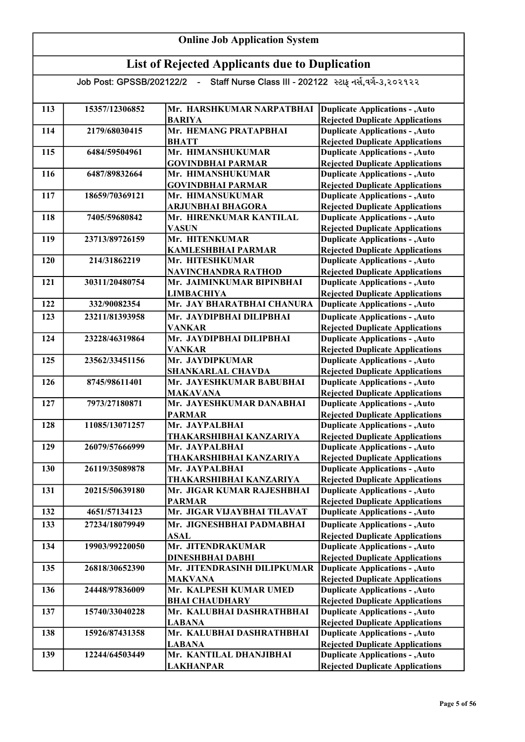| <b>Online Job Application System</b> |                                                                                                                                                  |                                                         |                                                                                  |  |  |  |
|--------------------------------------|--------------------------------------------------------------------------------------------------------------------------------------------------|---------------------------------------------------------|----------------------------------------------------------------------------------|--|--|--|
|                                      |                                                                                                                                                  | <b>List of Rejected Applicants due to Duplication</b>   |                                                                                  |  |  |  |
|                                      | Job Post: GPSSB/202122/2 -                                                                                                                       | Staff Nurse Class III - 202122 સ્ટાફ નર્સ,વર્ગ-૩,૨૦૨૧૨૨ |                                                                                  |  |  |  |
| 113                                  | 15357/12306852<br>Mr. HARSHKUMAR NARPATBHAI<br><b>Duplicate Applications - , Auto</b><br><b>BARIYA</b><br><b>Rejected Duplicate Applications</b> |                                                         |                                                                                  |  |  |  |
| 114                                  | 2179/68030415                                                                                                                                    | Mr. HEMANG PRATAPBHAI<br><b>BHATT</b>                   | <b>Duplicate Applications - , Auto</b><br><b>Rejected Duplicate Applications</b> |  |  |  |
| 115                                  | 6484/59504961                                                                                                                                    | Mr. HIMANSHUKUMAR<br><b>GOVINDBHAI PARMAR</b>           | <b>Duplicate Applications - , Auto</b><br><b>Rejected Duplicate Applications</b> |  |  |  |
| 116                                  | 6487/89832664                                                                                                                                    | Mr. HIMANSHUKUMAR<br><b>GOVINDBHAI PARMAR</b>           | <b>Duplicate Applications - , Auto</b><br><b>Rejected Duplicate Applications</b> |  |  |  |
| 117                                  | 18659/70369121                                                                                                                                   | Mr. HIMANSUKUMAR<br>ARJUNBHAI BHAGORA                   | <b>Duplicate Applications - , Auto</b><br><b>Rejected Duplicate Applications</b> |  |  |  |
| 118                                  | 7405/59680842                                                                                                                                    | Mr. HIRENKUMAR KANTILAL<br><b>VASUN</b>                 | <b>Duplicate Applications - , Auto</b><br><b>Rejected Duplicate Applications</b> |  |  |  |
| 119                                  | 23713/89726159                                                                                                                                   | Mr. HITENKUMAR<br><b>KAMLESHBHAI PARMAR</b>             | <b>Duplicate Applications - , Auto</b><br><b>Rejected Duplicate Applications</b> |  |  |  |
| 120                                  | 214/31862219                                                                                                                                     | Mr. HITESHKUMAR<br><b>NAVINCHANDRA RATHOD</b>           | <b>Duplicate Applications - , Auto</b><br><b>Rejected Duplicate Applications</b> |  |  |  |
| 121                                  | 30311/20480754                                                                                                                                   | Mr. JAIMINKUMAR BIPINBHAI<br><b>LIMBACHIYA</b>          | <b>Duplicate Applications - , Auto</b><br><b>Rejected Duplicate Applications</b> |  |  |  |
| 122                                  | 332/90082354                                                                                                                                     | Mr. JAY BHARATBHAI CHANURA                              | <b>Duplicate Applications - , Auto</b>                                           |  |  |  |
| 123                                  | 23211/81393958                                                                                                                                   | Mr. JAYDIPBHAI DILIPBHAI<br><b>VANKAR</b>               | <b>Duplicate Applications - , Auto</b><br><b>Rejected Duplicate Applications</b> |  |  |  |
| 124                                  | 23228/46319864                                                                                                                                   | Mr. JAYDIPBHAI DILIPBHAI<br><b>VANKAR</b>               | <b>Duplicate Applications - , Auto</b><br><b>Rejected Duplicate Applications</b> |  |  |  |
| 125                                  | 23562/33451156                                                                                                                                   | Mr. JAYDIPKUMAR<br><b>SHANKARLAL CHAVDA</b>             | <b>Duplicate Applications - , Auto</b><br><b>Rejected Duplicate Applications</b> |  |  |  |
| 126                                  | 8745/98611401                                                                                                                                    | Mr. JAYESHKUMAR BABUBHAI<br><b>MAKAVANA</b>             | <b>Duplicate Applications - , Auto</b><br><b>Rejected Duplicate Applications</b> |  |  |  |
| 127                                  | 7973/27180871                                                                                                                                    | Mr. JAYESHKUMAR DANABHAI<br><b>PARMAR</b>               | <b>Duplicate Applications - , Auto</b><br><b>Rejected Duplicate Applications</b> |  |  |  |
| 128                                  | 11085/13071257                                                                                                                                   | Mr. JAYPALBHAI<br>THAKARSHIBHAI KANZARIYA               | <b>Duplicate Applications - , Auto</b><br><b>Rejected Duplicate Applications</b> |  |  |  |
| 129                                  | 26079/57666999                                                                                                                                   | Mr. JAYPALBHAI<br>THAKARSHIBHAI KANZARIYA               | <b>Duplicate Applications - , Auto</b><br><b>Rejected Duplicate Applications</b> |  |  |  |
| 130                                  | 26119/35089878                                                                                                                                   | Mr. JAYPALBHAI<br>THAKARSHIBHAI KANZARIYA               | <b>Duplicate Applications - , Auto</b><br><b>Rejected Duplicate Applications</b> |  |  |  |
| 131                                  | 20215/50639180                                                                                                                                   | Mr. JIGAR KUMAR RAJESHBHAI<br><b>PARMAR</b>             | <b>Duplicate Applications - , Auto</b><br><b>Rejected Duplicate Applications</b> |  |  |  |
| 132                                  | 4651/57134123                                                                                                                                    | Mr. JIGAR VIJAYBHAI TILAVAT                             | <b>Duplicate Applications - , Auto</b>                                           |  |  |  |
| 133                                  | 27234/18079949                                                                                                                                   | Mr. JIGNESHBHAI PADMABHAI<br><b>ASAL</b>                | <b>Duplicate Applications - , Auto</b><br><b>Rejected Duplicate Applications</b> |  |  |  |
| 134                                  | 19903/99220050                                                                                                                                   | Mr. JITENDRAKUMAR<br><b>DINESHBHAI DABHI</b>            | <b>Duplicate Applications - , Auto</b><br><b>Rejected Duplicate Applications</b> |  |  |  |
| 135                                  | 26818/30652390                                                                                                                                   | Mr. JITENDRASINH DILIPKUMAR<br><b>MAKVANA</b>           | <b>Duplicate Applications - , Auto</b><br><b>Rejected Duplicate Applications</b> |  |  |  |
| 136                                  | 24448/97836009                                                                                                                                   | Mr. KALPESH KUMAR UMED<br><b>BHAI CHAUDHARY</b>         | <b>Duplicate Applications - , Auto</b><br><b>Rejected Duplicate Applications</b> |  |  |  |
| 137                                  | 15740/33040228                                                                                                                                   | Mr. KALUBHAI DASHRATHBHAI<br><b>LABANA</b>              | <b>Duplicate Applications - , Auto</b><br><b>Rejected Duplicate Applications</b> |  |  |  |
| 138                                  | 15926/87431358                                                                                                                                   | Mr. KALUBHAI DASHRATHBHAI<br><b>LABANA</b>              | <b>Duplicate Applications - , Auto</b><br><b>Rejected Duplicate Applications</b> |  |  |  |
| 139                                  | 12244/64503449                                                                                                                                   | Mr. KANTILAL DHANJIBHAI<br><b>LAKHANPAR</b>             | <b>Duplicate Applications - , Auto</b><br><b>Rejected Duplicate Applications</b> |  |  |  |

- r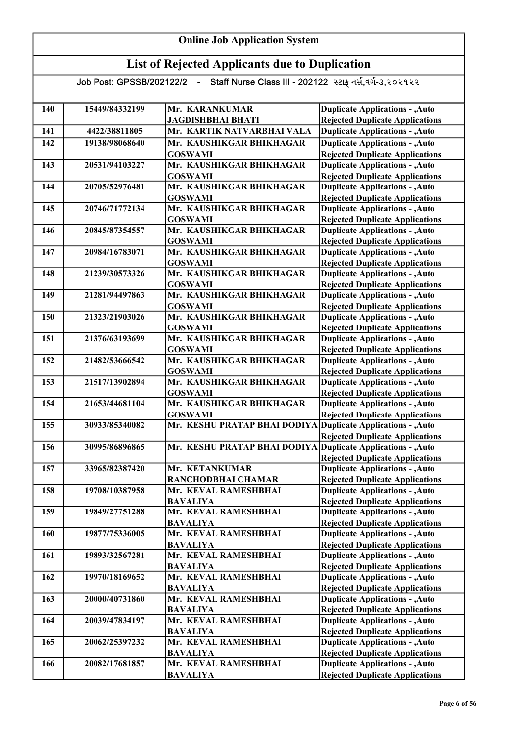| 140 | 15449/84332199 | Mr. KARANKUMAR                             | <b>Duplicate Applications - , Auto</b>                                           |
|-----|----------------|--------------------------------------------|----------------------------------------------------------------------------------|
|     |                | <b>JAGDISHBHAI BHATI</b>                   | <b>Rejected Duplicate Applications</b>                                           |
| 141 | 4422/38811805  | Mr. KARTIK NATVARBHAI VALA                 | <b>Duplicate Applications - , Auto</b>                                           |
| 142 | 19138/98068640 | Mr. KAUSHIKGAR BHIKHAGAR                   | <b>Duplicate Applications - , Auto</b>                                           |
|     |                | <b>GOSWAMI</b>                             | <b>Rejected Duplicate Applications</b>                                           |
| 143 | 20531/94103227 | Mr. KAUSHIKGAR BHIKHAGAR                   | <b>Duplicate Applications - , Auto</b>                                           |
|     |                | <b>GOSWAMI</b>                             | <b>Rejected Duplicate Applications</b>                                           |
| 144 | 20705/52976481 | Mr. KAUSHIKGAR BHIKHAGAR                   | <b>Duplicate Applications - , Auto</b>                                           |
|     |                | <b>GOSWAMI</b>                             | <b>Rejected Duplicate Applications</b>                                           |
| 145 | 20746/71772134 | Mr. KAUSHIKGAR BHIKHAGAR                   | <b>Duplicate Applications - , Auto</b>                                           |
| 146 | 20845/87354557 | <b>GOSWAMI</b><br>Mr. KAUSHIKGAR BHIKHAGAR | <b>Rejected Duplicate Applications</b><br><b>Duplicate Applications - , Auto</b> |
|     |                | <b>GOSWAMI</b>                             | <b>Rejected Duplicate Applications</b>                                           |
| 147 | 20984/16783071 | Mr. KAUSHIKGAR BHIKHAGAR                   | <b>Duplicate Applications - , Auto</b>                                           |
|     |                | <b>GOSWAMI</b>                             | <b>Rejected Duplicate Applications</b>                                           |
| 148 | 21239/30573326 | Mr. KAUSHIKGAR BHIKHAGAR                   | <b>Duplicate Applications - , Auto</b>                                           |
|     |                | <b>GOSWAMI</b>                             | <b>Rejected Duplicate Applications</b>                                           |
| 149 | 21281/94497863 | Mr. KAUSHIKGAR BHIKHAGAR                   | <b>Duplicate Applications - , Auto</b>                                           |
|     |                | <b>GOSWAMI</b>                             | <b>Rejected Duplicate Applications</b>                                           |
| 150 | 21323/21903026 | Mr. KAUSHIKGAR BHIKHAGAR                   | <b>Duplicate Applications - , Auto</b>                                           |
|     |                | <b>GOSWAMI</b>                             | <b>Rejected Duplicate Applications</b>                                           |
| 151 | 21376/63193699 | Mr. KAUSHIKGAR BHIKHAGAR                   | <b>Duplicate Applications - , Auto</b>                                           |
|     |                | <b>GOSWAMI</b>                             | <b>Rejected Duplicate Applications</b>                                           |
| 152 | 21482/53666542 | Mr. KAUSHIKGAR BHIKHAGAR                   | <b>Duplicate Applications - , Auto</b>                                           |
|     |                | <b>GOSWAMI</b>                             | <b>Rejected Duplicate Applications</b>                                           |
| 153 | 21517/13902894 | Mr. KAUSHIKGAR BHIKHAGAR                   | <b>Duplicate Applications - , Auto</b>                                           |
|     |                | <b>GOSWAMI</b>                             | <b>Rejected Duplicate Applications</b>                                           |
| 154 | 21653/44681104 | Mr. KAUSHIKGAR BHIKHAGAR                   | <b>Duplicate Applications - , Auto</b>                                           |
|     |                | <b>GOSWAMI</b>                             | <b>Rejected Duplicate Applications</b>                                           |
| 155 | 30933/85340082 | Mr. KESHU PRATAP BHAI DODIYA               | <b>Duplicate Applications - , Auto</b>                                           |
| 156 | 30995/86896865 | Mr. KESHU PRATAP BHAI DODIYA               | <b>Rejected Duplicate Applications</b><br><b>Duplicate Applications - , Auto</b> |
|     |                |                                            | <b>Rejected Duplicate Applications</b>                                           |
| 157 | 33965/82387420 | Mr. KETANKUMAR                             | <b>Duplicate Applications - , Auto</b>                                           |
|     |                | RANCHODBHAI CHAMAR                         | <b>Rejected Duplicate Applications</b>                                           |
| 158 | 19708/10387958 | Mr. KEVAL RAMESHBHAI                       | <b>Duplicate Applications - , Auto</b>                                           |
|     |                | <b>BAVALIYA</b>                            | <b>Rejected Duplicate Applications</b>                                           |
| 159 | 19849/27751288 | Mr. KEVAL RAMESHBHAI                       | <b>Duplicate Applications - , Auto</b>                                           |
|     |                | <b>BAVALIYA</b>                            | <b>Rejected Duplicate Applications</b>                                           |
| 160 | 19877/75336005 | Mr. KEVAL RAMESHBHAI                       | <b>Duplicate Applications - , Auto</b>                                           |
|     |                | <b>BAVALIYA</b>                            | <b>Rejected Duplicate Applications</b>                                           |
| 161 | 19893/32567281 | Mr. KEVAL RAMESHBHAI                       | <b>Duplicate Applications - , Auto</b>                                           |
|     |                | <b>BAVALIYA</b>                            | <b>Rejected Duplicate Applications</b>                                           |
| 162 | 19970/18169652 | Mr. KEVAL RAMESHBHAI                       | <b>Duplicate Applications - , Auto</b>                                           |
|     |                | <b>BAVALIYA</b>                            | <b>Rejected Duplicate Applications</b>                                           |
| 163 | 20000/40731860 | Mr. KEVAL RAMESHBHAI                       | <b>Duplicate Applications - , Auto</b>                                           |
|     |                | <b>BAVALIYA</b>                            | <b>Rejected Duplicate Applications</b>                                           |
| 164 | 20039/47834197 | Mr. KEVAL RAMESHBHAI                       | <b>Duplicate Applications - , Auto</b>                                           |
| 165 | 20062/25397232 | <b>BAVALIYA</b><br>Mr. KEVAL RAMESHBHAI    | <b>Rejected Duplicate Applications</b><br><b>Duplicate Applications - , Auto</b> |
|     |                | <b>BAVALIYA</b>                            | <b>Rejected Duplicate Applications</b>                                           |
| 166 | 20082/17681857 | Mr. KEVAL RAMESHBHAI                       | <b>Duplicate Applications - , Auto</b>                                           |
|     |                | <b>BAVALIYA</b>                            | <b>Rejected Duplicate Applications</b>                                           |
|     |                |                                            |                                                                                  |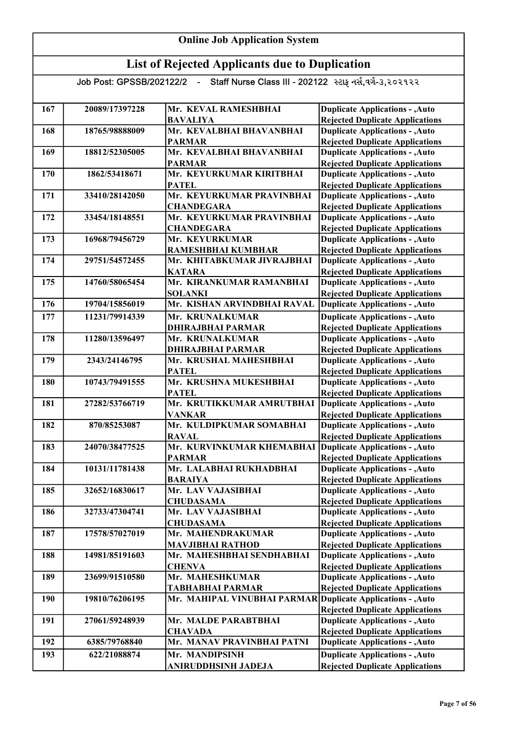#### List of Rejected Applicants due to Duplication Job Post: GPSSB/202122/2 - Staff Nurse Class III - 202122 સ્ટાફ નર્સ,વર્ગ-૩,૨૦૨૧૨૨ 167 20089/17397228 Mr. KEVAL RAMESHBHAI BAVALIYA 168 18765/98888009 Mr. KEVALBHAI BHAVANBHAI PARMAR 169 18812/52305005 Mr. KEVALBHAI BHAVANBHAI PARMAR 170 1862/53418671 Mr. KEYURKUMAR KIRITBHAI PATEL 171 33410/28142050 Mr. KEYURKUMAR PRAVINBHAI **CHANDEGARA** 172 33454/18148551 Mr. KEYURKUMAR PRAVINBHAI **CHANDEGARA** 173 16968/79456729 Mr. KEYURKUMAR RAMESHBHAI KUMBHAR 174 29751/54572455 Mr. KHITABKUMAR JIVRAJBHAI KATARA 175 14760/58065454 Mr. KIRANKUMAR RAMANBHAI SOLANKI 176 19704/15856019 Mr. KISHAN ARVINDBHAI RAVAL 177 11231/79914339 Mr. KRUNALKUMAR DHIRAJBHAI PARMAR 178 11280/13596497 Mr. KRUNALKUMAR DHIRAJBHAI PARMAR 179 2343/24146795 Mr. KRUSHAL MAHESHBHAI PATEL 180 10743/79491555 Mr. KRUSHNA MUKESHBHAI **PATEL** 181 27282/53766719 Mr. KRUTIKKUMAR AMRUTBHAI VANKAR 182 870/85253087 Mr. KULDIPKUMAR SOMABHAI RAVAL 183 24070/38477525 Mr. KURVINKUMAR KHEMABHAI PARMAR 184 10131/11781438 Mr. LALABHAI RUKHADBHAI BARAIYA 185 32652/16830617 Mr. LAV VAJASIBHAI **CHUDASAMA** 186 32733/47304741 Mr. LAV VAJASIBHAI CHUDASAMA 187 17578/57027019 Mr. MAHENDRAKUMAR MAVJIBHAI RATHOD 188 14981/85191603 Mr. MAHESHBHAI SENDHABHAI **CHENVA** 189 23699/91510580 Mr. MAHESHKUMAR TABHABHAI PARMAR 190 19810/76206195 Mr. MAHIPAL VINUBHAI PARMAR Duplicate Applications - , Auto 191 27061/59248939 Mr. MALDE PARABTBHAI **CHAVADA** 192 6385/79768840 Mr. MANAV PRAVINBHAI PATNI 193 622/21088874 Mr. MANDIPSINH **Duplicate Applications - , Auto** Duplicate Applications - ,Auto Rejected Duplicate Applications Duplicate Applications - ,Auto Rejected Duplicate Applications Duplicate Applications - ,Auto Rejected Duplicate Applications Rejected Duplicate Applications Duplicate Applications - ,Auto Rejected Duplicate Applications Duplicate Applications - ,Auto Duplicate Applications - ,Auto Rejected Duplicate Applications Duplicate Applications - ,Auto Rejected Duplicate Applications Duplicate Applications - ,Auto Rejected Duplicate Applications Duplicate Applications - ,Auto Rejected Duplicate Applications Duplicate Applications - ,Auto Rejected Duplicate Applications Duplicate Applications - ,Auto Rejected Duplicate Applications Duplicate Applications - ,Auto Rejected Duplicate Applications Duplicate Applications - ,Auto **Duplicate Applications - ,Auto** Rejected Duplicate Applications Duplicate Applications - ,Auto Rejected Duplicate Applications Duplicate Applications - ,Auto Rejected Duplicate Applications Duplicate Applications - ,Auto Rejected Duplicate Applications Duplicate Applications - ,Auto Rejected Duplicate Applications Duplicate Applications - ,Auto Rejected Duplicate Applications Duplicate Applications - ,Auto Rejected Duplicate Applications Duplicate Applications - ,Auto Rejected Duplicate Applications Duplicate Applications - ,Auto Rejected Duplicate Applications Duplicate Applications - ,Auto Rejected Duplicate Applications Duplicate Applications - ,Auto Rejected Duplicate Applications Duplicate Applications - ,Auto Rejected Duplicate Applications

ANIRUDDHSINH JADEJA

Online Job Application System

Rejected Duplicate Applications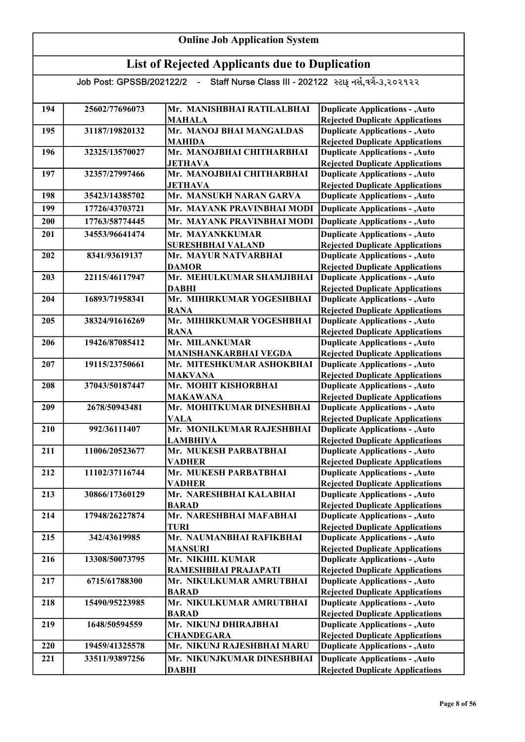| <b>Online Job Application System</b> |                            |                                                         |                                                                                  |
|--------------------------------------|----------------------------|---------------------------------------------------------|----------------------------------------------------------------------------------|
|                                      |                            | <b>List of Rejected Applicants due to Duplication</b>   |                                                                                  |
|                                      | Job Post: GPSSB/202122/2 - | Staff Nurse Class III - 202122 સ્ટાફ નર્સ,વર્ગ-૩,૨૦૨૧૨૨ |                                                                                  |
|                                      |                            |                                                         |                                                                                  |
| 194                                  | 25602/77696073             | Mr. MANISHBHAI RATILALBHAI                              | <b>Duplicate Applications - , Auto</b>                                           |
|                                      |                            | <b>MAHALA</b>                                           | <b>Rejected Duplicate Applications</b>                                           |
| 195                                  | 31187/19820132             | Mr. MANOJ BHAI MANGALDAS                                | <b>Duplicate Applications - , Auto</b>                                           |
|                                      |                            | <b>MAHIDA</b>                                           | <b>Rejected Duplicate Applications</b>                                           |
| 196                                  | 32325/13570027             | Mr. MANOJBHAI CHITHARBHAI                               | <b>Duplicate Applications - , Auto</b>                                           |
| 197                                  | 32357/27997466             | <b>JETHAVA</b><br>Mr. MANOJBHAI CHITHARBHAI             | <b>Rejected Duplicate Applications</b>                                           |
|                                      |                            | <b>JETHAVA</b>                                          | <b>Duplicate Applications - , Auto</b><br><b>Rejected Duplicate Applications</b> |
| 198                                  | 35423/14385702             | Mr. MANSUKH NARAN GARVA                                 | <b>Duplicate Applications - , Auto</b>                                           |
| 199                                  | 17726/43703721             | Mr. MAYANK PRAVINBHAI MODI                              | <b>Duplicate Applications - , Auto</b>                                           |
|                                      |                            |                                                         |                                                                                  |
| 200                                  | 17763/58774445             | Mr. MAYANK PRAVINBHAI MODI                              | <b>Duplicate Applications - , Auto</b>                                           |
| 201                                  | 34553/96641474             | Mr. MAYANKKUMAR                                         | <b>Duplicate Applications - , Auto</b>                                           |
|                                      |                            | <b>SURESHBHAI VALAND</b>                                | <b>Rejected Duplicate Applications</b>                                           |
| 202                                  | 8341/93619137              | Mr. MAYUR NATVARBHAI<br><b>DAMOR</b>                    | <b>Duplicate Applications - , Auto</b><br><b>Rejected Duplicate Applications</b> |
| 203                                  | 22115/46117947             | Mr. MEHULKUMAR SHAMJIBHAI                               | <b>Duplicate Applications - , Auto</b>                                           |
|                                      |                            | <b>DABHI</b>                                            | <b>Rejected Duplicate Applications</b>                                           |
| 204                                  | 16893/71958341             | Mr. MIHIRKUMAR YOGESHBHAI                               | <b>Duplicate Applications - , Auto</b>                                           |
|                                      |                            | <b>RANA</b>                                             | <b>Rejected Duplicate Applications</b>                                           |
| 205                                  | 38324/91616269             | Mr. MIHIRKUMAR YOGESHBHAI                               | <b>Duplicate Applications - , Auto</b>                                           |
|                                      |                            | <b>RANA</b>                                             | <b>Rejected Duplicate Applications</b>                                           |
| 206                                  | 19426/87085412             | Mr. MILANKUMAR                                          | <b>Duplicate Applications - , Auto</b>                                           |
|                                      |                            | MANISHANKARBHAI VEGDA                                   | <b>Rejected Duplicate Applications</b>                                           |
| 207                                  | 19115/23750661             | Mr. MITESHKUMAR ASHOKBHAI<br><b>MAKVANA</b>             | <b>Duplicate Applications - , Auto</b><br><b>Rejected Duplicate Applications</b> |
| 208                                  | 37043/50187447             | Mr. MOHIT KISHORBHAI                                    | <b>Duplicate Applications - , Auto</b>                                           |
|                                      |                            | <b>MAKAWANA</b>                                         | <b>Rejected Duplicate Applications</b>                                           |
| 209                                  | 2678/50943481              | Mr. MOHITKUMAR DINESHBHAI                               | <b>Duplicate Applications - , Auto</b>                                           |
|                                      |                            | <b>VALA</b>                                             | <b>Rejected Duplicate Applications</b>                                           |
| 210                                  | 992/36111407               | Mr. MONILKUMAR RAJESHBHAI                               | <b>Duplicate Applications - , Auto</b>                                           |
|                                      |                            | <b>LAMBHIYA</b>                                         | <b>Rejected Duplicate Applications</b>                                           |
| 211                                  | 11006/20523677             | Mr. MUKESH PARBATBHAI                                   | <b>Duplicate Applications - , Auto</b>                                           |
|                                      |                            | <b>VADHER</b>                                           | <b>Rejected Duplicate Applications</b>                                           |
| 212                                  | 11102/37116744             | Mr. MUKESH PARBATBHAI                                   | <b>Duplicate Applications - , Auto</b>                                           |
|                                      |                            | <b>VADHER</b><br>Mr. NARESHBHAI KALABHAI                | <b>Rejected Duplicate Applications</b>                                           |
| 213                                  | 30866/17360129             | <b>BARAD</b>                                            | <b>Duplicate Applications - , Auto</b><br><b>Rejected Duplicate Applications</b> |
| 214                                  | 17948/26227874             | Mr. NARESHBHAI MAFABHAI                                 | <b>Duplicate Applications - , Auto</b>                                           |
|                                      |                            | <b>TURI</b>                                             | <b>Rejected Duplicate Applications</b>                                           |
| 215                                  | 342/43619985               | Mr. NAUMANBHAI RAFIKBHAI                                | <b>Duplicate Applications - , Auto</b>                                           |
|                                      |                            | <b>MANSURI</b>                                          | <b>Rejected Duplicate Applications</b>                                           |
| 216                                  | 13308/50073795             | Mr. NIKHIL KUMAR                                        | <b>Duplicate Applications - , Auto</b>                                           |
|                                      |                            | RAMESHBHAI PRAJAPATI                                    | <b>Rejected Duplicate Applications</b>                                           |
| 217                                  | 6715/61788300              | Mr. NIKULKUMAR AMRUTBHAI                                | <b>Duplicate Applications - , Auto</b>                                           |
|                                      |                            | <b>BARAD</b>                                            | <b>Rejected Duplicate Applications</b>                                           |
| 218                                  | 15490/95223985             | Mr. NIKULKUMAR AMRUTBHAI                                | <b>Duplicate Applications - , Auto</b>                                           |
|                                      |                            | <b>BARAD</b>                                            | <b>Rejected Duplicate Applications</b>                                           |
| 219                                  | 1648/50594559              | Mr. NIKUNJ DHIRAJBHAI                                   | <b>Duplicate Applications - , Auto</b>                                           |
| 220                                  | 19459/41325578             | <b>CHANDEGARA</b><br>Mr. NIKUNJ RAJESHBHAI MARU         | <b>Rejected Duplicate Applications</b><br><b>Duplicate Applications - , Auto</b> |
|                                      |                            |                                                         |                                                                                  |
| 221                                  | 33511/93897256             | Mr. NIKUNJKUMAR DINESHBHAI                              | <b>Duplicate Applications - , Auto</b>                                           |
|                                      |                            | <b>DABHI</b>                                            | <b>Rejected Duplicate Applications</b>                                           |

Г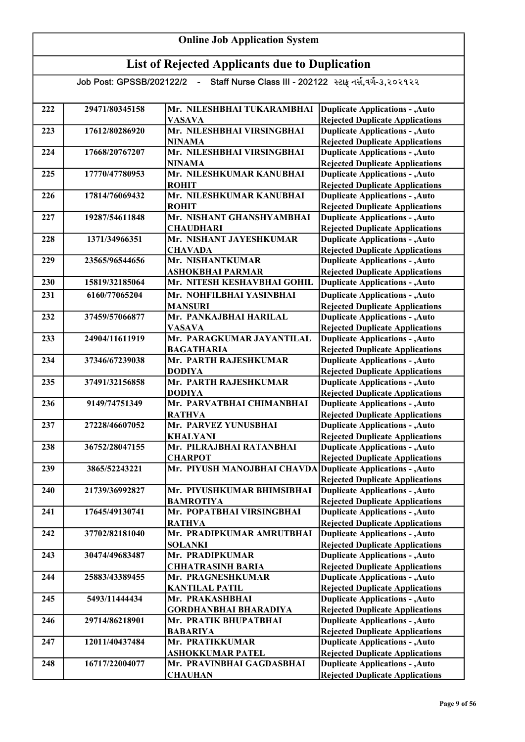#### List of Rejected Applicants due to Duplication Job Post: GPSSB/202122/2 - Staff Nurse Class III - 202122 સ્ટાફ નર્સ,વર્ગ-૩,૨૦૨૧૨૨ 222 | 29471/80345158 | Mr. NILESHBHAI TUKARAMBHAI | Duplicate Applications - , Auto VASAVA 223 17612/80286920 Mr. NILESHBHAI VIRSINGBHAI NINAMA 224 17668/20767207 Mr. NILESHBHAI VIRSINGBHAI NINAMA 225 17770/47780953 Mr. NILESHKUMAR KANUBHAI ROHIT 226 17814/76069432 Mr. NILESHKUMAR KANUBHAI ROHIT 227 19287/54611848 Mr. NISHANT GHANSHYAMBHAI **CHAUDHARI** 228 1371/34966351 Mr. NISHANT JAYESHKUMAR **CHAVADA** 229 23565/96544656 Mr. NISHANTKUMAR ASHOKBHAI PARMAR 230 15819/32185064 Mr. NITESH KESHAVBHAI GOHIL 231 6160/77065204 Mr. NOHFILBHAI YASINBHAI MANSURI 232 37459/57066877 Mr. PANKAJBHAI HARILAL VASAVA 233 24904/11611919 Mr. PARAGKUMAR JAYANTILAL BAGATHARIA 234 37346/67239038 Mr. PARTH RAJESHKUMAR DODIYA 235 37491/32156858 Mr. PARTH RAJESHKUMAR DODIYA 236 9149/74751349 Mr. PARVATBHAI CHIMANBHAI RATHVA 237 27228/46607052 Mr. PARVEZ YUNUSBHAI KHALYANI 238 36752/28047155 Mr. PILRAJBHAI RATANBHAI **CHARPOT** 239 3865/52243221 Mr. PIYUSH MANOJBHAI CHAVDA Duplicate Applications - , Auto 240 21739/36992827 Mr. PIYUSHKUMAR BHIMSIBHAI BAMROTIYA 241 | 17645/49130741 | Mr. POPATBHAI VIRSINGBHAI RATHVA 242 37702/82181040 Mr. PRADIPKUMAR AMRUTBHAI SOLANKI 243 30474/49683487 Mr. PRADIPKUMAR CHHATRASINH BARIA 244 25883/43389455 Mr. PRAGNESHKUMAR KANTILAL PATIL 245 | 5493/11444434 Mr. PRAKASHBHAI GORDHANBHAI BHARADIYA 246 29714/86218901 Mr. PRATIK BHUPATBHAI BABARIYA 247 12011/40437484 Mr. PRATIKKUMAR ASHOKKUMAR PATEL 248 16717/22004077 Mr. PRAVINBHAI GAGDASBHAI **CHAUHAN** Duplicate Applications - ,Auto Rejected Duplicate Applications Duplicate Applications - ,Auto Rejected Duplicate Applications Duplicate Applications - ,Auto Rejected Duplicate Applications Duplicate Applications - ,Auto Rejected Duplicate Applications Duplicate Applications - ,Auto Rejected Duplicate Applications Duplicate Applications - ,Auto Rejected Duplicate Applications Duplicate Applications - ,Auto Rejected Duplicate Applications Duplicate Applications - ,Auto Rejected Duplicate Applications Duplicate Applications - ,Auto Rejected Duplicate Applications Duplicate Applications - ,Auto Rejected Duplicate Applications Duplicate Applications - ,Auto Rejected Duplicate Applications Duplicate Applications - ,Auto Rejected Duplicate Applications Rejected Duplicate Applications Duplicate Applications - ,Auto Rejected Duplicate Applications Duplicate Applications - ,Auto Rejected Duplicate Applications Duplicate Applications - ,Auto **Duplicate Applications - ,Auto** Rejected Duplicate Applications Duplicate Applications - ,Auto Rejected Duplicate Applications Duplicate Applications - ,Auto Rejected Duplicate Applications Duplicate Applications - ,Auto Rejected Duplicate Applications Duplicate Applications - ,Auto Rejected Duplicate Applications Duplicate Applications - ,Auto Rejected Duplicate Applications Duplicate Applications - ,Auto Rejected Duplicate Applications Duplicate Applications - ,Auto Rejected Duplicate Applications Duplicate Applications - ,Auto Rejected Duplicate Applications Duplicate Applications - ,Auto Rejected Duplicate Applications Rejected Duplicate Applications

Online Job Application System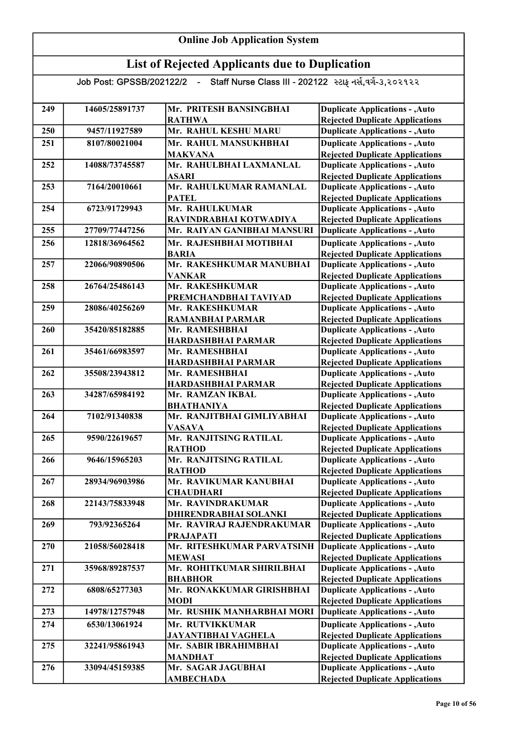| 249 | 14605/25891737 | Mr. PRITESH BANSINGBHAI                 | <b>Duplicate Applications - , Auto</b>                                           |
|-----|----------------|-----------------------------------------|----------------------------------------------------------------------------------|
|     |                | <b>RATHWA</b><br>Mr. RAHUL KESHU MARU   | <b>Rejected Duplicate Applications</b>                                           |
| 250 | 9457/11927589  |                                         | <b>Duplicate Applications - , Auto</b>                                           |
| 251 | 8107/80021004  | Mr. RAHUL MANSUKHBHAI                   | <b>Duplicate Applications - , Auto</b>                                           |
|     |                | <b>MAKVANA</b>                          | <b>Rejected Duplicate Applications</b>                                           |
| 252 | 14088/73745587 | Mr. RAHULBHAI LAXMANLAL<br><b>ASARI</b> | <b>Duplicate Applications - , Auto</b><br><b>Rejected Duplicate Applications</b> |
| 253 | 7164/20010661  | Mr. RAHULKUMAR RAMANLAL                 | <b>Duplicate Applications - , Auto</b>                                           |
|     |                | <b>PATEL</b>                            | <b>Rejected Duplicate Applications</b>                                           |
| 254 | 6723/91729943  | Mr. RAHULKUMAR                          | <b>Duplicate Applications - , Auto</b>                                           |
|     |                | RAVINDRABHAI KOTWADIYA                  | <b>Rejected Duplicate Applications</b>                                           |
| 255 | 27709/77447256 | Mr. RAIYAN GANIBHAI MANSURI             | <b>Duplicate Applications - , Auto</b>                                           |
| 256 | 12818/36964562 | Mr. RAJESHBHAI MOTIBHAI                 | <b>Duplicate Applications - , Auto</b>                                           |
|     |                | <b>BARIA</b>                            | <b>Rejected Duplicate Applications</b>                                           |
| 257 | 22066/90890506 | Mr. RAKESHKUMAR MANUBHAI                | <b>Duplicate Applications - , Auto</b>                                           |
|     |                | <b>VANKAR</b>                           | <b>Rejected Duplicate Applications</b>                                           |
| 258 | 26764/25486143 | Mr. RAKESHKUMAR                         | <b>Duplicate Applications - , Auto</b>                                           |
|     |                | PREMCHANDBHAI TAVIYAD                   | <b>Rejected Duplicate Applications</b>                                           |
| 259 | 28086/40256269 | Mr. RAKESHKUMAR                         | <b>Duplicate Applications - , Auto</b>                                           |
|     |                | <b>RAMANBHAI PARMAR</b>                 | <b>Rejected Duplicate Applications</b>                                           |
| 260 | 35420/85182885 | Mr. RAMESHBHAI                          | <b>Duplicate Applications - , Auto</b>                                           |
|     |                | <b>HARDASHBHAI PARMAR</b>               | <b>Rejected Duplicate Applications</b>                                           |
| 261 | 35461/66983597 | Mr. RAMESHBHAI                          | <b>Duplicate Applications - , Auto</b>                                           |
|     |                | <b>HARDASHBHAI PARMAR</b>               | <b>Rejected Duplicate Applications</b>                                           |
| 262 | 35508/23943812 | Mr. RAMESHBHAI                          | <b>Duplicate Applications - , Auto</b>                                           |
|     |                | HARDASHBHAI PARMAR                      | <b>Rejected Duplicate Applications</b>                                           |
| 263 | 34287/65984192 | Mr. RAMZAN IKBAL                        | <b>Duplicate Applications - , Auto</b>                                           |
|     |                | <b>BHATHANIYA</b>                       | <b>Rejected Duplicate Applications</b>                                           |
| 264 | 7102/91340838  | Mr. RANJITBHAI GIMLIYABHAI              | <b>Duplicate Applications - , Auto</b>                                           |
|     |                | <b>VASAVA</b>                           | <b>Rejected Duplicate Applications</b>                                           |
| 265 | 9590/22619657  | Mr. RANJITSING RATILAL                  | <b>Duplicate Applications - , Auto</b>                                           |
|     |                | <b>RATHOD</b>                           | <b>Rejected Duplicate Applications</b>                                           |
| 266 | 9646/15965203  | Mr. RANJITSING RATILAL                  | <b>Duplicate Applications - , Auto</b>                                           |
| 267 | 28934/96903986 | <b>RATHOD</b><br>Mr. RAVIKUMAR KANUBHAI | <b>Rejected Duplicate Applications</b><br><b>Duplicate Applications - , Auto</b> |
|     |                | <b>CHAUDHARI</b>                        | <b>Rejected Duplicate Applications</b>                                           |
| 268 | 22143/75833948 | Mr. RAVINDRAKUMAR                       | <b>Duplicate Applications - , Auto</b>                                           |
|     |                | DHIRENDRABHAI SOLANKI                   | <b>Rejected Duplicate Applications</b>                                           |
| 269 | 793/92365264   | Mr. RAVIRAJ RAJENDRAKUMAR               | <b>Duplicate Applications - , Auto</b>                                           |
|     |                | <b>PRAJAPATI</b>                        | <b>Rejected Duplicate Applications</b>                                           |
| 270 | 21058/56028418 | Mr. RITESHKUMAR PARVATSINH              | <b>Duplicate Applications - , Auto</b>                                           |
|     |                | <b>MEWASI</b>                           | <b>Rejected Duplicate Applications</b>                                           |
| 271 | 35968/89287537 | Mr. ROHITKUMAR SHIRILBHAI               | <b>Duplicate Applications - , Auto</b>                                           |
|     |                | <b>BHABHOR</b>                          | <b>Rejected Duplicate Applications</b>                                           |
| 272 | 6808/65277303  | Mr. RONAKKUMAR GIRISHBHAI               | <b>Duplicate Applications - , Auto</b>                                           |
|     |                | <b>MODI</b>                             | <b>Rejected Duplicate Applications</b>                                           |
| 273 | 14978/12757948 | Mr. RUSHIK MANHARBHAI MORI              | <b>Duplicate Applications - , Auto</b>                                           |
| 274 | 6530/13061924  | Mr. RUTVIKKUMAR                         | <b>Duplicate Applications - , Auto</b>                                           |
|     |                | <b>JAYANTIBHAI VAGHELA</b>              | <b>Rejected Duplicate Applications</b>                                           |
| 275 | 32241/95861943 | Mr. SABIR IBRAHIMBHAI                   | <b>Duplicate Applications - , Auto</b>                                           |
|     |                | <b>MANDHAT</b>                          | <b>Rejected Duplicate Applications</b>                                           |
| 276 | 33094/45159385 | Mr. SAGAR JAGUBHAI                      | <b>Duplicate Applications - , Auto</b>                                           |
|     |                | <b>AMBECHADA</b>                        | <b>Rejected Duplicate Applications</b>                                           |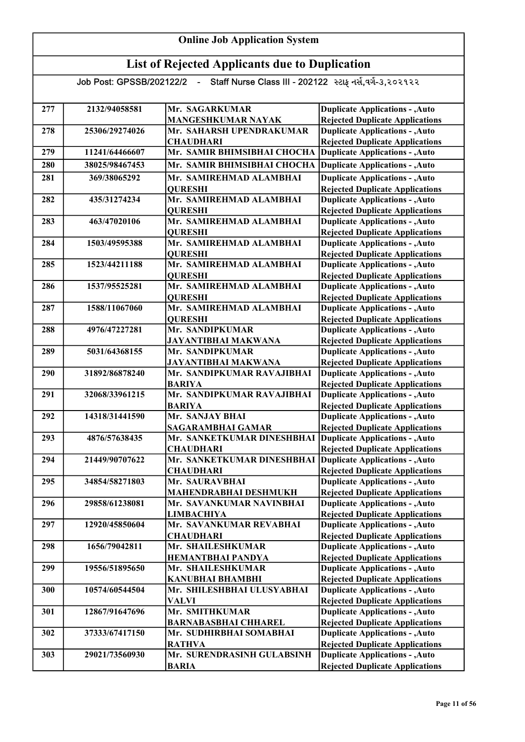| 277 | 2132/94058581  | Mr. SAGARKUMAR                   | <b>Duplicate Applications - , Auto</b>                                           |
|-----|----------------|----------------------------------|----------------------------------------------------------------------------------|
|     |                | <b>MANGESHKUMAR NAYAK</b>        | <b>Rejected Duplicate Applications</b>                                           |
| 278 | 25306/29274026 | Mr. SAHARSH UPENDRAKUMAR         | <b>Duplicate Applications - , Auto</b>                                           |
|     |                | <b>CHAUDHARI</b>                 | <b>Rejected Duplicate Applications</b>                                           |
| 279 | 11241/64466607 | Mr. SAMIR BHIMSIBHAI CHOCHA      | <b>Duplicate Applications - , Auto</b>                                           |
| 280 | 38025/98467453 | Mr. SAMIR BHIMSIBHAI CHOCHA      | <b>Duplicate Applications - , Auto</b>                                           |
| 281 | 369/38065292   | Mr. SAMIREHMAD ALAMBHAI          | <b>Duplicate Applications - , Auto</b>                                           |
|     |                | <b>QURESHI</b>                   | <b>Rejected Duplicate Applications</b>                                           |
| 282 | 435/31274234   | Mr. SAMIREHMAD ALAMBHAI          | <b>Duplicate Applications - , Auto</b>                                           |
|     |                | <b>QURESHI</b>                   | <b>Rejected Duplicate Applications</b>                                           |
| 283 | 463/47020106   | Mr. SAMIREHMAD ALAMBHAI          | <b>Duplicate Applications - , Auto</b>                                           |
|     |                | <b>QURESHI</b>                   | <b>Rejected Duplicate Applications</b>                                           |
| 284 | 1503/49595388  | Mr. SAMIREHMAD ALAMBHAI          | <b>Duplicate Applications - , Auto</b>                                           |
|     |                | <b>QURESHI</b>                   | <b>Rejected Duplicate Applications</b>                                           |
| 285 | 1523/44211188  | Mr. SAMIREHMAD ALAMBHAI          | <b>Duplicate Applications - , Auto</b>                                           |
|     |                | <b>QURESHI</b>                   | <b>Rejected Duplicate Applications</b>                                           |
| 286 | 1537/95525281  | Mr. SAMIREHMAD ALAMBHAI          | <b>Duplicate Applications - , Auto</b>                                           |
|     |                | <b>QURESHI</b>                   | <b>Rejected Duplicate Applications</b>                                           |
| 287 | 1588/11067060  | Mr. SAMIREHMAD ALAMBHAI          | <b>Duplicate Applications - , Auto</b>                                           |
|     |                | <b>QURESHI</b>                   | <b>Rejected Duplicate Applications</b>                                           |
| 288 | 4976/47227281  | Mr. SANDIPKUMAR                  | <b>Duplicate Applications - , Auto</b>                                           |
|     |                | <b>JAYANTIBHAI MAKWANA</b>       | <b>Rejected Duplicate Applications</b>                                           |
| 289 | 5031/64368155  | Mr. SANDIPKUMAR                  | <b>Duplicate Applications - , Auto</b>                                           |
|     |                | <b>JAYANTIBHAI MAKWANA</b>       | <b>Rejected Duplicate Applications</b>                                           |
| 290 | 31892/86878240 | Mr. SANDIPKUMAR RAVAJIBHAI       | <b>Duplicate Applications - , Auto</b>                                           |
|     |                | <b>BARIYA</b>                    | <b>Rejected Duplicate Applications</b>                                           |
| 291 | 32068/33961215 | Mr. SANDIPKUMAR RAVAJIBHAI       | <b>Duplicate Applications - , Auto</b>                                           |
| 292 | 14318/31441590 | <b>BARIYA</b><br>Mr. SANJAY BHAI | <b>Rejected Duplicate Applications</b><br><b>Duplicate Applications - , Auto</b> |
|     |                | <b>SAGARAMBHAI GAMAR</b>         | <b>Rejected Duplicate Applications</b>                                           |
| 293 | 4876/57638435  | Mr. SANKETKUMAR DINESHBHAI       | <b>Duplicate Applications - , Auto</b>                                           |
|     |                | <b>CHAUDHARI</b>                 | <b>Rejected Duplicate Applications</b>                                           |
| 294 | 21449/90707622 | Mr. SANKETKUMAR DINESHBHAI       | <b>Duplicate Applications - , Auto</b>                                           |
|     |                | <b>CHAUDHARI</b>                 | <b>Rejected Duplicate Applications</b>                                           |
| 295 | 34854/58271803 | Mr. SAURAVBHAI                   | <b>Duplicate Applications - , Auto</b>                                           |
|     |                | <b>MAHENDRABHAI DESHMUKH</b>     | <b>Rejected Duplicate Applications</b>                                           |
| 296 | 29858/61238081 | Mr. SAVANKUMAR NAVINBHAI         | <b>Duplicate Applications - , Auto</b>                                           |
|     |                | <b>LIMBACHIYA</b>                | <b>Rejected Duplicate Applications</b>                                           |
| 297 | 12920/45850604 | Mr. SAVANKUMAR REVABHAI          | <b>Duplicate Applications - , Auto</b>                                           |
|     |                | <b>CHAUDHARI</b>                 | <b>Rejected Duplicate Applications</b>                                           |
| 298 | 1656/79042811  | Mr. SHAILESHKUMAR                | <b>Duplicate Applications - , Auto</b>                                           |
|     |                | <b>HEMANTBHAI PANDYA</b>         | <b>Rejected Duplicate Applications</b>                                           |
| 299 | 19556/51895650 | Mr. SHAILESHKUMAR                | <b>Duplicate Applications - , Auto</b>                                           |
|     |                | <b>KANUBHAI BHAMBHI</b>          | <b>Rejected Duplicate Applications</b>                                           |
| 300 | 10574/60544504 | Mr. SHILESHBHAI ULUSYABHAI       | <b>Duplicate Applications - , Auto</b>                                           |
|     |                | <b>VALVI</b>                     | <b>Rejected Duplicate Applications</b>                                           |
| 301 | 12867/91647696 | Mr. SMITHKUMAR                   | <b>Duplicate Applications - , Auto</b>                                           |
|     |                | <b>BARNABASBHAI CHHAREL</b>      | <b>Rejected Duplicate Applications</b>                                           |
| 302 | 37333/67417150 | Mr. SUDHIRBHAI SOMABHAI          | <b>Duplicate Applications - , Auto</b>                                           |
|     |                | <b>RATHVA</b>                    | <b>Rejected Duplicate Applications</b>                                           |
| 303 | 29021/73560930 | Mr. SURENDRASINH GULABSINH       | <b>Duplicate Applications - , Auto</b>                                           |
|     |                | <b>BARIA</b>                     | <b>Rejected Duplicate Applications</b>                                           |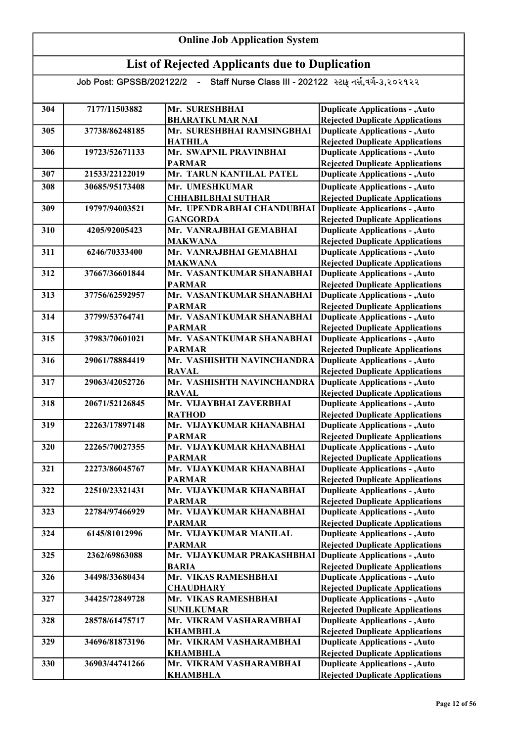| 304 | 7177/11503882  | Mr. SURESHBHAI                            | <b>Duplicate Applications - , Auto</b>                                           |
|-----|----------------|-------------------------------------------|----------------------------------------------------------------------------------|
|     |                | <b>BHARATKUMAR NAI</b>                    | <b>Rejected Duplicate Applications</b>                                           |
| 305 | 37738/86248185 | Mr. SURESHBHAI RAMSINGBHAI                | <b>Duplicate Applications - , Auto</b>                                           |
|     |                | <b>HATHILA</b>                            | <b>Rejected Duplicate Applications</b>                                           |
| 306 | 19723/52671133 | Mr. SWAPNIL PRAVINBHAI                    | <b>Duplicate Applications - , Auto</b>                                           |
|     |                | <b>PARMAR</b>                             | <b>Rejected Duplicate Applications</b>                                           |
| 307 | 21533/22122019 | Mr. TARUN KANTILAL PATEL                  | <b>Duplicate Applications - , Auto</b>                                           |
| 308 | 30685/95173408 | Mr. UMESHKUMAR                            | <b>Duplicate Applications - , Auto</b>                                           |
|     |                | <b>CHHABILBHAI SUTHAR</b>                 | <b>Rejected Duplicate Applications</b>                                           |
| 309 | 19797/94003521 | Mr. UPENDRABHAI CHANDUBHAI                | Duplicate Applications - , Auto                                                  |
|     |                | <b>GANGORDA</b>                           | <b>Rejected Duplicate Applications</b>                                           |
| 310 | 4205/92005423  | Mr. VANRAJBHAI GEMABHAI                   | <b>Duplicate Applications - , Auto</b>                                           |
|     |                | <b>MAKWANA</b>                            | <b>Rejected Duplicate Applications</b>                                           |
| 311 | 6246/70333400  | Mr. VANRAJBHAI GEMABHAI                   | <b>Duplicate Applications - , Auto</b>                                           |
|     |                | <b>MAKWANA</b>                            | <b>Rejected Duplicate Applications</b>                                           |
| 312 | 37667/36601844 | Mr. VASANTKUMAR SHANABHAI                 | <b>Duplicate Applications - , Auto</b>                                           |
|     |                | <b>PARMAR</b>                             | <b>Rejected Duplicate Applications</b>                                           |
| 313 | 37756/62592957 | Mr. VASANTKUMAR SHANABHAI                 | <b>Duplicate Applications - , Auto</b>                                           |
|     |                | <b>PARMAR</b>                             | <b>Rejected Duplicate Applications</b>                                           |
| 314 | 37799/53764741 | Mr. VASANTKUMAR SHANABHAI                 | <b>Duplicate Applications - , Auto</b>                                           |
|     |                | <b>PARMAR</b>                             | <b>Rejected Duplicate Applications</b>                                           |
| 315 | 37983/70601021 | Mr. VASANTKUMAR SHANABHAI                 | <b>Duplicate Applications - , Auto</b>                                           |
|     |                | <b>PARMAR</b>                             | <b>Rejected Duplicate Applications</b>                                           |
| 316 | 29061/78884419 | Mr. VASHISHTH NAVINCHANDRA                | <b>Duplicate Applications - , Auto</b>                                           |
|     |                | <b>RAVAL</b>                              | <b>Rejected Duplicate Applications</b>                                           |
| 317 | 29063/42052726 | Mr. VASHISHTH NAVINCHANDRA                | <b>Duplicate Applications - , Auto</b>                                           |
|     |                | <b>RAVAL</b>                              | <b>Rejected Duplicate Applications</b>                                           |
| 318 | 20671/52126845 | Mr. VIJAYBHAI ZAVERBHAI                   | <b>Duplicate Applications - , Auto</b>                                           |
| 319 | 22263/17897148 | <b>RATHOD</b><br>Mr. VIJAYKUMAR KHANABHAI | <b>Rejected Duplicate Applications</b>                                           |
|     |                | <b>PARMAR</b>                             | <b>Duplicate Applications - , Auto</b><br><b>Rejected Duplicate Applications</b> |
| 320 | 22265/70027355 | Mr. VIJAYKUMAR KHANABHAI                  | <b>Duplicate Applications - , Auto</b>                                           |
|     |                | <b>PARMAR</b>                             | <b>Rejected Duplicate Applications</b>                                           |
| 321 | 22273/86045767 | Mr. VIJAYKUMAR KHANABHAI                  | <b>Duplicate Applications - , Auto</b>                                           |
|     |                | <b>PARMAR</b>                             | <b>Rejected Duplicate Applications</b>                                           |
| 322 | 22510/23321431 | Mr. VIJAYKUMAR KHANABHAI                  | <b>Duplicate Applications - , Auto</b>                                           |
|     |                | <b>PARMAR</b>                             | <b>Rejected Duplicate Applications</b>                                           |
| 323 | 22784/97466929 | Mr. VIJAYKUMAR KHANABHAI                  | <b>Duplicate Applications - , Auto</b>                                           |
|     |                | <b>PARMAR</b>                             | <b>Rejected Duplicate Applications</b>                                           |
| 324 | 6145/81012996  | Mr. VIJAYKUMAR MANILAL                    | <b>Duplicate Applications - , Auto</b>                                           |
|     |                | <b>PARMAR</b>                             | <b>Rejected Duplicate Applications</b>                                           |
| 325 | 2362/69863088  | Mr. VIJAYKUMAR PRAKASHBHAI                | <b>Duplicate Applications - , Auto</b>                                           |
|     |                | <b>BARIA</b>                              | <b>Rejected Duplicate Applications</b>                                           |
| 326 | 34498/33680434 | Mr. VIKAS RAMESHBHAI                      | <b>Duplicate Applications - , Auto</b>                                           |
|     |                | <b>CHAUDHARY</b>                          | <b>Rejected Duplicate Applications</b>                                           |
| 327 | 34425/72849728 | Mr. VIKAS RAMESHBHAI                      | <b>Duplicate Applications - , Auto</b>                                           |
|     |                | <b>SUNILKUMAR</b>                         | <b>Rejected Duplicate Applications</b>                                           |
| 328 | 28578/61475717 | Mr. VIKRAM VASHARAMBHAI                   | <b>Duplicate Applications - , Auto</b>                                           |
|     |                | <b>KHAMBHLA</b>                           | <b>Rejected Duplicate Applications</b>                                           |
| 329 | 34696/81873196 | Mr. VIKRAM VASHARAMBHAI                   | <b>Duplicate Applications - , Auto</b>                                           |
|     |                | <b>KHAMBHLA</b>                           | <b>Rejected Duplicate Applications</b>                                           |
| 330 | 36903/44741266 | Mr. VIKRAM VASHARAMBHAI                   | <b>Duplicate Applications - , Auto</b>                                           |
|     |                | <b>KHAMBHLA</b>                           | <b>Rejected Duplicate Applications</b>                                           |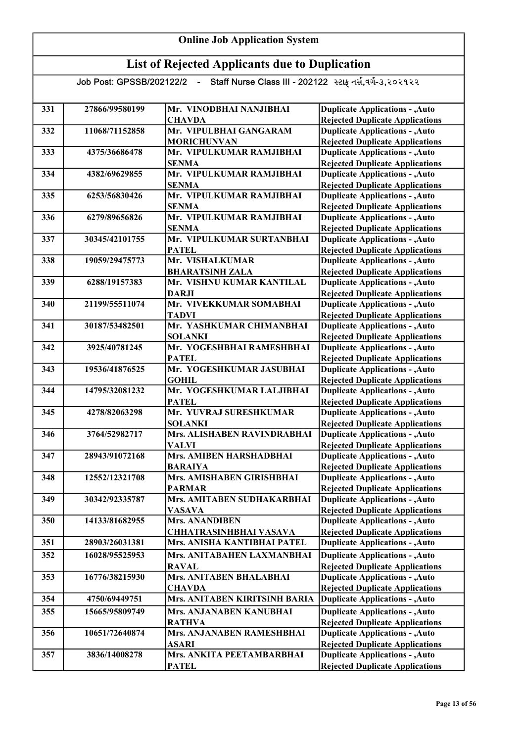| 331 | 27866/99580199 | Mr. VINODBHAI NANJIBHAI       | <b>Duplicate Applications - , Auto</b> |
|-----|----------------|-------------------------------|----------------------------------------|
|     |                | <b>CHAVDA</b>                 | <b>Rejected Duplicate Applications</b> |
| 332 | 11068/71152858 | Mr. VIPULBHAI GANGARAM        | <b>Duplicate Applications - , Auto</b> |
|     |                | <b>MORICHUNVAN</b>            | <b>Rejected Duplicate Applications</b> |
| 333 | 4375/36686478  | Mr. VIPULKUMAR RAMJIBHAI      | <b>Duplicate Applications - , Auto</b> |
|     |                | <b>SENMA</b>                  | <b>Rejected Duplicate Applications</b> |
| 334 | 4382/69629855  | Mr. VIPULKUMAR RAMJIBHAI      | <b>Duplicate Applications - , Auto</b> |
|     |                | <b>SENMA</b>                  | <b>Rejected Duplicate Applications</b> |
| 335 | 6253/56830426  | Mr. VIPULKUMAR RAMJIBHAI      | <b>Duplicate Applications - , Auto</b> |
|     |                | <b>SENMA</b>                  | <b>Rejected Duplicate Applications</b> |
| 336 | 6279/89656826  | Mr. VIPULKUMAR RAMJIBHAI      | <b>Duplicate Applications - , Auto</b> |
|     |                | <b>SENMA</b>                  | <b>Rejected Duplicate Applications</b> |
| 337 | 30345/42101755 | Mr. VIPULKUMAR SURTANBHAI     | <b>Duplicate Applications - , Auto</b> |
|     |                | <b>PATEL</b>                  | <b>Rejected Duplicate Applications</b> |
| 338 | 19059/29475773 | Mr. VISHALKUMAR               | <b>Duplicate Applications - , Auto</b> |
|     |                | <b>BHARATSINH ZALA</b>        | <b>Rejected Duplicate Applications</b> |
| 339 | 6288/19157383  | Mr. VISHNU KUMAR KANTILAL     | <b>Duplicate Applications - , Auto</b> |
|     |                | <b>DARJI</b>                  | <b>Rejected Duplicate Applications</b> |
| 340 | 21199/55511074 | Mr. VIVEKKUMAR SOMABHAI       | <b>Duplicate Applications - , Auto</b> |
|     |                | <b>TADVI</b>                  | <b>Rejected Duplicate Applications</b> |
| 341 | 30187/53482501 | Mr. YASHKUMAR CHIMANBHAI      | <b>Duplicate Applications - , Auto</b> |
|     |                | <b>SOLANKI</b>                | <b>Rejected Duplicate Applications</b> |
| 342 | 3925/40781245  | Mr. YOGESHBHAI RAMESHBHAI     | <b>Duplicate Applications - , Auto</b> |
|     |                | <b>PATEL</b>                  | <b>Rejected Duplicate Applications</b> |
| 343 | 19536/41876525 | Mr. YOGESHKUMAR JASUBHAI      | <b>Duplicate Applications - , Auto</b> |
|     |                | <b>GOHIL</b>                  | <b>Rejected Duplicate Applications</b> |
| 344 | 14795/32081232 | Mr. YOGESHKUMAR LALJIBHAI     | <b>Duplicate Applications - , Auto</b> |
|     |                | <b>PATEL</b>                  | <b>Rejected Duplicate Applications</b> |
| 345 | 4278/82063298  | Mr. YUVRAJ SURESHKUMAR        | <b>Duplicate Applications - , Auto</b> |
|     |                | <b>SOLANKI</b>                | <b>Rejected Duplicate Applications</b> |
| 346 | 3764/52982717  | Mrs. ALISHABEN RAVINDRABHAI   | <b>Duplicate Applications - , Auto</b> |
|     |                | <b>VALVI</b>                  | <b>Rejected Duplicate Applications</b> |
| 347 | 28943/91072168 | Mrs. AMIBEN HARSHADBHAI       | <b>Duplicate Applications - , Auto</b> |
|     |                | <b>BARAIYA</b>                | <b>Rejected Duplicate Applications</b> |
| 348 | 12552/12321708 | Mrs. AMISHABEN GIRISHBHAI     | <b>Duplicate Applications - , Auto</b> |
|     |                | <b>PARMAR</b>                 | <b>Rejected Duplicate Applications</b> |
| 349 | 30342/92335787 | Mrs. AMITABEN SUDHAKARBHAI    | <b>Duplicate Applications - , Auto</b> |
|     |                | <b>VASAVA</b>                 | <b>Rejected Duplicate Applications</b> |
| 350 | 14133/81682955 | <b>Mrs. ANANDIBEN</b>         | <b>Duplicate Applications - , Auto</b> |
|     |                | <b>CHHATRASINHBHAI VASAVA</b> | <b>Rejected Duplicate Applications</b> |
| 351 | 28903/26031381 | Mrs. ANISHA KANTIBHAI PATEL   | <b>Duplicate Applications - , Auto</b> |
| 352 | 16028/95525953 | Mrs. ANITABAHEN LAXMANBHAI    | <b>Duplicate Applications - , Auto</b> |
|     |                | <b>RAVAL</b>                  | <b>Rejected Duplicate Applications</b> |
| 353 | 16776/38215930 | Mrs. ANITABEN BHALABHAI       | <b>Duplicate Applications - , Auto</b> |
|     |                | <b>CHAVDA</b>                 | <b>Rejected Duplicate Applications</b> |
| 354 | 4750/69449751  | Mrs. ANITABEN KIRITSINH BARIA | <b>Duplicate Applications - , Auto</b> |
| 355 | 15665/95809749 | Mrs. ANJANABEN KANUBHAI       | <b>Duplicate Applications - , Auto</b> |
|     |                | <b>RATHVA</b>                 | <b>Rejected Duplicate Applications</b> |
| 356 | 10651/72640874 | Mrs. ANJANABEN RAMESHBHAI     | <b>Duplicate Applications - , Auto</b> |
|     |                | <b>ASARI</b>                  | <b>Rejected Duplicate Applications</b> |
| 357 | 3836/14008278  | Mrs. ANKITA PEETAMBARBHAI     | <b>Duplicate Applications - , Auto</b> |
|     |                | <b>PATEL</b>                  | <b>Rejected Duplicate Applications</b> |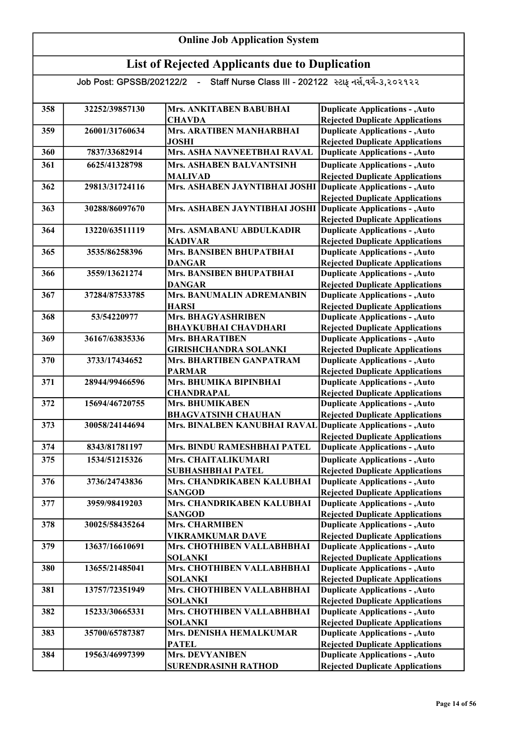| 358 | 32252/39857130 | Mrs. ANKITABEN BABUBHAI                                      | <b>Duplicate Applications - , Auto</b>                                           |
|-----|----------------|--------------------------------------------------------------|----------------------------------------------------------------------------------|
|     |                | <b>CHAVDA</b>                                                | <b>Rejected Duplicate Applications</b>                                           |
| 359 | 26001/31760634 | Mrs. ARATIBEN MANHARBHAI                                     | <b>Duplicate Applications - , Auto</b>                                           |
|     |                | <b>JOSHI</b>                                                 | <b>Rejected Duplicate Applications</b>                                           |
| 360 | 7837/33682914  | Mrs. ASHA NAVNEETBHAI RAVAL                                  | <b>Duplicate Applications - , Auto</b>                                           |
| 361 | 6625/41328798  | Mrs. ASHABEN BALVANTSINH                                     | <b>Duplicate Applications - , Auto</b>                                           |
|     |                | <b>MALIVAD</b>                                               | <b>Rejected Duplicate Applications</b>                                           |
| 362 | 29813/31724116 | Mrs. ASHABEN JAYNTIBHAI JOSHI                                | <b>Duplicate Applications - , Auto</b>                                           |
|     |                |                                                              | <b>Rejected Duplicate Applications</b>                                           |
| 363 | 30288/86097670 | Mrs. ASHABEN JAYNTIBHAI JOSHI                                | <b>Duplicate Applications - , Auto</b>                                           |
|     |                |                                                              | <b>Rejected Duplicate Applications</b>                                           |
| 364 | 13220/63511119 | Mrs. ASMABANU ABDULKADIR                                     | <b>Duplicate Applications - , Auto</b>                                           |
| 365 | 3535/86258396  | <b>KADIVAR</b><br>Mrs. BANSIBEN BHUPATBHAI                   | <b>Rejected Duplicate Applications</b>                                           |
|     |                | <b>DANGAR</b>                                                | <b>Duplicate Applications - , Auto</b>                                           |
| 366 | 3559/13621274  | <b>Mrs. BANSIBEN BHUPATBHAI</b>                              | <b>Rejected Duplicate Applications</b><br><b>Duplicate Applications - , Auto</b> |
|     |                | <b>DANGAR</b>                                                | <b>Rejected Duplicate Applications</b>                                           |
| 367 | 37284/87533785 | <b>Mrs. BANUMALIN ADREMANBIN</b>                             | <b>Duplicate Applications - , Auto</b>                                           |
|     |                | <b>HARSI</b>                                                 | <b>Rejected Duplicate Applications</b>                                           |
| 368 | 53/54220977    | Mrs. BHAGYASHRIBEN                                           | <b>Duplicate Applications - , Auto</b>                                           |
|     |                | <b>BHAYKUBHAI CHAVDHARI</b>                                  | <b>Rejected Duplicate Applications</b>                                           |
| 369 | 36167/63835336 | <b>Mrs. BHARATIBEN</b>                                       | <b>Duplicate Applications - , Auto</b>                                           |
|     |                | <b>GIRISHCHANDRA SOLANKI</b>                                 | <b>Rejected Duplicate Applications</b>                                           |
| 370 | 3733/17434652  | Mrs. BHARTIBEN GANPATRAM                                     | <b>Duplicate Applications - , Auto</b>                                           |
|     |                | <b>PARMAR</b>                                                | <b>Rejected Duplicate Applications</b>                                           |
| 371 | 28944/99466596 | Mrs. BHUMIKA BIPINBHAI                                       | <b>Duplicate Applications - , Auto</b>                                           |
|     |                | <b>CHANDRAPAL</b>                                            | <b>Rejected Duplicate Applications</b>                                           |
| 372 | 15694/46720755 | Mrs. BHUMIKABEN                                              | <b>Duplicate Applications - , Auto</b>                                           |
|     |                | <b>BHAGVATSINH CHAUHAN</b>                                   | <b>Rejected Duplicate Applications</b>                                           |
| 373 | 30058/24144694 | Mrs. BINALBEN KANUBHAI RAVAL Duplicate Applications - , Auto |                                                                                  |
|     |                |                                                              | <b>Rejected Duplicate Applications</b>                                           |
| 374 | 8343/81781197  | Mrs. BINDU RAMESHBHAI PATEL                                  | <b>Duplicate Applications - , Auto</b>                                           |
| 375 | 1534/51215326  | Mrs. CHAITALIKUMARI                                          | <b>Duplicate Applications - , Auto</b>                                           |
|     |                | <b>SUBHASHBHAI PATEL</b>                                     | <b>Rejected Duplicate Applications</b>                                           |
| 376 | 3736/24743836  | Mrs. CHANDRIKABEN KALUBHAI                                   | <b>Duplicate Applications - , Auto</b>                                           |
|     |                | <b>SANGOD</b>                                                | <b>Rejected Duplicate Applications</b>                                           |
| 377 | 3959/98419203  | Mrs. CHANDRIKABEN KALUBHAI                                   | <b>Duplicate Applications - , Auto</b>                                           |
|     |                | <b>SANGOD</b>                                                | <b>Rejected Duplicate Applications</b>                                           |
| 378 | 30025/58435264 | <b>Mrs. CHARMIBEN</b>                                        | <b>Duplicate Applications - , Auto</b>                                           |
|     |                | VIKRAMKUMAR DAVE                                             | <b>Rejected Duplicate Applications</b>                                           |
| 379 | 13637/16610691 | Mrs. CHOTHIBEN VALLABHBHAI                                   | <b>Duplicate Applications - , Auto</b>                                           |
|     |                | <b>SOLANKI</b>                                               | <b>Rejected Duplicate Applications</b>                                           |
| 380 | 13655/21485041 | Mrs. CHOTHIBEN VALLABHBHAI                                   | <b>Duplicate Applications - , Auto</b>                                           |
|     |                | <b>SOLANKI</b>                                               | <b>Rejected Duplicate Applications</b>                                           |
| 381 | 13757/72351949 | Mrs. CHOTHIBEN VALLABHBHAI                                   | <b>Duplicate Applications - , Auto</b>                                           |
|     |                | <b>SOLANKI</b>                                               | <b>Rejected Duplicate Applications</b>                                           |
| 382 | 15233/30665331 | Mrs. CHOTHIBEN VALLABHBHAI                                   | <b>Duplicate Applications - , Auto</b>                                           |
|     |                | <b>SOLANKI</b>                                               | <b>Rejected Duplicate Applications</b>                                           |
| 383 | 35700/65787387 | Mrs. DENISHA HEMALKUMAR                                      | <b>Duplicate Applications - , Auto</b>                                           |
|     |                | <b>PATEL</b>                                                 | <b>Rejected Duplicate Applications</b>                                           |
| 384 | 19563/46997399 | <b>Mrs. DEVYANIBEN</b>                                       | <b>Duplicate Applications - , Auto</b>                                           |
|     |                | <b>SURENDRASINH RATHOD</b>                                   | <b>Rejected Duplicate Applications</b>                                           |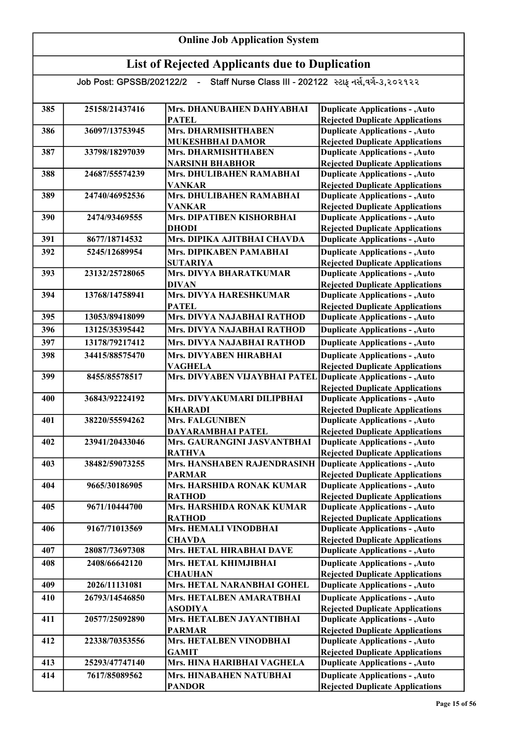| <b>Online Job Application System</b> |                                                       |                                                           |                                                                                  |  |
|--------------------------------------|-------------------------------------------------------|-----------------------------------------------------------|----------------------------------------------------------------------------------|--|
|                                      | <b>List of Rejected Applicants due to Duplication</b> |                                                           |                                                                                  |  |
|                                      | Job Post: GPSSB/202122/2 -                            | Staff Nurse Class III - 202122 સ્ટાફ નર્સ, વર્ગ-3, 202922 |                                                                                  |  |
| 385                                  | 25158/21437416                                        | Mrs. DHANUBAHEN DAHYABHAI                                 | <b>Duplicate Applications - , Auto</b>                                           |  |
| 386                                  | 36097/13753945                                        | <b>PATEL</b><br><b>Mrs. DHARMISHTHABEN</b>                | <b>Rejected Duplicate Applications</b><br><b>Duplicate Applications - , Auto</b> |  |
|                                      |                                                       | <b>MUKESHBHAI DAMOR</b>                                   | <b>Rejected Duplicate Applications</b>                                           |  |
| 387                                  | 33798/18297039                                        | Mrs. DHARMISHTHABEN                                       | <b>Duplicate Applications - , Auto</b>                                           |  |
|                                      |                                                       | <b>NARSINH BHABHOR</b>                                    | <b>Rejected Duplicate Applications</b>                                           |  |
| 388                                  | 24687/55574239                                        | Mrs. DHULIBAHEN RAMABHAI                                  | <b>Duplicate Applications - , Auto</b>                                           |  |
| 389                                  | 24740/46952536                                        | <b>VANKAR</b><br>Mrs. DHULIBAHEN RAMABHAI                 | <b>Rejected Duplicate Applications</b>                                           |  |
|                                      |                                                       | <b>VANKAR</b>                                             | <b>Duplicate Applications - , Auto</b><br><b>Rejected Duplicate Applications</b> |  |
| 390                                  | 2474/93469555                                         | Mrs. DIPATIBEN KISHORBHAI                                 | <b>Duplicate Applications - , Auto</b>                                           |  |
|                                      |                                                       | <b>DHODI</b>                                              | <b>Rejected Duplicate Applications</b>                                           |  |
| 391                                  | 8677/18714532                                         | Mrs. DIPIKA AJITBHAI CHAVDA                               | <b>Duplicate Applications - , Auto</b>                                           |  |
| 392                                  | 5245/12689954                                         | Mrs. DIPIKABEN PAMABHAI                                   | <b>Duplicate Applications - , Auto</b>                                           |  |
|                                      |                                                       | <b>SUTARIYA</b>                                           | <b>Rejected Duplicate Applications</b>                                           |  |
| 393                                  | 23132/25728065                                        | Mrs. DIVYA BHARATKUMAR<br><b>DIVAN</b>                    | <b>Duplicate Applications - , Auto</b><br><b>Rejected Duplicate Applications</b> |  |
| 394                                  | 13768/14758941                                        | Mrs. DIVYA HARESHKUMAR                                    | <b>Duplicate Applications - , Auto</b>                                           |  |
|                                      |                                                       | <b>PATEL</b>                                              | <b>Rejected Duplicate Applications</b>                                           |  |
| 395                                  | 13053/89418099                                        | Mrs. DIVYA NAJABHAI RATHOD                                | <b>Duplicate Applications - , Auto</b>                                           |  |
| 396                                  | 13125/35395442                                        | Mrs. DIVYA NAJABHAI RATHOD                                | <b>Duplicate Applications - , Auto</b>                                           |  |
| 397                                  | 13178/79217412                                        | Mrs. DIVYA NAJABHAI RATHOD                                | <b>Duplicate Applications - , Auto</b>                                           |  |
| 398                                  | 34415/88575470                                        | Mrs. DIVYABEN HIRABHAI                                    | <b>Duplicate Applications - , Auto</b>                                           |  |
|                                      |                                                       | <b>VAGHELA</b>                                            | <b>Rejected Duplicate Applications</b>                                           |  |
| 399                                  | 8455/85578517                                         | Mrs. DIVYABEN VIJAYBHAI PATEL                             | Duplicate Applications - , Auto                                                  |  |
| 400                                  | 36843/92224192                                        | Mrs. DIVYAKUMARI DILIPBHAI                                | <b>Rejected Duplicate Applications</b><br><b>Duplicate Applications - , Auto</b> |  |
|                                      |                                                       | <b>KHARADI</b>                                            | <b>Rejected Duplicate Applications</b>                                           |  |
| 401                                  | 38220/55594262                                        | <b>Mrs. FALGUNIBEN</b>                                    | <b>Duplicate Applications - , Auto</b>                                           |  |
|                                      |                                                       | DAYARAMBHAI PATEL                                         | <b>Rejected Duplicate Applications</b>                                           |  |
| 402                                  | 23941/20433046                                        | Mrs. GAURANGINI JASVANTBHAI                               | <b>Duplicate Applications - , Auto</b>                                           |  |
| 403                                  | 38482/59073255                                        | <b>RATHVA</b><br>Mrs. HANSHABEN RAJENDRASINH              | <b>Rejected Duplicate Applications</b>                                           |  |
|                                      |                                                       | <b>PARMAR</b>                                             | Duplicate Applications - , Auto<br><b>Rejected Duplicate Applications</b>        |  |
| 404                                  | 9665/30186905                                         | Mrs. HARSHIDA RONAK KUMAR                                 | <b>Duplicate Applications - , Auto</b>                                           |  |
|                                      |                                                       | <b>RATHOD</b>                                             | <b>Rejected Duplicate Applications</b>                                           |  |
| 405                                  | 9671/10444700                                         | Mrs. HARSHIDA RONAK KUMAR                                 | <b>Duplicate Applications - , Auto</b>                                           |  |
|                                      |                                                       | <b>RATHOD</b>                                             | <b>Rejected Duplicate Applications</b>                                           |  |
| 406                                  | 9167/71013569                                         | Mrs. HEMALI VINODBHAI<br><b>CHAVDA</b>                    | <b>Duplicate Applications - , Auto</b><br><b>Rejected Duplicate Applications</b> |  |
| 407                                  | 28087/73697308                                        | Mrs. HETAL HIRABHAI DAVE                                  | <b>Duplicate Applications - , Auto</b>                                           |  |
| 408                                  | 2408/66642120                                         | Mrs. HETAL KHIMJIBHAI                                     | <b>Duplicate Applications - , Auto</b>                                           |  |
|                                      |                                                       | <b>CHAUHAN</b>                                            | <b>Rejected Duplicate Applications</b>                                           |  |
| 409                                  | 2026/11131081                                         | Mrs. HETAL NARANBHAI GOHEL                                | <b>Duplicate Applications - , Auto</b>                                           |  |
| 410                                  | 26793/14546850                                        | Mrs. HETALBEN AMARATBHAI<br><b>ASODIYA</b>                | <b>Duplicate Applications - , Auto</b><br><b>Rejected Duplicate Applications</b> |  |
| 411                                  | 20577/25092890                                        | Mrs. HETALBEN JAYANTIBHAI                                 | <b>Duplicate Applications - , Auto</b>                                           |  |
|                                      |                                                       | <b>PARMAR</b>                                             | <b>Rejected Duplicate Applications</b>                                           |  |
| 412                                  | 22338/70353556                                        | Mrs. HETALBEN VINODBHAI                                   | <b>Duplicate Applications - , Auto</b>                                           |  |
|                                      |                                                       | <b>GAMIT</b>                                              | <b>Rejected Duplicate Applications</b>                                           |  |
| 413                                  | 25293/47747140                                        | Mrs. HINA HARIBHAI VAGHELA                                | <b>Duplicate Applications - , Auto</b>                                           |  |
| 414                                  | 7617/85089562                                         | Mrs. HINABAHEN NATUBHAI                                   | <b>Duplicate Applications - , Auto</b>                                           |  |
|                                      |                                                       | <b>PANDOR</b>                                             | <b>Rejected Duplicate Applications</b>                                           |  |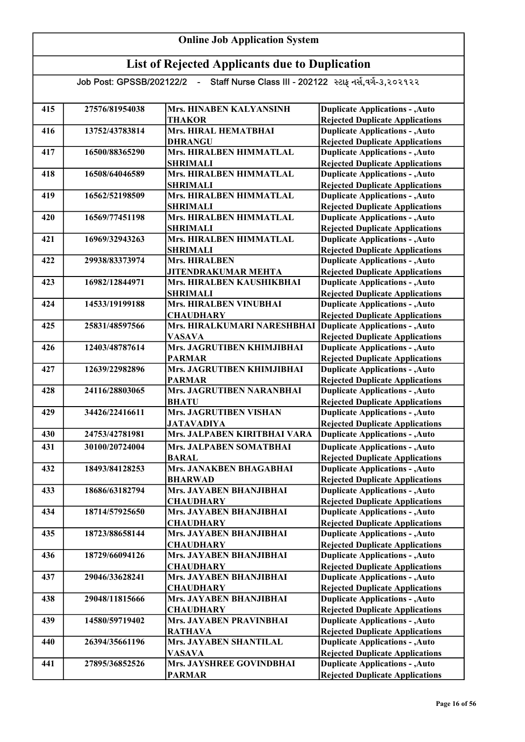| 415 | 27576/81954038 | Mrs. HINABEN KALYANSINH                                 | <b>Duplicate Applications - , Auto</b>                                           |
|-----|----------------|---------------------------------------------------------|----------------------------------------------------------------------------------|
|     |                | <b>THAKOR</b>                                           | <b>Rejected Duplicate Applications</b>                                           |
| 416 | 13752/43783814 | Mrs. HIRAL HEMATBHAI                                    | <b>Duplicate Applications - , Auto</b>                                           |
|     |                | <b>DHRANGU</b>                                          | <b>Rejected Duplicate Applications</b>                                           |
| 417 | 16500/88365290 | Mrs. HIRALBEN HIMMATLAL                                 | <b>Duplicate Applications - , Auto</b>                                           |
|     |                | <b>SHRIMALI</b>                                         | <b>Rejected Duplicate Applications</b>                                           |
| 418 | 16508/64046589 | Mrs. HIRALBEN HIMMATLAL                                 | <b>Duplicate Applications - , Auto</b>                                           |
|     |                | <b>SHRIMALI</b>                                         | <b>Rejected Duplicate Applications</b>                                           |
| 419 | 16562/52198509 | Mrs. HIRALBEN HIMMATLAL                                 | <b>Duplicate Applications - , Auto</b>                                           |
|     |                | <b>SHRIMALI</b>                                         | <b>Rejected Duplicate Applications</b>                                           |
| 420 | 16569/77451198 | Mrs. HIRALBEN HIMMATLAL                                 | <b>Duplicate Applications - , Auto</b>                                           |
| 421 |                | <b>SHRIMALI</b><br>Mrs. HIRALBEN HIMMATLAL              | <b>Rejected Duplicate Applications</b>                                           |
|     | 16969/32943263 |                                                         | <b>Duplicate Applications - , Auto</b>                                           |
| 422 | 29938/83373974 | <b>SHRIMALI</b><br><b>Mrs. HIRALBEN</b>                 | <b>Rejected Duplicate Applications</b><br><b>Duplicate Applications - , Auto</b> |
|     |                |                                                         |                                                                                  |
| 423 | 16982/12844971 | <b>JITENDRAKUMAR MEHTA</b><br>Mrs. HIRALBEN KAUSHIKBHAI | <b>Rejected Duplicate Applications</b><br><b>Duplicate Applications - , Auto</b> |
|     |                | <b>SHRIMALI</b>                                         |                                                                                  |
| 424 | 14533/19199188 | Mrs. HIRALBEN VINUBHAI                                  | <b>Rejected Duplicate Applications</b><br><b>Duplicate Applications - , Auto</b> |
|     |                |                                                         | <b>Rejected Duplicate Applications</b>                                           |
| 425 | 25831/48597566 | <b>CHAUDHARY</b><br>Mrs. HIRALKUMARI NARESHBHAI         | <b>Duplicate Applications - , Auto</b>                                           |
|     |                | <b>VASAVA</b>                                           | <b>Rejected Duplicate Applications</b>                                           |
| 426 | 12403/48787614 | Mrs. JAGRUTIBEN KHIMJIBHAI                              | <b>Duplicate Applications - , Auto</b>                                           |
|     |                | <b>PARMAR</b>                                           | <b>Rejected Duplicate Applications</b>                                           |
| 427 | 12639/22982896 | Mrs. JAGRUTIBEN KHIMJIBHAI                              | <b>Duplicate Applications - , Auto</b>                                           |
|     |                | <b>PARMAR</b>                                           | <b>Rejected Duplicate Applications</b>                                           |
| 428 | 24116/28803065 | Mrs. JAGRUTIBEN NARANBHAI                               | <b>Duplicate Applications - , Auto</b>                                           |
|     |                | <b>BHATU</b>                                            | <b>Rejected Duplicate Applications</b>                                           |
| 429 | 34426/22416611 | <b>Mrs. JAGRUTIBEN VISHAN</b>                           | <b>Duplicate Applications - , Auto</b>                                           |
|     |                | <b>JATAVADIYA</b>                                       | <b>Rejected Duplicate Applications</b>                                           |
| 430 | 24753/42781981 | Mrs. JALPABEN KIRITBHAI VARA                            | <b>Duplicate Applications - , Auto</b>                                           |
| 431 | 30100/20724004 | Mrs. JALPABEN SOMATBHAI                                 | <b>Duplicate Applications - , Auto</b>                                           |
|     |                | <b>BARAL</b>                                            | <b>Rejected Duplicate Applications</b>                                           |
| 432 | 18493/84128253 | Mrs. JANAKBEN BHAGABHAI                                 | <b>Duplicate Applications - , Auto</b>                                           |
|     |                | <b>BHARWAD</b>                                          | <b>Rejected Duplicate Applications</b>                                           |
| 433 | 18686/63182794 | Mrs. JAYABEN BHANJIBHAI                                 | <b>Duplicate Applications - , Auto</b>                                           |
|     |                | <b>CHAUDHARY</b>                                        | <b>Rejected Duplicate Applications</b>                                           |
| 434 | 18714/57925650 | Mrs. JAYABEN BHANJIBHAI                                 | <b>Duplicate Applications - , Auto</b>                                           |
|     |                | <b>CHAUDHARY</b>                                        | <b>Rejected Duplicate Applications</b>                                           |
| 435 | 18723/88658144 | Mrs. JAYABEN BHANJIBHAI                                 | <b>Duplicate Applications - , Auto</b>                                           |
|     |                | <b>CHAUDHARY</b>                                        | <b>Rejected Duplicate Applications</b>                                           |
| 436 | 18729/66094126 | Mrs. JAYABEN BHANJIBHAI                                 | <b>Duplicate Applications - , Auto</b>                                           |
|     |                | <b>CHAUDHARY</b>                                        | <b>Rejected Duplicate Applications</b>                                           |
| 437 | 29046/33628241 | Mrs. JAYABEN BHANJIBHAI                                 | <b>Duplicate Applications - , Auto</b>                                           |
|     |                | <b>CHAUDHARY</b>                                        | <b>Rejected Duplicate Applications</b>                                           |
| 438 | 29048/11815666 | Mrs. JAYABEN BHANJIBHAI                                 | <b>Duplicate Applications - , Auto</b>                                           |
|     |                | <b>CHAUDHARY</b>                                        | <b>Rejected Duplicate Applications</b>                                           |
| 439 | 14580/59719402 | Mrs. JAYABEN PRAVINBHAI                                 | <b>Duplicate Applications - , Auto</b>                                           |
|     |                | <b>RATHAVA</b>                                          | <b>Rejected Duplicate Applications</b>                                           |
| 440 | 26394/35661196 | Mrs. JAYABEN SHANTILAL                                  | <b>Duplicate Applications - , Auto</b>                                           |
|     |                | <b>VASAVA</b>                                           | <b>Rejected Duplicate Applications</b>                                           |
| 441 | 27895/36852526 | Mrs. JAYSHREE GOVINDBHAI                                | <b>Duplicate Applications - , Auto</b>                                           |
|     |                | <b>PARMAR</b>                                           | <b>Rejected Duplicate Applications</b>                                           |
|     |                |                                                         |                                                                                  |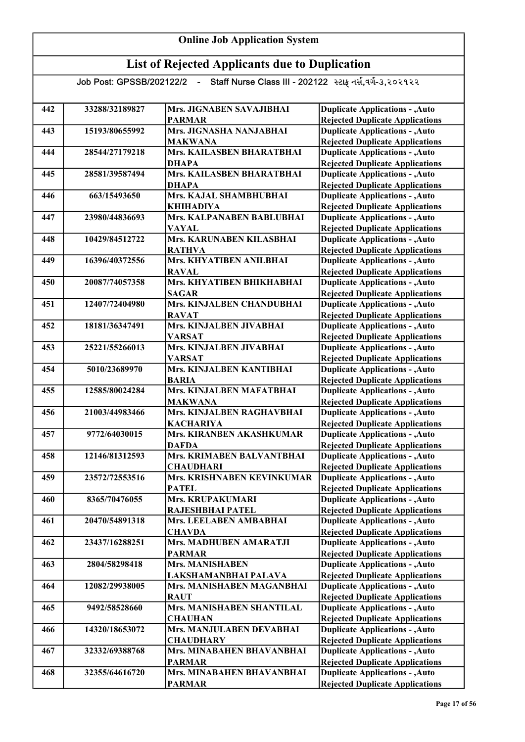| 442 | 33288/32189827 | Mrs. JIGNABEN SAVAJIBHAI         | <b>Duplicate Applications - , Auto</b> |
|-----|----------------|----------------------------------|----------------------------------------|
|     |                | <b>PARMAR</b>                    | <b>Rejected Duplicate Applications</b> |
| 443 | 15193/80655992 | Mrs. JIGNASHA NANJABHAI          | <b>Duplicate Applications - , Auto</b> |
|     |                | <b>MAKWANA</b>                   | <b>Rejected Duplicate Applications</b> |
| 444 | 28544/27179218 | <b>Mrs. KAILASBEN BHARATBHAI</b> | <b>Duplicate Applications - , Auto</b> |
|     |                | <b>DHAPA</b>                     | <b>Rejected Duplicate Applications</b> |
| 445 | 28581/39587494 | Mrs. KAILASBEN BHARATBHAI        | <b>Duplicate Applications - , Auto</b> |
|     |                | <b>DHAPA</b>                     | <b>Rejected Duplicate Applications</b> |
| 446 | 663/15493650   | Mrs. KAJAL SHAMBHUBHAI           | <b>Duplicate Applications - , Auto</b> |
|     |                | <b>KHIHADIYA</b>                 | <b>Rejected Duplicate Applications</b> |
| 447 | 23980/44836693 | Mrs. KALPANABEN BABLUBHAI        | <b>Duplicate Applications - , Auto</b> |
|     |                | <b>VAYAL</b>                     | <b>Rejected Duplicate Applications</b> |
| 448 | 10429/84512722 | Mrs. KARUNABEN KILASBHAI         | <b>Duplicate Applications - , Auto</b> |
|     |                | <b>RATHVA</b>                    | <b>Rejected Duplicate Applications</b> |
| 449 | 16396/40372556 | Mrs. KHYATIBEN ANILBHAI          | <b>Duplicate Applications - , Auto</b> |
|     |                | <b>RAVAL</b>                     | <b>Rejected Duplicate Applications</b> |
| 450 | 20087/74057358 | Mrs. KHYATIBEN BHIKHABHAI        | <b>Duplicate Applications - , Auto</b> |
|     |                | <b>SAGAR</b>                     | <b>Rejected Duplicate Applications</b> |
| 451 | 12407/72404980 | Mrs. KINJALBEN CHANDUBHAI        | <b>Duplicate Applications - , Auto</b> |
|     |                | <b>RAVAT</b>                     | <b>Rejected Duplicate Applications</b> |
| 452 | 18181/36347491 | Mrs. KINJALBEN JIVABHAI          | <b>Duplicate Applications - , Auto</b> |
|     |                | <b>VARSAT</b>                    | <b>Rejected Duplicate Applications</b> |
| 453 | 25221/55266013 | Mrs. KINJALBEN JIVABHAI          | <b>Duplicate Applications - , Auto</b> |
|     |                | <b>VARSAT</b>                    | <b>Rejected Duplicate Applications</b> |
| 454 | 5010/23689970  | Mrs. KINJALBEN KANTIBHAI         | <b>Duplicate Applications - , Auto</b> |
|     |                | <b>BARIA</b>                     | <b>Rejected Duplicate Applications</b> |
| 455 | 12585/80024284 | Mrs. KINJALBEN MAFATBHAI         | <b>Duplicate Applications - , Auto</b> |
|     |                | <b>MAKWANA</b>                   | <b>Rejected Duplicate Applications</b> |
| 456 | 21003/44983466 | Mrs. KINJALBEN RAGHAVBHAI        | <b>Duplicate Applications - , Auto</b> |
|     |                | <b>KACHARIYA</b>                 | <b>Rejected Duplicate Applications</b> |
| 457 | 9772/64030015  | Mrs. KIRANBEN AKASHKUMAR         | <b>Duplicate Applications - , Auto</b> |
|     |                | <b>DAFDA</b>                     | <b>Rejected Duplicate Applications</b> |
| 458 | 12146/81312593 | Mrs. KRIMABEN BALVANTBHAI        | <b>Duplicate Applications - , Auto</b> |
|     |                | <b>CHAUDHARI</b>                 | <b>Rejected Duplicate Applications</b> |
| 459 | 23572/72553516 | Mrs. KRISHNABEN KEVINKUMAR       | <b>Duplicate Applications - , Auto</b> |
|     |                | <b>PATEL</b>                     | <b>Rejected Duplicate Applications</b> |
| 460 | 8365/70476055  | Mrs. KRUPAKUMARI                 | <b>Duplicate Applications - , Auto</b> |
|     |                | RAJESHBHAI PATEL                 | <b>Rejected Duplicate Applications</b> |
| 461 | 20470/54891318 | Mrs. LEELABEN AMBABHAI           | <b>Duplicate Applications - , Auto</b> |
|     |                | <b>CHAVDA</b>                    | <b>Rejected Duplicate Applications</b> |
| 462 | 23437/16288251 | Mrs. MADHUBEN AMARATJI           | <b>Duplicate Applications - , Auto</b> |
|     |                | <b>PARMAR</b>                    | <b>Rejected Duplicate Applications</b> |
| 463 | 2804/58298418  | <b>Mrs. MANISHABEN</b>           | <b>Duplicate Applications - , Auto</b> |
|     |                | LAKSHAMANBHAI PALAVA             | <b>Rejected Duplicate Applications</b> |
| 464 | 12082/29938005 | Mrs. MANISHABEN MAGANBHAI        | <b>Duplicate Applications - , Auto</b> |
|     |                | <b>RAUT</b>                      | <b>Rejected Duplicate Applications</b> |
| 465 | 9492/58528660  | <b>Mrs. MANISHABEN SHANTILAL</b> | <b>Duplicate Applications - , Auto</b> |
|     |                | <b>CHAUHAN</b>                   | <b>Rejected Duplicate Applications</b> |
| 466 | 14320/18653072 | Mrs. MANJULABEN DEVABHAI         | <b>Duplicate Applications - , Auto</b> |
|     |                | <b>CHAUDHARY</b>                 | <b>Rejected Duplicate Applications</b> |
| 467 | 32332/69388768 | Mrs. MINABAHEN BHAVANBHAI        | <b>Duplicate Applications - , Auto</b> |
|     |                | <b>PARMAR</b>                    | <b>Rejected Duplicate Applications</b> |
| 468 | 32355/64616720 | Mrs. MINABAHEN BHAVANBHAI        | <b>Duplicate Applications - , Auto</b> |
|     |                | <b>PARMAR</b>                    | <b>Rejected Duplicate Applications</b> |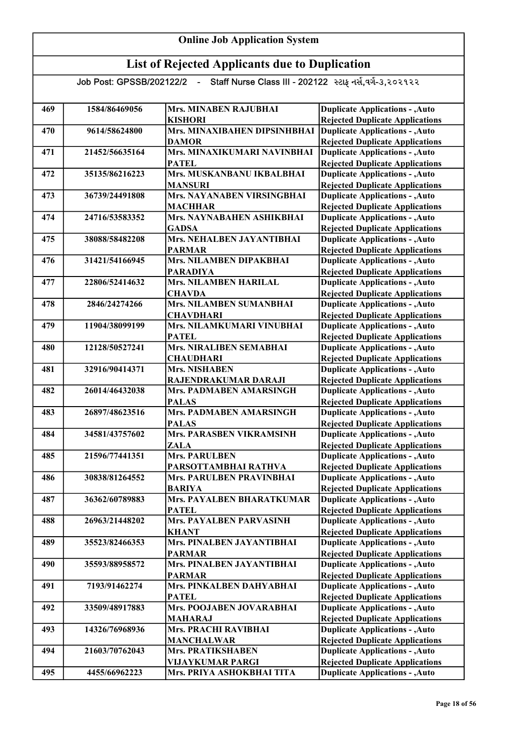| 469 | 1584/86469056  | <b>Mrs. MINABEN RAJUBHAI</b>    | <b>Duplicate Applications - , Auto</b> |
|-----|----------------|---------------------------------|----------------------------------------|
|     |                | <b>KISHORI</b>                  | <b>Rejected Duplicate Applications</b> |
| 470 | 9614/58624800  | Mrs. MINAXIBAHEN DIPSINHBHAI    | <b>Duplicate Applications - , Auto</b> |
|     |                | <b>DAMOR</b>                    | <b>Rejected Duplicate Applications</b> |
| 471 | 21452/56635164 | Mrs. MINAXIKUMARI NAVINBHAI     | <b>Duplicate Applications - , Auto</b> |
|     |                | <b>PATEL</b>                    | <b>Rejected Duplicate Applications</b> |
| 472 | 35135/86216223 | Mrs. MUSKANBANU IKBALBHAI       | <b>Duplicate Applications - , Auto</b> |
|     |                | <b>MANSURI</b>                  | <b>Rejected Duplicate Applications</b> |
| 473 | 36739/24491808 | Mrs. NAYANABEN VIRSINGBHAI      | <b>Duplicate Applications - , Auto</b> |
|     |                | <b>MACHHAR</b>                  | <b>Rejected Duplicate Applications</b> |
| 474 | 24716/53583352 | Mrs. NAYNABAHEN ASHIKBHAI       | <b>Duplicate Applications - , Auto</b> |
|     |                | <b>GADSA</b>                    | <b>Rejected Duplicate Applications</b> |
| 475 | 38088/58482208 | Mrs. NEHALBEN JAYANTIBHAI       | <b>Duplicate Applications - , Auto</b> |
|     |                | <b>PARMAR</b>                   | <b>Rejected Duplicate Applications</b> |
| 476 | 31421/54166945 | Mrs. NILAMBEN DIPAKBHAI         | <b>Duplicate Applications - , Auto</b> |
|     |                | <b>PARADIYA</b>                 | <b>Rejected Duplicate Applications</b> |
| 477 | 22806/52414632 | Mrs. NILAMBEN HARILAL           | <b>Duplicate Applications - , Auto</b> |
|     |                | <b>CHAVDA</b>                   | <b>Rejected Duplicate Applications</b> |
| 478 | 2846/24274266  | Mrs. NILAMBEN SUMANBHAI         | <b>Duplicate Applications - , Auto</b> |
|     |                | <b>CHAVDHARI</b>                | <b>Rejected Duplicate Applications</b> |
| 479 | 11904/38099199 | Mrs. NILAMKUMARI VINUBHAI       | <b>Duplicate Applications - , Auto</b> |
|     |                | <b>PATEL</b>                    | <b>Rejected Duplicate Applications</b> |
| 480 | 12128/50527241 | Mrs. NIRALIBEN SEMABHAI         | <b>Duplicate Applications - , Auto</b> |
|     |                | <b>CHAUDHARI</b>                | <b>Rejected Duplicate Applications</b> |
| 481 | 32916/90414371 | <b>Mrs. NISHABEN</b>            | <b>Duplicate Applications - , Auto</b> |
|     |                | RAJENDRAKUMAR DARAJI            | <b>Rejected Duplicate Applications</b> |
| 482 | 26014/46432038 | Mrs. PADMABEN AMARSINGH         | <b>Duplicate Applications - , Auto</b> |
|     |                | <b>PALAS</b>                    | <b>Rejected Duplicate Applications</b> |
| 483 | 26897/48623516 | Mrs. PADMABEN AMARSINGH         | <b>Duplicate Applications - , Auto</b> |
|     |                | <b>PALAS</b>                    | <b>Rejected Duplicate Applications</b> |
| 484 | 34581/43757602 | <b>Mrs. PARASBEN VIKRAMSINH</b> | <b>Duplicate Applications - , Auto</b> |
|     |                | <b>ZALA</b>                     | <b>Rejected Duplicate Applications</b> |
| 485 | 21596/77441351 | <b>Mrs. PARULBEN</b>            | <b>Duplicate Applications - , Auto</b> |
|     |                | PARSOTTAMBHAI RATHVA            | <b>Rejected Duplicate Applications</b> |
| 486 | 30838/81264552 | Mrs. PARULBEN PRAVINBHAI        | <b>Duplicate Applications - , Auto</b> |
|     |                | <b>BARIYA</b>                   | <b>Rejected Duplicate Applications</b> |
| 487 | 36362/60789883 | Mrs. PAYALBEN BHARATKUMAR       | <b>Duplicate Applications - , Auto</b> |
|     |                | <b>PATEL</b>                    | <b>Rejected Duplicate Applications</b> |
| 488 | 26963/21448202 | Mrs. PAYALBEN PARVASINH         | <b>Duplicate Applications - , Auto</b> |
|     |                | <b>KHANT</b>                    | <b>Rejected Duplicate Applications</b> |
| 489 | 35523/82466353 | Mrs. PINALBEN JAYANTIBHAI       | <b>Duplicate Applications - , Auto</b> |
|     | 35593/88958572 | <b>PARMAR</b>                   | <b>Rejected Duplicate Applications</b> |
| 490 |                | Mrs. PINALBEN JAYANTIBHAI       | <b>Duplicate Applications - , Auto</b> |
|     |                | <b>PARMAR</b>                   | <b>Rejected Duplicate Applications</b> |
| 491 | 7193/91462274  | Mrs. PINKALBEN DAHYABHAI        | <b>Duplicate Applications - , Auto</b> |
|     |                | <b>PATEL</b>                    | <b>Rejected Duplicate Applications</b> |
| 492 | 33509/48917883 | Mrs. POOJABEN JOVARABHAI        | <b>Duplicate Applications - , Auto</b> |
|     |                | <b>MAHARAJ</b>                  | <b>Rejected Duplicate Applications</b> |
| 493 | 14326/76968936 | <b>Mrs. PRACHI RAVIBHAI</b>     | <b>Duplicate Applications - , Auto</b> |
|     |                | <b>MANCHALWAR</b>               | <b>Rejected Duplicate Applications</b> |
| 494 | 21603/70762043 | Mrs. PRATIKSHABEN               | <b>Duplicate Applications - , Auto</b> |
|     |                | <b>VIJAYKUMAR PARGI</b>         | <b>Rejected Duplicate Applications</b> |
| 495 | 4455/66962223  | Mrs. PRIYA ASHOKBHAI TITA       | <b>Duplicate Applications - , Auto</b> |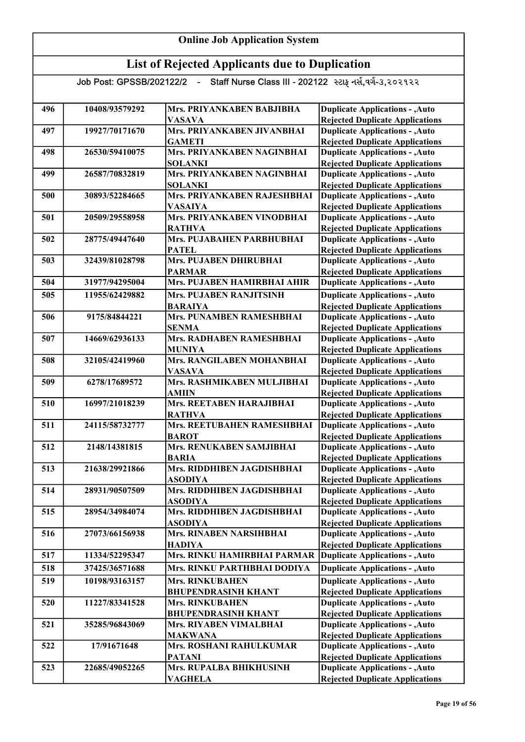#### Online Job Application System List of Rejected Applicants due to Duplication Job Post: GPSSB/202122/2 - Staff Nurse Class III - 202122 સ્ટાફ નર્સ,વર્ગ-૩,૨૦૨૧૨૨ 496 10408/93579292 Mrs. PRIYANKABEN BABJIBHA VASAVA 497 19927/70171670 Mrs. PRIYANKABEN JIVANBHAI GAMETI 498 26530/59410075 Mrs. PRIYANKABEN NAGINBHAI SOLANKI 499 | 26587/70832819 | Mrs. PRIYANKABEN NAGINBHAI SOLANKI 500 30893/52284665 Mrs. PRIYANKABEN RAJESHBHAI VASAIYA 501 20509/29558958 Mrs. PRIYANKABEN VINODBHAI RATHVA 502 28775/49447640 Mrs. PUJABAHEN PARBHUBHAI PATEL 503 32439/81028798 Mrs. PUJABEN DHIRUBHAI PARMAR 504 31977/94295004 Mrs. PUJABEN HAMIRBHAI AHIR 505 11955/62429882 Mrs. PUJABEN RANJITSINH BARAIYA 506 9175/84844221 Mrs. PUNAMBEN RAMESHBHAI SENMA 507 14669/62936133 Mrs. RADHABEN RAMESHBHAI MUNIYA 508 32105/42419960 Mrs. RANGILABEN MOHANBHAI VASAVA 509 6278/17689572 Mrs. RASHMIKABEN MULJIBHAI AMIIN 510 16997/21018239 Mrs. REETABEN HARAJIBHAI RATHVA 511 24115/58732777 Mrs. REETUBAHEN RAMESHBHAI **BAROT** 512 2148/14381815 Mrs. RENUKABEN SAMJIBHAI BARIA 513 21638/29921866 Mrs. RIDDHIBEN JAGDISHBHAI ASODIYA 514 28931/90507509 Mrs. RIDDHIBEN JAGDISHBHAI ASODIYA 515 28954/34984074 Mrs. RIDDHIBEN JAGDISHBHAI ASODIYA 516 27073/66156938 Mrs. RINABEN NARSIHBHAI HADIYA 517 11334/52295347 Mrs. RINKU HAMIRBHAI PARMAR 518 37425/36571688 Mrs. RINKU PARTHBHAI DODIYA 519 10198/93163157 Mrs. RINKUBAHEN BHUPENDRASINH KHANT 520 11227/83341528 Mrs. RINKUBAHEN BHUPENDRASINH KHANT 521 35285/96843069 Mrs. RIYABEN VIMALBHAI MAKWANA 522 17/91671648 Mrs. ROSHANI RAHULKUMAR PATANI 523 22685/49052265 Mrs. RUPALBA BHIKHUSINH VAGHELA Duplicate Applications - ,Auto Rejected Duplicate Applications Duplicate Applications - ,Auto **Duplicate Applications - ,Auto Duplicate Applications - ,Auto** Rejected Duplicate Applications Duplicate Applications - ,Auto Rejected Duplicate Applications Duplicate Applications - ,Auto Rejected Duplicate Applications Duplicate Applications - ,Auto Rejected Duplicate Applications Duplicate Applications - ,Auto Rejected Duplicate Applications Duplicate Applications - ,Auto Rejected Duplicate Applications Duplicate Applications - ,Auto Rejected Duplicate Applications Duplicate Applications - ,Auto Rejected Duplicate Applications Duplicate Applications - ,Auto Rejected Duplicate Applications Duplicate Applications - ,Auto Rejected Duplicate Applications **Duplicate Applications - , Auto** Rejected Duplicate Applications Duplicate Applications - ,Auto Rejected Duplicate Applications Duplicate Applications - ,Auto Rejected Duplicate Applications Duplicate Applications - ,Auto Rejected Duplicate Applications Duplicate Applications - ,Auto Rejected Duplicate Applications Duplicate Applications - ,Auto Rejected Duplicate Applications Duplicate Applications - ,Auto Rejected Duplicate Applications Duplicate Applications - ,Auto Rejected Duplicate Applications Duplicate Applications - ,Auto Rejected Duplicate Applications Duplicate Applications - ,Auto Rejected Duplicate Applications Duplicate Applications - ,Auto Rejected Duplicate Applications Duplicate Applications - ,Auto Duplicate Applications - ,Auto Rejected Duplicate Applications Duplicate Applications - ,Auto Rejected Duplicate Applications Duplicate Applications - ,Auto Rejected Duplicate Applications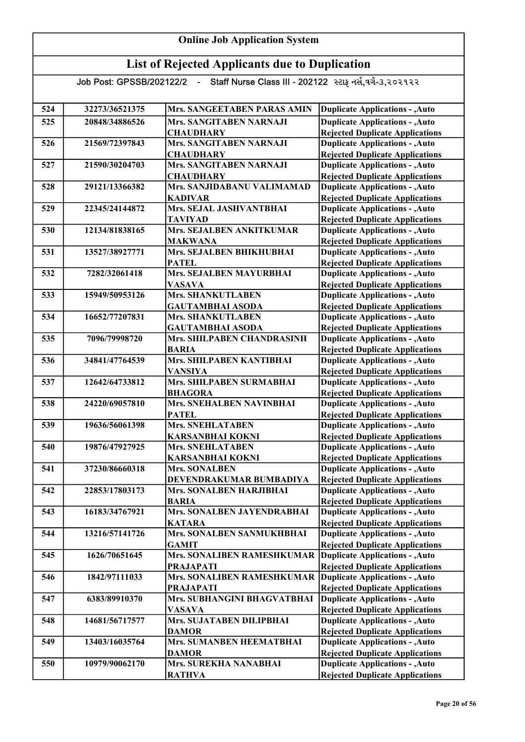#### Online Job Application System List of Rejected Applicants due to Duplication Job Post: GPSSB/202122/2 - Staff Nurse Class III - 202122 સ્ટાફ નર્સ,વર્ગ-૩,૨૦૨૧૨૨ 524 32273/36521375 Mrs. SANGEETABEN PARAS AMIN 525 20848/34886526 Mrs. SANGITABEN NARNAJI **CHAUDHARY** 526 21569/72397843 Mrs. SANGITABEN NARNAJI **CHAUDHARY** 527 21590/30204703 Mrs. SANGITABEN NARNAJI **CHAUDHARY** 528 29121/13366382 Mrs. SANJIDABANU VALIMAMAD KADIVAR 529 22345/24144872 Mrs. SEJAL JASHVANTBHAI TAVIYAD 530 12134/81838165 Mrs. SEJALBEN ANKITKUMAR MAKWANA 531 | 13527/38927771 | Mrs. SEJALBEN BHIKHUBHAI PATEL 532 7282/32061418 Mrs. SEJALBEN MAYURBHAI VASAVA 533 15949/50953126 Mrs. SHANKUTLABEN GAUTAMBHAI ASODA 534 16652/77207831 Mrs. SHANKUTLABEN GAUTAMBHAI ASODA 535 7096/79998720 Mrs. SHILPABEN CHANDRASINH BARIA 536 34841/47764539 Mrs. SHILPABEN KANTIBHAI VANSIYA 537 12642/64733812 Mrs. SHILPABEN SURMABHAI BHAGORA 538 24220/69057810 Mrs. SNEHALBEN NAVINBHAI **PATEL** 539 19636/56061398 Mrs. SNEHLATABEN KARSANBHAI KOKNI 540 19876/47927925 Mrs. SNEHLATABEN KARSANBHAI KOKNI 541 37230/86660318 Mrs. SONALBEN DEVENDRAKUMAR BUMBADIYA 542 22853/17803173 Mrs. SONALBEN HARJIBHAI BARIA 543 16183/34767921 Mrs. SONALBEN JAYENDRABHAI KATARA 544 13216/57141726 Mrs. SONALBEN SANMUKHBHAI GAMIT 545 1626/70651645 Mrs. SONALIBEN RAMESHKUMAR PRAJAPATI 546 1842/97111033 Mrs. SONALIBEN RAMESHKUMAR Duplicate Applications - ,Auto PRAJAPATI 547 6383/89910370 Mrs. SUBHANGINI BHAGVATBHAI VASAVA 548 14681/56717577 Mrs. SUJATABEN DILIPBHAI DAMOR 549 13403/16035764 Mrs. SUMANBEN HEEMATBHAI DAMOR 550 10979/90062170 Mrs. SUREKHA NANABHAI RATHVA Duplicate Applications - ,Auto Rejected Duplicate Applications Duplicate Applications - ,Auto Rejected Duplicate Applications Duplicate Applications - ,Auto Rejected Duplicate Applications Duplicate Applications - ,Auto Rejected Duplicate Applications Duplicate Applications - ,Auto Rejected Duplicate Applications Duplicate Applications - ,Auto Rejected Duplicate Applications Duplicate Applications - ,Auto Rejected Duplicate Applications Duplicate Applications - ,Auto Rejected Duplicate Applications Duplicate Applications - ,Auto Rejected Duplicate Applications Rejected Duplicate Applications Duplicate Applications - ,Auto Rejected Duplicate Applications Duplicate Applications - ,Auto Rejected Duplicate Applications Duplicate Applications - ,Auto Rejected Duplicate Applications Duplicate Applications - ,Auto Rejected Duplicate Applications Duplicate Applications - ,Auto Rejected Duplicate Applications Duplicate Applications - ,Auto Rejected Duplicate Applications Duplicate Applications - ,Auto Rejected Duplicate Applications Duplicate Applications - ,Auto Rejected Duplicate Applications Duplicate Applications - ,Auto Rejected Duplicate Applications Duplicate Applications - ,Auto Rejected Duplicate Applications Duplicate Applications - ,Auto Rejected Duplicate Applications Duplicate Applications - ,Auto Rejected Duplicate Applications Duplicate Applications - ,Auto **Duplicate Applications - ,Auto** Rejected Duplicate Applications Duplicate Applications - ,Auto Rejected Duplicate Applications Duplicate Applications - ,Auto Rejected Duplicate Applications Duplicate Applications - ,Auto Rejected Duplicate Applications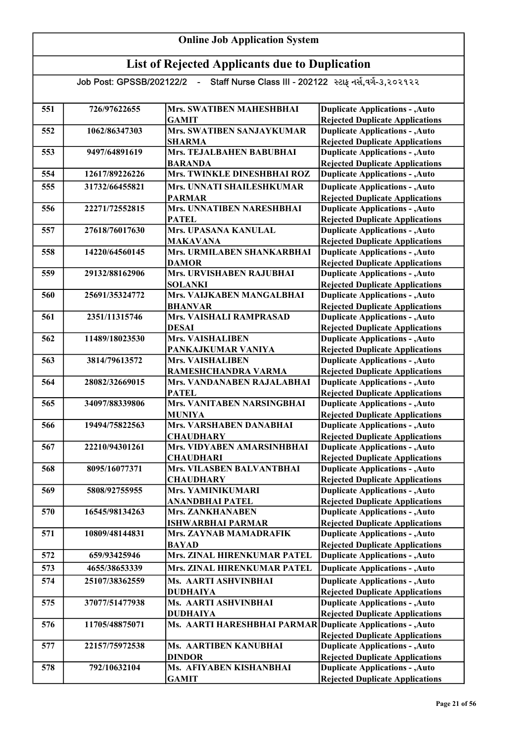| 551 | 726/97622655   | Mrs. SWATIBEN MAHESHBHAI                                    | <b>Duplicate Applications - , Auto</b>                                           |
|-----|----------------|-------------------------------------------------------------|----------------------------------------------------------------------------------|
|     |                | <b>GAMIT</b>                                                | <b>Rejected Duplicate Applications</b>                                           |
| 552 | 1062/86347303  | <b>Mrs. SWATIBEN SANJAYKUMAR</b>                            | <b>Duplicate Applications - , Auto</b>                                           |
|     |                | <b>SHARMA</b>                                               | <b>Rejected Duplicate Applications</b>                                           |
| 553 | 9497/64891619  | Mrs. TEJALBAHEN BABUBHAI                                    | <b>Duplicate Applications - , Auto</b>                                           |
|     |                | <b>BARANDA</b>                                              | <b>Rejected Duplicate Applications</b>                                           |
| 554 | 12617/89226226 | Mrs. TWINKLE DINESHBHAI ROZ                                 | <b>Duplicate Applications - , Auto</b>                                           |
| 555 | 31732/66455821 | Mrs. UNNATI SHAILESHKUMAR                                   | <b>Duplicate Applications - , Auto</b>                                           |
|     |                | <b>PARMAR</b>                                               | <b>Rejected Duplicate Applications</b>                                           |
| 556 | 22271/72552815 | Mrs. UNNATIBEN NARESHBHAI                                   | <b>Duplicate Applications - , Auto</b>                                           |
|     |                | <b>PATEL</b>                                                | <b>Rejected Duplicate Applications</b>                                           |
| 557 | 27618/76017630 | Mrs. UPASANA KANULAL<br><b>MAKAVANA</b>                     | <b>Duplicate Applications - , Auto</b><br><b>Rejected Duplicate Applications</b> |
| 558 | 14220/64560145 | Mrs. URMILABEN SHANKARBHAI                                  | <b>Duplicate Applications - , Auto</b>                                           |
|     |                | <b>DAMOR</b>                                                | <b>Rejected Duplicate Applications</b>                                           |
| 559 | 29132/88162906 | Mrs. URVISHABEN RAJUBHAI                                    | <b>Duplicate Applications - , Auto</b>                                           |
|     |                | <b>SOLANKI</b>                                              | <b>Rejected Duplicate Applications</b>                                           |
| 560 | 25691/35324772 | Mrs. VAIJKABEN MANGALBHAI                                   | <b>Duplicate Applications - , Auto</b>                                           |
|     |                | <b>BHANVAR</b>                                              | <b>Rejected Duplicate Applications</b>                                           |
| 561 | 2351/11315746  | Mrs. VAISHALI RAMPRASAD                                     | <b>Duplicate Applications - , Auto</b>                                           |
|     |                | <b>DESAI</b>                                                | <b>Rejected Duplicate Applications</b>                                           |
| 562 | 11489/18023530 | <b>Mrs. VAISHALIBEN</b>                                     | <b>Duplicate Applications - , Auto</b>                                           |
|     |                | PANKAJKUMAR VANIYA                                          | <b>Rejected Duplicate Applications</b>                                           |
| 563 | 3814/79613572  | <b>Mrs. VAISHALIBEN</b>                                     | <b>Duplicate Applications - , Auto</b>                                           |
|     |                | RAMESHCHANDRA VARMA                                         | <b>Rejected Duplicate Applications</b>                                           |
| 564 | 28082/32669015 | Mrs. VANDANABEN RAJALABHAI                                  | <b>Duplicate Applications - , Auto</b>                                           |
|     |                | <b>PATEL</b>                                                | <b>Rejected Duplicate Applications</b>                                           |
| 565 | 34097/88339806 | Mrs. VANITABEN NARSINGBHAI                                  | <b>Duplicate Applications - , Auto</b>                                           |
|     |                | <b>MUNIYA</b>                                               | <b>Rejected Duplicate Applications</b>                                           |
| 566 | 19494/75822563 | Mrs. VARSHABEN DANABHAI                                     | <b>Duplicate Applications - , Auto</b>                                           |
|     |                | <b>CHAUDHARY</b>                                            | <b>Rejected Duplicate Applications</b>                                           |
| 567 | 22210/94301261 | Mrs. VIDYABEN AMARSINHBHAI                                  | <b>Duplicate Applications - , Auto</b>                                           |
|     |                | <b>CHAUDHARI</b>                                            | <b>Rejected Duplicate Applications</b>                                           |
| 568 | 8095/16077371  | Mrs. VILASBEN BALVANTBHAI                                   | <b>Duplicate Applications - , Auto</b>                                           |
|     |                | <b>CHAUDHARY</b>                                            | <b>Rejected Duplicate Applications</b>                                           |
| 569 | 5808/92755955  | <b>Mrs. YAMINIKUMARI</b>                                    | <b>Duplicate Applications - , Auto</b>                                           |
|     |                | <b>ANANDBHAI PATEL</b>                                      | <b>Rejected Duplicate Applications</b>                                           |
| 570 | 16545/98134263 | Mrs. ZANKHANABEN                                            | <b>Duplicate Applications - , Auto</b>                                           |
|     |                | <b>ISHWARBHAI PARMAR</b>                                    | <b>Rejected Duplicate Applications</b>                                           |
| 571 | 10809/48144831 | Mrs. ZAYNAB MAMADRAFIK                                      | <b>Duplicate Applications - , Auto</b>                                           |
|     |                | <b>BAYAD</b><br>Mrs. ZINAL HIRENKUMAR PATEL                 | <b>Rejected Duplicate Applications</b>                                           |
| 572 | 659/93425946   |                                                             | <b>Duplicate Applications - , Auto</b>                                           |
| 573 | 4655/38653339  | Mrs. ZINAL HIRENKUMAR PATEL                                 | <b>Duplicate Applications - , Auto</b>                                           |
| 574 | 25107/38362559 | Ms. AARTI ASHVINBHAI                                        | <b>Duplicate Applications - , Auto</b>                                           |
|     |                | <b>DUDHAIYA</b>                                             | <b>Rejected Duplicate Applications</b>                                           |
| 575 | 37077/51477938 | <b>Ms. AARTI ASHVINBHAI</b>                                 | <b>Duplicate Applications - , Auto</b>                                           |
|     |                | <b>DUDHAIYA</b>                                             | <b>Rejected Duplicate Applications</b>                                           |
| 576 | 11705/48875071 | Ms. AARTI HARESHBHAI PARMAR Duplicate Applications - , Auto |                                                                                  |
|     |                |                                                             | <b>Rejected Duplicate Applications</b>                                           |
| 577 | 22157/75972538 | Ms. AARTIBEN KANUBHAI                                       | <b>Duplicate Applications - , Auto</b>                                           |
|     |                | <b>DINDOR</b>                                               | <b>Rejected Duplicate Applications</b>                                           |
| 578 | 792/10632104   | Ms. AFIYABEN KISHANBHAI                                     | <b>Duplicate Applications - , Auto</b>                                           |
|     |                | <b>GAMIT</b>                                                | <b>Rejected Duplicate Applications</b>                                           |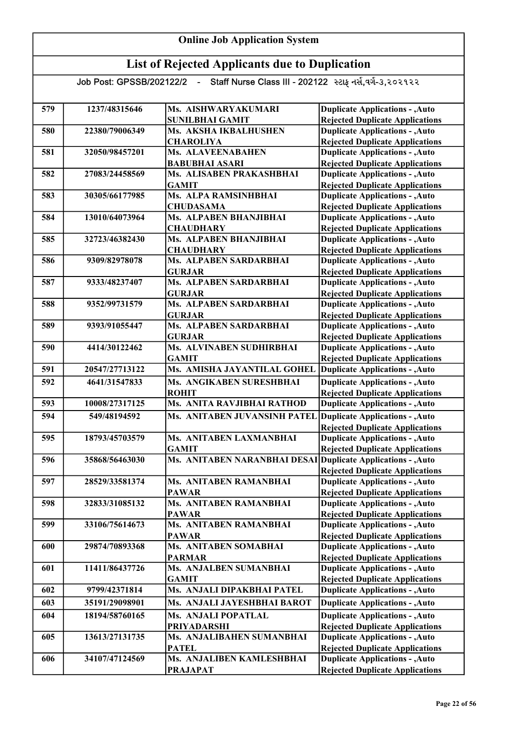| 579 | 1237/48315646  | Ms. AISHWARYAKUMARI                                          | <b>Duplicate Applications - , Auto</b>                                           |
|-----|----------------|--------------------------------------------------------------|----------------------------------------------------------------------------------|
|     |                | <b>SUNILBHAI GAMIT</b>                                       | <b>Rejected Duplicate Applications</b>                                           |
| 580 | 22380/79006349 | Ms. AKSHA IKBALHUSHEN                                        | <b>Duplicate Applications - , Auto</b>                                           |
|     |                | <b>CHAROLIYA</b>                                             | <b>Rejected Duplicate Applications</b>                                           |
| 581 | 32050/98457201 | Ms. ALAVEENABAHEN                                            | <b>Duplicate Applications - , Auto</b>                                           |
|     |                | <b>BABUBHAI ASARI</b>                                        | <b>Rejected Duplicate Applications</b>                                           |
| 582 | 27083/24458569 | Ms. ALISABEN PRAKASHBHAI                                     | <b>Duplicate Applications - , Auto</b>                                           |
|     |                | <b>GAMIT</b>                                                 | <b>Rejected Duplicate Applications</b>                                           |
| 583 | 30305/66177985 | Ms. ALPA RAMSINHBHAI                                         | <b>Duplicate Applications - , Auto</b>                                           |
|     |                | <b>CHUDASAMA</b>                                             | <b>Rejected Duplicate Applications</b>                                           |
| 584 | 13010/64073964 | Ms. ALPABEN BHANJIBHAI                                       | <b>Duplicate Applications - , Auto</b>                                           |
|     |                | <b>CHAUDHARY</b>                                             | <b>Rejected Duplicate Applications</b>                                           |
| 585 | 32723/46382430 | Ms. ALPABEN BHANJIBHAI                                       | <b>Duplicate Applications - , Auto</b>                                           |
|     |                | <b>CHAUDHARY</b>                                             | <b>Rejected Duplicate Applications</b>                                           |
| 586 | 9309/82978078  | Ms. ALPABEN SARDARBHAI                                       | <b>Duplicate Applications - , Auto</b>                                           |
|     |                | <b>GURJAR</b>                                                | <b>Rejected Duplicate Applications</b>                                           |
| 587 | 9333/48237407  | Ms. ALPABEN SARDARBHAI                                       | <b>Duplicate Applications - , Auto</b>                                           |
|     |                | <b>GURJAR</b>                                                | <b>Rejected Duplicate Applications</b>                                           |
| 588 | 9352/99731579  | Ms. ALPABEN SARDARBHAI                                       | <b>Duplicate Applications - , Auto</b>                                           |
|     |                | <b>GURJAR</b>                                                | <b>Rejected Duplicate Applications</b>                                           |
| 589 | 9393/91055447  | Ms. ALPABEN SARDARBHAI                                       | <b>Duplicate Applications - , Auto</b>                                           |
|     |                | <b>GURJAR</b>                                                | <b>Rejected Duplicate Applications</b>                                           |
| 590 | 4414/30122462  | Ms. ALVINABEN SUDHIRBHAI                                     | <b>Duplicate Applications - , Auto</b>                                           |
|     |                | <b>GAMIT</b>                                                 | <b>Rejected Duplicate Applications</b>                                           |
| 591 | 20547/27713122 | Ms. AMISHA JAYANTILAL GOHEL                                  | <b>Duplicate Applications - , Auto</b>                                           |
| 592 | 4641/31547833  | Ms. ANGIKABEN SURESHBHAI                                     | <b>Duplicate Applications - , Auto</b>                                           |
|     |                | <b>ROHIT</b>                                                 | <b>Rejected Duplicate Applications</b>                                           |
| 593 | 10008/27317125 | Ms. ANITA RAVJIBHAI RATHOD                                   | <b>Duplicate Applications - , Auto</b>                                           |
| 594 | 549/48194592   | Ms. ANITABEN JUVANSINH PATEL                                 | <b>Duplicate Applications - , Auto</b>                                           |
|     |                |                                                              | <b>Rejected Duplicate Applications</b>                                           |
| 595 | 18793/45703579 | Ms. ANITABEN LAXMANBHAI                                      | <b>Duplicate Applications - , Auto</b>                                           |
|     |                | <b>GAMIT</b>                                                 | <b>Rejected Duplicate Applications</b>                                           |
| 596 | 35868/56463030 | Ms. ANITABEN NARANBHAI DESAI Duplicate Applications - , Auto |                                                                                  |
|     |                |                                                              | <b>Rejected Duplicate Applications</b>                                           |
| 597 | 28529/33581374 | Ms. ANITABEN RAMANBHAI                                       | <b>Duplicate Applications - , Auto</b>                                           |
|     |                | <b>PAWAR</b>                                                 | <b>Rejected Duplicate Applications</b>                                           |
| 598 | 32833/31085132 | Ms. ANITABEN RAMANBHAI                                       | <b>Duplicate Applications - , Auto</b>                                           |
|     |                | <b>PAWAR</b>                                                 | <b>Rejected Duplicate Applications</b>                                           |
| 599 | 33106/75614673 | Ms. ANITABEN RAMANBHAI                                       | <b>Duplicate Applications - , Auto</b>                                           |
|     |                | <b>PAWAR</b>                                                 | <b>Rejected Duplicate Applications</b>                                           |
| 600 | 29874/70893368 | Ms. ANITABEN SOMABHAI                                        | <b>Duplicate Applications - , Auto</b>                                           |
|     |                | <b>PARMAR</b>                                                | <b>Rejected Duplicate Applications</b>                                           |
| 601 | 11411/86437726 | Ms. ANJALBEN SUMANBHAI                                       | <b>Duplicate Applications - , Auto</b>                                           |
|     |                | <b>GAMIT</b>                                                 | <b>Rejected Duplicate Applications</b>                                           |
| 602 | 9799/42371814  | Ms. ANJALI DIPAKBHAI PATEL                                   | <b>Duplicate Applications - , Auto</b>                                           |
| 603 | 35191/29098901 | Ms. ANJALI JAYESHBHAI BAROT                                  | <b>Duplicate Applications - , Auto</b>                                           |
| 604 | 18194/58760165 | <b>Ms. ANJALI POPATLAL</b>                                   | <b>Duplicate Applications - , Auto</b>                                           |
|     |                | <b>PRIYADARSHI</b>                                           | <b>Rejected Duplicate Applications</b>                                           |
| 605 | 13613/27131735 | Ms. ANJALIBAHEN SUMANBHAI                                    | <b>Duplicate Applications - , Auto</b>                                           |
|     |                | <b>PATEL</b>                                                 | <b>Rejected Duplicate Applications</b>                                           |
|     |                |                                                              |                                                                                  |
| 606 | 34107/47124569 | Ms. ANJALIBEN KAMLESHBHAI                                    | <b>Duplicate Applications - , Auto</b><br><b>Rejected Duplicate Applications</b> |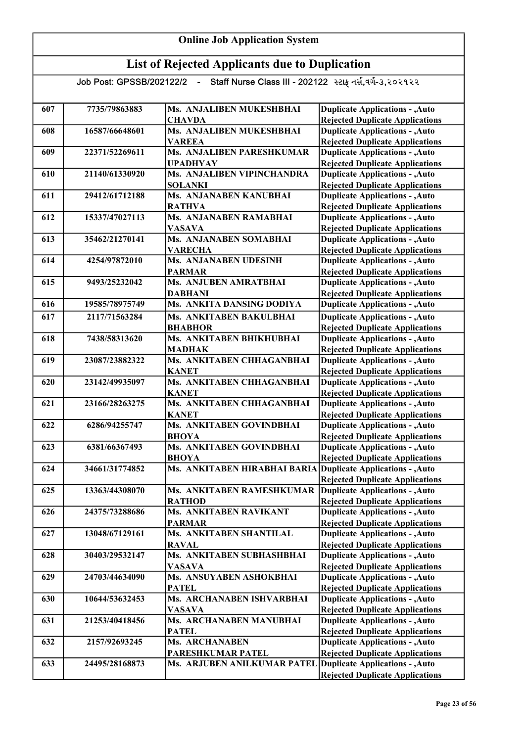| 607 | 7735/79863883  | Ms. ANJALIBEN MUKESHBHAI                                    | <b>Duplicate Applications - , Auto</b>                                           |
|-----|----------------|-------------------------------------------------------------|----------------------------------------------------------------------------------|
|     |                | <b>CHAVDA</b>                                               | <b>Rejected Duplicate Applications</b>                                           |
| 608 | 16587/66648601 | Ms. ANJALIBEN MUKESHBHAI                                    | <b>Duplicate Applications - , Auto</b>                                           |
|     |                | <b>VAREEA</b>                                               | <b>Rejected Duplicate Applications</b>                                           |
| 609 | 22371/52269611 | Ms. ANJALIBEN PARESHKUMAR                                   | <b>Duplicate Applications - , Auto</b>                                           |
|     |                | <b>UPADHYAY</b>                                             | <b>Rejected Duplicate Applications</b>                                           |
| 610 | 21140/61330920 | Ms. ANJALIBEN VIPINCHANDRA                                  | <b>Duplicate Applications - , Auto</b>                                           |
|     | 29412/61712188 | <b>SOLANKI</b><br>Ms. ANJANABEN KANUBHAI                    | <b>Rejected Duplicate Applications</b>                                           |
| 611 |                | <b>RATHVA</b>                                               | <b>Duplicate Applications - , Auto</b>                                           |
| 612 | 15337/47027113 | Ms. ANJANABEN RAMABHAI                                      | <b>Rejected Duplicate Applications</b><br><b>Duplicate Applications - , Auto</b> |
|     |                | <b>VASAVA</b>                                               | <b>Rejected Duplicate Applications</b>                                           |
| 613 | 35462/21270141 | Ms. ANJANABEN SOMABHAI                                      | <b>Duplicate Applications - , Auto</b>                                           |
|     |                | <b>VARECHA</b>                                              | <b>Rejected Duplicate Applications</b>                                           |
| 614 | 4254/97872010  | Ms. ANJANABEN UDESINH                                       | <b>Duplicate Applications - , Auto</b>                                           |
|     |                | <b>PARMAR</b>                                               | <b>Rejected Duplicate Applications</b>                                           |
| 615 | 9493/25232042  | Ms. ANJUBEN AMRATBHAI                                       | <b>Duplicate Applications - , Auto</b>                                           |
|     |                | <b>DABHANI</b>                                              | <b>Rejected Duplicate Applications</b>                                           |
| 616 | 19585/78975749 | Ms. ANKITA DANSING DODIYA                                   | <b>Duplicate Applications - , Auto</b>                                           |
| 617 | 2117/71563284  | Ms. ANKITABEN BAKULBHAI                                     | <b>Duplicate Applications - , Auto</b>                                           |
|     |                | <b>BHABHOR</b>                                              | <b>Rejected Duplicate Applications</b>                                           |
| 618 | 7438/58313620  | Ms. ANKITABEN BHIKHUBHAI                                    | <b>Duplicate Applications - , Auto</b>                                           |
|     |                | <b>MADHAK</b>                                               | <b>Rejected Duplicate Applications</b>                                           |
| 619 | 23087/23882322 | Ms. ANKITABEN CHHAGANBHAI                                   | <b>Duplicate Applications - , Auto</b>                                           |
|     |                | <b>KANET</b>                                                | <b>Rejected Duplicate Applications</b>                                           |
| 620 | 23142/49935097 | Ms. ANKITABEN CHHAGANBHAI                                   | <b>Duplicate Applications - , Auto</b>                                           |
|     |                | <b>KANET</b>                                                | <b>Rejected Duplicate Applications</b>                                           |
| 621 | 23166/28263275 | Ms. ANKITABEN CHHAGANBHAI                                   | <b>Duplicate Applications - , Auto</b>                                           |
|     |                | <b>KANET</b>                                                | <b>Rejected Duplicate Applications</b>                                           |
| 622 | 6286/94255747  | Ms. ANKITABEN GOVINDBHAI                                    | <b>Duplicate Applications - , Auto</b>                                           |
|     |                | <b>BHOYA</b>                                                | <b>Rejected Duplicate Applications</b>                                           |
| 623 | 6381/66367493  | Ms. ANKITABEN GOVINDBHAI                                    | <b>Duplicate Applications - , Auto</b>                                           |
|     |                | <b>BHOYA</b>                                                | <b>Rejected Duplicate Applications</b>                                           |
| 624 | 34661/31774852 | Ms. ANKITABEN HIRABHAI BARIA                                | Duplicate Applications - , Auto                                                  |
|     |                |                                                             | <b>Rejected Duplicate Applications</b>                                           |
| 625 | 13363/44308070 | Ms. ANKITABEN RAMESHKUMAR                                   | Duplicate Applications - , Auto                                                  |
|     |                | <b>RATHOD</b>                                               | <b>Rejected Duplicate Applications</b>                                           |
| 626 | 24375/73288686 | Ms. ANKITABEN RAVIKANT                                      | <b>Duplicate Applications - , Auto</b>                                           |
| 627 | 13048/67129161 | <b>PARMAR</b><br>Ms. ANKITABEN SHANTILAL                    | <b>Rejected Duplicate Applications</b>                                           |
|     |                |                                                             | <b>Duplicate Applications - , Auto</b>                                           |
| 628 | 30403/29532147 | <b>RAVAL</b><br>Ms. ANKITABEN SUBHASHBHAI                   | <b>Rejected Duplicate Applications</b><br><b>Duplicate Applications - , Auto</b> |
|     |                | <b>VASAVA</b>                                               | <b>Rejected Duplicate Applications</b>                                           |
| 629 | 24703/44634090 | Ms. ANSUYABEN ASHOKBHAI                                     | <b>Duplicate Applications - , Auto</b>                                           |
|     |                | <b>PATEL</b>                                                | <b>Rejected Duplicate Applications</b>                                           |
| 630 | 10644/53632453 | Ms. ARCHANABEN ISHVARBHAI                                   | <b>Duplicate Applications - , Auto</b>                                           |
|     |                | <b>VASAVA</b>                                               | <b>Rejected Duplicate Applications</b>                                           |
| 631 | 21253/40418456 | Ms. ARCHANABEN MANUBHAI                                     | <b>Duplicate Applications - , Auto</b>                                           |
|     |                | <b>PATEL</b>                                                | <b>Rejected Duplicate Applications</b>                                           |
| 632 | 2157/92693245  | Ms. ARCHANABEN                                              | <b>Duplicate Applications - , Auto</b>                                           |
|     |                | PARESHKUMAR PATEL                                           | <b>Rejected Duplicate Applications</b>                                           |
| 633 | 24495/28168873 | Ms. ARJUBEN ANILKUMAR PATEL Duplicate Applications - , Auto |                                                                                  |
|     |                |                                                             | <b>Rejected Duplicate Applications</b>                                           |
|     |                |                                                             |                                                                                  |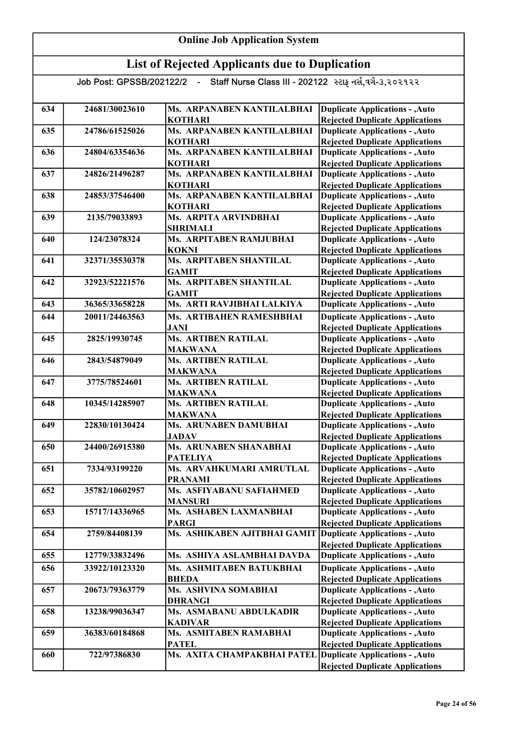#### Online Job Application System List of Rejected Applicants due to Duplication Job Post: GPSSB/202122/2 - Staff Nurse Class III - 202122 સ્ટાફ નર્સ,વર્ગ-૩,૨૦૨૧૨૨ 634 24681/30023610 Ms. ARPANABEN KANTILALBHAI **KOTHARI** 635 24786/61525026 Ms. ARPANABEN KANTILALBHAI **KOTHARI** 636 24804/63354636 Ms. ARPANABEN KANTILALBHAI **KOTHARI** 637 24826/21496287 Ms. ARPANABEN KANTILALBHAI KOTHARI 638 | 24853/37546400 | Ms. ARPANABEN KANTILALBHAI **KOTHARI** 639 2135/79033893 Ms. ARPITA ARVINDBHAI SHRIMALI 640 124/23078324 Ms. ARPITABEN RAMJUBHAI KOKNI 641 32371/35530378 Ms. ARPITABEN SHANTILAL GAMIT 642 32923/52221576 Ms. ARPITABEN SHANTILAL **GAMIT** 643 36365/33658228 Ms. ARTI RAVJIBHAI LALKIYA 644 20011/24463563 Ms. ARTIBAHEN RAMESHBHAI JANI 645 2825/19930745 Ms. ARTIBEN RATILAL MAKWANA 646 2843/54879049 Ms. ARTIBEN RATILAL MAKWANA 647 3775/78524601 Ms. ARTIBEN RATILAL MAKWANA 648 10345/14285907 Ms. ARTIBEN RATILAL MAKWANA 649 22830/10130424 Ms. ARUNABEN DAMUBHAI **JADAV** 650 24400/26915380 Ms. ARUNABEN SHANABHAI PATELIYA 651 7334/93199220 Ms. ARVAHKUMARI AMRUTLAL PRANAMI 652 35782/10602957 Ms. ASFIYABANU SAFIAHMED MANSURI 653 15717/14336965 Ms. ASHABEN LAXMANBHAI PARGI 654 2759/84408139 Ms. ASHIKABEN AJITBHAI GAMIT 655 12779/33832496 Ms. ASHIYA ASLAMBHAI DAVDA 656 33922/10123320 Ms. ASHMITABEN BATUKBHAI BHEDA 657 20673/79363779 Ms. ASHVINA SOMABHAI DHRANGI 658 13238/99036347 Ms. ASMABANU ABDULKADIR KADIVAR 659 36383/60184868 Ms. ASMITABEN RAMABHAI PATEL 660 722/97386830 Ms. AXITA CHAMPAKBHAI PATEL Duplicate Applications - ,Auto Duplicate Applications - ,Auto **Duplicate Applications - ,Auto** Rejected Duplicate Applications Duplicate Applications - ,Auto Rejected Duplicate Applications Duplicate Applications - ,Auto Rejected Duplicate Applications Duplicate Applications - ,Auto Rejected Duplicate Applications Rejected Duplicate Applications Duplicate Applications - ,Auto Rejected Duplicate Applications Duplicate Applications - ,Auto Rejected Duplicate Applications Duplicate Applications - ,Auto Rejected Duplicate Applications Duplicate Applications - ,Auto Rejected Duplicate Applications Duplicate Applications - ,Auto Rejected Duplicate Applications Duplicate Applications - ,Auto Rejected Duplicate Applications Duplicate Applications - ,Auto **Duplicate Applications - ,Auto** Rejected Duplicate Applications Duplicate Applications - ,Auto Rejected Duplicate Applications Duplicate Applications - ,Auto Rejected Duplicate Applications Duplicate Applications - ,Auto Rejected Duplicate Applications Duplicate Applications - ,Auto Rejected Duplicate Applications Duplicate Applications - ,Auto Rejected Duplicate Applications Duplicate Applications - ,Auto Rejected Duplicate Applications Duplicate Applications - ,Auto Rejected Duplicate Applications Duplicate Applications - ,Auto Rejected Duplicate Applications Duplicate Applications - ,Auto Rejected Duplicate Applications Duplicate Applications - ,Auto Rejected Duplicate Applications Duplicate Applications - ,Auto Rejected Duplicate Applications Duplicate Applications - ,Auto Rejected Duplicate Applications Duplicate Applications - ,Auto Rejected Duplicate Applications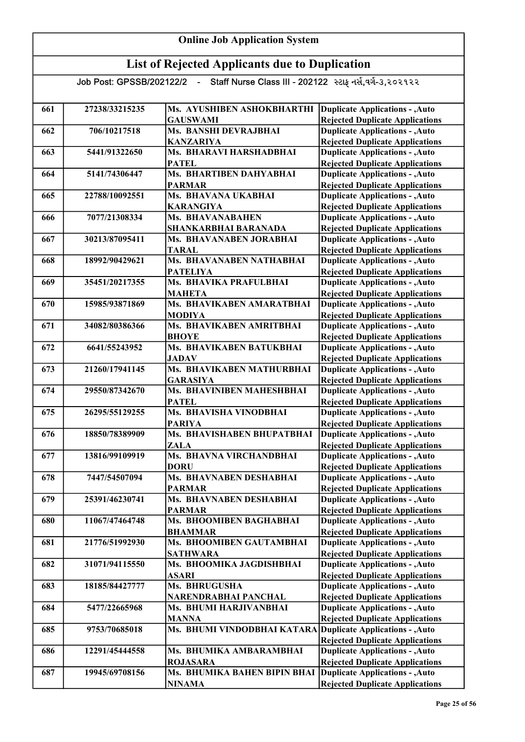#### Online Job Application System List of Rejected Applicants due to Duplication Job Post: GPSSB/202122/2 - Staff Nurse Class III - 202122 સ્ટાફ નર્સ,વર્ગ-૩,૨૦૨૧૨૨ 661 27238/33215235 Ms. AYUSHIBEN ASHOKBHARTHI GAUSWAMI 662 706/10217518 Ms. BANSHI DEVRAJBHAI KANZARIYA 663 5441/91322650 Ms. BHARAVI HARSHADBHAI **PATEL** 664 5141/74306447 Ms. BHARTIBEN DAHYABHAI PARMAR 665 22788/10092551 Ms. BHAVANA UKABHAI KARANGIYA 666 7077/21308334 Ms. BHAVANABAHEN SHANKARBHAI BARANADA 667 30213/87095411 Ms. BHAVANABEN JORABHAI TARAL 668 18992/90429621 Ms. BHAVANABEN NATHABHAI PATELIYA 669 35451/20217355 Ms. BHAVIKA PRAFULBHAI MAHETA 670 15985/93871869 Ms. BHAVIKABEN AMARATBHAI MODIYA 671 34082/80386366 Ms. BHAVIKABEN AMRITBHAI **BHOYE** 672 6641/55243952 Ms. BHAVIKABEN BATUKBHAI **JADAV** 673 | 21260/17941145 | Ms. BHAVIKABEN MATHURBHAI GARASIYA 674 29550/87342670 Ms. BHAVINIBEN MAHESHBHAI PATEL 675 26295/55129255 Ms. BHAVISHA VINODBHAI PARIYA 676 18850/78389909 Ms. BHAVISHABEN BHUPATBHAI ZALA 677 13816/99109919 Ms. BHAVNA VIRCHANDBHAI **DORU** 678 7447/54507094 Ms. BHAVNABEN DESHABHAI PARMAR 679 25391/46230741 Ms. BHAVNABEN DESHABHAI PARMAR 680 11067/47464748 Ms. BHOOMIBEN BAGHABHAI BHAMMAR 681 21776/51992930 Ms. BHOOMIBEN GAUTAMBHAI SATHWARA 682 31071/94115550 Ms. BHOOMIKA JAGDISHBHAI ASARI 683 18185/84427777 Ms. BHRUGUSHA NARENDRABHAI PANCHAL 684 5477/22665968 Ms. BHUMI HARJIVANBHAI MANNA 685 9753/70685018 Ms. BHUMI VINDODBHAI KATARA 686 12291/45444558 Ms. BHUMIKA AMBARAMBHAI ROJASARA 687 19945/69708156 Ms. BHUMIKA BAHEN BIPIN BHAI NINAMA Duplicate Applications - ,Auto Rejected Duplicate Applications Duplicate Applications - ,Auto Rejected Duplicate Applications Duplicate Applications - ,Auto Rejected Duplicate Applications Duplicate Applications - ,Auto Rejected Duplicate Applications Duplicate Applications - ,Auto Rejected Duplicate Applications Duplicate Applications - ,Auto Rejected Duplicate Applications Duplicate Applications - ,Auto Rejected Duplicate Applications Duplicate Applications - ,Auto Rejected Duplicate Applications Duplicate Applications - ,Auto Rejected Duplicate Applications Duplicate Applications - ,Auto Rejected Duplicate Applications Duplicate Applications - ,Auto Rejected Duplicate Applications Duplicate Applications - ,Auto Rejected Duplicate Applications Duplicate Applications - ,Auto Rejected Duplicate Applications Duplicate Applications - ,Auto Rejected Duplicate Applications Duplicate Applications - ,Auto Rejected Duplicate Applications Duplicate Applications - ,Auto Rejected Duplicate Applications Duplicate Applications - ,Auto Rejected Duplicate Applications Duplicate Applications - ,Auto Rejected Duplicate Applications Duplicate Applications - ,Auto Rejected Duplicate Applications Duplicate Applications - ,Auto Rejected Duplicate Applications Duplicate Applications - ,Auto Rejected Duplicate Applications Duplicate Applications - ,Auto Rejected Duplicate Applications Duplicate Applications - ,Auto Rejected Duplicate Applications Duplicate Applications - ,Auto Rejected Duplicate Applications Duplicate Applications - ,Auto Rejected Duplicate Applications Duplicate Applications - ,Auto Rejected Duplicate Applications Duplicate Applications - ,Auto Rejected Duplicate Applications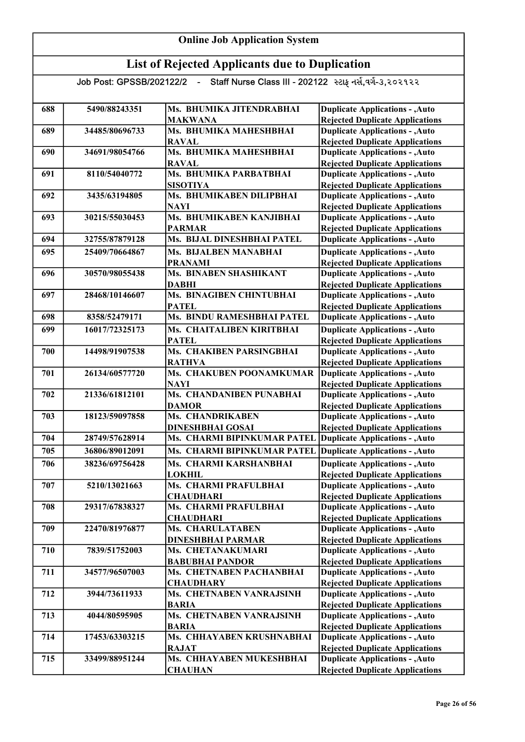| 688 | 5490/88243351  | Ms. BHUMIKA JITENDRABHAI      | <b>Duplicate Applications - , Auto</b> |
|-----|----------------|-------------------------------|----------------------------------------|
|     |                | <b>MAKWANA</b>                | <b>Rejected Duplicate Applications</b> |
| 689 | 34485/80696733 | Ms. BHUMIKA MAHESHBHAI        | <b>Duplicate Applications - , Auto</b> |
|     |                | <b>RAVAL</b>                  | <b>Rejected Duplicate Applications</b> |
| 690 | 34691/98054766 | Ms. BHUMIKA MAHESHBHAI        | <b>Duplicate Applications - , Auto</b> |
|     |                | <b>RAVAL</b>                  | <b>Rejected Duplicate Applications</b> |
| 691 | 8110/54040772  | Ms. BHUMIKA PARBATBHAI        | <b>Duplicate Applications - , Auto</b> |
|     |                | <b>SISOTIYA</b>               | <b>Rejected Duplicate Applications</b> |
| 692 | 3435/63194805  | Ms. BHUMIKABEN DILIPBHAI      | <b>Duplicate Applications - , Auto</b> |
|     |                | <b>NAYI</b>                   | <b>Rejected Duplicate Applications</b> |
| 693 | 30215/55030453 | Ms. BHUMIKABEN KANJIBHAI      | Duplicate Applications - , Auto        |
|     |                | <b>PARMAR</b>                 | <b>Rejected Duplicate Applications</b> |
| 694 | 32755/87879128 | Ms. BIJAL DINESHBHAI PATEL    | <b>Duplicate Applications - , Auto</b> |
| 695 | 25409/70664867 | Ms. BIJALBEN MANABHAI         | Duplicate Applications - , Auto        |
|     |                | <b>PRANAMI</b>                | <b>Rejected Duplicate Applications</b> |
| 696 | 30570/98055438 | <b>Ms. BINABEN SHASHIKANT</b> | <b>Duplicate Applications - , Auto</b> |
|     |                | <b>DABHI</b>                  | <b>Rejected Duplicate Applications</b> |
| 697 | 28468/10146607 | Ms. BINAGIBEN CHINTUBHAI      | <b>Duplicate Applications - , Auto</b> |
|     |                | <b>PATEL</b>                  | <b>Rejected Duplicate Applications</b> |
| 698 | 8358/52479171  | Ms. BINDU RAMESHBHAI PATEL    | <b>Duplicate Applications - , Auto</b> |
| 699 | 16017/72325173 | Ms. CHAITALIBEN KIRITBHAI     | <b>Duplicate Applications - , Auto</b> |
|     |                | <b>PATEL</b>                  | <b>Rejected Duplicate Applications</b> |
| 700 | 14498/91907538 | Ms. CHAKIBEN PARSINGBHAI      | <b>Duplicate Applications - , Auto</b> |
|     |                | <b>RATHVA</b>                 | <b>Rejected Duplicate Applications</b> |
| 701 | 26134/60577720 | Ms. CHAKUBEN POONAMKUMAR      | <b>Duplicate Applications - , Auto</b> |
|     |                | <b>NAYI</b>                   | <b>Rejected Duplicate Applications</b> |
| 702 | 21336/61812101 | Ms. CHANDANIBEN PUNABHAI      | <b>Duplicate Applications - , Auto</b> |
|     |                | <b>DAMOR</b>                  | <b>Rejected Duplicate Applications</b> |
| 703 | 18123/59097858 | Ms. CHANDRIKABEN              | <b>Duplicate Applications - , Auto</b> |
|     |                | <b>DINESHBHAI GOSAI</b>       | <b>Rejected Duplicate Applications</b> |
| 704 | 28749/57628914 | Ms. CHARMI BIPINKUMAR PATEL   | <b>Duplicate Applications - , Auto</b> |
| 705 | 36806/89012091 | Ms. CHARMI BIPINKUMAR PATEL   | <b>Duplicate Applications - , Auto</b> |
| 706 | 38236/69756428 | Ms. CHARMI KARSHANBHAI        | <b>Duplicate Applications - , Auto</b> |
|     |                | <b>LOKHIL</b>                 | <b>Rejected Duplicate Applications</b> |
| 707 | 5210/13021663  | Ms. CHARMI PRAFULBHAI         | <b>Duplicate Applications - , Auto</b> |
|     |                | <b>CHAUDHARI</b>              | <b>Rejected Duplicate Applications</b> |
| 708 | 29317/67838327 | Ms. CHARMI PRAFULBHAI         | <b>Duplicate Applications - , Auto</b> |
|     |                | <b>CHAUDHARI</b>              | <b>Rejected Duplicate Applications</b> |
| 709 | 22470/81976877 | Ms. CHARULATABEN              | <b>Duplicate Applications - , Auto</b> |
|     |                | <b>DINESHBHAI PARMAR</b>      | <b>Rejected Duplicate Applications</b> |
| 710 | 7839/51752003  | Ms. CHETANAKUMARI             | <b>Duplicate Applications - , Auto</b> |
|     |                | <b>BABUBHAI PANDOR</b>        | <b>Rejected Duplicate Applications</b> |
| 711 | 34577/96507003 | Ms. CHETNABEN PACHANBHAI      | <b>Duplicate Applications - , Auto</b> |
|     |                | <b>CHAUDHARY</b>              | <b>Rejected Duplicate Applications</b> |
| 712 | 3944/73611933  | Ms. CHETNABEN VANRAJSINH      | <b>Duplicate Applications - , Auto</b> |
|     |                | <b>BARIA</b>                  | <b>Rejected Duplicate Applications</b> |
| 713 | 4044/80595905  | Ms. CHETNABEN VANRAJSINH      | <b>Duplicate Applications - , Auto</b> |
|     |                | <b>BARIA</b>                  | <b>Rejected Duplicate Applications</b> |
| 714 | 17453/63303215 | Ms. CHHAYABEN KRUSHNABHAI     | <b>Duplicate Applications - , Auto</b> |
|     |                | <b>RAJAT</b>                  | <b>Rejected Duplicate Applications</b> |
| 715 | 33499/88951244 | Ms. CHHAYABEN MUKESHBHAI      | <b>Duplicate Applications - , Auto</b> |
|     |                | <b>CHAUHAN</b>                | <b>Rejected Duplicate Applications</b> |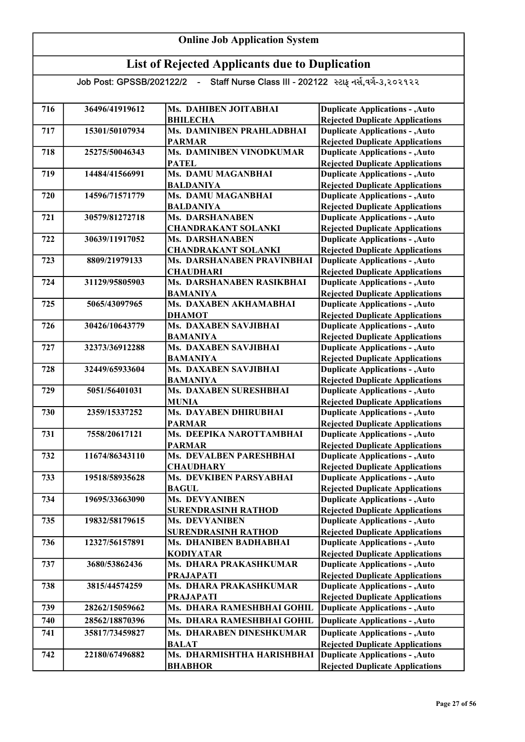| 716 | 36496/41919612 | Ms. DAHIBEN JOITABHAI                           | <b>Duplicate Applications - , Auto</b>                                           |
|-----|----------------|-------------------------------------------------|----------------------------------------------------------------------------------|
|     |                | <b>BHILECHA</b>                                 | <b>Rejected Duplicate Applications</b>                                           |
| 717 | 15301/50107934 | Ms. DAMINIBEN PRAHLADBHAI                       | <b>Duplicate Applications - , Auto</b>                                           |
|     |                | <b>PARMAR</b>                                   | <b>Rejected Duplicate Applications</b>                                           |
| 718 | 25275/50046343 | <b>Ms. DAMINIBEN VINODKUMAR</b>                 | <b>Duplicate Applications - , Auto</b>                                           |
|     |                | <b>PATEL</b>                                    | <b>Rejected Duplicate Applications</b>                                           |
| 719 | 14484/41566991 | Ms. DAMU MAGANBHAI                              | <b>Duplicate Applications - , Auto</b>                                           |
|     |                | <b>BALDANIYA</b>                                | <b>Rejected Duplicate Applications</b>                                           |
| 720 | 14596/71571779 | Ms. DAMU MAGANBHAI                              | <b>Duplicate Applications - , Auto</b>                                           |
|     |                | <b>BALDANIYA</b>                                | <b>Rejected Duplicate Applications</b>                                           |
| 721 | 30579/81272718 | <b>Ms. DARSHANABEN</b>                          | <b>Duplicate Applications - , Auto</b>                                           |
|     |                | <b>CHANDRAKANT SOLANKI</b>                      | <b>Rejected Duplicate Applications</b>                                           |
| 722 | 30639/11917052 | <b>Ms. DARSHANABEN</b>                          | <b>Duplicate Applications - , Auto</b>                                           |
|     |                | <b>CHANDRAKANT SOLANKI</b>                      | <b>Rejected Duplicate Applications</b>                                           |
| 723 | 8809/21979133  | Ms. DARSHANABEN PRAVINBHAI                      | <b>Duplicate Applications - , Auto</b>                                           |
|     |                | <b>CHAUDHARI</b>                                | <b>Rejected Duplicate Applications</b>                                           |
| 724 | 31129/95805903 | Ms. DARSHANABEN RASIKBHAI                       | <b>Duplicate Applications - , Auto</b>                                           |
|     |                | <b>BAMANIYA</b>                                 | <b>Rejected Duplicate Applications</b>                                           |
| 725 | 5065/43097965  | Ms. DAXABEN AKHAMABHAI                          | <b>Duplicate Applications - , Auto</b>                                           |
|     |                | <b>DHAMOT</b><br>Ms. DAXABEN SAVJIBHAI          | <b>Rejected Duplicate Applications</b>                                           |
| 726 | 30426/10643779 |                                                 | <b>Duplicate Applications - , Auto</b>                                           |
|     |                | <b>BAMANIYA</b><br><b>Ms. DAXABEN SAVJIBHAI</b> | <b>Rejected Duplicate Applications</b>                                           |
| 727 | 32373/36912288 |                                                 | <b>Duplicate Applications - , Auto</b>                                           |
| 728 | 32449/65933604 | <b>BAMANIYA</b><br>Ms. DAXABEN SAVJIBHAI        | <b>Rejected Duplicate Applications</b><br><b>Duplicate Applications - , Auto</b> |
|     |                | <b>BAMANIYA</b>                                 | <b>Rejected Duplicate Applications</b>                                           |
| 729 | 5051/56401031  | Ms. DAXABEN SURESHBHAI                          | <b>Duplicate Applications - , Auto</b>                                           |
|     |                | <b>MUNIA</b>                                    | <b>Rejected Duplicate Applications</b>                                           |
| 730 | 2359/15337252  | <b>Ms. DAYABEN DHIRUBHAI</b>                    | <b>Duplicate Applications - , Auto</b>                                           |
|     |                | <b>PARMAR</b>                                   | <b>Rejected Duplicate Applications</b>                                           |
| 731 | 7558/20617121  | Ms. DEEPIKA NAROTTAMBHAI                        | <b>Duplicate Applications - , Auto</b>                                           |
|     |                | <b>PARMAR</b>                                   | <b>Rejected Duplicate Applications</b>                                           |
| 732 | 11674/86343110 | Ms. DEVALBEN PARESHBHAI                         | <b>Duplicate Applications - , Auto</b>                                           |
|     |                | <b>CHAUDHARY</b>                                | <b>Rejected Duplicate Applications</b>                                           |
| 733 | 19518/58935628 | Ms. DEVKIBEN PARSYABHAI                         | <b>Duplicate Applications - , Auto</b>                                           |
|     |                | <b>BAGUL</b>                                    | <b>Rejected Duplicate Applications</b>                                           |
| 734 | 19695/33663090 | Ms. DEVYANIBEN                                  | <b>Duplicate Applications - , Auto</b>                                           |
|     |                | <b>SURENDRASINH RATHOD</b>                      | <b>Rejected Duplicate Applications</b>                                           |
| 735 | 19832/58179615 | <b>Ms. DEVYANIBEN</b>                           | <b>Duplicate Applications - , Auto</b>                                           |
|     |                | <b>SURENDRASINH RATHOD</b>                      | <b>Rejected Duplicate Applications</b>                                           |
| 736 | 12327/56157891 | Ms. DHANIBEN BADHABHAI                          | <b>Duplicate Applications - , Auto</b>                                           |
|     |                | <b>KODIYATAR</b>                                | <b>Rejected Duplicate Applications</b>                                           |
| 737 | 3680/53862436  | Ms. DHARA PRAKASHKUMAR                          | <b>Duplicate Applications - , Auto</b>                                           |
|     |                | <b>PRAJAPATI</b>                                | <b>Rejected Duplicate Applications</b>                                           |
| 738 | 3815/44574259  | Ms. DHARA PRAKASHKUMAR                          | <b>Duplicate Applications - , Auto</b>                                           |
|     |                | <b>PRAJAPATI</b>                                | <b>Rejected Duplicate Applications</b>                                           |
| 739 | 28262/15059662 | Ms. DHARA RAMESHBHAI GOHIL                      | <b>Duplicate Applications - , Auto</b>                                           |
| 740 | 28562/18870396 | Ms. DHARA RAMESHBHAI GOHIL                      | <b>Duplicate Applications - , Auto</b>                                           |
| 741 | 35817/73459827 | Ms. DHARABEN DINESHKUMAR                        | <b>Duplicate Applications - , Auto</b>                                           |
|     |                | <b>BALAT</b>                                    | <b>Rejected Duplicate Applications</b>                                           |
| 742 | 22180/67496882 | Ms. DHARMISHTHA HARISHBHAI                      | <b>Duplicate Applications - , Auto</b>                                           |
|     |                | <b>BHABHOR</b>                                  | <b>Rejected Duplicate Applications</b>                                           |
|     |                |                                                 |                                                                                  |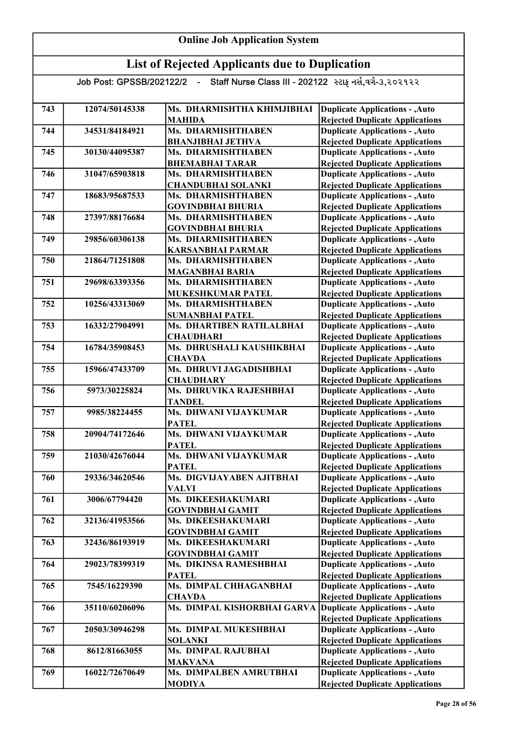| <b>Online Job Application System</b> |                            |                                                         |                                                                                  |
|--------------------------------------|----------------------------|---------------------------------------------------------|----------------------------------------------------------------------------------|
|                                      |                            | <b>List of Rejected Applicants due to Duplication</b>   |                                                                                  |
|                                      | Job Post: GPSSB/202122/2 - | Staff Nurse Class III - 202122 સ્ટાફ નર્સ,વર્ગ-૩,૨૦૨૧૨૨ |                                                                                  |
| 743                                  | 12074/50145338             | Ms. DHARMISHTHA KHIMJIBHAI<br><b>MAHIDA</b>             | <b>Duplicate Applications - , Auto</b><br><b>Rejected Duplicate Applications</b> |
| 744                                  | 34531/84184921             | Ms. DHARMISHTHABEN<br><b>BHANJIBHAI JETHVA</b>          | <b>Duplicate Applications - , Auto</b><br><b>Rejected Duplicate Applications</b> |
| 745                                  | 30130/44095387             | Ms. DHARMISHTHABEN<br><b>BHEMABHAI TARAR</b>            | <b>Duplicate Applications - , Auto</b><br><b>Rejected Duplicate Applications</b> |
| 746                                  | 31047/65903818             | Ms. DHARMISHTHABEN<br><b>CHANDUBHAI SOLANKI</b>         | <b>Duplicate Applications - , Auto</b><br><b>Rejected Duplicate Applications</b> |
| 747                                  | 18683/95687533             | Ms. DHARMISHTHABEN<br><b>GOVINDBHAI BHURIA</b>          | <b>Duplicate Applications - , Auto</b><br><b>Rejected Duplicate Applications</b> |
| 748                                  | 27397/88176684             | Ms. DHARMISHTHABEN<br><b>GOVINDBHAI BHURIA</b>          | <b>Duplicate Applications - , Auto</b><br><b>Rejected Duplicate Applications</b> |
| 749                                  | 29856/60306138             | Ms. DHARMISHTHABEN<br><b>KARSANBHAI PARMAR</b>          | <b>Duplicate Applications - , Auto</b><br><b>Rejected Duplicate Applications</b> |
| 750                                  | 21864/71251808             | Ms. DHARMISHTHABEN<br><b>MAGANBHAI BARIA</b>            | <b>Duplicate Applications - , Auto</b><br><b>Rejected Duplicate Applications</b> |
| 751                                  | 29698/63393356             | Ms. DHARMISHTHABEN<br>MUKESHKUMAR PATEL                 | <b>Duplicate Applications - , Auto</b><br><b>Rejected Duplicate Applications</b> |
| 752                                  | 10256/43313069             | <b>Ms. DHARMISHTHABEN</b><br><b>SUMANBHAI PATEL</b>     | <b>Duplicate Applications - , Auto</b><br><b>Rejected Duplicate Applications</b> |
| 753                                  | 16332/27904991             | <b>Ms. DHARTIBEN RATILALBHAI</b><br><b>CHAUDHARI</b>    | <b>Duplicate Applications - , Auto</b><br><b>Rejected Duplicate Applications</b> |
| 754                                  | 16784/35908453             | Ms. DHRUSHALI KAUSHIKBHAI<br><b>CHAVDA</b>              | <b>Duplicate Applications - , Auto</b><br><b>Rejected Duplicate Applications</b> |
| 755                                  | 15966/47433709             | Ms. DHRUVI JAGADISHBHAI<br><b>CHAUDHARY</b>             | <b>Duplicate Applications - , Auto</b><br><b>Rejected Duplicate Applications</b> |
| 756                                  | 5973/30225824              | Ms. DHRUVIKA RAJESHBHAI<br><b>TANDEL</b>                | <b>Duplicate Applications - , Auto</b><br><b>Rejected Duplicate Applications</b> |
| 757                                  | 9985/38224455              | Ms. DHWANI VIJAYKUMAR<br>PATEL                          | <b>Duplicate Applications - , Auto</b><br><b>Rejected Duplicate Applications</b> |
| 758                                  | 20904/74172646             | Ms. DHWANI VIJAYKUMAR<br><b>PATEL</b>                   | <b>Duplicate Applications - , Auto</b><br><b>Rejected Duplicate Applications</b> |
| 759                                  | 21030/42676044             | Ms. DHWANI VIJAYKUMAR<br><b>PATEL</b>                   | <b>Duplicate Applications - , Auto</b><br><b>Rejected Duplicate Applications</b> |
| 760                                  | 29336/34620546             | Ms. DIGVIJAYABEN AJITBHAI<br><b>VALVI</b>               | <b>Duplicate Applications - , Auto</b><br><b>Rejected Duplicate Applications</b> |
| 761                                  | 3006/67794420              | <b>Ms. DIKEESHAKUMARI</b><br><b>GOVINDBHAI GAMIT</b>    | <b>Duplicate Applications - , Auto</b><br><b>Rejected Duplicate Applications</b> |
| 762                                  | 32136/41953566             | Ms. DIKEESHAKUMARI<br><b>GOVINDBHAI GAMIT</b>           | <b>Duplicate Applications - , Auto</b><br><b>Rejected Duplicate Applications</b> |
| 763                                  | 32436/86193919             | Ms. DIKEESHAKUMARI<br><b>GOVINDBHAI GAMIT</b>           | <b>Duplicate Applications - , Auto</b><br><b>Rejected Duplicate Applications</b> |
| 764                                  | 29023/78399319             | Ms. DIKINSA RAMESHBHAI<br><b>PATEL</b>                  | <b>Duplicate Applications - , Auto</b><br><b>Rejected Duplicate Applications</b> |
| 765                                  | 7545/16229390              | Ms. DIMPAL CHHAGANBHAI<br><b>CHAVDA</b>                 | <b>Duplicate Applications - , Auto</b><br><b>Rejected Duplicate Applications</b> |
| 766                                  | 35110/60206096             | Ms. DIMPAL KISHORBHAI GARVA                             | <b>Duplicate Applications - , Auto</b><br><b>Rejected Duplicate Applications</b> |
| 767                                  | 20503/30946298             | Ms. DIMPAL MUKESHBHAI<br><b>SOLANKI</b>                 | <b>Duplicate Applications - , Auto</b><br><b>Rejected Duplicate Applications</b> |
| 768                                  | 8612/81663055              | Ms. DIMPAL RAJUBHAI<br><b>MAKVANA</b>                   | <b>Duplicate Applications - , Auto</b><br><b>Rejected Duplicate Applications</b> |
| 769                                  | 16022/72670649             | Ms. DIMPALBEN AMRUTBHAI<br><b>MODIYA</b>                | <b>Duplicate Applications - , Auto</b><br><b>Rejected Duplicate Applications</b> |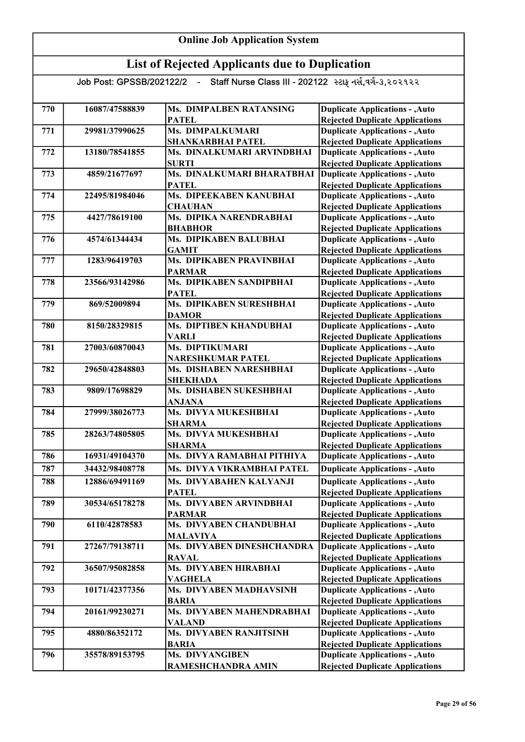| 770 | 16087/47588839 | <b>Ms. DIMPALBEN RATANSING</b>           | <b>Duplicate Applications - , Auto</b>                                           |
|-----|----------------|------------------------------------------|----------------------------------------------------------------------------------|
|     |                | <b>PATEL</b>                             | <b>Rejected Duplicate Applications</b>                                           |
| 771 | 29981/37990625 | Ms. DIMPALKUMARI                         | <b>Duplicate Applications - , Auto</b>                                           |
|     |                | SHANKARBHAI PATEL                        | <b>Rejected Duplicate Applications</b>                                           |
| 772 | 13180/78541855 | Ms. DINALKUMARI ARVINDBHAI               | <b>Duplicate Applications - , Auto</b>                                           |
|     |                | <b>SURTI</b>                             | <b>Rejected Duplicate Applications</b>                                           |
| 773 | 4859/21677697  | Ms. DINALKUMARI BHARATBHAI               | <b>Duplicate Applications - , Auto</b>                                           |
|     |                | <b>PATEL</b>                             | <b>Rejected Duplicate Applications</b>                                           |
| 774 | 22495/81984046 | Ms. DIPEEKABEN KANUBHAI                  | <b>Duplicate Applications - , Auto</b>                                           |
|     |                | <b>CHAUHAN</b>                           | <b>Rejected Duplicate Applications</b>                                           |
| 775 | 4427/78619100  | Ms. DIPIKA NARENDRABHAI                  | <b>Duplicate Applications - , Auto</b>                                           |
|     |                | <b>BHABHOR</b>                           | <b>Rejected Duplicate Applications</b>                                           |
| 776 | 4574/61344434  | Ms. DIPIKABEN BALUBHAI                   | <b>Duplicate Applications - , Auto</b>                                           |
|     |                | <b>GAMIT</b>                             | <b>Rejected Duplicate Applications</b>                                           |
| 777 | 1283/96419703  | Ms. DIPIKABEN PRAVINBHAI                 | <b>Duplicate Applications - , Auto</b>                                           |
|     |                | <b>PARMAR</b>                            | <b>Rejected Duplicate Applications</b>                                           |
| 778 | 23566/93142986 | Ms. DIPIKABEN SANDIPBHAI                 | <b>Duplicate Applications - , Auto</b>                                           |
| 779 | 869/52009894   | <b>PATEL</b><br>Ms. DIPIKABEN SURESHBHAI | <b>Rejected Duplicate Applications</b><br><b>Duplicate Applications - , Auto</b> |
|     |                | <b>DAMOR</b>                             |                                                                                  |
| 780 | 8150/28329815  | Ms. DIPTIBEN KHANDUBHAI                  | <b>Rejected Duplicate Applications</b><br><b>Duplicate Applications - , Auto</b> |
|     |                | <b>VARLI</b>                             | <b>Rejected Duplicate Applications</b>                                           |
| 781 | 27003/60870043 | Ms. DIPTIKUMARI                          | <b>Duplicate Applications - , Auto</b>                                           |
|     |                | <b>NARESHKUMAR PATEL</b>                 | <b>Rejected Duplicate Applications</b>                                           |
| 782 | 29650/42848803 | Ms. DISHABEN NARESHBHAI                  | <b>Duplicate Applications - , Auto</b>                                           |
|     |                | <b>SHEKHADA</b>                          | <b>Rejected Duplicate Applications</b>                                           |
| 783 | 9809/17698829  | Ms. DISHABEN SUKESHBHAI                  | <b>Duplicate Applications - , Auto</b>                                           |
|     |                | <b>ANJANA</b>                            | <b>Rejected Duplicate Applications</b>                                           |
| 784 | 27999/38026773 | Ms. DIVYA MUKESHBHAI                     | <b>Duplicate Applications - , Auto</b>                                           |
|     |                | <b>SHARMA</b>                            | <b>Rejected Duplicate Applications</b>                                           |
| 785 | 28263/74805805 | Ms. DIVYA MUKESHBHAI                     | <b>Duplicate Applications - , Auto</b>                                           |
|     |                | <b>SHARMA</b>                            | <b>Rejected Duplicate Applications</b>                                           |
| 786 | 16931/49104370 | Ms. DIVYA RAMABHAI PITHIYA               | <b>Duplicate Applications - , Auto</b>                                           |
| 787 | 34432/98408778 | Ms. DIVYA VIKRAMBHAI PATEL               | <b>Duplicate Applications - , Auto</b>                                           |
| 788 | 12886/69491169 | Ms. DIVYABAHEN KALYANJI                  | <b>Duplicate Applications - , Auto</b>                                           |
|     |                | <b>PATEL</b>                             | <b>Rejected Duplicate Applications</b>                                           |
| 789 | 30534/65178278 | Ms. DIVYABEN ARVINDBHAI                  | <b>Duplicate Applications - , Auto</b>                                           |
|     |                | <b>PARMAR</b>                            | <b>Rejected Duplicate Applications</b>                                           |
| 790 | 6110/42878583  | Ms. DIVYABEN CHANDUBHAI                  | <b>Duplicate Applications - , Auto</b>                                           |
|     |                | <b>MALAVIYA</b>                          | <b>Rejected Duplicate Applications</b>                                           |
| 791 | 27267/79138711 | Ms. DIVYABEN DINESHCHANDRA               | <b>Duplicate Applications - , Auto</b>                                           |
|     |                | <b>RAVAL</b>                             | <b>Rejected Duplicate Applications</b>                                           |
| 792 | 36507/95082858 | Ms. DIVYABEN HIRABHAI                    | <b>Duplicate Applications - , Auto</b>                                           |
|     |                | VAGHELA                                  | <b>Rejected Duplicate Applications</b>                                           |
| 793 | 10171/42377356 | Ms. DIVYABEN MADHAVSINH                  | <b>Duplicate Applications - , Auto</b>                                           |
|     |                | <b>BARIA</b>                             | <b>Rejected Duplicate Applications</b>                                           |
| 794 | 20161/99230271 | Ms. DIVYABEN MAHENDRABHAI                | <b>Duplicate Applications - , Auto</b>                                           |
|     |                | <b>VALAND</b>                            | <b>Rejected Duplicate Applications</b>                                           |
| 795 | 4880/86352172  | Ms. DIVYABEN RANJITSINH                  | <b>Duplicate Applications - , Auto</b>                                           |
|     |                | <b>BARIA</b>                             | <b>Rejected Duplicate Applications</b>                                           |
| 796 | 35578/89153795 | <b>Ms. DIVYANGIBEN</b>                   | <b>Duplicate Applications - , Auto</b>                                           |
|     |                | RAMESHCHANDRA AMIN                       | <b>Rejected Duplicate Applications</b>                                           |
|     |                |                                          |                                                                                  |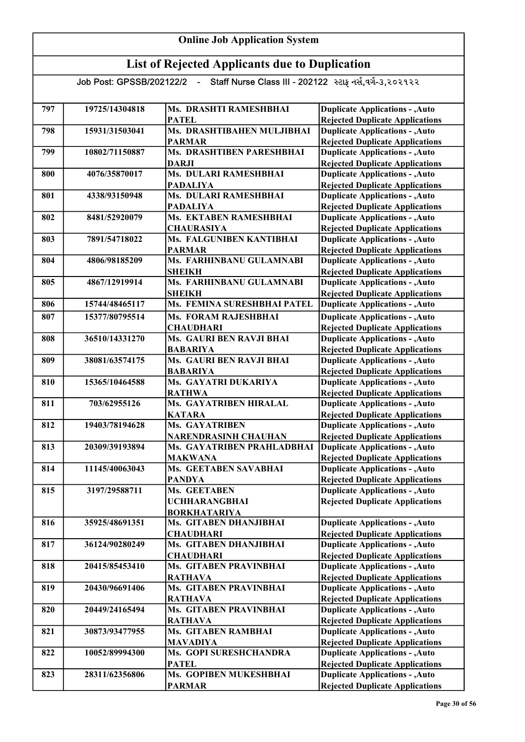| 797 | 19725/14304818 | Ms. DRASHTI RAMESHBHAI      | <b>Duplicate Applications - , Auto</b> |
|-----|----------------|-----------------------------|----------------------------------------|
|     |                | <b>PATEL</b>                | <b>Rejected Duplicate Applications</b> |
| 798 | 15931/31503041 | Ms. DRASHTIBAHEN MULJIBHAI  | <b>Duplicate Applications - , Auto</b> |
|     |                | <b>PARMAR</b>               | <b>Rejected Duplicate Applications</b> |
| 799 | 10802/71150887 | Ms. DRASHTIBEN PARESHBHAI   | <b>Duplicate Applications - , Auto</b> |
|     |                | <b>DARJI</b>                | <b>Rejected Duplicate Applications</b> |
| 800 | 4076/35870017  | Ms. DULARI RAMESHBHAI       | <b>Duplicate Applications - , Auto</b> |
|     |                | <b>PADALIYA</b>             | <b>Rejected Duplicate Applications</b> |
| 801 | 4338/93150948  | Ms. DULARI RAMESHBHAI       | <b>Duplicate Applications - , Auto</b> |
|     |                | <b>PADALIYA</b>             | <b>Rejected Duplicate Applications</b> |
| 802 | 8481/52920079  | Ms. EKTABEN RAMESHBHAI      | <b>Duplicate Applications - , Auto</b> |
|     |                | <b>CHAURASIYA</b>           | <b>Rejected Duplicate Applications</b> |
| 803 | 7891/54718022  | Ms. FALGUNIBEN KANTIBHAI    | <b>Duplicate Applications - , Auto</b> |
|     |                | <b>PARMAR</b>               | <b>Rejected Duplicate Applications</b> |
| 804 | 4806/98185209  | Ms. FARHINBANU GULAMNABI    | <b>Duplicate Applications - , Auto</b> |
|     |                | <b>SHEIKH</b>               | <b>Rejected Duplicate Applications</b> |
| 805 | 4867/12919914  | Ms. FARHINBANU GULAMNABI    | <b>Duplicate Applications - , Auto</b> |
|     |                | <b>SHEIKH</b>               | <b>Rejected Duplicate Applications</b> |
| 806 | 15744/48465117 | Ms. FEMINA SURESHBHAI PATEL | <b>Duplicate Applications - , Auto</b> |
| 807 | 15377/80795514 | <b>Ms. FORAM RAJESHBHAI</b> | <b>Duplicate Applications - , Auto</b> |
|     |                | <b>CHAUDHARI</b>            | <b>Rejected Duplicate Applications</b> |
| 808 | 36510/14331270 | Ms. GAURI BEN RAVJI BHAI    | <b>Duplicate Applications - , Auto</b> |
|     |                | <b>BABARIYA</b>             | <b>Rejected Duplicate Applications</b> |
| 809 | 38081/63574175 | Ms. GAURI BEN RAVJI BHAI    | <b>Duplicate Applications - , Auto</b> |
|     |                | <b>BABARIYA</b>             | <b>Rejected Duplicate Applications</b> |
| 810 | 15365/10464588 | Ms. GAYATRI DUKARIYA        | <b>Duplicate Applications - , Auto</b> |
|     |                | <b>RATHWA</b>               | <b>Rejected Duplicate Applications</b> |
| 811 | 703/62955126   | Ms. GAYATRIBEN HIRALAL      | <b>Duplicate Applications - , Auto</b> |
|     |                | <b>KATARA</b>               | <b>Rejected Duplicate Applications</b> |
| 812 | 19403/78194628 | Ms. GAYATRIBEN              | <b>Duplicate Applications - , Auto</b> |
|     |                | <b>NARENDRASINH CHAUHAN</b> | <b>Rejected Duplicate Applications</b> |
| 813 | 20309/39193894 | Ms. GAYATRIBEN PRAHLADBHAI  | <b>Duplicate Applications - , Auto</b> |
|     |                | <b>MAKWANA</b>              | <b>Rejected Duplicate Applications</b> |
| 814 | 11145/40063043 | Ms. GEETABEN SAVABHAI       | <b>Duplicate Applications - , Auto</b> |
|     |                | <b>PANDYA</b>               | <b>Rejected Duplicate Applications</b> |
| 815 | 3197/29588711  | Ms. GEETABEN                | <b>Duplicate Applications - , Auto</b> |
|     |                | <b>UCHHARANGBHAI</b>        | <b>Rejected Duplicate Applications</b> |
|     |                | <b>BORKHATARIYA</b>         |                                        |
| 816 | 35925/48691351 | Ms. GITABEN DHANJIBHAI      | <b>Duplicate Applications - , Auto</b> |
|     |                | <b>CHAUDHARI</b>            | <b>Rejected Duplicate Applications</b> |
| 817 | 36124/90280249 | Ms. GITABEN DHANJIBHAI      | <b>Duplicate Applications - , Auto</b> |
|     |                | <b>CHAUDHARI</b>            | <b>Rejected Duplicate Applications</b> |
| 818 | 20415/85453410 | Ms. GITABEN PRAVINBHAI      | <b>Duplicate Applications - , Auto</b> |
|     |                | <b>RATHAVA</b>              | <b>Rejected Duplicate Applications</b> |
| 819 | 20430/96691406 | Ms. GITABEN PRAVINBHAI      | <b>Duplicate Applications - , Auto</b> |
|     |                | <b>RATHAVA</b>              | <b>Rejected Duplicate Applications</b> |
| 820 | 20449/24165494 | Ms. GITABEN PRAVINBHAI      | <b>Duplicate Applications - , Auto</b> |
|     |                | <b>RATHAVA</b>              | <b>Rejected Duplicate Applications</b> |
| 821 | 30873/93477955 | Ms. GITABEN RAMBHAI         | <b>Duplicate Applications - , Auto</b> |
|     |                | <b>MAVADIYA</b>             | <b>Rejected Duplicate Applications</b> |
| 822 | 10052/89994300 | Ms. GOPI SURESHCHANDRA      | <b>Duplicate Applications - , Auto</b> |
|     |                | <b>PATEL</b>                | <b>Rejected Duplicate Applications</b> |
| 823 | 28311/62356806 | Ms. GOPIBEN MUKESHBHAI      | <b>Duplicate Applications - , Auto</b> |
|     |                | <b>PARMAR</b>               | <b>Rejected Duplicate Applications</b> |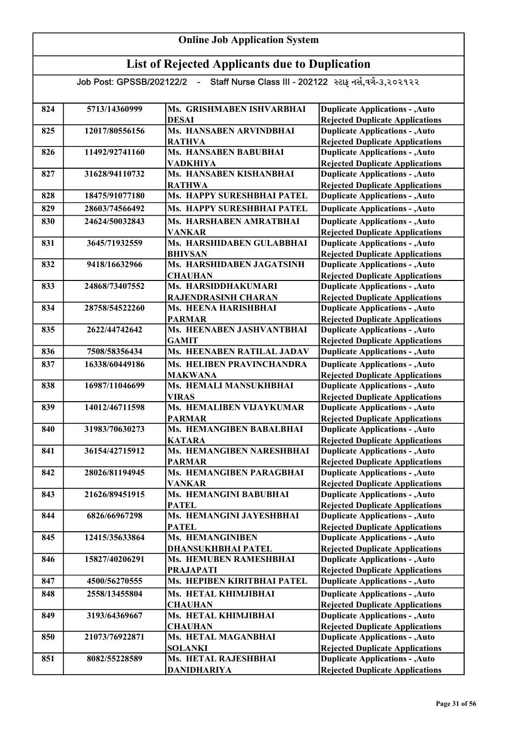| 824 | 5713/14360999  | Ms. GRISHMABEN ISHVARBHAI                  | <b>Duplicate Applications - , Auto</b>                                           |
|-----|----------------|--------------------------------------------|----------------------------------------------------------------------------------|
|     |                | <b>DESAI</b>                               | <b>Rejected Duplicate Applications</b>                                           |
| 825 | 12017/80556156 | Ms. HANSABEN ARVINDBHAI                    | <b>Duplicate Applications - , Auto</b>                                           |
|     |                | <b>RATHVA</b>                              | <b>Rejected Duplicate Applications</b>                                           |
| 826 | 11492/92741160 | <b>Ms. HANSABEN BABUBHAI</b>               | <b>Duplicate Applications - , Auto</b>                                           |
|     |                | <b>VADKHIYA</b>                            | <b>Rejected Duplicate Applications</b>                                           |
| 827 | 31628/94110732 | Ms. HANSABEN KISHANBHAI                    | <b>Duplicate Applications - , Auto</b>                                           |
|     |                | <b>RATHWA</b>                              | <b>Rejected Duplicate Applications</b>                                           |
| 828 | 18475/91077180 | Ms. HAPPY SURESHBHAI PATEL                 | <b>Duplicate Applications - , Auto</b>                                           |
| 829 | 28603/74566492 | Ms. HAPPY SURESHBHAI PATEL                 | <b>Duplicate Applications - , Auto</b>                                           |
| 830 | 24624/50032843 | Ms. HARSHABEN AMRATBHAI                    | <b>Duplicate Applications - , Auto</b>                                           |
|     |                | <b>VANKAR</b>                              | <b>Rejected Duplicate Applications</b>                                           |
| 831 | 3645/71932559  | Ms. HARSHIDABEN GULABBHAI                  | <b>Duplicate Applications - , Auto</b>                                           |
|     |                | <b>BHIVSAN</b>                             | <b>Rejected Duplicate Applications</b>                                           |
| 832 | 9418/16632966  | Ms. HARSHIDABEN JAGATSINH                  | <b>Duplicate Applications - , Auto</b>                                           |
|     |                | <b>CHAUHAN</b>                             | <b>Rejected Duplicate Applications</b>                                           |
| 833 | 24868/73407552 | Ms. HARSIDDHAKUMARI                        | <b>Duplicate Applications - , Auto</b>                                           |
|     |                | RAJENDRASINH CHARAN                        | <b>Rejected Duplicate Applications</b>                                           |
| 834 | 28758/54522260 | Ms. HEENA HARISHBHAI                       | <b>Duplicate Applications - , Auto</b>                                           |
|     |                | <b>PARMAR</b>                              | <b>Rejected Duplicate Applications</b>                                           |
| 835 | 2622/44742642  | Ms. HEENABEN JASHVANTBHAI                  | <b>Duplicate Applications - , Auto</b>                                           |
|     |                | <b>GAMIT</b>                               | <b>Rejected Duplicate Applications</b>                                           |
| 836 | 7508/58356434  | Ms. HEENABEN RATILAL JADAV                 | <b>Duplicate Applications - , Auto</b>                                           |
| 837 | 16338/60449186 | Ms. HELIBEN PRAVINCHANDRA                  | <b>Duplicate Applications - , Auto</b>                                           |
|     |                | <b>MAKWANA</b>                             | <b>Rejected Duplicate Applications</b>                                           |
| 838 | 16987/11046699 | Ms. HEMALI MANSUKHBHAI                     | <b>Duplicate Applications - , Auto</b>                                           |
|     |                | <b>VIRAS</b>                               | <b>Rejected Duplicate Applications</b>                                           |
| 839 | 14012/46711598 | Ms. HEMALIBEN VIJAYKUMAR                   | <b>Duplicate Applications - , Auto</b>                                           |
|     |                | <b>PARMAR</b>                              | <b>Rejected Duplicate Applications</b>                                           |
| 840 | 31983/70630273 | Ms. HEMANGIBEN BABALBHAI                   | <b>Duplicate Applications - , Auto</b>                                           |
| 841 | 36154/42715912 | <b>KATARA</b><br>Ms. HEMANGIBEN NARESHBHAI | <b>Rejected Duplicate Applications</b><br><b>Duplicate Applications - , Auto</b> |
|     |                | <b>PARMAR</b>                              | <b>Rejected Duplicate Applications</b>                                           |
| 842 | 28026/81194945 | Ms. HEMANGIBEN PARAGBHAI                   | <b>Duplicate Applications - , Auto</b>                                           |
|     |                | <b>VANKAR</b>                              | <b>Rejected Duplicate Applications</b>                                           |
| 843 | 21626/89451915 | Ms. HEMANGINI BABUBHAI                     | <b>Duplicate Applications - , Auto</b>                                           |
|     |                | <b>PATEL</b>                               | <b>Rejected Duplicate Applications</b>                                           |
| 844 | 6826/66967298  | Ms. HEMANGINI JAYESHBHAI                   | <b>Duplicate Applications - , Auto</b>                                           |
|     |                | <b>PATEL</b>                               | <b>Rejected Duplicate Applications</b>                                           |
| 845 | 12415/35633864 | <b>Ms. HEMANGINIBEN</b>                    | <b>Duplicate Applications - , Auto</b>                                           |
|     |                | <b>DHANSUKHBHAI PATEL</b>                  | <b>Rejected Duplicate Applications</b>                                           |
| 846 | 15827/40206291 | Ms. HEMUBEN RAMESHBHAI                     | <b>Duplicate Applications - , Auto</b>                                           |
|     |                | <b>PRAJAPATI</b>                           | <b>Rejected Duplicate Applications</b>                                           |
| 847 | 4500/56270555  | Ms. HEPIBEN KIRITBHAI PATEL                | <b>Duplicate Applications - , Auto</b>                                           |
| 848 | 2558/13455804  | Ms. HETAL KHIMJIBHAI                       | <b>Duplicate Applications - , Auto</b>                                           |
|     |                | <b>CHAUHAN</b>                             | <b>Rejected Duplicate Applications</b>                                           |
| 849 | 3193/64369667  | Ms. HETAL KHIMJIBHAI                       | <b>Duplicate Applications - , Auto</b>                                           |
|     |                | <b>CHAUHAN</b>                             | <b>Rejected Duplicate Applications</b>                                           |
| 850 | 21073/76922871 | Ms. HETAL MAGANBHAI                        | <b>Duplicate Applications - , Auto</b>                                           |
|     |                | <b>SOLANKI</b>                             | <b>Rejected Duplicate Applications</b>                                           |
| 851 | 8082/55228589  | Ms. HETAL RAJESHBHAI                       | <b>Duplicate Applications - , Auto</b>                                           |
|     |                | DANIDHARIYA                                | <b>Rejected Duplicate Applications</b>                                           |
|     |                |                                            |                                                                                  |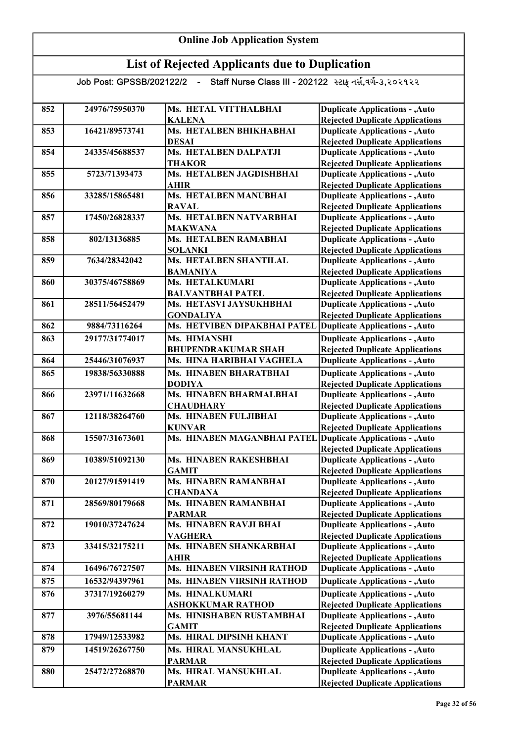| 852 | 24976/75950370 | Ms. HETAL VITTHALBHAI                     | <b>Duplicate Applications - , Auto</b>                                           |
|-----|----------------|-------------------------------------------|----------------------------------------------------------------------------------|
|     |                | <b>KALENA</b>                             | <b>Rejected Duplicate Applications</b>                                           |
| 853 | 16421/89573741 | Ms. HETALBEN BHIKHABHAI                   | <b>Duplicate Applications - , Auto</b>                                           |
|     |                | <b>DESAI</b>                              | <b>Rejected Duplicate Applications</b>                                           |
| 854 | 24335/45688537 | <b>Ms. HETALBEN DALPATJI</b>              | <b>Duplicate Applications - , Auto</b>                                           |
|     |                | <b>THAKOR</b><br>Ms. HETALBEN JAGDISHBHAI | <b>Rejected Duplicate Applications</b>                                           |
| 855 | 5723/71393473  |                                           | <b>Duplicate Applications - , Auto</b>                                           |
| 856 | 33285/15865481 | <b>AHIR</b><br>Ms. HETALBEN MANUBHAI      | <b>Rejected Duplicate Applications</b><br><b>Duplicate Applications - , Auto</b> |
|     |                | <b>RAVAL</b>                              |                                                                                  |
| 857 | 17450/26828337 | Ms. HETALBEN NATVARBHAI                   | <b>Rejected Duplicate Applications</b><br><b>Duplicate Applications - , Auto</b> |
|     |                | <b>MAKWANA</b>                            | <b>Rejected Duplicate Applications</b>                                           |
| 858 | 802/13136885   | <b>Ms. HETALBEN RAMABHAI</b>              | <b>Duplicate Applications - , Auto</b>                                           |
|     |                | <b>SOLANKI</b>                            | <b>Rejected Duplicate Applications</b>                                           |
| 859 | 7634/28342042  | Ms. HETALBEN SHANTILAL                    | <b>Duplicate Applications - , Auto</b>                                           |
|     |                | <b>BAMANIYA</b>                           | <b>Rejected Duplicate Applications</b>                                           |
| 860 | 30375/46758869 | <b>Ms. HETALKUMARI</b>                    | <b>Duplicate Applications - , Auto</b>                                           |
|     |                | <b>BALVANTBHAI PATEL</b>                  | <b>Rejected Duplicate Applications</b>                                           |
| 861 | 28511/56452479 | Ms. HETASVI JAYSUKHBHAI                   | <b>Duplicate Applications - , Auto</b>                                           |
|     |                | <b>GONDALIYA</b>                          | <b>Rejected Duplicate Applications</b>                                           |
| 862 | 9884/73116264  | Ms. HETVIBEN DIPAKBHAI PATEL              | <b>Duplicate Applications - , Auto</b>                                           |
| 863 | 29177/31774017 | Ms. HIMANSHI                              | <b>Duplicate Applications - , Auto</b>                                           |
|     |                | <b>BHUPENDRAKUMAR SHAH</b>                | <b>Rejected Duplicate Applications</b>                                           |
| 864 | 25446/31076937 | Ms. HINA HARIBHAI VAGHELA                 | <b>Duplicate Applications - , Auto</b>                                           |
| 865 | 19838/56330888 | Ms. HINABEN BHARATBHAI                    | <b>Duplicate Applications - , Auto</b>                                           |
|     |                | <b>DODIYA</b>                             | <b>Rejected Duplicate Applications</b>                                           |
| 866 | 23971/11632668 | Ms. HINABEN BHARMALBHAI                   | <b>Duplicate Applications - , Auto</b>                                           |
|     |                | <b>CHAUDHARY</b>                          | <b>Rejected Duplicate Applications</b>                                           |
| 867 | 12118/38264760 | Ms. HINABEN FULJIBHAI                     | <b>Duplicate Applications - , Auto</b>                                           |
|     |                | <b>KUNVAR</b>                             | <b>Rejected Duplicate Applications</b>                                           |
| 868 | 15507/31673601 | Ms. HINABEN MAGANBHAI PATEL               | Duplicate Applications - , Auto                                                  |
|     |                |                                           | <b>Rejected Duplicate Applications</b>                                           |
| 869 | 10389/51092130 | <b>Ms. HINABEN RAKESHBHAI</b>             | <b>Duplicate Applications - , Auto</b>                                           |
|     |                | <b>GAMIT</b>                              | <b>Rejected Duplicate Applications</b>                                           |
| 870 | 20127/91591419 | Ms. HINABEN RAMANBHAI                     | <b>Duplicate Applications - , Auto</b>                                           |
|     |                | <b>CHANDANA</b>                           | <b>Rejected Duplicate Applications</b>                                           |
| 871 | 28569/80179668 | Ms. HINABEN RAMANBHAI                     | <b>Duplicate Applications - , Auto</b>                                           |
|     |                | <b>PARMAR</b>                             | <b>Rejected Duplicate Applications</b>                                           |
| 872 | 19010/37247624 | Ms. HINABEN RAVJI BHAI                    | <b>Duplicate Applications - , Auto</b>                                           |
|     |                | <b>VAGHERA</b>                            | <b>Rejected Duplicate Applications</b>                                           |
| 873 | 33415/32175211 | Ms. HINABEN SHANKARBHAI                   | <b>Duplicate Applications - , Auto</b>                                           |
|     |                | <b>AHIR</b>                               | <b>Rejected Duplicate Applications</b>                                           |
| 874 | 16496/76727507 | Ms. HINABEN VIRSINH RATHOD                | <b>Duplicate Applications - , Auto</b>                                           |
| 875 | 16532/94397961 | <b>Ms. HINABEN VIRSINH RATHOD</b>         | <b>Duplicate Applications - , Auto</b>                                           |
| 876 | 37317/19260279 | Ms. HINALKUMARI                           | <b>Duplicate Applications - , Auto</b>                                           |
|     |                | <b>ASHOKKUMAR RATHOD</b>                  | <b>Rejected Duplicate Applications</b>                                           |
| 877 | 3976/55681144  | Ms. HINISHABEN RUSTAMBHAI                 | <b>Duplicate Applications - , Auto</b>                                           |
|     |                | <b>GAMIT</b>                              | <b>Rejected Duplicate Applications</b>                                           |
| 878 | 17949/12533982 | Ms. HIRAL DIPSINH KHANT                   | <b>Duplicate Applications - , Auto</b>                                           |
| 879 | 14519/26267750 | Ms. HIRAL MANSUKHLAL                      | <b>Duplicate Applications - , Auto</b>                                           |
|     |                | <b>PARMAR</b>                             | <b>Rejected Duplicate Applications</b>                                           |
| 880 | 25472/27268870 | Ms. HIRAL MANSUKHLAL                      | <b>Duplicate Applications - , Auto</b>                                           |
|     |                | <b>PARMAR</b>                             | <b>Rejected Duplicate Applications</b>                                           |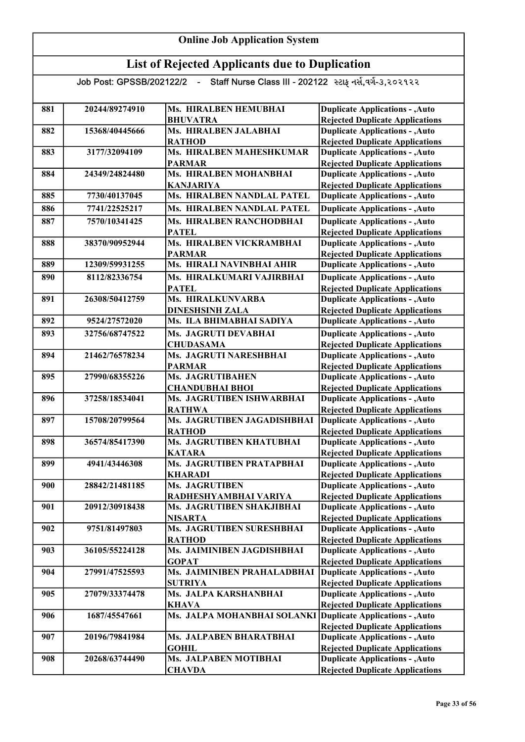| 881 | 20244/89274910 | Ms. HIRALBEN HEMUBHAI                          | <b>Duplicate Applications - , Auto</b>                                           |
|-----|----------------|------------------------------------------------|----------------------------------------------------------------------------------|
|     |                | <b>BHUVATRA</b>                                | <b>Rejected Duplicate Applications</b>                                           |
| 882 | 15368/40445666 | Ms. HIRALBEN JALABHAI                          | <b>Duplicate Applications - , Auto</b>                                           |
|     |                | <b>RATHOD</b>                                  | <b>Rejected Duplicate Applications</b>                                           |
| 883 | 3177/32094109  | <b>Ms. HIRALBEN MAHESHKUMAR</b>                | <b>Duplicate Applications - , Auto</b>                                           |
|     |                | <b>PARMAR</b>                                  | <b>Rejected Duplicate Applications</b>                                           |
| 884 | 24349/24824480 | Ms. HIRALBEN MOHANBHAI                         | <b>Duplicate Applications - , Auto</b>                                           |
| 885 | 7730/40137045  | <b>KANJARIYA</b><br>Ms. HIRALBEN NANDLAL PATEL | <b>Rejected Duplicate Applications</b><br><b>Duplicate Applications - , Auto</b> |
|     |                |                                                |                                                                                  |
| 886 | 7741/22525217  | <b>Ms. HIRALBEN NANDLAL PATEL</b>              | <b>Duplicate Applications - , Auto</b>                                           |
| 887 | 7570/10341425  | Ms. HIRALBEN RANCHODBHAI                       | <b>Duplicate Applications - , Auto</b>                                           |
|     |                | <b>PATEL</b>                                   | <b>Rejected Duplicate Applications</b>                                           |
| 888 | 38370/90952944 | Ms. HIRALBEN VICKRAMBHAI                       | <b>Duplicate Applications - , Auto</b>                                           |
| 889 | 12309/59931255 | <b>PARMAR</b><br>Ms. HIRALI NAVINBHAI AHIR     | <b>Rejected Duplicate Applications</b><br><b>Duplicate Applications - , Auto</b> |
|     |                |                                                |                                                                                  |
| 890 | 8112/82336754  | Ms. HIRALKUMARI VAJIRBHAI                      | <b>Duplicate Applications - , Auto</b>                                           |
| 891 | 26308/50412759 | <b>PATEL</b><br>Ms. HIRALKUNVARBA              | <b>Rejected Duplicate Applications</b><br><b>Duplicate Applications - , Auto</b> |
|     |                | <b>DINESHSINH ZALA</b>                         | <b>Rejected Duplicate Applications</b>                                           |
| 892 | 9524/27572020  | Ms. ILA BHIMABHAI SADIYA                       | <b>Duplicate Applications - , Auto</b>                                           |
|     |                |                                                |                                                                                  |
| 893 | 32756/68747522 | Ms. JAGRUTI DEVABHAI                           | <b>Duplicate Applications - , Auto</b>                                           |
| 894 | 21462/76578234 | <b>CHUDASAMA</b><br>Ms. JAGRUTI NARESHBHAI     | <b>Rejected Duplicate Applications</b><br><b>Duplicate Applications - , Auto</b> |
|     |                | <b>PARMAR</b>                                  | <b>Rejected Duplicate Applications</b>                                           |
| 895 | 27990/68355226 | <b>Ms. JAGRUTIBAHEN</b>                        | <b>Duplicate Applications - , Auto</b>                                           |
|     |                | <b>CHANDUBHAI BHOI</b>                         | <b>Rejected Duplicate Applications</b>                                           |
| 896 | 37258/18534041 | Ms. JAGRUTIBEN ISHWARBHAI                      | <b>Duplicate Applications - , Auto</b>                                           |
|     |                | <b>RATHWA</b>                                  | <b>Rejected Duplicate Applications</b>                                           |
| 897 | 15708/20799564 | Ms. JAGRUTIBEN JAGADISHBHAI                    | <b>Duplicate Applications - , Auto</b>                                           |
|     |                | <b>RATHOD</b>                                  | <b>Rejected Duplicate Applications</b>                                           |
| 898 | 36574/85417390 | Ms. JAGRUTIBEN KHATUBHAI                       | <b>Duplicate Applications - , Auto</b>                                           |
|     |                | <b>KATARA</b>                                  | <b>Rejected Duplicate Applications</b>                                           |
| 899 | 4941/43446308  | Ms. JAGRUTIBEN PRATAPBHAI                      | <b>Duplicate Applications - , Auto</b>                                           |
|     |                | <b>KHARADI</b>                                 | <b>Rejected Duplicate Applications</b>                                           |
| 900 | 28842/21481185 | <b>Ms. JAGRUTIBEN</b>                          | <b>Duplicate Applications - , Auto</b>                                           |
|     |                | RADHESHYAMBHAI VARIYA                          | <b>Rejected Duplicate Applications</b>                                           |
| 901 | 20912/30918438 | Ms. JAGRUTIBEN SHAKJIBHAI                      | <b>Duplicate Applications - , Auto</b>                                           |
|     |                | <b>NISARTA</b>                                 | <b>Rejected Duplicate Applications</b>                                           |
| 902 | 9751/81497803  | Ms. JAGRUTIBEN SURESHBHAI                      | <b>Duplicate Applications - , Auto</b>                                           |
|     |                | <b>RATHOD</b>                                  | <b>Rejected Duplicate Applications</b>                                           |
| 903 | 36105/55224128 | Ms. JAIMINIBEN JAGDISHBHAI                     | <b>Duplicate Applications - , Auto</b>                                           |
|     |                | <b>GOPAT</b>                                   | <b>Rejected Duplicate Applications</b>                                           |
| 904 | 27991/47525593 | Ms. JAIMINIBEN PRAHALADBHAI                    | <b>Duplicate Applications - , Auto</b>                                           |
|     |                | <b>SUTRIYA</b>                                 | <b>Rejected Duplicate Applications</b>                                           |
| 905 | 27079/33374478 | Ms. JALPA KARSHANBHAI                          | <b>Duplicate Applications - , Auto</b>                                           |
| 906 | 1687/45547661  | <b>KHAVA</b><br>Ms. JALPA MOHANBHAI SOLANKI    | <b>Rejected Duplicate Applications</b><br>Duplicate Applications - , Auto        |
|     |                |                                                | <b>Rejected Duplicate Applications</b>                                           |
| 907 | 20196/79841984 | Ms. JALPABEN BHARATBHAI                        | <b>Duplicate Applications - , Auto</b>                                           |
|     |                | <b>GOHIL</b>                                   | <b>Rejected Duplicate Applications</b>                                           |
| 908 | 20268/63744490 | Ms. JALPABEN MOTIBHAI                          | <b>Duplicate Applications - , Auto</b>                                           |
|     |                | <b>CHAVDA</b>                                  | <b>Rejected Duplicate Applications</b>                                           |
|     |                |                                                |                                                                                  |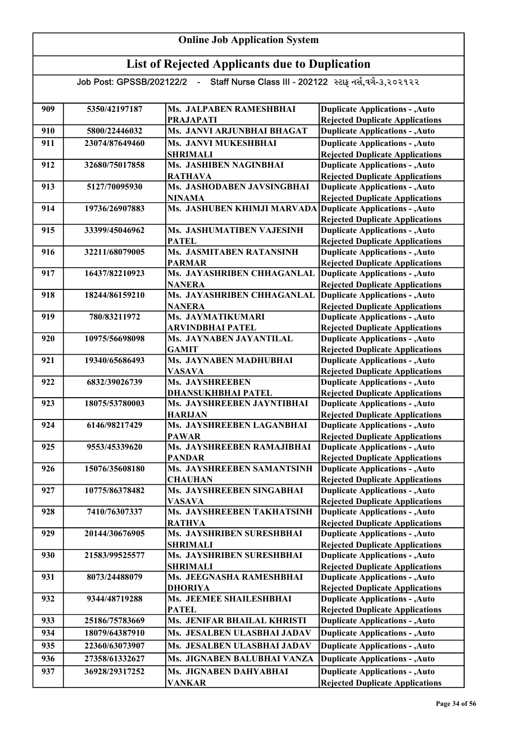#### Online Job Application System List of Rejected Applicants due to Duplication Job Post: GPSSB/202122/2 - Staff Nurse Class III - 202122 સ્ટાફ નર્સ,વર્ગ-૩,૨૦૨૧૨૨ 909 5350/42197187 Ms. JALPABEN RAMESHBHAI PRAJAPATI 910 5800/22446032 Ms. JANVI ARJUNBHAI BHAGAT 911 23074/87649460 Ms. JANVI MUKESHBHAI SHRIMALI 912 32680/75017858 Ms. JASHIBEN NAGINBHAI RATHAVA 913 5127/70095930 Ms. JASHODABEN JAVSINGBHAI NINAMA 914 19736/26907883 Ms. JASHUBEN KHIMJI MARVADA 915 33399/45046962 Ms. JASHUMATIBEN VAJESINH PATEL 916 32211/68079005 Ms. JASMITABEN RATANSINH PARMAR 917 16437/82210923 Ms. JAYASHRIBEN CHHAGANLAL NANERA 918 18244/86159210 Ms. JAYASHRIBEN CHHAGANLAL NANERA 919 780/83211972 Ms. JAYMATIKUMARI ARVINDBHAI PATEL 920 10975/56698098 Ms. JAYNABEN JAYANTILAL GAMIT 921 19340/65686493 Ms. JAYNABEN MADHUBHAI VASAVA 922 6832/39026739 Ms. JAYSHREEBEN DHANSUKHBHAI PATEL 923 18075/53780003 Ms. JAYSHREEBEN JAYNTIBHAI HARIJAN 924 6146/98217429 Ms. JAYSHREEBEN LAGANBHAI PAWAR 925 | 9553/45339620 Ms. JAYSHREEBEN RAMAJIBHAI PANDAR 926 15076/35608180 Ms. JAYSHREEBEN SAMANTSINH **CHAUHAN** 927 | 10775/86378482 | Ms. JAYSHREEBEN SINGABHAI VASAVA 928 7410/76307337 Ms. JAYSHREEBEN TAKHATSINH RATHVA 929 20144/30676905 Ms. JAYSHRIBEN SURESHBHAI SHRIMALI 930 21583/99525577 Ms. JAYSHRIBEN SURESHBHAI SHRIMALI 931 8073/24488079 Ms. JEEGNASHA RAMESHBHAI DHORIYA 932 9344/48719288 Ms. JEEMEE SHAILESHBHAI PATEL 933 25186/75783669 Ms. JENIFAR BHAILAL KHRISTI 934 18079/64387910 Ms. JESALBEN ULASBHAI JADAV 935 22360/63073907 Ms. JESALBEN ULASBHAI JADAV 936 27358/61332627 Ms. JIGNABEN BALUBHAI VANZA 937 36928/29317252 Ms. JIGNABEN DAHYARHAI VANKAR **Duplicate Applications - , Auto** Rejected Duplicate Applications Duplicate Applications - ,Auto Rejected Duplicate Applications Duplicate Applications - ,Auto Rejected Duplicate Applications Duplicate Applications - ,Auto **Duplicate Applications - ,Auto Duplicate Applications - ,Auto Duplicate Applications - ,Auto** Duplicate Applications - ,Auto Rejected Duplicate Applications Duplicate Applications - ,Auto Rejected Duplicate Applications Duplicate Applications - ,Auto Rejected Duplicate Applications Duplicate Applications - ,Auto Rejected Duplicate Applications Duplicate Applications - ,Auto Rejected Duplicate Applications Duplicate Applications - ,Auto Rejected Duplicate Applications Duplicate Applications - ,Auto Rejected Duplicate Applications Duplicate Applications - ,Auto Rejected Duplicate Applications Duplicate Applications - ,Auto Rejected Duplicate Applications Duplicate Applications - ,Auto Rejected Duplicate Applications Duplicate Applications - ,Auto Rejected Duplicate Applications Duplicate Applications - ,Auto Rejected Duplicate Applications Duplicate Applications - ,Auto Rejected Duplicate Applications Duplicate Applications - ,Auto Rejected Duplicate Applications Duplicate Applications - ,Auto Rejected Duplicate Applications Duplicate Applications - ,Auto Rejected Duplicate Applications Duplicate Applications - ,Auto Rejected Duplicate Applications Duplicate Applications - ,Auto Rejected Duplicate Applications Duplicate Applications - ,Auto Rejected Duplicate Applications Duplicate Applications - ,Auto **Duplicate Applications - ,Auto** Rejected Duplicate Applications Duplicate Applications - ,Auto Rejected Duplicate Applications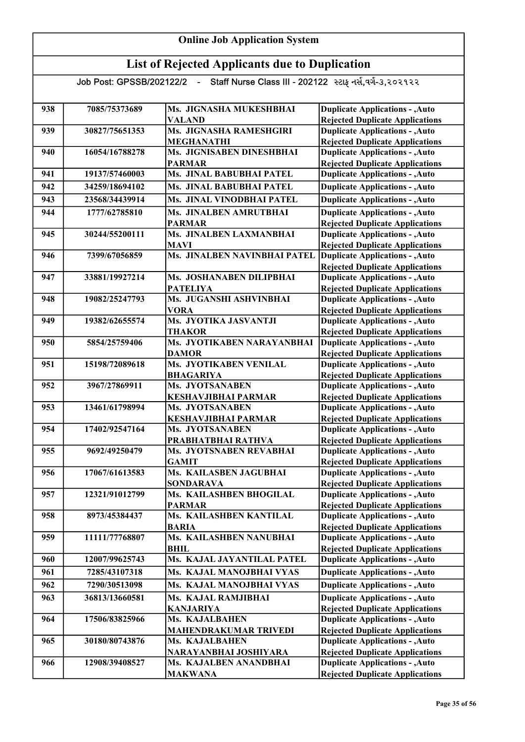| 938 | 7085/75373689  | Ms. JIGNASHA MUKESHBHAI                     | <b>Duplicate Applications - , Auto</b>                                           |
|-----|----------------|---------------------------------------------|----------------------------------------------------------------------------------|
|     |                | <b>VALAND</b>                               | <b>Rejected Duplicate Applications</b>                                           |
| 939 | 30827/75651353 | Ms. JIGNASHA RAMESHGIRI                     | <b>Duplicate Applications - , Auto</b>                                           |
|     |                | <b>MEGHANATHI</b>                           | <b>Rejected Duplicate Applications</b>                                           |
| 940 | 16054/16788278 | Ms. JIGNISABEN DINESHBHAI                   | <b>Duplicate Applications - , Auto</b>                                           |
|     |                | <b>PARMAR</b>                               | <b>Rejected Duplicate Applications</b>                                           |
| 941 | 19137/57460003 | Ms. JINAL BABUBHAI PATEL                    | <b>Duplicate Applications - , Auto</b>                                           |
| 942 | 34259/18694102 | Ms. JINAL BABUBHAI PATEL                    | <b>Duplicate Applications - , Auto</b>                                           |
| 943 | 23568/34439914 | Ms. JINAL VINODBHAI PATEL                   | <b>Duplicate Applications - , Auto</b>                                           |
| 944 | 1777/62785810  | Ms. JINALBEN AMRUTBHAI                      | <b>Duplicate Applications - , Auto</b>                                           |
|     |                | <b>PARMAR</b>                               | <b>Rejected Duplicate Applications</b>                                           |
| 945 | 30244/55200111 | Ms. JINALBEN LAXMANBHAI                     | <b>Duplicate Applications - , Auto</b>                                           |
|     |                | <b>MAVI</b>                                 | <b>Rejected Duplicate Applications</b>                                           |
| 946 | 7399/67056859  | Ms. JINALBEN NAVINBHAI PATEL                | <b>Duplicate Applications - , Auto</b>                                           |
|     |                |                                             | <b>Rejected Duplicate Applications</b>                                           |
| 947 | 33881/19927214 | Ms. JOSHANABEN DILIPBHAI                    | <b>Duplicate Applications - , Auto</b>                                           |
|     |                | <b>PATELIYA</b>                             | <b>Rejected Duplicate Applications</b>                                           |
| 948 | 19082/25247793 | Ms. JUGANSHI ASHVINBHAI                     | <b>Duplicate Applications - , Auto</b>                                           |
|     | 19382/62655574 | <b>VORA</b><br>Ms. JYOTIKA JASVANTJI        | <b>Rejected Duplicate Applications</b>                                           |
| 949 |                |                                             | <b>Duplicate Applications - , Auto</b>                                           |
|     | 5854/25759406  | <b>THAKOR</b><br>Ms. JYOTIKABEN NARAYANBHAI | <b>Rejected Duplicate Applications</b>                                           |
| 950 |                | <b>DAMOR</b>                                | <b>Duplicate Applications - , Auto</b>                                           |
| 951 | 15198/72089618 | Ms. JYOTIKABEN VENILAL                      | <b>Rejected Duplicate Applications</b><br><b>Duplicate Applications - , Auto</b> |
|     |                | <b>BHAGARIYA</b>                            | <b>Rejected Duplicate Applications</b>                                           |
| 952 | 3967/27869911  | Ms. JYOTSANABEN                             | <b>Duplicate Applications - , Auto</b>                                           |
|     |                | <b>KESHAVJIBHAI PARMAR</b>                  | <b>Rejected Duplicate Applications</b>                                           |
| 953 | 13461/61798994 | Ms. JYOTSANABEN                             | <b>Duplicate Applications - , Auto</b>                                           |
|     |                | <b>KESHAVJIBHAI PARMAR</b>                  | <b>Rejected Duplicate Applications</b>                                           |
| 954 | 17402/92547164 | Ms. JYOTSANABEN                             | <b>Duplicate Applications - , Auto</b>                                           |
|     |                | PRABHATBHAI RATHVA                          | <b>Rejected Duplicate Applications</b>                                           |
| 955 | 9692/49250479  | Ms. JYOTSNABEN REVABHAI                     | <b>Duplicate Applications - , Auto</b>                                           |
|     |                | <b>GAMIT</b>                                | <b>Rejected Duplicate Applications</b>                                           |
| 956 | 17067/61613583 | Ms. KAILASBEN JAGUBHAI                      | <b>Duplicate Applications - , Auto</b>                                           |
|     |                | <b>SONDARAVA</b>                            | <b>Rejected Duplicate Applications</b>                                           |
| 957 | 12321/91012799 | Ms. KAILASHBEN BHOGILAL                     | <b>Duplicate Applications - , Auto</b>                                           |
|     |                | <b>PARMAR</b>                               | <b>Rejected Duplicate Applications</b>                                           |
| 958 | 8973/45384437  | Ms. KAILASHBEN KANTILAL                     | <b>Duplicate Applications - , Auto</b>                                           |
|     |                | <b>BARIA</b>                                | <b>Rejected Duplicate Applications</b>                                           |
| 959 | 11111/77768807 | Ms. KAILASHBEN NANUBHAI                     | <b>Duplicate Applications - , Auto</b>                                           |
|     |                | <b>BHIL</b>                                 | <b>Rejected Duplicate Applications</b>                                           |
| 960 | 12007/99625743 | Ms. KAJAL JAYANTILAL PATEL                  | <b>Duplicate Applications - , Auto</b>                                           |
| 961 | 7285/43107318  | Ms. KAJAL MANOJBHAI VYAS                    | <b>Duplicate Applications - , Auto</b>                                           |
| 962 | 7290/30513098  | Ms. KAJAL MANOJBHAI VYAS                    | <b>Duplicate Applications - , Auto</b>                                           |
| 963 | 36813/13660581 | Ms. KAJAL RAMJIBHAI                         | <b>Duplicate Applications - , Auto</b>                                           |
|     |                | <b>KANJARIYA</b>                            | <b>Rejected Duplicate Applications</b>                                           |
| 964 | 17506/83825966 | Ms. KAJALBAHEN                              | <b>Duplicate Applications - , Auto</b>                                           |
|     |                | <b>MAHENDRAKUMAR TRIVEDI</b>                | <b>Rejected Duplicate Applications</b>                                           |
| 965 | 30180/80743876 | Ms. KAJALBAHEN                              | <b>Duplicate Applications - , Auto</b>                                           |
|     |                | NARAYANBHAI JOSHIYARA                       | <b>Rejected Duplicate Applications</b>                                           |
| 966 | 12908/39408527 | Ms. KAJALBEN ANANDBHAI                      | <b>Duplicate Applications - , Auto</b>                                           |
|     |                | <b>MAKWANA</b>                              | <b>Rejected Duplicate Applications</b>                                           |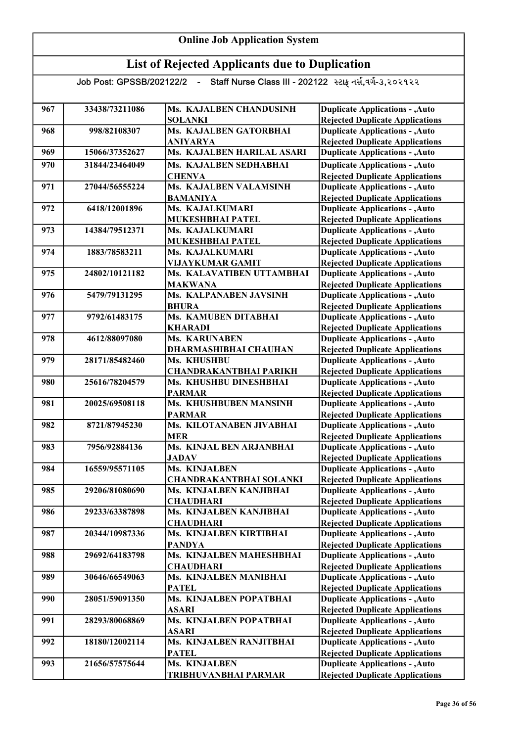| 967 | 33438/73211086 | Ms. KAJALBEN CHANDUSINH                | <b>Duplicate Applications - , Auto</b>                                           |
|-----|----------------|----------------------------------------|----------------------------------------------------------------------------------|
|     |                | <b>SOLANKI</b>                         | <b>Rejected Duplicate Applications</b>                                           |
| 968 | 998/82108307   | Ms. KAJALBEN GATORBHAI                 | <b>Duplicate Applications - , Auto</b>                                           |
|     |                | <b>ANIYARYA</b>                        | <b>Rejected Duplicate Applications</b>                                           |
| 969 | 15066/37352627 | Ms. KAJALBEN HARILAL ASARI             | <b>Duplicate Applications - , Auto</b>                                           |
| 970 | 31844/23464049 | Ms. KAJALBEN SEDHABHAI                 | <b>Duplicate Applications - , Auto</b>                                           |
|     |                | <b>CHENVA</b>                          | <b>Rejected Duplicate Applications</b>                                           |
| 971 | 27044/56555224 | Ms. KAJALBEN VALAMSINH                 | <b>Duplicate Applications - , Auto</b>                                           |
|     |                | <b>BAMANIYA</b>                        | <b>Rejected Duplicate Applications</b>                                           |
| 972 | 6418/12001896  | Ms. KAJALKUMARI                        | <b>Duplicate Applications - , Auto</b>                                           |
|     |                | MUKESHBHAI PATEL                       | <b>Rejected Duplicate Applications</b>                                           |
| 973 | 14384/79512371 | Ms. KAJALKUMARI                        | <b>Duplicate Applications - , Auto</b>                                           |
|     |                | MUKESHBHAI PATEL                       | <b>Rejected Duplicate Applications</b>                                           |
| 974 | 1883/78583211  | Ms. KAJALKUMARI                        | <b>Duplicate Applications - , Auto</b>                                           |
|     |                | <b>VIJAYKUMAR GAMIT</b>                | <b>Rejected Duplicate Applications</b>                                           |
| 975 | 24802/10121182 | Ms. KALAVATIBEN UTTAMBHAI              | <b>Duplicate Applications - , Auto</b>                                           |
|     |                | <b>MAKWANA</b>                         | <b>Rejected Duplicate Applications</b>                                           |
| 976 | 5479/79131295  | Ms. KALPANABEN JAVSINH                 | <b>Duplicate Applications - , Auto</b>                                           |
|     |                | <b>BHURA</b>                           | <b>Rejected Duplicate Applications</b>                                           |
| 977 | 9792/61483175  | Ms. KAMUBEN DITABHAI                   | <b>Duplicate Applications - , Auto</b>                                           |
|     |                | <b>KHARADI</b>                         | <b>Rejected Duplicate Applications</b>                                           |
| 978 | 4612/88097080  | Ms. KARUNABEN                          | <b>Duplicate Applications - , Auto</b>                                           |
|     |                | DHARMASHIBHAI CHAUHAN                  | <b>Rejected Duplicate Applications</b>                                           |
| 979 | 28171/85482460 | Ms. KHUSHBU                            | <b>Duplicate Applications - , Auto</b>                                           |
|     |                | <b>CHANDRAKANTBHAI PARIKH</b>          | <b>Rejected Duplicate Applications</b>                                           |
| 980 | 25616/78204579 | Ms. KHUSHBU DINESHBHAI                 | <b>Duplicate Applications - , Auto</b>                                           |
|     |                | <b>PARMAR</b>                          | <b>Rejected Duplicate Applications</b>                                           |
| 981 | 20025/69508118 | Ms. KHUSHBUBEN MANSINH                 | <b>Duplicate Applications - , Auto</b>                                           |
|     |                | <b>PARMAR</b>                          | <b>Rejected Duplicate Applications</b>                                           |
| 982 | 8721/87945230  | Ms. KILOTANABEN JIVABHAI<br><b>MER</b> | <b>Duplicate Applications - , Auto</b>                                           |
| 983 | 7956/92884136  | Ms. KINJAL BEN ARJANBHAI               | <b>Rejected Duplicate Applications</b><br><b>Duplicate Applications - , Auto</b> |
|     |                | <b>JADAV</b>                           | <b>Rejected Duplicate Applications</b>                                           |
| 984 | 16559/95571105 | Ms. KINJALBEN                          | <b>Duplicate Applications - , Auto</b>                                           |
|     |                | <b>CHANDRAKANTBHAI SOLANKI</b>         | <b>Rejected Duplicate Applications</b>                                           |
| 985 | 29206/81080690 | Ms. KINJALBEN KANJIBHAI                | <b>Duplicate Applications - , Auto</b>                                           |
|     |                | <b>CHAUDHARI</b>                       | <b>Rejected Duplicate Applications</b>                                           |
| 986 | 29233/63387898 | Ms. KINJALBEN KANJIBHAI                | <b>Duplicate Applications - , Auto</b>                                           |
|     |                | <b>CHAUDHARI</b>                       | <b>Rejected Duplicate Applications</b>                                           |
| 987 | 20344/10987336 | Ms. KINJALBEN KIRTIBHAI                | <b>Duplicate Applications - , Auto</b>                                           |
|     |                | <b>PANDYA</b>                          | <b>Rejected Duplicate Applications</b>                                           |
| 988 | 29692/64183798 | Ms. KINJALBEN MAHESHBHAI               | <b>Duplicate Applications - , Auto</b>                                           |
|     |                | <b>CHAUDHARI</b>                       | <b>Rejected Duplicate Applications</b>                                           |
| 989 | 30646/66549063 | Ms. KINJALBEN MANIBHAI                 | <b>Duplicate Applications - , Auto</b>                                           |
|     |                | <b>PATEL</b>                           | <b>Rejected Duplicate Applications</b>                                           |
| 990 | 28051/59091350 | Ms. KINJALBEN POPATBHAI                | <b>Duplicate Applications - , Auto</b>                                           |
|     |                | <b>ASARI</b>                           | <b>Rejected Duplicate Applications</b>                                           |
| 991 | 28293/80068869 | Ms. KINJALBEN POPATBHAI                | <b>Duplicate Applications - , Auto</b>                                           |
|     |                | <b>ASARI</b>                           | <b>Rejected Duplicate Applications</b>                                           |
| 992 | 18180/12002114 | Ms. KINJALBEN RANJITBHAI               | <b>Duplicate Applications - , Auto</b>                                           |
|     |                | <b>PATEL</b>                           | <b>Rejected Duplicate Applications</b>                                           |
| 993 | 21656/57575644 | Ms. KINJALBEN                          | <b>Duplicate Applications - , Auto</b>                                           |
|     |                | TRIBHUVANBHAI PARMAR                   | <b>Rejected Duplicate Applications</b>                                           |
|     |                |                                        |                                                                                  |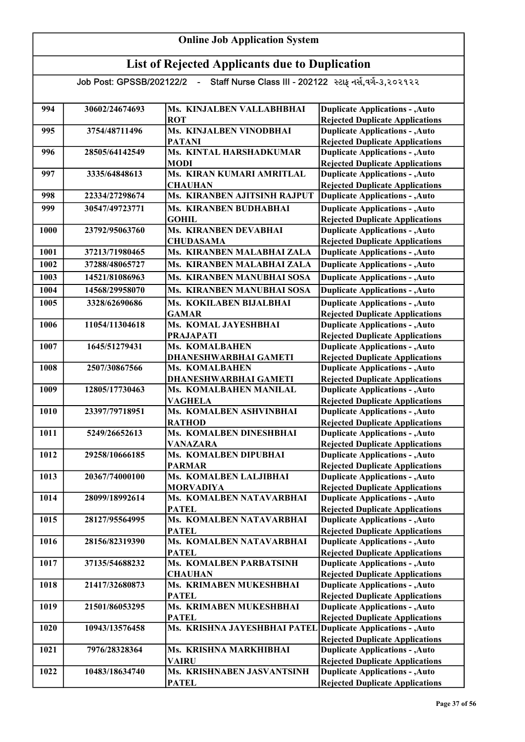| 994  | 30602/24674693 | Ms. KINJALBEN VALLABHBHAI                | <b>Duplicate Applications - , Auto</b>                                           |
|------|----------------|------------------------------------------|----------------------------------------------------------------------------------|
|      |                | <b>ROT</b>                               | <b>Rejected Duplicate Applications</b>                                           |
| 995  | 3754/48711496  | Ms. KINJALBEN VINODBHAI                  | <b>Duplicate Applications - , Auto</b>                                           |
|      | 28505/64142549 | <b>PATANI</b>                            | <b>Rejected Duplicate Applications</b>                                           |
| 996  |                | Ms. KINTAL HARSHADKUMAR<br><b>MODI</b>   | <b>Duplicate Applications - , Auto</b>                                           |
| 997  | 3335/64848613  | Ms. KIRAN KUMARI AMRITLAL                | <b>Rejected Duplicate Applications</b><br><b>Duplicate Applications - , Auto</b> |
|      |                | <b>CHAUHAN</b>                           | <b>Rejected Duplicate Applications</b>                                           |
| 998  | 22334/27298674 | Ms. KIRANBEN AJITSINH RAJPUT             | <b>Duplicate Applications - , Auto</b>                                           |
| 999  | 30547/49723771 | Ms. KIRANBEN BUDHABHAI                   | <b>Duplicate Applications - , Auto</b>                                           |
|      |                | <b>GOHIL</b>                             | <b>Rejected Duplicate Applications</b>                                           |
| 1000 | 23792/95063760 | Ms. KIRANBEN DEVABHAI                    | <b>Duplicate Applications - , Auto</b>                                           |
|      |                | <b>CHUDASAMA</b>                         | <b>Rejected Duplicate Applications</b>                                           |
| 1001 | 37213/71980465 | Ms. KIRANBEN MALABHAI ZALA               | <b>Duplicate Applications - , Auto</b>                                           |
| 1002 | 37288/48065727 | Ms. KIRANBEN MALABHAI ZALA               | <b>Duplicate Applications - , Auto</b>                                           |
| 1003 | 14521/81086963 | Ms. KIRANBEN MANUBHAI SOSA               | <b>Duplicate Applications - , Auto</b>                                           |
| 1004 | 14568/29958070 | Ms. KIRANBEN MANUBHAI SOSA               | <b>Duplicate Applications - , Auto</b>                                           |
| 1005 | 3328/62690686  | Ms. KOKILABEN BIJALBHAI                  |                                                                                  |
|      |                | <b>GAMAR</b>                             | <b>Duplicate Applications - , Auto</b><br><b>Rejected Duplicate Applications</b> |
| 1006 | 11054/11304618 | Ms. KOMAL JAYESHBHAI                     | <b>Duplicate Applications - , Auto</b>                                           |
|      |                | <b>PRAJAPATI</b>                         | <b>Rejected Duplicate Applications</b>                                           |
| 1007 | 1645/51279431  | Ms. KOMALBAHEN                           | <b>Duplicate Applications - , Auto</b>                                           |
|      |                | <b>DHANESHWARBHAI GAMETI</b>             | <b>Rejected Duplicate Applications</b>                                           |
| 1008 | 2507/30867566  | Ms. KOMALBAHEN                           | <b>Duplicate Applications - , Auto</b>                                           |
|      |                | DHANESHWARBHAI GAMETI                    | <b>Rejected Duplicate Applications</b>                                           |
| 1009 | 12805/17730463 | Ms. KOMALBAHEN MANILAL                   | <b>Duplicate Applications - , Auto</b>                                           |
|      |                | <b>VAGHELA</b>                           | <b>Rejected Duplicate Applications</b>                                           |
| 1010 | 23397/79718951 | Ms. KOMALBEN ASHVINBHAI                  | <b>Duplicate Applications - , Auto</b>                                           |
|      |                | <b>RATHOD</b>                            | <b>Rejected Duplicate Applications</b>                                           |
| 1011 | 5249/26652613  | Ms. KOMALBEN DINESHBHAI                  | <b>Duplicate Applications - , Auto</b>                                           |
| 1012 | 29258/10666185 | <b>VANAZARA</b><br>Ms. KOMALBEN DIPUBHAI | <b>Rejected Duplicate Applications</b><br><b>Duplicate Applications - , Auto</b> |
|      |                | <b>PARMAR</b>                            | <b>Rejected Duplicate Applications</b>                                           |
| 1013 | 20367/74000100 | Ms. KOMALBEN LALJIBHAI                   | <b>Duplicate Applications - , Auto</b>                                           |
|      |                | <b>MORVADIYA</b>                         | <b>Rejected Duplicate Applications</b>                                           |
| 1014 | 28099/18992614 | Ms. KOMALBEN NATAVARBHAI                 | <b>Duplicate Applications - , Auto</b>                                           |
|      |                | <b>PATEL</b>                             | <b>Rejected Duplicate Applications</b>                                           |
| 1015 | 28127/95564995 | Ms. KOMALBEN NATAVARBHAI                 | <b>Duplicate Applications - , Auto</b>                                           |
|      |                | <b>PATEL</b>                             | <b>Rejected Duplicate Applications</b>                                           |
| 1016 | 28156/82319390 | Ms. KOMALBEN NATAVARBHAI                 | <b>Duplicate Applications - , Auto</b>                                           |
|      |                | <b>PATEL</b>                             | <b>Rejected Duplicate Applications</b>                                           |
| 1017 | 37135/54688232 | Ms. KOMALBEN PARBATSINH                  | <b>Duplicate Applications - , Auto</b>                                           |
|      |                | <b>CHAUHAN</b>                           | <b>Rejected Duplicate Applications</b>                                           |
| 1018 | 21417/32680873 | Ms. KRIMABEN MUKESHBHAI                  | <b>Duplicate Applications - , Auto</b>                                           |
| 1019 | 21501/86053295 | <b>PATEL</b><br>Ms. KRIMABEN MUKESHBHAI  | <b>Rejected Duplicate Applications</b><br><b>Duplicate Applications - , Auto</b> |
|      |                | <b>PATEL</b>                             | <b>Rejected Duplicate Applications</b>                                           |
| 1020 | 10943/13576458 | Ms. KRISHNA JAYESHBHAI PATEL             | Duplicate Applications - , Auto                                                  |
|      |                |                                          | <b>Rejected Duplicate Applications</b>                                           |
| 1021 | 7976/28328364  | Ms. KRISHNA MARKHIBHAI                   | <b>Duplicate Applications - , Auto</b>                                           |
|      |                | <b>VAIRU</b>                             | <b>Rejected Duplicate Applications</b>                                           |
| 1022 | 10483/18634740 | Ms. KRISHNABEN JASVANTSINH               | <b>Duplicate Applications - , Auto</b>                                           |
|      |                | <b>PATEL</b>                             | <b>Rejected Duplicate Applications</b>                                           |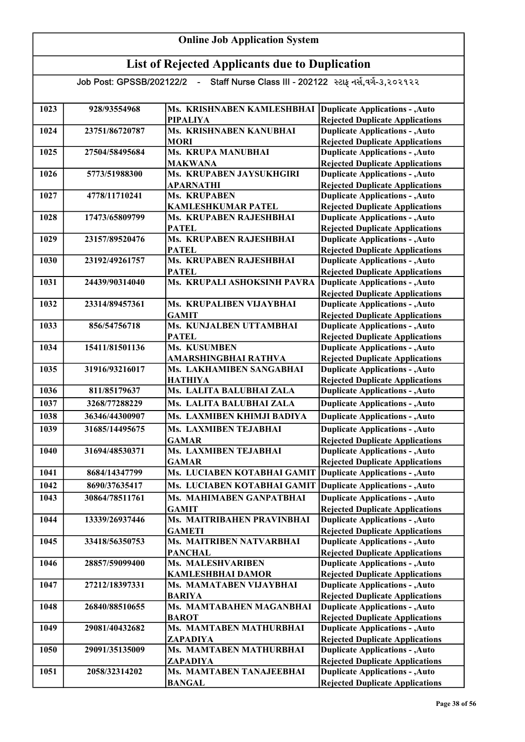#### Online Job Application System List of Rejected Applicants due to Duplication Job Post: GPSSB/202122/2 - Staff Nurse Class III - 202122 સ્ટાફ નર્સ,વર્ગ-૩,૨૦૨૧૨૨ 1023 928/93554968 Ms. KRISHNABEN KAMLESHBHAI Duplicate Applications - ,Auto PIPALIYA 1024 23751/86720787 Ms. KRISHNABEN KANUBHAI **MORI** 1025 27504/58495684 Ms. KRUPA MANUBHAI MAKWANA 1026 5773/51988300 Ms. KRUPABEN JAYSUKHGIRI APARNATHI 1027 4778/11710241 Ms. KRUPABEN KAMLESHKUMAR PATEL 1028 17473/65809799 Ms. KRUPABEN RAJESHBHAI **PATEL** 1029 23157/89520476 Ms. KRUPABEN RAJESHBHAI **PATEL** 1030 23192/49261757 Ms. KRUPABEN RAJESHBHAI **PATEL** 1031 24439/90314040 Ms. KRUPALI ASHOKSINH PAVRA 1032 23314/89457361 Ms. KRUPALIBEN VIJAYBHAI GAMIT 1033 856/54756718 Ms. KUNJALBEN UTTAMBHAI **PATEL** 1034 15411/81501136 Ms. KUSUMBEN AMARSHINGBHAI RATHVA 1035 31916/93216017 Ms. LAKHAMIBEN SANGABHAI HATHIYA 1036 811/85179637 Ms. LALITA BALUBHAI ZALA 1037 3268/77288229 Ms. LALITA BALUBHAI ZALA 1038 36346/44300907 Ms. LAXMIBEN KHIMJI BADIYA 1039 31685/14495675 Ms. LAXMIBEN TEJABHAI GAMAR 1040 31694/48530371 Ms. LAXMIBEN TEJABHAI GAMAR 1041 8684/14347799 Ms. LUCIABEN KOTABHAI GAMIT Duplicate Applications - , Auto 1042 8690/37635417 Ms. LUCIABEN KOTABHAI GAMIT 1043 30864/78511761 Ms. MAHIMABEN GANPATBHAI GAMIT 1044 13339/26937446 Ms. MAITRIBAHEN PRAVINBHAI GAMETI 1045 33418/56350753 Ms. MAITRIBEN NATVARBHAI PANCHAL 1046 28857/59099400 Ms. MALESHVARIBEN KAMLESHBHAI DAMOR 1047 27212/18397331 Ms. MAMATABEN VIJAYBHAI BARIYA 1048 26840/88510655 Ms. MAMTABAHEN MAGANBHAI BAROT 1049 29081/40432682 Ms. MAMTABEN MATHURBHAI ZAPADIYA 1050 29091/35135009 Ms. MAMTABEN MATHURBHAI ZAPADIYA 1051 2058/32314202 Ms. MAMTABEN TANAJEEBHAI BANGAL Duplicate Applications - ,Auto Rejected Duplicate Applications Duplicate Applications - ,Auto Rejected Duplicate Applications Duplicate Applications - ,Auto Rejected Duplicate Applications Duplicate Applications - ,Auto Rejected Duplicate Applications Duplicate Applications - ,Auto Rejected Duplicate Applications Duplicate Applications - ,Auto Rejected Duplicate Applications Duplicate Applications - ,Auto Rejected Duplicate Applications **Duplicate Applications - , Auto** Rejected Duplicate Applications Duplicate Applications - ,Auto Rejected Duplicate Applications **Duplicate Applications - ,Auto Duplicate Applications - ,Auto** Rejected Duplicate Applications Duplicate Applications - ,Auto Rejected Duplicate Applications Duplicate Applications - ,Auto Rejected Duplicate Applications Duplicate Applications - ,Auto Rejected Duplicate Applications Duplicate Applications - ,Auto Rejected Duplicate Applications Duplicate Applications - ,Auto **Duplicate Applications - ,Auto Duplicate Applications - ,Auto** Duplicate Applications - ,Auto Rejected Duplicate Applications Duplicate Applications - ,Auto Rejected Duplicate Applications Duplicate Applications - ,Auto Rejected Duplicate Applications Duplicate Applications - ,Auto Rejected Duplicate Applications Duplicate Applications - ,Auto Rejected Duplicate Applications Duplicate Applications - ,Auto Rejected Duplicate Applications Rejected Duplicate Applications Duplicate Applications - ,Auto Rejected Duplicate Applications Duplicate Applications - ,Auto Rejected Duplicate Applications Duplicate Applications - ,Auto Rejected Duplicate Applications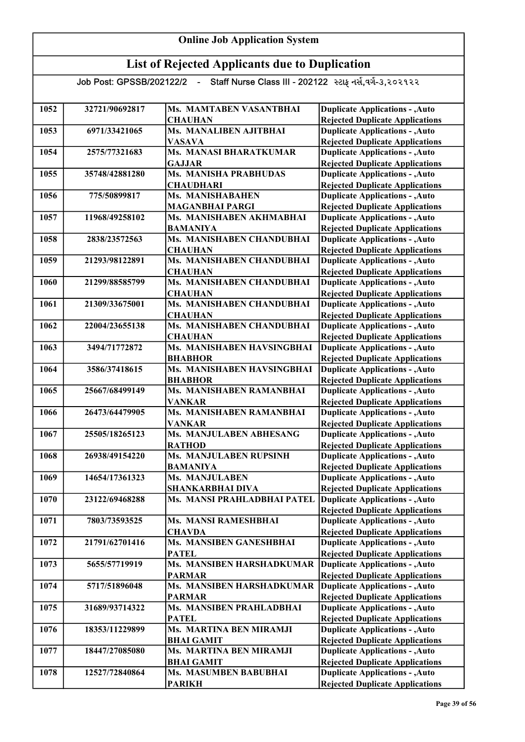| 1052 | 32721/90692817 | Ms. MAMTABEN VASANTBHAI                            | <b>Duplicate Applications - , Auto</b>                                           |
|------|----------------|----------------------------------------------------|----------------------------------------------------------------------------------|
|      |                | <b>CHAUHAN</b>                                     | <b>Rejected Duplicate Applications</b>                                           |
| 1053 | 6971/33421065  | Ms. MANALIBEN AJITBHAI                             | <b>Duplicate Applications - , Auto</b>                                           |
|      |                | <b>VASAVA</b>                                      | <b>Rejected Duplicate Applications</b>                                           |
| 1054 | 2575/77321683  | <b>Ms. MANASI BHARATKUMAR</b>                      | <b>Duplicate Applications - , Auto</b>                                           |
|      |                | <b>GAJJAR</b>                                      | <b>Rejected Duplicate Applications</b>                                           |
| 1055 | 35748/42881280 | Ms. MANISHA PRABHUDAS                              | <b>Duplicate Applications - , Auto</b>                                           |
|      |                | <b>CHAUDHARI</b>                                   | <b>Rejected Duplicate Applications</b>                                           |
| 1056 | 775/50899817   | Ms. MANISHABAHEN                                   | <b>Duplicate Applications - , Auto</b>                                           |
|      |                | <b>MAGANBHAI PARGI</b>                             | <b>Rejected Duplicate Applications</b>                                           |
| 1057 | 11968/49258102 | Ms. MANISHABEN AKHMABHAI                           | <b>Duplicate Applications - , Auto</b>                                           |
| 1058 | 2838/23572563  | <b>BAMANIYA</b><br>Ms. MANISHABEN CHANDUBHAI       | <b>Rejected Duplicate Applications</b><br><b>Duplicate Applications - , Auto</b> |
|      |                |                                                    |                                                                                  |
| 1059 | 21293/98122891 | <b>CHAUHAN</b><br><b>Ms. MANISHABEN CHANDUBHAI</b> | <b>Rejected Duplicate Applications</b><br><b>Duplicate Applications - , Auto</b> |
|      |                |                                                    |                                                                                  |
| 1060 | 21299/88585799 | <b>CHAUHAN</b><br>Ms. MANISHABEN CHANDUBHAI        | <b>Rejected Duplicate Applications</b><br><b>Duplicate Applications - , Auto</b> |
|      |                | <b>CHAUHAN</b>                                     | <b>Rejected Duplicate Applications</b>                                           |
| 1061 | 21309/33675001 | Ms. MANISHABEN CHANDUBHAI                          | <b>Duplicate Applications - , Auto</b>                                           |
|      |                | <b>CHAUHAN</b>                                     | <b>Rejected Duplicate Applications</b>                                           |
| 1062 | 22004/23655138 | Ms. MANISHABEN CHANDUBHAI                          | <b>Duplicate Applications - , Auto</b>                                           |
|      |                | <b>CHAUHAN</b>                                     | <b>Rejected Duplicate Applications</b>                                           |
| 1063 | 3494/71772872  | Ms. MANISHABEN HAVSINGBHAI                         | <b>Duplicate Applications - , Auto</b>                                           |
|      |                | <b>BHABHOR</b>                                     | <b>Rejected Duplicate Applications</b>                                           |
| 1064 | 3586/37418615  | Ms. MANISHABEN HAVSINGBHAI                         | <b>Duplicate Applications - , Auto</b>                                           |
|      |                | <b>BHABHOR</b>                                     | <b>Rejected Duplicate Applications</b>                                           |
| 1065 | 25667/68499149 | Ms. MANISHABEN RAMANBHAI                           | <b>Duplicate Applications - , Auto</b>                                           |
|      |                | <b>VANKAR</b>                                      | <b>Rejected Duplicate Applications</b>                                           |
| 1066 | 26473/64479905 | Ms. MANISHABEN RAMANBHAI                           | <b>Duplicate Applications - , Auto</b>                                           |
|      |                | <b>VANKAR</b>                                      | <b>Rejected Duplicate Applications</b>                                           |
| 1067 | 25505/18265123 | Ms. MANJULABEN ABHESANG                            | <b>Duplicate Applications - , Auto</b>                                           |
|      |                | <b>RATHOD</b>                                      | <b>Rejected Duplicate Applications</b>                                           |
| 1068 | 26938/49154220 | <b>Ms. MANJULABEN RUPSINH</b>                      | <b>Duplicate Applications - , Auto</b>                                           |
|      |                | <b>BAMANIYA</b>                                    | <b>Rejected Duplicate Applications</b>                                           |
| 1069 | 14654/17361323 | Ms. MANJULABEN                                     | <b>Duplicate Applications - , Auto</b>                                           |
|      |                | <b>SHANKARBHAI DIVA</b>                            | <b>Rejected Duplicate Applications</b>                                           |
| 1070 | 23122/69468288 | Ms. MANSI PRAHLADBHAI PATEL                        | <b>Duplicate Applications - , Auto</b>                                           |
|      |                |                                                    | <b>Rejected Duplicate Applications</b>                                           |
| 1071 | 7803/73593525  | Ms. MANSI RAMESHBHAI                               | <b>Duplicate Applications - , Auto</b>                                           |
|      |                | <b>CHAVDA</b>                                      | <b>Rejected Duplicate Applications</b>                                           |
| 1072 | 21791/62701416 | Ms. MANSIBEN GANESHBHAI                            | <b>Duplicate Applications - , Auto</b>                                           |
|      |                | <b>PATEL</b>                                       | <b>Rejected Duplicate Applications</b>                                           |
| 1073 | 5655/57719919  | Ms. MANSIBEN HARSHADKUMAR                          | <b>Duplicate Applications - , Auto</b>                                           |
| 1074 | 5717/51896048  | <b>PARMAR</b><br>Ms. MANSIBEN HARSHADKUMAR         | <b>Rejected Duplicate Applications</b>                                           |
|      |                |                                                    | <b>Duplicate Applications - , Auto</b>                                           |
| 1075 | 31689/93714322 | <b>PARMAR</b><br>Ms. MANSIBEN PRAHLADBHAI          | <b>Rejected Duplicate Applications</b>                                           |
|      |                | <b>PATEL</b>                                       | <b>Duplicate Applications - , Auto</b><br><b>Rejected Duplicate Applications</b> |
| 1076 | 18353/11229899 | Ms. MARTINA BEN MIRAMJI                            | <b>Duplicate Applications - , Auto</b>                                           |
|      |                | <b>BHAI GAMIT</b>                                  | <b>Rejected Duplicate Applications</b>                                           |
| 1077 | 18447/27085080 | Ms. MARTINA BEN MIRAMJI                            | <b>Duplicate Applications - , Auto</b>                                           |
|      |                | <b>BHAI GAMIT</b>                                  | <b>Rejected Duplicate Applications</b>                                           |
| 1078 | 12527/72840864 | Ms. MASUMBEN BABUBHAI                              | <b>Duplicate Applications - , Auto</b>                                           |
|      |                | <b>PARIKH</b>                                      | <b>Rejected Duplicate Applications</b>                                           |
|      |                |                                                    |                                                                                  |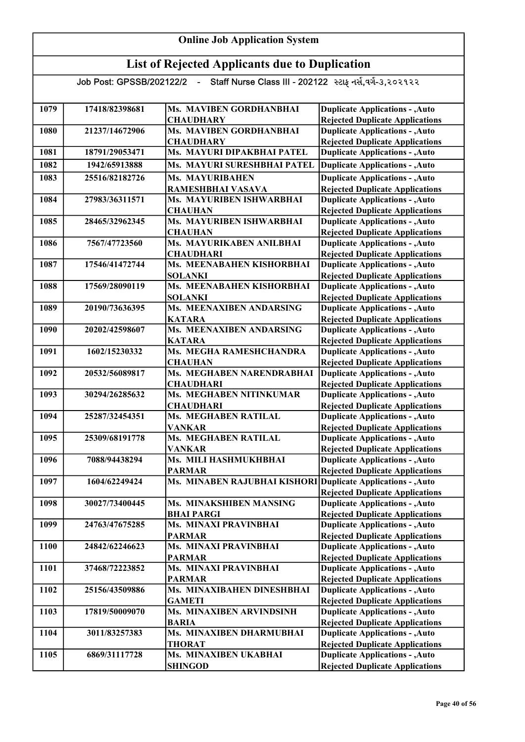| <b>Online Job Application System</b> |                                                       |                                                         |                                                                                  |  |
|--------------------------------------|-------------------------------------------------------|---------------------------------------------------------|----------------------------------------------------------------------------------|--|
|                                      | <b>List of Rejected Applicants due to Duplication</b> |                                                         |                                                                                  |  |
|                                      | Job Post: GPSSB/202122/2 -                            | Staff Nurse Class III - 202122 સ્ટાફ નર્સ,વર્ગ-૩,૨૦૨૧૨૨ |                                                                                  |  |
| 1079                                 | 17418/82398681                                        | Ms. MAVIBEN GORDHANBHAI<br><b>CHAUDHARY</b>             | <b>Duplicate Applications - , Auto</b><br><b>Rejected Duplicate Applications</b> |  |
| 1080                                 | 21237/14672906                                        | Ms. MAVIBEN GORDHANBHAI<br><b>CHAUDHARY</b>             | <b>Duplicate Applications - , Auto</b><br><b>Rejected Duplicate Applications</b> |  |
| 1081                                 | 18791/29053471                                        | Ms. MAYURI DIPAKBHAI PATEL                              | <b>Duplicate Applications - , Auto</b>                                           |  |
| 1082                                 | 1942/65913888                                         | Ms. MAYURI SURESHBHAI PATEL                             | <b>Duplicate Applications - , Auto</b>                                           |  |
| 1083                                 | 25516/82182726                                        | <b>Ms. MAYURIBAHEN</b><br>RAMESHBHAI VASAVA             | <b>Duplicate Applications - , Auto</b><br><b>Rejected Duplicate Applications</b> |  |
| 1084                                 | 27983/36311571                                        | Ms. MAYURIBEN ISHWARBHAI<br><b>CHAUHAN</b>              | <b>Duplicate Applications - , Auto</b><br><b>Rejected Duplicate Applications</b> |  |
| 1085                                 | 28465/32962345                                        | Ms. MAYURIBEN ISHWARBHAI<br><b>CHAUHAN</b>              | <b>Duplicate Applications - , Auto</b><br><b>Rejected Duplicate Applications</b> |  |
| 1086                                 | 7567/47723560                                         | Ms. MAYURIKABEN ANILBHAI                                | <b>Duplicate Applications - , Auto</b>                                           |  |
| 1087                                 | 17546/41472744                                        | <b>CHAUDHARI</b><br>Ms. MEENABAHEN KISHORBHAI           | <b>Rejected Duplicate Applications</b><br><b>Duplicate Applications - , Auto</b> |  |
|                                      |                                                       | <b>SOLANKI</b>                                          | <b>Rejected Duplicate Applications</b>                                           |  |
| 1088                                 | 17569/28090119                                        | Ms. MEENABAHEN KISHORBHAI<br><b>SOLANKI</b>             | <b>Duplicate Applications - , Auto</b><br><b>Rejected Duplicate Applications</b> |  |
| 1089                                 | 20190/73636395                                        | Ms. MEENAXIBEN ANDARSING<br><b>KATARA</b>               | <b>Duplicate Applications - , Auto</b><br><b>Rejected Duplicate Applications</b> |  |
| 1090                                 | 20202/42598607                                        | Ms. MEENAXIBEN ANDARSING<br><b>KATARA</b>               | <b>Duplicate Applications - , Auto</b>                                           |  |
| 1091                                 | 1602/15230332                                         | Ms. MEGHA RAMESHCHANDRA                                 | <b>Rejected Duplicate Applications</b><br><b>Duplicate Applications - , Auto</b> |  |
| 1092                                 | 20532/56089817                                        | <b>CHAUHAN</b><br>Ms. MEGHABEN NARENDRABHAI             | <b>Rejected Duplicate Applications</b><br><b>Duplicate Applications - , Auto</b> |  |
| 1093                                 | 30294/26285632                                        | <b>CHAUDHARI</b><br>Ms. MEGHABEN NITINKUMAR             | <b>Rejected Duplicate Applications</b><br><b>Duplicate Applications - , Auto</b> |  |
|                                      |                                                       | <b>CHAUDHARI</b>                                        | <b>Rejected Duplicate Applications</b>                                           |  |
| 1094                                 | 25287/32454351                                        | Ms. MEGHABEN RATILAL<br><b>VANKAR</b>                   | <b>Duplicate Applications - , Auto</b><br><b>Rejected Duplicate Applications</b> |  |
| 1095                                 | 25309/68191778                                        | Ms. MEGHABEN RATILAL<br><b>VANKAR</b>                   | <b>Duplicate Applications - , Auto</b><br><b>Rejected Duplicate Applications</b> |  |
| 1096                                 | 7088/94438294                                         | Ms. MILI HASHMUKHBHAI<br><b>PARMAR</b>                  | <b>Duplicate Applications - , Auto</b><br><b>Rejected Duplicate Applications</b> |  |
| 1097                                 | 1604/62249424                                         | Ms. MINABEN RAJUBHAI KISHORI                            | <b>Duplicate Applications - , Auto</b>                                           |  |
| 1098                                 | 30027/73400445                                        | Ms. MINAKSHIBEN MANSING                                 | <b>Rejected Duplicate Applications</b><br><b>Duplicate Applications - , Auto</b> |  |
| 1099                                 | 24763/47675285                                        | <b>BHAI PARGI</b><br>Ms. MINAXI PRAVINBHAI              | <b>Rejected Duplicate Applications</b><br><b>Duplicate Applications - , Auto</b> |  |
|                                      |                                                       | <b>PARMAR</b>                                           | <b>Rejected Duplicate Applications</b>                                           |  |
| 1100                                 | 24842/62246623                                        | Ms. MINAXI PRAVINBHAI<br><b>PARMAR</b>                  | <b>Duplicate Applications - , Auto</b><br><b>Rejected Duplicate Applications</b> |  |
| 1101                                 | 37468/72223852                                        | Ms. MINAXI PRAVINBHAI<br><b>PARMAR</b>                  | <b>Duplicate Applications - , Auto</b><br><b>Rejected Duplicate Applications</b> |  |
| 1102                                 | 25156/43509886                                        | Ms. MINAXIBAHEN DINESHBHAI<br><b>GAMETI</b>             | <b>Duplicate Applications - , Auto</b><br><b>Rejected Duplicate Applications</b> |  |
| 1103                                 | 17819/50009070                                        | Ms. MINAXIBEN ARVINDSINH                                | <b>Duplicate Applications - , Auto</b>                                           |  |
|                                      |                                                       | <b>BARIA</b>                                            | <b>Rejected Duplicate Applications</b>                                           |  |
| 1104                                 | 3011/83257383                                         | Ms. MINAXIBEN DHARMUBHAI<br><b>THORAT</b>               | <b>Duplicate Applications - , Auto</b><br><b>Rejected Duplicate Applications</b> |  |
| 1105                                 | 6869/31117728                                         | Ms. MINAXIBEN UKABHAI                                   | <b>Duplicate Applications - , Auto</b>                                           |  |
|                                      |                                                       | <b>SHINGOD</b>                                          | <b>Rejected Duplicate Applications</b>                                           |  |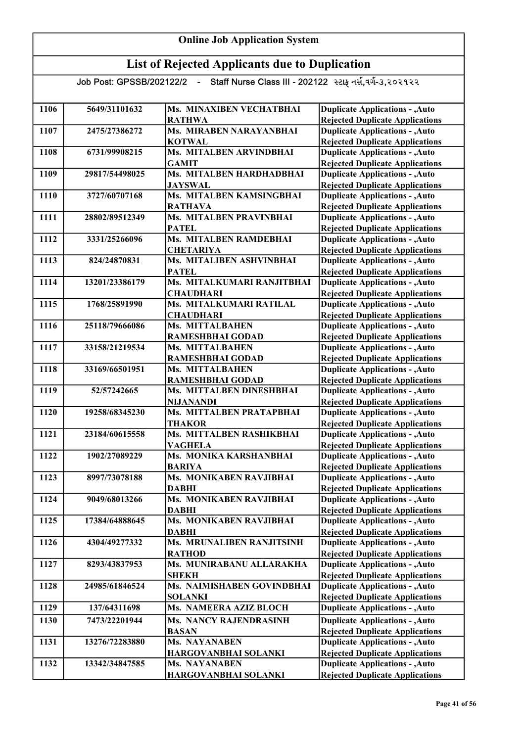| 1106 | 5649/31101632  | Ms. MINAXIBEN VECHATBHAI                         | <b>Duplicate Applications - , Auto</b>                                           |
|------|----------------|--------------------------------------------------|----------------------------------------------------------------------------------|
|      |                | <b>RATHWA</b>                                    | <b>Rejected Duplicate Applications</b>                                           |
| 1107 | 2475/27386272  | Ms. MIRABEN NARAYANBHAI                          | <b>Duplicate Applications - , Auto</b>                                           |
|      |                | <b>KOTWAL</b>                                    | <b>Rejected Duplicate Applications</b>                                           |
| 1108 | 6731/99908215  | Ms. MITALBEN ARVINDBHAI                          | <b>Duplicate Applications - , Auto</b>                                           |
|      |                | <b>GAMIT</b>                                     | <b>Rejected Duplicate Applications</b>                                           |
| 1109 | 29817/54498025 | Ms. MITALBEN HARDHADBHAI                         | <b>Duplicate Applications - , Auto</b>                                           |
|      |                | <b>JAYSWAL</b>                                   | <b>Rejected Duplicate Applications</b>                                           |
| 1110 | 3727/60707168  | Ms. MITALBEN KAMSINGBHAI                         | <b>Duplicate Applications - , Auto</b>                                           |
|      |                | <b>RATHAVA</b><br><b>Ms. MITALBEN PRAVINBHAI</b> | <b>Rejected Duplicate Applications</b>                                           |
| 1111 | 28802/89512349 | <b>PATEL</b>                                     | <b>Duplicate Applications - , Auto</b>                                           |
| 1112 | 3331/25266096  | Ms. MITALBEN RAMDEBHAI                           | <b>Rejected Duplicate Applications</b><br><b>Duplicate Applications - , Auto</b> |
|      |                | <b>CHETARIYA</b>                                 | <b>Rejected Duplicate Applications</b>                                           |
| 1113 | 824/24870831   | Ms. MITALIBEN ASHVINBHAI                         | <b>Duplicate Applications - , Auto</b>                                           |
|      |                | <b>PATEL</b>                                     | <b>Rejected Duplicate Applications</b>                                           |
| 1114 | 13201/23386179 | Ms. MITALKUMARI RANJITBHAI                       | <b>Duplicate Applications - , Auto</b>                                           |
|      |                | <b>CHAUDHARI</b>                                 | <b>Rejected Duplicate Applications</b>                                           |
| 1115 | 1768/25891990  | Ms. MITALKUMARI RATILAL                          | <b>Duplicate Applications - , Auto</b>                                           |
|      |                | <b>CHAUDHARI</b>                                 | <b>Rejected Duplicate Applications</b>                                           |
| 1116 | 25118/79666086 | Ms. MITTALBAHEN                                  | <b>Duplicate Applications - , Auto</b>                                           |
|      |                | RAMESHBHAI GODAD                                 | <b>Rejected Duplicate Applications</b>                                           |
| 1117 | 33158/21219534 | Ms. MITTALBAHEN                                  | <b>Duplicate Applications - , Auto</b>                                           |
|      |                | RAMESHBHAI GODAD                                 | <b>Rejected Duplicate Applications</b>                                           |
| 1118 | 33169/66501951 | Ms. MITTALBAHEN                                  | <b>Duplicate Applications - , Auto</b>                                           |
|      |                | <b>RAMESHBHAI GODAD</b>                          | <b>Rejected Duplicate Applications</b>                                           |
| 1119 | 52/57242665    | Ms. MITTALBEN DINESHBHAI                         | <b>Duplicate Applications - , Auto</b>                                           |
|      |                | <b>NIJANANDI</b>                                 | <b>Rejected Duplicate Applications</b>                                           |
| 1120 | 19258/68345230 | Ms. MITTALBEN PRATAPBHAI                         | <b>Duplicate Applications - , Auto</b>                                           |
|      |                | <b>THAKOR</b>                                    | <b>Rejected Duplicate Applications</b>                                           |
| 1121 | 23184/60615558 | Ms. MITTALBEN RASHIKBHAI                         | <b>Duplicate Applications - , Auto</b>                                           |
|      |                | <b>VAGHELA</b>                                   | <b>Rejected Duplicate Applications</b>                                           |
| 1122 | 1902/27089229  | Ms. MONIKA KARSHANBHAI                           | <b>Duplicate Applications - , Auto</b>                                           |
|      |                | <b>BARIYA</b>                                    | <b>Rejected Duplicate Applications</b>                                           |
| 1123 | 8997/73078188  | Ms. MONIKABEN RAVJIBHAI                          | <b>Duplicate Applications - , Auto</b>                                           |
|      |                | <b>DABHI</b>                                     | <b>Rejected Duplicate Applications</b>                                           |
| 1124 | 9049/68013266  | Ms. MONIKABEN RAVJIBHAI                          | <b>Duplicate Applications - , Auto</b>                                           |
|      |                | <b>DABHI</b>                                     | <b>Rejected Duplicate Applications</b>                                           |
| 1125 | 17384/64888645 | Ms. MONIKABEN RAVJIBHAI                          | <b>Duplicate Applications - , Auto</b>                                           |
|      |                | <b>DABHI</b>                                     | <b>Rejected Duplicate Applications</b>                                           |
| 1126 | 4304/49277332  | Ms. MRUNALIBEN RANJITSINH                        | <b>Duplicate Applications - , Auto</b>                                           |
|      |                | <b>RATHOD</b>                                    | <b>Rejected Duplicate Applications</b>                                           |
| 1127 | 8293/43837953  | Ms. MUNIRABANU ALLARAKHA                         | <b>Duplicate Applications - , Auto</b>                                           |
|      |                | <b>SHEKH</b>                                     | <b>Rejected Duplicate Applications</b>                                           |
| 1128 | 24985/61846524 | Ms. NAIMISHABEN GOVINDBHAI                       | <b>Duplicate Applications - , Auto</b>                                           |
|      |                | <b>SOLANKI</b>                                   | <b>Rejected Duplicate Applications</b>                                           |
| 1129 | 137/64311698   | Ms. NAMEERA AZIZ BLOCH                           | <b>Duplicate Applications - , Auto</b>                                           |
| 1130 | 7473/22201944  | <b>Ms. NANCY RAJENDRASINH</b>                    | <b>Duplicate Applications - , Auto</b>                                           |
|      |                | <b>BASAN</b>                                     | <b>Rejected Duplicate Applications</b>                                           |
| 1131 | 13276/72283880 | Ms. NAYANABEN                                    | <b>Duplicate Applications - , Auto</b>                                           |
|      |                | HARGOVANBHAI SOLANKI                             | <b>Rejected Duplicate Applications</b>                                           |
| 1132 | 13342/34847585 | Ms. NAYANABEN                                    | <b>Duplicate Applications - , Auto</b>                                           |
|      |                | HARGOVANBHAI SOLANKI                             | <b>Rejected Duplicate Applications</b>                                           |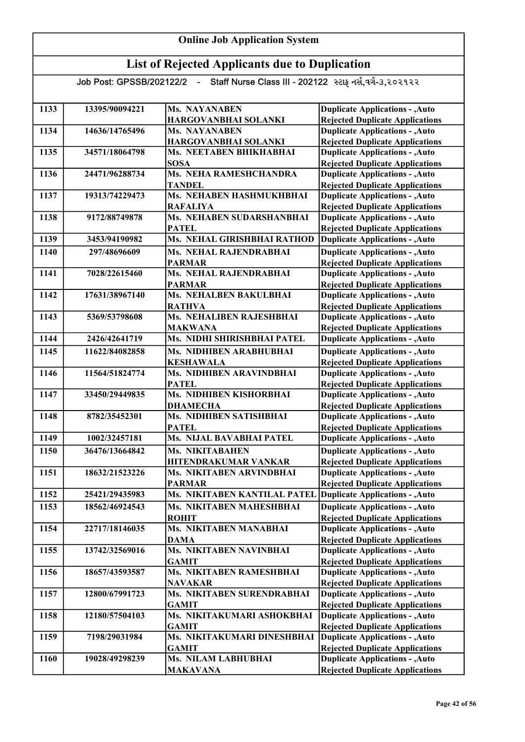| 1133 | 13395/90094221 | <b>Ms. NAYANABEN</b>                                         | <b>Duplicate Applications - , Auto</b> |
|------|----------------|--------------------------------------------------------------|----------------------------------------|
|      |                | HARGOVANBHAI SOLANKI                                         | <b>Rejected Duplicate Applications</b> |
| 1134 | 14636/14765496 | Ms. NAYANABEN                                                | <b>Duplicate Applications - , Auto</b> |
|      |                | HARGOVANBHAI SOLANKI                                         | <b>Rejected Duplicate Applications</b> |
| 1135 | 34571/18064798 | Ms. NEETABEN BHIKHABHAI                                      | <b>Duplicate Applications - , Auto</b> |
|      |                | <b>SOSA</b>                                                  | <b>Rejected Duplicate Applications</b> |
| 1136 | 24471/96288734 | Ms. NEHA RAMESHCHANDRA                                       | <b>Duplicate Applications - , Auto</b> |
|      |                | <b>TANDEL</b>                                                | <b>Rejected Duplicate Applications</b> |
| 1137 | 19313/74229473 | Ms. NEHABEN HASHMUKHBHAI                                     | <b>Duplicate Applications - , Auto</b> |
|      |                | <b>RAFALIYA</b>                                              | <b>Rejected Duplicate Applications</b> |
| 1138 | 9172/88749878  | Ms. NEHABEN SUDARSHANBHAI                                    | <b>Duplicate Applications - , Auto</b> |
|      |                | <b>PATEL</b>                                                 | <b>Rejected Duplicate Applications</b> |
| 1139 | 3453/94190982  | Ms. NEHAL GIRISHBHAI RATHOD                                  | <b>Duplicate Applications - , Auto</b> |
| 1140 | 297/48696609   | Ms. NEHAL RAJENDRABHAI                                       | <b>Duplicate Applications - , Auto</b> |
|      |                | <b>PARMAR</b>                                                | <b>Rejected Duplicate Applications</b> |
| 1141 | 7028/22615460  | Ms. NEHAL RAJENDRABHAI                                       | <b>Duplicate Applications - , Auto</b> |
|      |                | <b>PARMAR</b>                                                | <b>Rejected Duplicate Applications</b> |
| 1142 | 17631/38967140 | Ms. NEHALBEN BAKULBHAI                                       | <b>Duplicate Applications - , Auto</b> |
|      |                | <b>RATHVA</b>                                                | <b>Rejected Duplicate Applications</b> |
| 1143 | 5369/53798608  | Ms. NEHALIBEN RAJESHBHAI                                     | <b>Duplicate Applications - , Auto</b> |
|      |                | <b>MAKWANA</b>                                               | <b>Rejected Duplicate Applications</b> |
| 1144 | 2426/42641719  | Ms. NIDHI SHIRISHBHAI PATEL                                  | <b>Duplicate Applications - , Auto</b> |
| 1145 | 11622/84082858 | Ms. NIDHIBEN ARABHUBHAI                                      | <b>Duplicate Applications - , Auto</b> |
|      |                | <b>KESHAWALA</b>                                             | <b>Rejected Duplicate Applications</b> |
| 1146 | 11564/51824774 | Ms. NIDHIBEN ARAVINDBHAI                                     | <b>Duplicate Applications - , Auto</b> |
|      |                | <b>PATEL</b>                                                 | <b>Rejected Duplicate Applications</b> |
| 1147 | 33450/29449835 | Ms. NIDHIBEN KISHORBHAI                                      | <b>Duplicate Applications - , Auto</b> |
|      |                | <b>DHAMECHA</b>                                              | <b>Rejected Duplicate Applications</b> |
| 1148 | 8782/35452301  | Ms. NIDHIBEN SATISHBHAI                                      | <b>Duplicate Applications - , Auto</b> |
|      |                | <b>PATEL</b>                                                 | <b>Rejected Duplicate Applications</b> |
| 1149 | 1002/32457181  | Ms. NIJAL BAVABHAI PATEL                                     | <b>Duplicate Applications - , Auto</b> |
| 1150 | 36476/13664842 | Ms. NIKITABAHEN                                              | <b>Duplicate Applications - , Auto</b> |
|      |                | HITENDRAKUMAR VANKAR                                         | <b>Rejected Duplicate Applications</b> |
| 1151 | 18632/21523226 | Ms. NIKITABEN ARVINDBHAI                                     | <b>Duplicate Applications - , Auto</b> |
|      |                | PARMAR                                                       | <b>Rejected Duplicate Applications</b> |
| 1152 | 25421/29435983 | Ms. NIKITABEN KANTILAL PATEL Duplicate Applications - , Auto |                                        |
| 1153 | 18562/46924543 | Ms. NIKITABEN MAHESHBHAI                                     | <b>Duplicate Applications - , Auto</b> |
|      |                | <b>ROHIT</b>                                                 | <b>Rejected Duplicate Applications</b> |
| 1154 | 22717/18146035 | <b>Ms. NIKITABEN MANABHAI</b>                                | <b>Duplicate Applications - , Auto</b> |
|      |                | <b>DAMA</b>                                                  | <b>Rejected Duplicate Applications</b> |
| 1155 | 13742/32569016 | Ms. NIKITABEN NAVINBHAI                                      | <b>Duplicate Applications - , Auto</b> |
|      |                | <b>GAMIT</b>                                                 | <b>Rejected Duplicate Applications</b> |
| 1156 | 18657/43593587 | Ms. NIKITABEN RAMESHBHAI                                     | <b>Duplicate Applications - , Auto</b> |
|      |                | <b>NAVAKAR</b>                                               | <b>Rejected Duplicate Applications</b> |
| 1157 | 12800/67991723 | Ms. NIKITABEN SURENDRABHAI                                   | <b>Duplicate Applications - , Auto</b> |
|      |                | <b>GAMIT</b>                                                 | <b>Rejected Duplicate Applications</b> |
| 1158 | 12180/57504103 | Ms. NIKITAKUMARI ASHOKBHAI                                   | <b>Duplicate Applications - , Auto</b> |
|      |                | <b>GAMIT</b>                                                 | <b>Rejected Duplicate Applications</b> |
| 1159 | 7198/29031984  | Ms. NIKITAKUMARI DINESHBHAI                                  | <b>Duplicate Applications - , Auto</b> |
|      |                | <b>GAMIT</b>                                                 | <b>Rejected Duplicate Applications</b> |
| 1160 | 19028/49298239 | Ms. NILAM LABHUBHAI                                          | <b>Duplicate Applications - , Auto</b> |
|      |                | <b>MAKAVANA</b>                                              | <b>Rejected Duplicate Applications</b> |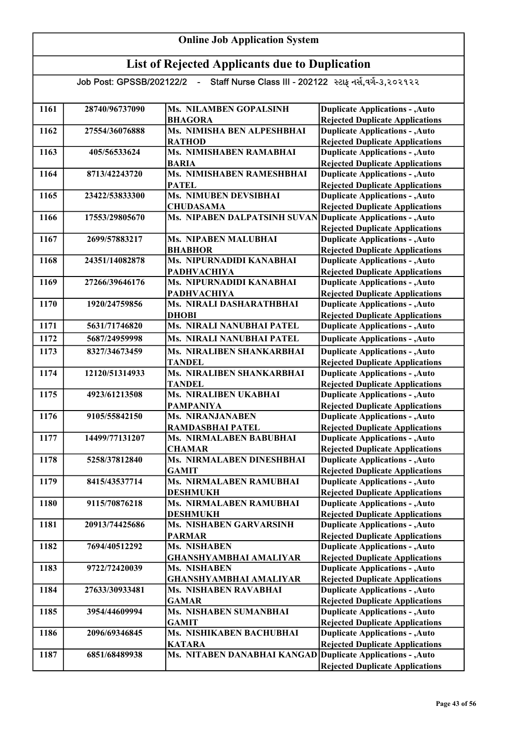| 1161 | 28740/96737090 | Ms. NILAMBEN GOPALSINH                       | <b>Duplicate Applications - , Auto</b>                                           |
|------|----------------|----------------------------------------------|----------------------------------------------------------------------------------|
|      |                | <b>BHAGORA</b><br>Ms. NIMISHA BEN ALPESHBHAI | <b>Rejected Duplicate Applications</b>                                           |
| 1162 | 27554/36076888 | <b>RATHOD</b>                                | <b>Duplicate Applications - , Auto</b>                                           |
| 1163 | 405/56533624   | Ms. NIMISHABEN RAMABHAI                      | <b>Rejected Duplicate Applications</b><br><b>Duplicate Applications - , Auto</b> |
|      |                | <b>BARIA</b>                                 |                                                                                  |
| 1164 | 8713/42243720  | Ms. NIMISHABEN RAMESHBHAI                    | <b>Rejected Duplicate Applications</b><br><b>Duplicate Applications - , Auto</b> |
|      |                | <b>PATEL</b>                                 | <b>Rejected Duplicate Applications</b>                                           |
| 1165 | 23422/53833300 | <b>Ms. NIMUBEN DEVSIBHAI</b>                 | <b>Duplicate Applications - , Auto</b>                                           |
|      |                | <b>CHUDASAMA</b>                             | <b>Rejected Duplicate Applications</b>                                           |
| 1166 | 17553/29805670 | <b>Ms. NIPABEN DALPATSINH SUVAN</b>          | Duplicate Applications - , Auto                                                  |
|      |                |                                              | <b>Rejected Duplicate Applications</b>                                           |
| 1167 | 2699/57883217  | <b>Ms. NIPABEN MALUBHAI</b>                  | <b>Duplicate Applications - , Auto</b>                                           |
|      |                | <b>BHABHOR</b>                               | <b>Rejected Duplicate Applications</b>                                           |
| 1168 | 24351/14082878 | Ms. NIPURNADIDI KANABHAI                     | <b>Duplicate Applications - , Auto</b>                                           |
|      |                | <b>PADHVACHIYA</b>                           | <b>Rejected Duplicate Applications</b>                                           |
| 1169 | 27266/39646176 | Ms. NIPURNADIDI KANABHAI                     | <b>Duplicate Applications - , Auto</b>                                           |
|      |                | <b>PADHVACHIYA</b>                           | <b>Rejected Duplicate Applications</b>                                           |
| 1170 | 1920/24759856  | Ms. NIRALI DASHARATHBHAI                     | <b>Duplicate Applications - , Auto</b>                                           |
|      |                | <b>DHOBI</b>                                 | <b>Rejected Duplicate Applications</b>                                           |
| 1171 | 5631/71746820  | Ms. NIRALI NANUBHAI PATEL                    | <b>Duplicate Applications - , Auto</b>                                           |
| 1172 | 5687/24959998  | <b>Ms. NIRALI NANUBHAI PATEL</b>             | <b>Duplicate Applications - , Auto</b>                                           |
| 1173 | 8327/34673459  | Ms. NIRALIBEN SHANKARBHAI                    | <b>Duplicate Applications - , Auto</b>                                           |
|      |                | <b>TANDEL</b>                                | <b>Rejected Duplicate Applications</b>                                           |
| 1174 | 12120/51314933 | Ms. NIRALIBEN SHANKARBHAI                    | <b>Duplicate Applications - , Auto</b>                                           |
|      |                | <b>TANDEL</b>                                | <b>Rejected Duplicate Applications</b>                                           |
| 1175 | 4923/61213508  | Ms. NIRALIBEN UKABHAI                        | <b>Duplicate Applications - , Auto</b>                                           |
|      |                | <b>PAMPANIYA</b>                             | <b>Rejected Duplicate Applications</b>                                           |
| 1176 | 9105/55842150  | Ms. NIRANJANABEN                             | <b>Duplicate Applications - , Auto</b>                                           |
|      |                | <b>RAMDASBHAI PATEL</b>                      | <b>Rejected Duplicate Applications</b>                                           |
| 1177 | 14499/77131207 | Ms. NIRMALABEN BABUBHAI                      | <b>Duplicate Applications - , Auto</b>                                           |
|      |                | <b>CHAMAR</b>                                | <b>Rejected Duplicate Applications</b>                                           |
| 1178 | 5258/37812840  | Ms. NIRMALABEN DINESHBHAI                    | <b>Duplicate Applications - , Auto</b>                                           |
| 1179 | 8415/43537714  | <b>GAMIT</b><br>Ms. NIRMALABEN RAMUBHAI      | <b>Rejected Duplicate Applications</b><br><b>Duplicate Applications - , Auto</b> |
|      |                |                                              | <b>Rejected Duplicate Applications</b>                                           |
| 1180 | 9115/70876218  | <b>DESHMUKH</b><br>Ms. NIRMALABEN RAMUBHAI   | <b>Duplicate Applications - , Auto</b>                                           |
|      |                | <b>DESHMUKH</b>                              | <b>Rejected Duplicate Applications</b>                                           |
| 1181 | 20913/74425686 | Ms. NISHABEN GARVARSINH                      | <b>Duplicate Applications - , Auto</b>                                           |
|      |                | <b>PARMAR</b>                                | <b>Rejected Duplicate Applications</b>                                           |
| 1182 | 7694/40512292  | Ms. NISHABEN                                 | <b>Duplicate Applications - , Auto</b>                                           |
|      |                | <b>GHANSHYAMBHAI AMALIYAR</b>                | <b>Rejected Duplicate Applications</b>                                           |
| 1183 | 9722/72420039  | Ms. NISHABEN                                 | <b>Duplicate Applications - , Auto</b>                                           |
|      |                | <b>GHANSHYAMBHAI AMALIYAR</b>                | <b>Rejected Duplicate Applications</b>                                           |
| 1184 | 27633/30933481 | <b>Ms. NISHABEN RAVABHAI</b>                 | <b>Duplicate Applications - , Auto</b>                                           |
|      |                | <b>GAMAR</b>                                 | <b>Rejected Duplicate Applications</b>                                           |
| 1185 | 3954/44609994  | Ms. NISHABEN SUMANBHAI                       | <b>Duplicate Applications - , Auto</b>                                           |
|      |                | <b>GAMIT</b>                                 | <b>Rejected Duplicate Applications</b>                                           |
| 1186 | 2096/69346845  | Ms. NISHIKABEN BACHUBHAI                     | <b>Duplicate Applications - , Auto</b>                                           |
|      |                | <b>KATARA</b>                                | <b>Rejected Duplicate Applications</b>                                           |
| 1187 | 6851/68489938  | Ms. NITABEN DANABHAI KANGAD                  | Duplicate Applications - , Auto                                                  |
|      |                |                                              | <b>Rejected Duplicate Applications</b>                                           |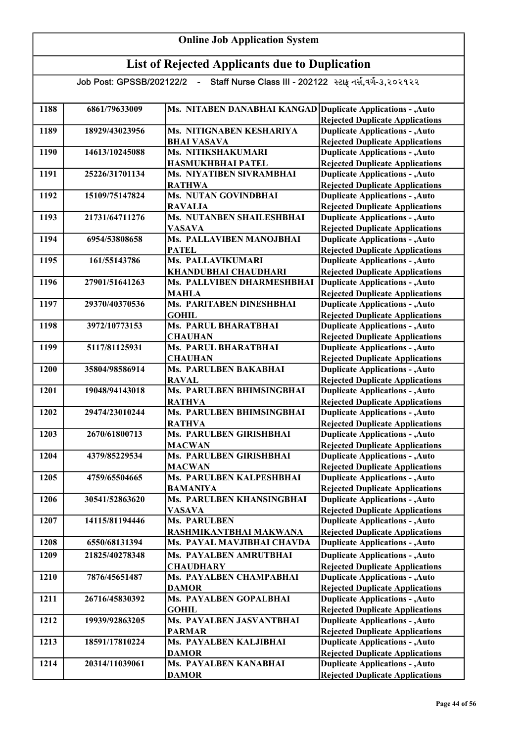| <b>Online Job Application System</b> |                |                                                                                    |                                                                                  |
|--------------------------------------|----------------|------------------------------------------------------------------------------------|----------------------------------------------------------------------------------|
|                                      |                | <b>List of Rejected Applicants due to Duplication</b>                              |                                                                                  |
|                                      |                | Job Post: GPSSB/202122/2 - Staff Nurse Class III - 202122 સ્ટાફ નર્સ,વર્ગ-૩,૨૦૨૧૨૨ |                                                                                  |
| 1188                                 | 6861/79633009  | Ms. NITABEN DANABHAI KANGAD Duplicate Applications - , Auto                        | <b>Rejected Duplicate Applications</b>                                           |
| 1189                                 | 18929/43023956 | Ms. NITIGNABEN KESHARIYA<br><b>BHAI VASAVA</b>                                     | <b>Duplicate Applications - , Auto</b><br><b>Rejected Duplicate Applications</b> |
| 1190                                 | 14613/10245088 | Ms. NITIKSHAKUMARI<br>HASMUKHBHAI PATEL                                            | <b>Duplicate Applications - , Auto</b><br><b>Rejected Duplicate Applications</b> |
| 1191                                 | 25226/31701134 | Ms. NIYATIBEN SIVRAMBHAI<br><b>RATHWA</b>                                          | <b>Duplicate Applications - , Auto</b><br><b>Rejected Duplicate Applications</b> |
| 1192                                 | 15109/75147824 | Ms. NUTAN GOVINDBHAI<br><b>RAVALIA</b>                                             | <b>Duplicate Applications - , Auto</b><br><b>Rejected Duplicate Applications</b> |
| 1193                                 | 21731/64711276 | Ms. NUTANBEN SHAILESHBHAI<br><b>VASAVA</b>                                         | <b>Duplicate Applications - , Auto</b><br><b>Rejected Duplicate Applications</b> |
| 1194                                 | 6954/53808658  | Ms. PALLAVIBEN MANOJBHAI<br><b>PATEL</b>                                           | <b>Duplicate Applications - , Auto</b><br><b>Rejected Duplicate Applications</b> |
| 1195                                 | 161/55143786   | Ms. PALLAVIKUMARI<br>KHANDUBHAI CHAUDHARI                                          | <b>Duplicate Applications - , Auto</b><br><b>Rejected Duplicate Applications</b> |
| 1196                                 | 27901/51641263 | Ms. PALLVIBEN DHARMESHBHAI<br><b>MAHLA</b>                                         | <b>Duplicate Applications - , Auto</b><br><b>Rejected Duplicate Applications</b> |
| 1197                                 | 29370/40370536 | Ms. PARITABEN DINESHBHAI<br><b>GOHIL</b>                                           | <b>Duplicate Applications - , Auto</b><br><b>Rejected Duplicate Applications</b> |
| 1198                                 | 3972/10773153  | Ms. PARUL BHARATBHAI<br><b>CHAUHAN</b>                                             | <b>Duplicate Applications - , Auto</b><br><b>Rejected Duplicate Applications</b> |
| 1199                                 | 5117/81125931  | <b>Ms. PARUL BHARATBHAI</b><br><b>CHAUHAN</b>                                      | <b>Duplicate Applications - , Auto</b><br><b>Rejected Duplicate Applications</b> |
| 1200                                 | 35804/98586914 | Ms. PARULBEN BAKABHAI<br><b>RAVAL</b>                                              | <b>Duplicate Applications - , Auto</b><br><b>Rejected Duplicate Applications</b> |
| 1201                                 | 19048/94143018 | Ms. PARULBEN BHIMSINGBHAI<br><b>RATHVA</b>                                         | <b>Duplicate Applications - , Auto</b><br><b>Rejected Duplicate Applications</b> |
| 1202                                 | 29474/23010244 | Ms. PARULBEN BHIMSINGBHAI<br><b>RATHVA</b>                                         | <b>Duplicate Applications - , Auto</b><br><b>Rejected Duplicate Applications</b> |
| 1203                                 | 2670/61800713  | Ms. PARULBEN GIRISHBHAI<br><b>MACWAN</b>                                           | <b>Duplicate Applications - , Auto</b><br><b>Rejected Duplicate Applications</b> |
| 1204                                 | 4379/85229534  | Ms. PARULBEN GIRISHBHAI<br><b>MACWAN</b>                                           | <b>Duplicate Applications - , Auto</b><br><b>Rejected Duplicate Applications</b> |
| 1205                                 | 4759/65504665  | Ms. PARULBEN KALPESHBHAI<br><b>BAMANIYA</b>                                        | <b>Duplicate Applications - , Auto</b><br><b>Rejected Duplicate Applications</b> |
| 1206                                 | 30541/52863620 | Ms. PARULBEN KHANSINGBHAI<br><b>VASAVA</b>                                         | <b>Duplicate Applications - , Auto</b><br><b>Rejected Duplicate Applications</b> |
| 1207                                 | 14115/81194446 | <b>Ms. PARULBEN</b><br>RASHMIKANTBHAI MAKWANA                                      | <b>Duplicate Applications - , Auto</b><br><b>Rejected Duplicate Applications</b> |
| 1208                                 | 6550/68131394  | Ms. PAYAL MAVJIBHAI CHAVDA                                                         | <b>Duplicate Applications - , Auto</b>                                           |
| 1209                                 | 21825/40278348 | Ms. PAYALBEN AMRUTBHAI<br><b>CHAUDHARY</b>                                         | <b>Duplicate Applications - , Auto</b><br><b>Rejected Duplicate Applications</b> |
| 1210                                 | 7876/45651487  | Ms. PAYALBEN CHAMPABHAI<br><b>DAMOR</b>                                            | <b>Duplicate Applications - , Auto</b><br><b>Rejected Duplicate Applications</b> |
| 1211                                 | 26716/45830392 | Ms. PAYALBEN GOPALBHAI<br><b>GOHIL</b>                                             | <b>Duplicate Applications - , Auto</b><br><b>Rejected Duplicate Applications</b> |
| 1212                                 | 19939/92863205 | Ms. PAYALBEN JASVANTBHAI<br><b>PARMAR</b>                                          | <b>Duplicate Applications - , Auto</b><br><b>Rejected Duplicate Applications</b> |
| 1213                                 | 18591/17810224 | Ms. PAYALBEN KALJIBHAI<br><b>DAMOR</b>                                             | <b>Duplicate Applications - , Auto</b><br><b>Rejected Duplicate Applications</b> |
| 1214                                 | 20314/11039061 | Ms. PAYALBEN KANABHAI<br><b>DAMOR</b>                                              | <b>Duplicate Applications - , Auto</b><br><b>Rejected Duplicate Applications</b> |

Г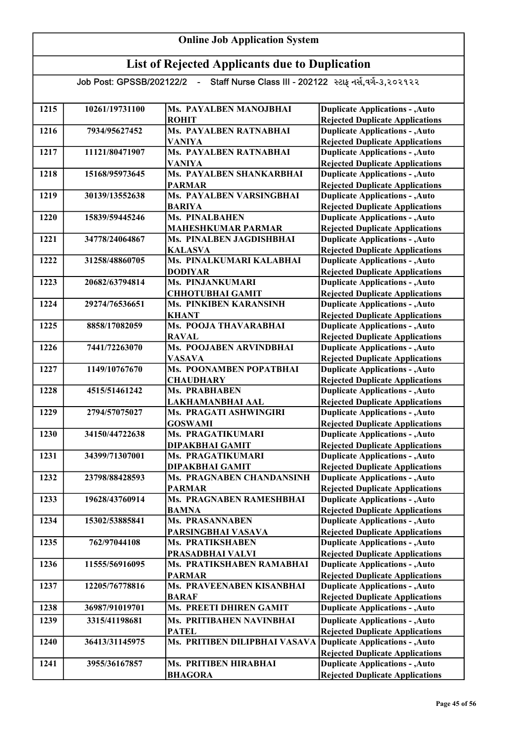| 1215 | 10261/19731100 | Ms. PAYALBEN MANOJBHAI                            | <b>Duplicate Applications - , Auto</b>                                           |
|------|----------------|---------------------------------------------------|----------------------------------------------------------------------------------|
|      |                | <b>ROHIT</b>                                      | <b>Rejected Duplicate Applications</b>                                           |
| 1216 | 7934/95627452  | Ms. PAYALBEN RATNABHAI                            | <b>Duplicate Applications - , Auto</b>                                           |
|      |                | <b>VANIYA</b>                                     | <b>Rejected Duplicate Applications</b>                                           |
| 1217 | 11121/80471907 | <b>Ms. PAYALBEN RATNABHAI</b>                     | <b>Duplicate Applications - , Auto</b>                                           |
|      |                | <b>VANIYA</b>                                     | <b>Rejected Duplicate Applications</b>                                           |
| 1218 | 15168/95973645 | Ms. PAYALBEN SHANKARBHAI                          | <b>Duplicate Applications - , Auto</b>                                           |
|      |                | <b>PARMAR</b>                                     | <b>Rejected Duplicate Applications</b>                                           |
| 1219 | 30139/13552638 | Ms. PAYALBEN VARSINGBHAI                          | <b>Duplicate Applications - , Auto</b>                                           |
|      |                | <b>BARIYA</b>                                     | <b>Rejected Duplicate Applications</b>                                           |
| 1220 | 15839/59445246 | <b>Ms. PINALBAHEN</b>                             | <b>Duplicate Applications - , Auto</b>                                           |
|      |                | <b>MAHESHKUMAR PARMAR</b>                         | <b>Rejected Duplicate Applications</b>                                           |
| 1221 | 34778/24064867 | Ms. PINALBEN JAGDISHBHAI                          | <b>Duplicate Applications - , Auto</b>                                           |
|      |                | <b>KALASVA</b>                                    | <b>Rejected Duplicate Applications</b>                                           |
| 1222 | 31258/48860705 | Ms. PINALKUMARI KALABHAI                          | <b>Duplicate Applications - , Auto</b>                                           |
|      |                | <b>DODIYAR</b>                                    | <b>Rejected Duplicate Applications</b>                                           |
| 1223 | 20682/63794814 | Ms. PINJANKUMARI                                  | <b>Duplicate Applications - , Auto</b>                                           |
|      |                | <b>CHHOTUBHAI GAMIT</b>                           | <b>Rejected Duplicate Applications</b>                                           |
| 1224 | 29274/76536651 | Ms. PINKIBEN KARANSINH                            | <b>Duplicate Applications - , Auto</b>                                           |
|      |                | <b>KHANT</b>                                      | <b>Rejected Duplicate Applications</b>                                           |
| 1225 | 8858/17082059  | Ms. POOJA THAVARABHAI                             | <b>Duplicate Applications - , Auto</b>                                           |
|      |                | <b>RAVAL</b>                                      | <b>Rejected Duplicate Applications</b>                                           |
| 1226 | 7441/72263070  | Ms. POOJABEN ARVINDBHAI                           | <b>Duplicate Applications - , Auto</b>                                           |
|      |                | <b>VASAVA</b>                                     | <b>Rejected Duplicate Applications</b>                                           |
| 1227 | 1149/10767670  | Ms. POONAMBEN POPATBHAI                           | <b>Duplicate Applications - , Auto</b>                                           |
|      |                | <b>CHAUDHARY</b>                                  | <b>Rejected Duplicate Applications</b>                                           |
| 1228 | 4515/51461242  | Ms. PRABHABEN                                     | <b>Duplicate Applications - , Auto</b>                                           |
|      | 2794/57075027  | LAKHAMANBHAI AAL<br><b>Ms. PRAGATI ASHWINGIRI</b> | <b>Rejected Duplicate Applications</b>                                           |
| 1229 |                |                                                   | <b>Duplicate Applications - , Auto</b>                                           |
| 1230 | 34150/44722638 | <b>GOSWAMI</b><br><b>Ms. PRAGATIKUMARI</b>        | <b>Rejected Duplicate Applications</b>                                           |
|      |                |                                                   | <b>Duplicate Applications - , Auto</b>                                           |
| 1231 | 34399/71307001 | <b>DIPAKBHAI GAMIT</b><br>Ms. PRAGATIKUMARI       | <b>Rejected Duplicate Applications</b><br><b>Duplicate Applications - , Auto</b> |
|      |                | DIPAKBHAI GAMIT                                   | <b>Rejected Duplicate Applications</b>                                           |
| 1232 | 23798/88428593 | Ms. PRAGNABEN CHANDANSINH                         | <b>Duplicate Applications - , Auto</b>                                           |
|      |                |                                                   | <b>Rejected Duplicate Applications</b>                                           |
| 1233 | 19628/43760914 | <b>PARMAR</b><br>Ms. PRAGNABEN RAMESHBHAI         | <b>Duplicate Applications - , Auto</b>                                           |
|      |                | <b>BAMNA</b>                                      | <b>Rejected Duplicate Applications</b>                                           |
| 1234 | 15302/53885841 | <b>Ms. PRASANNABEN</b>                            | <b>Duplicate Applications - , Auto</b>                                           |
|      |                | PARSINGBHAI VASAVA                                | <b>Rejected Duplicate Applications</b>                                           |
| 1235 | 762/97044108   | <b>Ms. PRATIKSHABEN</b>                           | <b>Duplicate Applications - , Auto</b>                                           |
|      |                | PRASADBHAI VALVI                                  | <b>Rejected Duplicate Applications</b>                                           |
| 1236 | 11555/56916095 | Ms. PRATIKSHABEN RAMABHAI                         | <b>Duplicate Applications - , Auto</b>                                           |
|      |                | <b>PARMAR</b>                                     | <b>Rejected Duplicate Applications</b>                                           |
| 1237 | 12205/76778816 | Ms. PRAVEENABEN KISANBHAI                         | <b>Duplicate Applications - , Auto</b>                                           |
|      |                | <b>BARAF</b>                                      | <b>Rejected Duplicate Applications</b>                                           |
| 1238 | 36987/91019701 | Ms. PREETI DHIREN GAMIT                           | <b>Duplicate Applications - , Auto</b>                                           |
|      |                |                                                   |                                                                                  |
| 1239 | 3315/41198681  | Ms. PRITIBAHEN NAVINBHAI                          | <b>Duplicate Applications - , Auto</b>                                           |
|      |                | <b>PATEL</b>                                      | <b>Rejected Duplicate Applications</b>                                           |
| 1240 | 36413/31145975 | Ms. PRITIBEN DILIPBHAI VASAVA                     | <b>Duplicate Applications - , Auto</b>                                           |
|      |                |                                                   | <b>Rejected Duplicate Applications</b>                                           |
| 1241 | 3955/36167857  | Ms. PRITIBEN HIRABHAI                             | <b>Duplicate Applications - , Auto</b>                                           |
|      |                | <b>BHAGORA</b>                                    | <b>Rejected Duplicate Applications</b>                                           |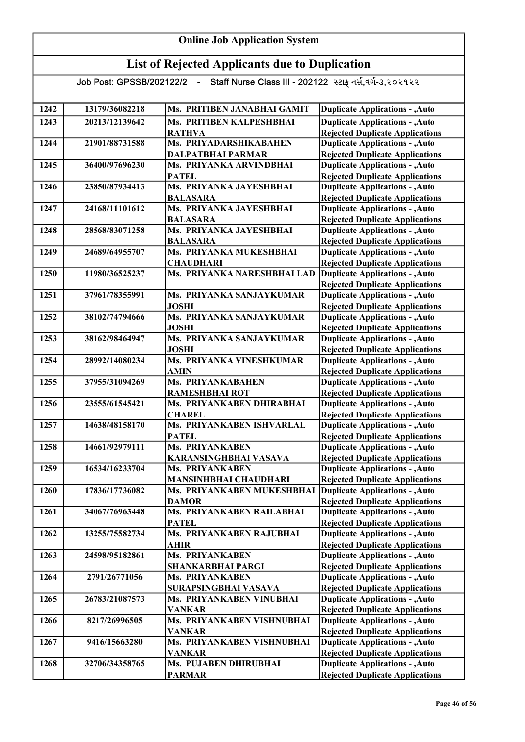#### Online Job Application System

## List of Rejected Applicants due to Duplication

| 1242        | 13179/36082218 | Ms. PRITIBEN JANABHAI GAMIT                                | <b>Duplicate Applications - , Auto</b>                                           |
|-------------|----------------|------------------------------------------------------------|----------------------------------------------------------------------------------|
| 1243        | 20213/12139642 | Ms. PRITIBEN KALPESHBHAI                                   | <b>Duplicate Applications - , Auto</b>                                           |
|             |                | <b>RATHVA</b>                                              | <b>Rejected Duplicate Applications</b>                                           |
| 1244        | 21901/88731588 | Ms. PRIYADARSHIKABAHEN                                     | <b>Duplicate Applications - , Auto</b>                                           |
|             |                | <b>DALPATBHAI PARMAR</b>                                   | <b>Rejected Duplicate Applications</b>                                           |
| 1245        | 36400/97696230 | Ms. PRIYANKA ARVINDBHAI                                    | <b>Duplicate Applications - , Auto</b>                                           |
|             |                | <b>PATEL</b>                                               | <b>Rejected Duplicate Applications</b>                                           |
| 1246        | 23850/87934413 | Ms. PRIYANKA JAYESHBHAI                                    | <b>Duplicate Applications - , Auto</b>                                           |
|             |                | <b>BALASARA</b>                                            | <b>Rejected Duplicate Applications</b>                                           |
| 1247        | 24168/11101612 | Ms. PRIYANKA JAYESHBHAI                                    | <b>Duplicate Applications - , Auto</b>                                           |
|             |                | <b>BALASARA</b>                                            | <b>Rejected Duplicate Applications</b>                                           |
| 1248        | 28568/83071258 | Ms. PRIYANKA JAYESHBHAI                                    | <b>Duplicate Applications - , Auto</b>                                           |
|             |                | <b>BALASARA</b>                                            | <b>Rejected Duplicate Applications</b>                                           |
| 1249        | 24689/64955707 | Ms. PRIYANKA MUKESHBHAI                                    | <b>Duplicate Applications - , Auto</b>                                           |
|             |                | <b>CHAUDHARI</b>                                           | <b>Rejected Duplicate Applications</b>                                           |
| 1250        | 11980/36525237 | Ms. PRIYANKA NARESHBHAI LAD                                | <b>Duplicate Applications - , Auto</b>                                           |
|             |                |                                                            | <b>Rejected Duplicate Applications</b>                                           |
| 1251        | 37961/78355991 | Ms. PRIYANKA SANJAYKUMAR                                   | <b>Duplicate Applications - , Auto</b>                                           |
|             |                | <b>JOSHI</b>                                               | <b>Rejected Duplicate Applications</b>                                           |
| 1252        | 38102/74794666 | Ms. PRIYANKA SANJAYKUMAR                                   | <b>Duplicate Applications - , Auto</b>                                           |
|             |                | <b>JOSHI</b>                                               | <b>Rejected Duplicate Applications</b>                                           |
| 1253        | 38162/98464947 | Ms. PRIYANKA SANJAYKUMAR                                   | <b>Duplicate Applications - , Auto</b>                                           |
|             |                | <b>JOSHI</b>                                               | <b>Rejected Duplicate Applications</b>                                           |
| 1254        | 28992/14080234 | Ms. PRIYANKA VINESHKUMAR                                   | <b>Duplicate Applications - , Auto</b>                                           |
|             |                | <b>AMIN</b>                                                | <b>Rejected Duplicate Applications</b>                                           |
| 1255        | 37955/31094269 | Ms. PRIYANKABAHEN                                          | <b>Duplicate Applications - , Auto</b>                                           |
| 1256        | 23555/61545421 | <b>RAMESHBHAI ROT</b><br>Ms. PRIYANKABEN DHIRABHAI         | <b>Rejected Duplicate Applications</b>                                           |
|             |                | <b>CHAREL</b>                                              | <b>Duplicate Applications - , Auto</b>                                           |
| 1257        | 14638/48158170 | Ms. PRIYANKABEN ISHVARLAL                                  | <b>Rejected Duplicate Applications</b><br><b>Duplicate Applications - , Auto</b> |
|             |                | <b>PATEL</b>                                               | <b>Rejected Duplicate Applications</b>                                           |
| 1258        | 14661/92979111 | Ms. PRIYANKABEN                                            | <b>Duplicate Applications - , Auto</b>                                           |
|             |                | KARANSINGHBHAI VASAVA                                      | <b>Rejected Duplicate Applications</b>                                           |
| 1259        | 16534/16233704 | Ms. PRIYANKABEN                                            | <b>Duplicate Applications - , Auto</b>                                           |
|             |                | <b>MANSINHBHAI CHAUDHARI</b>                               | <b>Rejected Duplicate Applications</b>                                           |
| <b>1260</b> | 17836/17736082 | Ms. PRIYANKABEN MUKESHBHAI Duplicate Applications - , Auto |                                                                                  |
|             |                | <b>DAMOR</b>                                               | <b>Rejected Duplicate Applications</b>                                           |
| 1261        | 34067/76963448 | Ms. PRIYANKABEN RAILABHAI                                  | <b>Duplicate Applications - , Auto</b>                                           |
|             |                | <b>PATEL</b>                                               | <b>Rejected Duplicate Applications</b>                                           |
| 1262        | 13255/75582734 | Ms. PRIYANKABEN RAJUBHAI                                   | <b>Duplicate Applications - , Auto</b>                                           |
|             |                | <b>AHIR</b>                                                | <b>Rejected Duplicate Applications</b>                                           |
| 1263        | 24598/95182861 | <b>Ms. PRIYANKABEN</b>                                     | <b>Duplicate Applications - , Auto</b>                                           |
|             |                | <b>SHANKARBHAI PARGI</b>                                   | <b>Rejected Duplicate Applications</b>                                           |
| 1264        | 2791/26771056  | <b>Ms. PRIYANKABEN</b>                                     | <b>Duplicate Applications - , Auto</b>                                           |
|             |                | SURAPSINGBHAI VASAVA                                       | <b>Rejected Duplicate Applications</b>                                           |
| 1265        | 26783/21087573 | Ms. PRIYANKABEN VINUBHAI                                   | <b>Duplicate Applications - , Auto</b>                                           |
|             |                | <b>VANKAR</b>                                              | <b>Rejected Duplicate Applications</b>                                           |
| 1266        | 8217/26996505  | Ms. PRIYANKABEN VISHNUBHAI                                 | <b>Duplicate Applications - , Auto</b>                                           |
|             |                | <b>VANKAR</b>                                              | <b>Rejected Duplicate Applications</b>                                           |
| 1267        | 9416/15663280  | Ms. PRIYANKABEN VISHNUBHAI                                 | <b>Duplicate Applications - , Auto</b>                                           |
|             |                | <b>VANKAR</b>                                              | <b>Rejected Duplicate Applications</b>                                           |
| 1268        | 32706/34358765 | Ms. PUJABEN DHIRUBHAI                                      | <b>Duplicate Applications - , Auto</b>                                           |
|             |                | <b>PARMAR</b>                                              | <b>Rejected Duplicate Applications</b>                                           |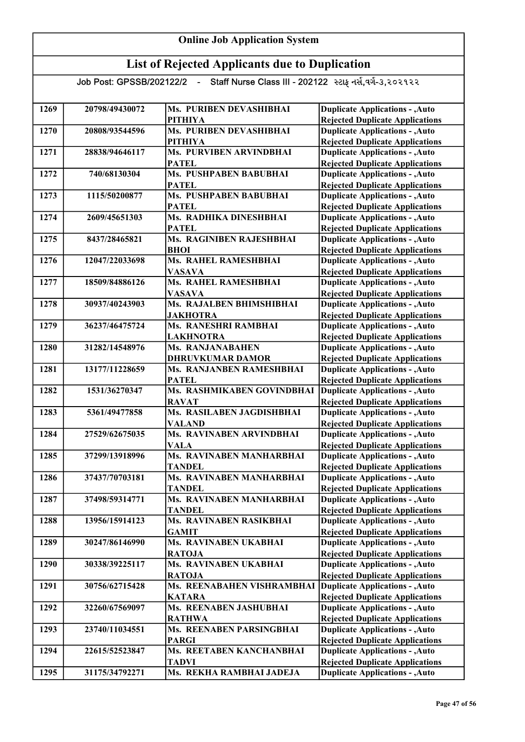| 1269 | 20798/49430072 | Ms. PURIBEN DEVASHIBHAI       | <b>Duplicate Applications - , Auto</b> |
|------|----------------|-------------------------------|----------------------------------------|
|      |                | <b>PITHIYA</b>                | <b>Rejected Duplicate Applications</b> |
| 1270 | 20808/93544596 | Ms. PURIBEN DEVASHIBHAI       | <b>Duplicate Applications - , Auto</b> |
|      |                | <b>PITHIYA</b>                | <b>Rejected Duplicate Applications</b> |
| 1271 | 28838/94646117 | Ms. PURVIBEN ARVINDBHAI       | <b>Duplicate Applications - , Auto</b> |
|      |                | <b>PATEL</b>                  | <b>Rejected Duplicate Applications</b> |
| 1272 | 740/68130304   | <b>Ms. PUSHPABEN BABUBHAI</b> | <b>Duplicate Applications - , Auto</b> |
|      |                | <b>PATEL</b>                  | <b>Rejected Duplicate Applications</b> |
| 1273 | 1115/50200877  | Ms. PUSHPABEN BABUBHAI        | <b>Duplicate Applications - , Auto</b> |
|      |                | <b>PATEL</b>                  | <b>Rejected Duplicate Applications</b> |
| 1274 | 2609/45651303  | Ms. RADHIKA DINESHBHAI        | <b>Duplicate Applications - , Auto</b> |
|      |                | <b>PATEL</b>                  | <b>Rejected Duplicate Applications</b> |
| 1275 | 8437/28465821  | Ms. RAGINIBEN RAJESHBHAI      | <b>Duplicate Applications - , Auto</b> |
|      |                | <b>BHOI</b>                   | <b>Rejected Duplicate Applications</b> |
| 1276 | 12047/22033698 | Ms. RAHEL RAMESHBHAI          | <b>Duplicate Applications - , Auto</b> |
|      |                | <b>VASAVA</b>                 | <b>Rejected Duplicate Applications</b> |
| 1277 | 18509/84886126 | Ms. RAHEL RAMESHBHAI          | <b>Duplicate Applications - , Auto</b> |
|      |                | <b>VASAVA</b>                 | <b>Rejected Duplicate Applications</b> |
| 1278 | 30937/40243903 | Ms. RAJALBEN BHIMSHIBHAI      | <b>Duplicate Applications - , Auto</b> |
|      |                | <b>JAKHOTRA</b>               | <b>Rejected Duplicate Applications</b> |
| 1279 | 36237/46475724 | Ms. RANESHRI RAMBHAI          | <b>Duplicate Applications - , Auto</b> |
|      |                | <b>LAKHNOTRA</b>              | <b>Rejected Duplicate Applications</b> |
| 1280 | 31282/14548976 | <b>Ms. RANJANABAHEN</b>       | <b>Duplicate Applications - , Auto</b> |
|      |                | <b>DHRUVKUMAR DAMOR</b>       | <b>Rejected Duplicate Applications</b> |
| 1281 | 13177/11228659 | Ms. RANJANBEN RAMESHBHAI      | <b>Duplicate Applications - , Auto</b> |
|      |                | <b>PATEL</b>                  | <b>Rejected Duplicate Applications</b> |
| 1282 | 1531/36270347  | Ms. RASHMIKABEN GOVINDBHAI    | <b>Duplicate Applications - , Auto</b> |
|      |                | <b>RAVAT</b>                  | <b>Rejected Duplicate Applications</b> |
| 1283 | 5361/49477858  | Ms. RASILABEN JAGDISHBHAI     | <b>Duplicate Applications - , Auto</b> |
|      |                | <b>VALAND</b>                 | <b>Rejected Duplicate Applications</b> |
| 1284 | 27529/62675035 | Ms. RAVINABEN ARVINDBHAI      | <b>Duplicate Applications - , Auto</b> |
|      |                | <b>VALA</b>                   | <b>Rejected Duplicate Applications</b> |
| 1285 | 37299/13918996 | Ms. RAVINABEN MANHARBHAI      | <b>Duplicate Applications - , Auto</b> |
|      |                | <b>TANDEL</b>                 | <b>Rejected Duplicate Applications</b> |
| 1286 | 37437/70703181 | Ms. RAVINABEN MANHARBHAI      | <b>Duplicate Applications - , Auto</b> |
|      |                | <b>TANDEL</b>                 | <b>Rejected Duplicate Applications</b> |
| 1287 | 37498/59314771 | Ms. RAVINABEN MANHARBHAI      | <b>Duplicate Applications - , Auto</b> |
|      |                | <b>TANDEL</b>                 | <b>Rejected Duplicate Applications</b> |
| 1288 | 13956/15914123 | Ms. RAVINABEN RASIKBHAI       | <b>Duplicate Applications - , Auto</b> |
|      |                | <b>GAMIT</b>                  | <b>Rejected Duplicate Applications</b> |
| 1289 | 30247/86146990 | Ms. RAVINABEN UKABHAI         | <b>Duplicate Applications - , Auto</b> |
|      |                | <b>RATOJA</b>                 | <b>Rejected Duplicate Applications</b> |
| 1290 | 30338/39225117 | Ms. RAVINABEN UKABHAI         | <b>Duplicate Applications - , Auto</b> |
|      |                | <b>RATOJA</b>                 | <b>Rejected Duplicate Applications</b> |
| 1291 | 30756/62715428 | Ms. REENABAHEN VISHRAMBHAI    | <b>Duplicate Applications - , Auto</b> |
|      |                | <b>KATARA</b>                 | <b>Rejected Duplicate Applications</b> |
| 1292 | 32260/67569097 | Ms. REENABEN JASHUBHAI        | <b>Duplicate Applications - , Auto</b> |
|      |                | <b>RATHWA</b>                 | <b>Rejected Duplicate Applications</b> |
| 1293 | 23740/11034551 | Ms. REENABEN PARSINGBHAI      | <b>Duplicate Applications - , Auto</b> |
|      |                | <b>PARGI</b>                  | <b>Rejected Duplicate Applications</b> |
| 1294 | 22615/52523847 | Ms. REETABEN KANCHANBHAI      | <b>Duplicate Applications - , Auto</b> |
|      |                | <b>TADVI</b>                  | <b>Rejected Duplicate Applications</b> |
| 1295 | 31175/34792271 | Ms. REKHA RAMBHAI JADEJA      | <b>Duplicate Applications - , Auto</b> |
|      |                |                               |                                        |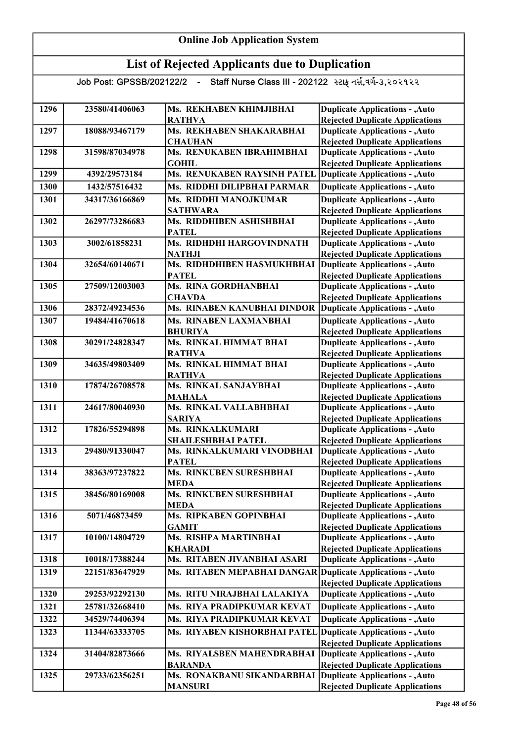| 1296 | 23580/41406063 | Ms. REKHABEN KHIMJIBHAI                         | <b>Duplicate Applications - , Auto</b>                                           |
|------|----------------|-------------------------------------------------|----------------------------------------------------------------------------------|
|      |                | <b>RATHVA</b>                                   | <b>Rejected Duplicate Applications</b>                                           |
| 1297 | 18088/93467179 | Ms. REKHABEN SHAKARABHAI                        | <b>Duplicate Applications - , Auto</b>                                           |
|      | 31598/87034978 | <b>CHAUHAN</b><br>Ms. RENUKABEN IBRAHIMBHAI     | <b>Rejected Duplicate Applications</b>                                           |
| 1298 |                | <b>GOHIL</b>                                    | <b>Duplicate Applications - , Auto</b>                                           |
| 1299 | 4392/29573184  | Ms. RENUKABEN RAYSINH PATEL                     | <b>Rejected Duplicate Applications</b><br><b>Duplicate Applications - , Auto</b> |
|      |                |                                                 |                                                                                  |
| 1300 | 1432/57516432  | Ms. RIDDHI DILIPBHAI PARMAR                     | <b>Duplicate Applications - , Auto</b>                                           |
| 1301 | 34317/36166869 | <b>Ms. RIDDHI MANOJKUMAR</b><br><b>SATHWARA</b> | <b>Duplicate Applications - , Auto</b><br><b>Rejected Duplicate Applications</b> |
| 1302 | 26297/73286683 | Ms. RIDDHIBEN ASHISHBHAI                        | <b>Duplicate Applications - , Auto</b>                                           |
|      |                | <b>PATEL</b>                                    | <b>Rejected Duplicate Applications</b>                                           |
| 1303 | 3002/61858231  | Ms. RIDHDHI HARGOVINDNATH                       | <b>Duplicate Applications - , Auto</b>                                           |
|      |                | <b>NATHJI</b>                                   | <b>Rejected Duplicate Applications</b>                                           |
| 1304 | 32654/60140671 | Ms. RIDHDHIBEN HASMUKHBHAI                      | <b>Duplicate Applications - , Auto</b>                                           |
|      |                | <b>PATEL</b>                                    | <b>Rejected Duplicate Applications</b>                                           |
| 1305 | 27509/12003003 | Ms. RINA GORDHANBHAI                            | <b>Duplicate Applications - , Auto</b>                                           |
|      |                | <b>CHAVDA</b>                                   | <b>Rejected Duplicate Applications</b>                                           |
| 1306 | 28372/49234536 | Ms. RINABEN KANUBHAI DINDOR                     | <b>Duplicate Applications - , Auto</b>                                           |
| 1307 | 19484/41670618 | Ms. RINABEN LAXMANBHAI                          | <b>Duplicate Applications - , Auto</b>                                           |
|      |                | <b>BHURIYA</b>                                  | <b>Rejected Duplicate Applications</b>                                           |
| 1308 | 30291/24828347 | Ms. RINKAL HIMMAT BHAI                          | <b>Duplicate Applications - , Auto</b>                                           |
|      |                | <b>RATHVA</b>                                   | <b>Rejected Duplicate Applications</b>                                           |
| 1309 | 34635/49803409 | Ms. RINKAL HIMMAT BHAI                          | <b>Duplicate Applications - , Auto</b>                                           |
|      |                | <b>RATHVA</b>                                   | <b>Rejected Duplicate Applications</b>                                           |
| 1310 | 17874/26708578 | Ms. RINKAL SANJAYBHAI                           | <b>Duplicate Applications - , Auto</b>                                           |
|      |                | <b>MAHALA</b>                                   | <b>Rejected Duplicate Applications</b>                                           |
| 1311 | 24617/80040930 | Ms. RINKAL VALLABHBHAI                          | <b>Duplicate Applications - , Auto</b>                                           |
|      |                | <b>SARIYA</b>                                   | <b>Rejected Duplicate Applications</b>                                           |
| 1312 | 17826/55294898 | Ms. RINKALKUMARI                                | <b>Duplicate Applications - , Auto</b>                                           |
|      |                | SHAILESHBHAI PATEL                              | <b>Rejected Duplicate Applications</b>                                           |
| 1313 | 29480/91330047 | Ms. RINKALKUMARI VINODBHAI                      | <b>Duplicate Applications - , Auto</b>                                           |
|      |                | <b>PATEL</b>                                    | <b>Rejected Duplicate Applications</b>                                           |
| 1314 | 38363/97237822 | Ms. RINKUBEN SURESHBHAI                         | <b>Duplicate Applications - , Auto</b>                                           |
|      |                | <b>MEDA</b><br>Ms. RINKUBEN SURESHBHAI          | <b>Rejected Duplicate Applications</b>                                           |
| 1315 | 38456/80169008 | <b>MEDA</b>                                     | <b>Duplicate Applications - , Auto</b>                                           |
| 1316 | 5071/46873459  | Ms. RIPKABEN GOPINBHAI                          | <b>Rejected Duplicate Applications</b><br><b>Duplicate Applications - , Auto</b> |
|      |                | <b>GAMIT</b>                                    | <b>Rejected Duplicate Applications</b>                                           |
| 1317 | 10100/14804729 | Ms. RISHPA MARTINBHAI                           | <b>Duplicate Applications - , Auto</b>                                           |
|      |                | <b>KHARADI</b>                                  | <b>Rejected Duplicate Applications</b>                                           |
| 1318 | 10018/17388244 | Ms. RITABEN JIVANBHAI ASARI                     | <b>Duplicate Applications - , Auto</b>                                           |
| 1319 | 22151/83647929 | Ms. RITABEN MEPABHAI DANGAR                     | Duplicate Applications - , Auto                                                  |
|      |                |                                                 | <b>Rejected Duplicate Applications</b>                                           |
| 1320 | 29253/92292130 | Ms. RITU NIRAJBHAI LALAKIYA                     | <b>Duplicate Applications - , Auto</b>                                           |
| 1321 | 25781/32668410 | Ms. RIYA PRADIPKUMAR KEVAT                      | <b>Duplicate Applications - , Auto</b>                                           |
|      |                |                                                 |                                                                                  |
| 1322 | 34529/74406394 | Ms. RIYA PRADIPKUMAR KEVAT                      | <b>Duplicate Applications - , Auto</b>                                           |
| 1323 | 11344/63333705 | Ms. RIYABEN KISHORBHAI PATEL                    | <b>Duplicate Applications - , Auto</b><br><b>Rejected Duplicate Applications</b> |
| 1324 | 31404/82873666 | Ms. RIYALSBEN MAHENDRABHAI                      | <b>Duplicate Applications - , Auto</b>                                           |
|      |                | <b>BARANDA</b>                                  | <b>Rejected Duplicate Applications</b>                                           |
| 1325 | 29733/62356251 | Ms. RONAKBANU SIKANDARBHAI                      | Duplicate Applications - , Auto                                                  |
|      |                | <b>MANSURI</b>                                  | <b>Rejected Duplicate Applications</b>                                           |
|      |                |                                                 |                                                                                  |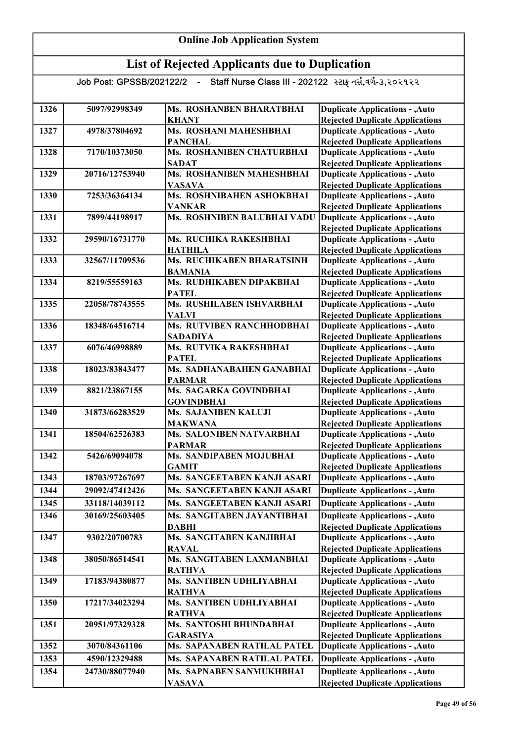| 1326 | 5097/92998349  | Ms. ROSHANBEN BHARATBHAI                     | <b>Duplicate Applications - , Auto</b>                                           |
|------|----------------|----------------------------------------------|----------------------------------------------------------------------------------|
|      |                | <b>KHANT</b>                                 | <b>Rejected Duplicate Applications</b>                                           |
| 1327 | 4978/37804692  | Ms. ROSHANI MAHESHBHAI                       | <b>Duplicate Applications - , Auto</b>                                           |
|      |                | <b>PANCHAL</b>                               | <b>Rejected Duplicate Applications</b>                                           |
| 1328 | 7170/10373050  | Ms. ROSHANIBEN CHATURBHAI                    | <b>Duplicate Applications - , Auto</b>                                           |
|      |                | <b>SADAT</b>                                 | <b>Rejected Duplicate Applications</b>                                           |
| 1329 | 20716/12753940 | Ms. ROSHANIBEN MAHESHBHAI                    | <b>Duplicate Applications - , Auto</b>                                           |
|      |                | <b>VASAVA</b>                                | <b>Rejected Duplicate Applications</b>                                           |
| 1330 | 7253/36364134  | Ms. ROSHNIBAHEN ASHOKBHAI                    | <b>Duplicate Applications - , Auto</b>                                           |
| 1331 |                | <b>VANKAR</b><br>Ms. ROSHNIBEN BALUBHAI VADU | <b>Rejected Duplicate Applications</b><br><b>Duplicate Applications - , Auto</b> |
|      | 7899/44198917  |                                              |                                                                                  |
| 1332 | 29590/16731770 | Ms. RUCHIKA RAKESHBHAI                       | <b>Rejected Duplicate Applications</b><br><b>Duplicate Applications - , Auto</b> |
|      |                | <b>HATHILA</b>                               | <b>Rejected Duplicate Applications</b>                                           |
| 1333 | 32567/11709536 | Ms. RUCHIKABEN BHARATSINH                    | <b>Duplicate Applications - , Auto</b>                                           |
|      |                | <b>BAMANIA</b>                               | <b>Rejected Duplicate Applications</b>                                           |
| 1334 | 8219/55559163  | Ms. RUDHIKABEN DIPAKBHAI                     | <b>Duplicate Applications - , Auto</b>                                           |
|      |                | <b>PATEL</b>                                 | <b>Rejected Duplicate Applications</b>                                           |
| 1335 | 22058/78743555 | Ms. RUSHILABEN ISHVARBHAI                    | <b>Duplicate Applications - , Auto</b>                                           |
|      |                | <b>VALVI</b>                                 | <b>Rejected Duplicate Applications</b>                                           |
| 1336 | 18348/64516714 | Ms. RUTVIBEN RANCHHODBHAI                    | <b>Duplicate Applications - , Auto</b>                                           |
|      |                | <b>SADADIYA</b>                              | <b>Rejected Duplicate Applications</b>                                           |
| 1337 | 6076/46998889  | Ms. RUTVIKA RAKESHBHAI                       | <b>Duplicate Applications - , Auto</b>                                           |
|      |                | <b>PATEL</b>                                 | <b>Rejected Duplicate Applications</b>                                           |
| 1338 | 18023/83843477 | Ms. SADHANABAHEN GANABHAI                    | <b>Duplicate Applications - , Auto</b>                                           |
|      |                | <b>PARMAR</b>                                | <b>Rejected Duplicate Applications</b>                                           |
| 1339 | 8821/23867155  | Ms. SAGARKA GOVINDBHAI                       | <b>Duplicate Applications - , Auto</b>                                           |
|      |                | <b>GOVINDBHAI</b>                            | <b>Rejected Duplicate Applications</b>                                           |
| 1340 | 31873/66283529 | <b>Ms. SAJANIBEN KALUJI</b>                  | <b>Duplicate Applications - , Auto</b>                                           |
|      |                | <b>MAKWANA</b>                               | <b>Rejected Duplicate Applications</b>                                           |
| 1341 | 18504/62526383 | Ms. SALONIBEN NATVARBHAI                     | <b>Duplicate Applications - , Auto</b>                                           |
|      |                | <b>PARMAR</b>                                | <b>Rejected Duplicate Applications</b>                                           |
| 1342 | 5426/69094078  | Ms. SANDIPABEN MOJUBHAI                      | <b>Duplicate Applications - , Auto</b>                                           |
|      |                | <b>GAMIT</b>                                 | <b>Rejected Duplicate Applications</b>                                           |
| 1343 | 18703/97267697 | Ms. SANGEETABEN KANJI ASARI                  | <b>Duplicate Applications - , Auto</b>                                           |
| 1344 | 29092/47412426 | Ms. SANGEETABEN KANJI ASARI                  | <b>Duplicate Applications - , Auto</b>                                           |
| 1345 | 33118/14039112 | Ms. SANGEETABEN KANJI ASARI                  | <b>Duplicate Applications - , Auto</b>                                           |
| 1346 | 30169/25603405 | Ms. SANGITABEN JAYANTIBHAI                   | <b>Duplicate Applications - , Auto</b>                                           |
|      |                | <b>DABHI</b>                                 | <b>Rejected Duplicate Applications</b>                                           |
| 1347 | 9302/20700783  | Ms. SANGITABEN KANJIBHAI                     | <b>Duplicate Applications - , Auto</b>                                           |
|      |                | <b>RAVAL</b>                                 | <b>Rejected Duplicate Applications</b>                                           |
| 1348 | 38050/86514541 | Ms. SANGITABEN LAXMANBHAI                    | <b>Duplicate Applications - , Auto</b>                                           |
|      |                | <b>RATHVA</b>                                | <b>Rejected Duplicate Applications</b>                                           |
| 1349 | 17183/94380877 | Ms. SANTIBEN UDHLIYABHAI                     | <b>Duplicate Applications - , Auto</b>                                           |
|      |                | <b>RATHVA</b>                                | <b>Rejected Duplicate Applications</b>                                           |
| 1350 | 17217/34023294 | Ms. SANTIBEN UDHLIYABHAI                     | <b>Duplicate Applications - , Auto</b>                                           |
|      |                | <b>RATHVA</b>                                | <b>Rejected Duplicate Applications</b>                                           |
| 1351 | 20951/97329328 | Ms. SANTOSHI BHUNDABHAI                      | <b>Duplicate Applications - , Auto</b>                                           |
|      |                | <b>GARASIYA</b>                              | <b>Rejected Duplicate Applications</b>                                           |
| 1352 | 3070/84361106  | Ms. SAPANABEN RATILAL PATEL                  | <b>Duplicate Applications - , Auto</b>                                           |
| 1353 | 4590/12329488  | Ms. SAPANABEN RATILAL PATEL                  | <b>Duplicate Applications - , Auto</b>                                           |
| 1354 | 24730/88077940 | Ms. SAPNABEN SANMUKHBHAI                     | <b>Duplicate Applications - , Auto</b>                                           |
|      |                | <b>VASAVA</b>                                | <b>Rejected Duplicate Applications</b>                                           |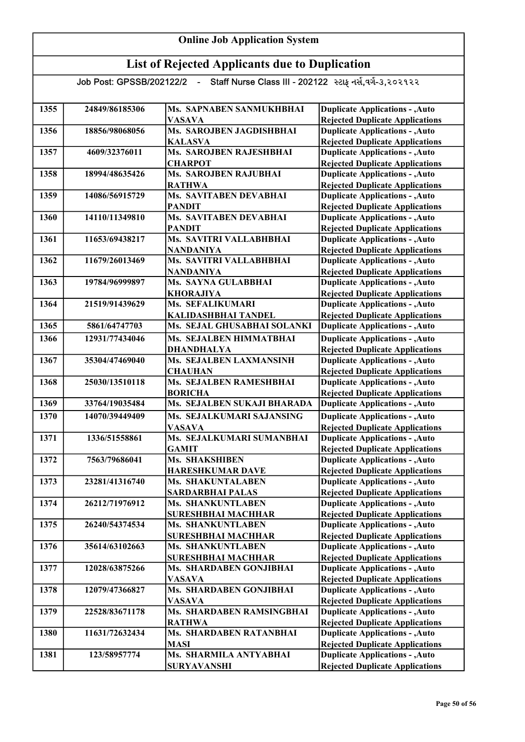| 1355 | 24849/86185306 | Ms. SAPNABEN SANMUKHBHAI              | <b>Duplicate Applications - , Auto</b> |
|------|----------------|---------------------------------------|----------------------------------------|
|      |                | <b>VASAVA</b>                         | <b>Rejected Duplicate Applications</b> |
| 1356 | 18856/98068056 | Ms. SAROJBEN JAGDISHBHAI              | <b>Duplicate Applications - , Auto</b> |
|      |                | <b>KALASVA</b>                        | <b>Rejected Duplicate Applications</b> |
| 1357 | 4609/32376011  | Ms. SAROJBEN RAJESHBHAI               | <b>Duplicate Applications - , Auto</b> |
|      |                | <b>CHARPOT</b>                        | <b>Rejected Duplicate Applications</b> |
| 1358 | 18994/48635426 | Ms. SAROJBEN RAJUBHAI                 | <b>Duplicate Applications - , Auto</b> |
|      |                | <b>RATHWA</b>                         | <b>Rejected Duplicate Applications</b> |
| 1359 | 14086/56915729 | Ms. SAVITABEN DEVABHAI                | <b>Duplicate Applications - , Auto</b> |
|      |                | <b>PANDIT</b>                         | <b>Rejected Duplicate Applications</b> |
| 1360 | 14110/11349810 | Ms. SAVITABEN DEVABHAI                | <b>Duplicate Applications - , Auto</b> |
|      |                | <b>PANDIT</b>                         | <b>Rejected Duplicate Applications</b> |
| 1361 | 11653/69438217 | Ms. SAVITRI VALLABHBHAI               | <b>Duplicate Applications - , Auto</b> |
|      |                | <b>NANDANIYA</b>                      | <b>Rejected Duplicate Applications</b> |
| 1362 | 11679/26013469 | Ms. SAVITRI VALLABHBHAI               | <b>Duplicate Applications - , Auto</b> |
|      |                | <b>NANDANIYA</b>                      | <b>Rejected Duplicate Applications</b> |
| 1363 | 19784/96999897 | Ms. SAYNA GULABBHAI                   | <b>Duplicate Applications - , Auto</b> |
|      |                | <b>KHORAJIYA</b>                      | <b>Rejected Duplicate Applications</b> |
| 1364 | 21519/91439629 | Ms. SEFALIKUMARI                      | <b>Duplicate Applications - , Auto</b> |
|      |                | KALIDASHBHAI TANDEL                   | <b>Rejected Duplicate Applications</b> |
| 1365 | 5861/64747703  | Ms. SEJAL GHUSABHAI SOLANKI           | <b>Duplicate Applications - , Auto</b> |
| 1366 | 12931/77434046 | Ms. SEJALBEN HIMMATBHAI               | <b>Duplicate Applications - , Auto</b> |
|      |                | <b>DHANDHALYA</b>                     | <b>Rejected Duplicate Applications</b> |
| 1367 | 35304/47469040 | Ms. SEJALBEN LAXMANSINH               | <b>Duplicate Applications - , Auto</b> |
|      |                | <b>CHAUHAN</b>                        | <b>Rejected Duplicate Applications</b> |
| 1368 | 25030/13510118 | Ms. SEJALBEN RAMESHBHAI               | <b>Duplicate Applications - , Auto</b> |
|      |                | <b>BORICHA</b>                        | <b>Rejected Duplicate Applications</b> |
| 1369 | 33764/19035484 | Ms. SEJALBEN SUKAJI BHARADA           | <b>Duplicate Applications - , Auto</b> |
| 1370 | 14070/39449409 | Ms. SEJALKUMARI SAJANSING             | <b>Duplicate Applications - , Auto</b> |
|      |                | <b>VASAVA</b>                         | <b>Rejected Duplicate Applications</b> |
| 1371 | 1336/51558861  | Ms. SEJALKUMARI SUMANBHAI             | <b>Duplicate Applications - , Auto</b> |
|      |                | <b>GAMIT</b>                          | <b>Rejected Duplicate Applications</b> |
| 1372 | 7563/79686041  | Ms. SHAKSHIBEN                        | <b>Duplicate Applications - , Auto</b> |
|      |                | <b>HARESHKUMAR DAVE</b>               | <b>Rejected Duplicate Applications</b> |
| 1373 | 23281/41316740 | Ms. SHAKUNTALABEN                     | <b>Duplicate Applications - , Auto</b> |
|      |                | <b>SARDARBHAI PALAS</b>               | <b>Rejected Duplicate Applications</b> |
| 1374 | 26212/71976912 | Ms. SHANKUNTLABEN                     | <b>Duplicate Applications - , Auto</b> |
|      |                | <b>SURESHBHAI MACHHAR</b>             | <b>Rejected Duplicate Applications</b> |
| 1375 | 26240/54374534 | Ms. SHANKUNTLABEN                     | <b>Duplicate Applications - , Auto</b> |
|      |                | <b>SURESHBHAI MACHHAR</b>             | <b>Rejected Duplicate Applications</b> |
| 1376 | 35614/63102663 | Ms. SHANKUNTLABEN                     | <b>Duplicate Applications - , Auto</b> |
|      |                | <b>SURESHBHAI MACHHAR</b>             | <b>Rejected Duplicate Applications</b> |
| 1377 | 12028/63875266 | Ms. SHARDABEN GONJIBHAI               | <b>Duplicate Applications - , Auto</b> |
|      |                | <b>VASAVA</b>                         | <b>Rejected Duplicate Applications</b> |
| 1378 | 12079/47366827 | <b>Ms. SHARDABEN GONJIBHAI</b>        | <b>Duplicate Applications - , Auto</b> |
|      |                | <b>VASAVA</b>                         | <b>Rejected Duplicate Applications</b> |
| 1379 | 22528/83671178 | Ms. SHARDABEN RAMSINGBHAI             | <b>Duplicate Applications - , Auto</b> |
|      |                | <b>RATHWA</b>                         | <b>Rejected Duplicate Applications</b> |
| 1380 | 11631/72632434 | <b>Ms. SHARDABEN RATANBHAI</b>        | <b>Duplicate Applications - , Auto</b> |
| 1381 |                | <b>MASI</b><br>Ms. SHARMILA ANTYABHAI | <b>Rejected Duplicate Applications</b> |
|      | 123/58957774   |                                       | <b>Duplicate Applications - , Auto</b> |
|      |                | <b>SURYAVANSHI</b>                    | <b>Rejected Duplicate Applications</b> |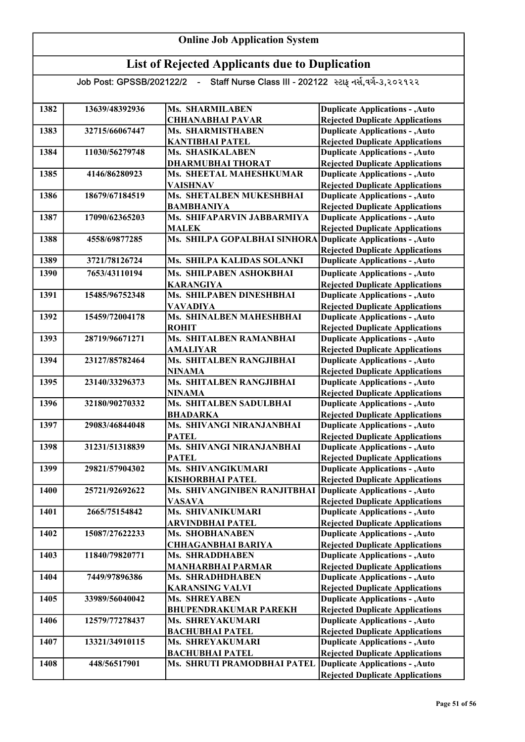| 1382        | 13639/48392936 | Ms. SHARMILABEN                                              | <b>Duplicate Applications - , Auto</b>                                           |
|-------------|----------------|--------------------------------------------------------------|----------------------------------------------------------------------------------|
|             |                | <b>CHHANABHAI PAVAR</b>                                      | <b>Rejected Duplicate Applications</b>                                           |
| 1383        | 32715/66067447 | Ms. SHARMISTHABEN                                            | <b>Duplicate Applications - , Auto</b>                                           |
|             |                | <b>KANTIBHAI PATEL</b>                                       | <b>Rejected Duplicate Applications</b>                                           |
| 1384        | 11030/56279748 | Ms. SHASIKALABEN                                             | <b>Duplicate Applications - , Auto</b>                                           |
|             |                | <b>DHARMUBHAI THORAT</b>                                     | <b>Rejected Duplicate Applications</b>                                           |
| 1385        | 4146/86280923  | Ms. SHEETAL MAHESHKUMAR                                      | <b>Duplicate Applications - , Auto</b>                                           |
|             |                | <b>VAISHNAV</b>                                              | <b>Rejected Duplicate Applications</b>                                           |
| 1386        | 18679/67184519 | Ms. SHETALBEN MUKESHBHAI                                     | <b>Duplicate Applications - , Auto</b>                                           |
|             |                | <b>BAMBHANIYA</b>                                            | <b>Rejected Duplicate Applications</b>                                           |
| 1387        | 17090/62365203 | Ms. SHIFAPARVIN JABBARMIYA                                   | <b>Duplicate Applications - , Auto</b>                                           |
|             |                | <b>MALEK</b>                                                 | <b>Rejected Duplicate Applications</b>                                           |
| 1388        | 4558/69877285  | Ms. SHILPA GOPALBHAI SINHORA Duplicate Applications - , Auto |                                                                                  |
|             |                |                                                              | <b>Rejected Duplicate Applications</b>                                           |
| 1389        | 3721/78126724  | Ms. SHILPA KALIDAS SOLANKI                                   | <b>Duplicate Applications - , Auto</b>                                           |
| 1390        | 7653/43110194  | Ms. SHILPABEN ASHOKBHAI                                      | <b>Duplicate Applications - , Auto</b>                                           |
|             |                | <b>KARANGIYA</b>                                             | <b>Rejected Duplicate Applications</b>                                           |
| 1391        | 15485/96752348 | Ms. SHILPABEN DINESHBHAI                                     | <b>Duplicate Applications - , Auto</b>                                           |
|             |                | <b>VAVADIYA</b>                                              | <b>Rejected Duplicate Applications</b>                                           |
| 1392        | 15459/72004178 | Ms. SHINALBEN MAHESHBHAI                                     | <b>Duplicate Applications - , Auto</b>                                           |
|             |                | <b>ROHIT</b>                                                 | <b>Rejected Duplicate Applications</b>                                           |
| 1393        | 28719/96671271 | Ms. SHITALBEN RAMANBHAI                                      | <b>Duplicate Applications - , Auto</b>                                           |
|             |                | <b>AMALIYAR</b>                                              | <b>Rejected Duplicate Applications</b>                                           |
| 1394        | 23127/85782464 | Ms. SHITALBEN RANGJIBHAI                                     | <b>Duplicate Applications - , Auto</b>                                           |
|             |                | <b>NINAMA</b>                                                | <b>Rejected Duplicate Applications</b>                                           |
| 1395        | 23140/33296373 | Ms. SHITALBEN RANGJIBHAI                                     | <b>Duplicate Applications - , Auto</b>                                           |
| 1396        |                | <b>NINAMA</b>                                                | <b>Rejected Duplicate Applications</b>                                           |
|             | 32180/90270332 | Ms. SHITALBEN SADULBHAI<br><b>BHADARKA</b>                   | <b>Duplicate Applications - , Auto</b>                                           |
| 1397        | 29083/46844048 | Ms. SHIVANGI NIRANJANBHAI                                    | <b>Rejected Duplicate Applications</b><br><b>Duplicate Applications - , Auto</b> |
|             |                | <b>PATEL</b>                                                 | <b>Rejected Duplicate Applications</b>                                           |
| 1398        | 31231/51318839 | Ms. SHIVANGI NIRANJANBHAI                                    | <b>Duplicate Applications - , Auto</b>                                           |
|             |                | <b>PATEL</b>                                                 | <b>Rejected Duplicate Applications</b>                                           |
| 1399        | 29821/57904302 | Ms. SHIVANGIKUMARI                                           | <b>Duplicate Applications - , Auto</b>                                           |
|             |                | KISHORBHAI PATEL                                             | <b>Rejected Duplicate Applications</b>                                           |
| <b>1400</b> | 25721/92692622 | Ms. SHIVANGINIBEN RANJITBHAI Duplicate Applications - , Auto |                                                                                  |
|             |                | <b>VASAVA</b>                                                | <b>Rejected Duplicate Applications</b>                                           |
| 1401        | 2665/75154842  | Ms. SHIVANIKUMARI                                            | <b>Duplicate Applications - , Auto</b>                                           |
|             |                | <b>ARVINDBHAI PATEL</b>                                      | <b>Rejected Duplicate Applications</b>                                           |
| 1402        | 15087/27622233 | Ms. SHOBHANABEN                                              | <b>Duplicate Applications - , Auto</b>                                           |
|             |                | <b>CHHAGANBHAI BARIYA</b>                                    | <b>Rejected Duplicate Applications</b>                                           |
| 1403        | 11840/79820771 | Ms. SHRADDHABEN                                              | <b>Duplicate Applications - , Auto</b>                                           |
|             |                | <b>MANHARBHAI PARMAR</b>                                     | <b>Rejected Duplicate Applications</b>                                           |
| 1404        | 7449/97896386  | Ms. SHRADHDHABEN                                             | <b>Duplicate Applications - , Auto</b>                                           |
|             |                | <b>KARANSING VALVI</b>                                       | <b>Rejected Duplicate Applications</b>                                           |
| 1405        | 33989/56040042 | <b>Ms. SHREYABEN</b>                                         | <b>Duplicate Applications - , Auto</b>                                           |
|             |                | <b>BHUPENDRAKUMAR PAREKH</b>                                 | <b>Rejected Duplicate Applications</b>                                           |
| 1406        | 12579/77278437 | Ms. SHREYAKUMARI                                             | <b>Duplicate Applications - , Auto</b>                                           |
|             |                | <b>BACHUBHAI PATEL</b>                                       | <b>Rejected Duplicate Applications</b>                                           |
| 1407        | 13321/34910115 | Ms. SHREYAKUMARI                                             | <b>Duplicate Applications - , Auto</b>                                           |
|             |                | <b>BACHUBHAI PATEL</b>                                       | <b>Rejected Duplicate Applications</b>                                           |
| 1408        | 448/56517901   | Ms. SHRUTI PRAMODBHAI PATEL                                  | <b>Duplicate Applications - , Auto</b>                                           |
|             |                |                                                              | <b>Rejected Duplicate Applications</b>                                           |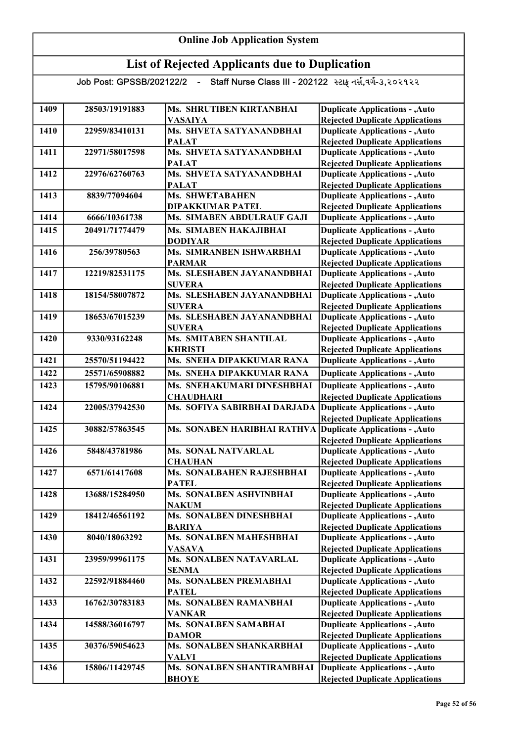## Online Job Application System

## List of Rejected Applicants due to Duplication

| 1409 | 28503/19191883 | Ms. SHRUTIBEN KIRTANBHAI                    | <b>Duplicate Applications - , Auto</b>                                           |
|------|----------------|---------------------------------------------|----------------------------------------------------------------------------------|
|      |                | <b>VASAIYA</b>                              | <b>Rejected Duplicate Applications</b>                                           |
| 1410 | 22959/83410131 | Ms. SHVETA SATYANANDBHAI                    | <b>Duplicate Applications - , Auto</b>                                           |
|      |                | <b>PALAT</b>                                | <b>Rejected Duplicate Applications</b>                                           |
| 1411 | 22971/58017598 | Ms. SHVETA SATYANANDBHAI                    | <b>Duplicate Applications - , Auto</b>                                           |
|      |                | <b>PALAT</b>                                | <b>Rejected Duplicate Applications</b>                                           |
| 1412 | 22976/62760763 | Ms. SHVETA SATYANANDBHAI                    | <b>Duplicate Applications - , Auto</b>                                           |
|      |                | <b>PALAT</b>                                | <b>Rejected Duplicate Applications</b>                                           |
| 1413 | 8839/77094604  | Ms. SHWETABAHEN                             | <b>Duplicate Applications - , Auto</b>                                           |
|      |                | <b>DIPAKKUMAR PATEL</b>                     | <b>Rejected Duplicate Applications</b>                                           |
| 1414 | 6666/10361738  | Ms. SIMABEN ABDULRAUF GAJI                  | <b>Duplicate Applications - , Auto</b>                                           |
| 1415 | 20491/71774479 | Ms. SIMABEN HAKAJIBHAI                      | <b>Duplicate Applications - , Auto</b>                                           |
|      |                | <b>DODIYAR</b>                              | <b>Rejected Duplicate Applications</b>                                           |
| 1416 | 256/39780563   | Ms. SIMRANBEN ISHWARBHAI                    | <b>Duplicate Applications - , Auto</b>                                           |
|      |                | <b>PARMAR</b>                               | <b>Rejected Duplicate Applications</b>                                           |
| 1417 | 12219/82531175 | Ms. SLESHABEN JAYANANDBHAI                  | <b>Duplicate Applications - , Auto</b>                                           |
|      |                | <b>SUVERA</b>                               | <b>Rejected Duplicate Applications</b>                                           |
| 1418 | 18154/58007872 | Ms. SLESHABEN JAYANANDBHAI                  | <b>Duplicate Applications - , Auto</b>                                           |
|      |                | <b>SUVERA</b><br>Ms. SLESHABEN JAYANANDBHAI | <b>Rejected Duplicate Applications</b>                                           |
| 1419 | 18653/67015239 |                                             | <b>Duplicate Applications - , Auto</b>                                           |
|      |                | <b>SUVERA</b>                               | <b>Rejected Duplicate Applications</b>                                           |
| 1420 | 9330/93162248  | <b>Ms. SMITABEN SHANTILAL</b>               | <b>Duplicate Applications - , Auto</b>                                           |
| 1421 | 25570/51194422 | <b>KHRISTI</b><br>Ms. SNEHA DIPAKKUMAR RANA | <b>Rejected Duplicate Applications</b>                                           |
|      |                |                                             | <b>Duplicate Applications - , Auto</b>                                           |
| 1422 | 25571/65908882 | Ms. SNEHA DIPAKKUMAR RANA                   | <b>Duplicate Applications - , Auto</b>                                           |
| 1423 | 15795/90106881 | Ms. SNEHAKUMARI DINESHBHAI                  | <b>Duplicate Applications - , Auto</b>                                           |
|      |                | <b>CHAUDHARI</b>                            | <b>Rejected Duplicate Applications</b>                                           |
| 1424 | 22005/37942530 | Ms. SOFIYA SABIRBHAI DARJADA                | <b>Duplicate Applications - , Auto</b>                                           |
|      |                |                                             | <b>Rejected Duplicate Applications</b>                                           |
| 1425 | 30882/57863545 | Ms. SONABEN HARIBHAI RATHVA                 | <b>Duplicate Applications - , Auto</b><br><b>Rejected Duplicate Applications</b> |
| 1426 | 5848/43781986  | <b>Ms. SONAL NATVARLAL</b>                  | <b>Duplicate Applications - , Auto</b>                                           |
|      |                | <b>CHAUHAN</b>                              | <b>Rejected Duplicate Applications</b>                                           |
| 1427 | 6571/61417608  | Ms. SONALBAHEN RAJESHBHAI                   | <b>Duplicate Applications - , Auto</b>                                           |
|      |                | <b>PATEL</b>                                | <b>Rejected Duplicate Applications</b>                                           |
| 1428 | 13688/15284950 | Ms. SONALBEN ASHVINBHAI                     | <b>Duplicate Applications - , Auto</b>                                           |
|      |                | <b>NAKUM</b>                                | <b>Rejected Duplicate Applications</b>                                           |
| 1429 | 18412/46561192 | Ms. SONALBEN DINESHBHAI                     | <b>Duplicate Applications - , Auto</b>                                           |
|      |                | <b>BARIYA</b>                               | <b>Rejected Duplicate Applications</b>                                           |
| 1430 | 8040/18063292  | <b>Ms. SONALBEN MAHESHBHAI</b>              | <b>Duplicate Applications - , Auto</b>                                           |
|      |                | <b>VASAVA</b>                               | <b>Rejected Duplicate Applications</b>                                           |
| 1431 | 23959/99961175 | Ms. SONALBEN NATAVARLAL                     | <b>Duplicate Applications - , Auto</b>                                           |
|      |                | <b>SENMA</b>                                | <b>Rejected Duplicate Applications</b>                                           |
| 1432 | 22592/91884460 | <b>Ms. SONALBEN PREMABHAI</b>               | <b>Duplicate Applications - , Auto</b>                                           |
|      |                | <b>PATEL</b>                                | <b>Rejected Duplicate Applications</b>                                           |
| 1433 | 16762/30783183 | Ms. SONALBEN RAMANBHAI                      | <b>Duplicate Applications - , Auto</b>                                           |
|      |                | <b>VANKAR</b>                               | <b>Rejected Duplicate Applications</b>                                           |
| 1434 | 14588/36016797 | Ms. SONALBEN SAMABHAI                       | <b>Duplicate Applications - , Auto</b>                                           |
|      |                | <b>DAMOR</b>                                | <b>Rejected Duplicate Applications</b>                                           |
| 1435 | 30376/59054623 | Ms. SONALBEN SHANKARBHAI                    | <b>Duplicate Applications - , Auto</b>                                           |
|      |                | VALVI                                       | <b>Rejected Duplicate Applications</b>                                           |
| 1436 | 15806/11429745 | Ms. SONALBEN SHANTIRAMBHAI                  | <b>Duplicate Applications - , Auto</b>                                           |
|      |                | <b>BHOYE</b>                                | <b>Rejected Duplicate Applications</b>                                           |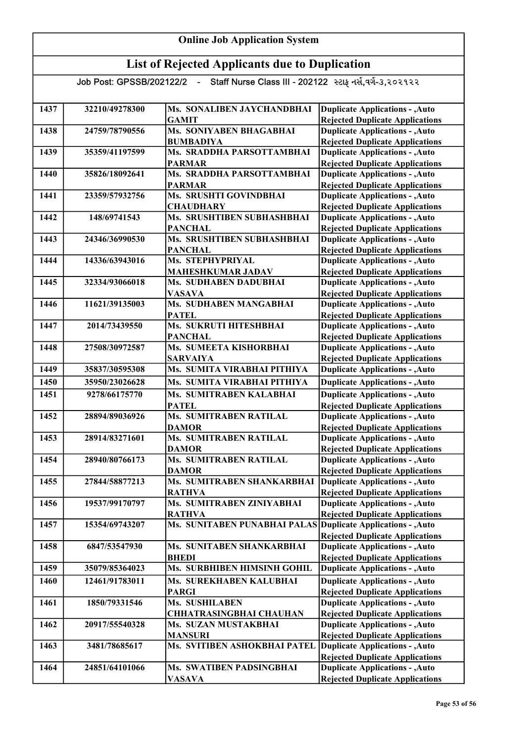#### List of Rejected Applicants due to Duplication Job Post: GPSSB/202122/2 - Staff Nurse Class III - 202122 સ્ટાફ નર્સ,વર્ગ-૩,૨૦૨૧૨૨ 1437 32210/49278300 Ms. SONALIBEN JAYCHANDBHAI **GAMIT** 1438 24759/78790556 Ms. SONIYABEN BHAGABHAI BUMBADIYA 1439 35359/41197599 Ms. SRADDHA PARSOTTAMBHAI PARMAR 1440 35826/18092641 Ms. SRADDHA PARSOTTAMBHAI PARMAR 1441 23359/57932756 Ms. SRUSHTI GOVINDBHAI **CHAUDHARY** 1442 148/69741543 Ms. SRUSHTIBEN SUBHASHBHAI PANCHAL 1443 24346/36990530 Ms. SRUSHTIBEN SUBHASHBHAI **PANCHAL** 1444 14336/63943016 Ms. STEPHYPRIYAL MAHESHKUMAR JADAV 1445 32334/93066018 Ms. SUDHABEN DADUBHAI VASAVA 1446 11621/39135003 Ms. SUDHABEN MANGABHAI **PATEL** 1447 2014/73439550 Ms. SUKRUTI HITESHBHAI PANCHAL 1448 27508/30972587 Ms. SUMEETA KISHORBHAI SARVAIYA 1449 35837/30595308 Ms. SUMITA VIRABHAI PITHIYA 1450 35950/23026628 Ms. SUMITA VIRABHAI PITHIYA 1451 9278/66175770 Ms. SUMITRABEN KALABHAI PATEL 1452 28894/89036926 Ms. SUMITRABEN RATILAL DAMOR 1453 28914/83271601 Ms. SUMITRABEN RATILAL DAMOR 1454 28940/80766173 Ms. SUMITRABEN RATILAL **DAMOR** 1455 27844/58877213 Ms. SUMITRABEN SHANKARBHAI RATHVA 1456 19537/99170797 Ms. SUMITRABEN ZINIYABHAI RATHVA 1457 15354/69743207 Ms. SUNITABEN PUNABHAI PALAS 1458 6847/53547930 Ms. SUNITABEN SHANKARBHAI **BHEDI** 1459 35079/85364023 Ms. SURBHIBEN HIMSINH GOHIL 1460 | 12461/91783011 | Ms. SUREKHABEN KALUBHAI PARGI 1461 1850/79331546 Ms. SUSHILABEN CHHATRASINGBHAI CHAUHAN 1462 20917/55540328 Ms. SUZAN MUSTAKBHAI MANSURI 1463 3481/78685617 Ms. SVITIBEN ASHOKBHAI PATEL 1464 24851/64101066 Ms. SWATIBEN PADSINGBHAI VASAVA Duplicate Applications - ,Auto **Duplicate Applications - ,Auto** Rejected Duplicate Applications Duplicate Applications - ,Auto Rejected Duplicate Applications Duplicate Applications - ,Auto Rejected Duplicate Applications Duplicate Applications - ,Auto Rejected Duplicate Applications Duplicate Applications - ,Auto Rejected Duplicate Applications Duplicate Applications - ,Auto Rejected Duplicate Applications Duplicate Applications - ,Auto Rejected Duplicate Applications Duplicate Applications - ,Auto Rejected Duplicate Applications Duplicate Applications - ,Auto Rejected Duplicate Applications Duplicate Applications - ,Auto Rejected Duplicate Applications Duplicate Applications - ,Auto Rejected Duplicate Applications Duplicate Applications - ,Auto Rejected Duplicate Applications Duplicate Applications - ,Auto Rejected Duplicate Applications Duplicate Applications - ,Auto **Duplicate Applications - ,Auto Duplicate Applications - ,Auto** Rejected Duplicate Applications Duplicate Applications - ,Auto Rejected Duplicate Applications Duplicate Applications - ,Auto Rejected Duplicate Applications Duplicate Applications - ,Auto Rejected Duplicate Applications Duplicate Applications - ,Auto Rejected Duplicate Applications Duplicate Applications - ,Auto Rejected Duplicate Applications Duplicate Applications - ,Auto Rejected Duplicate Applications Duplicate Applications - ,Auto Rejected Duplicate Applications Duplicate Applications - ,Auto Rejected Duplicate Applications Duplicate Applications - ,Auto Rejected Duplicate Applications Duplicate Applications - ,Auto Rejected Duplicate Applications Duplicate Applications - ,Auto Rejected Duplicate Applications

Online Job Application System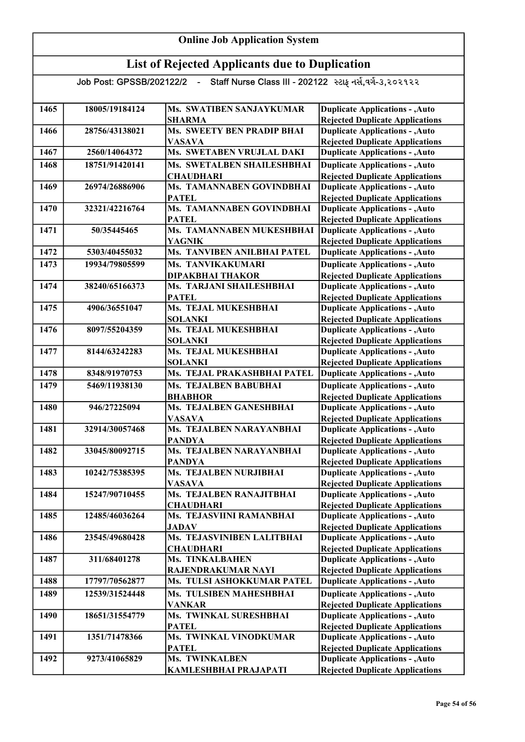| 1465 | 18005/19184124 | Ms. SWATIBEN SANJAYKUMAR                  | <b>Duplicate Applications - , Auto</b>                                           |
|------|----------------|-------------------------------------------|----------------------------------------------------------------------------------|
|      |                | <b>SHARMA</b>                             | <b>Rejected Duplicate Applications</b>                                           |
| 1466 | 28756/43138021 | <b>Ms. SWEETY BEN PRADIP BHAI</b>         | <b>Duplicate Applications - , Auto</b>                                           |
|      |                | <b>VASAVA</b>                             | <b>Rejected Duplicate Applications</b>                                           |
| 1467 | 2560/14064372  | Ms. SWETABEN VRUJLAL DAKI                 | <b>Duplicate Applications - , Auto</b>                                           |
| 1468 | 18751/91420141 | Ms. SWETALBEN SHAILESHBHAI                | <b>Duplicate Applications - , Auto</b>                                           |
|      |                | <b>CHAUDHARI</b>                          | <b>Rejected Duplicate Applications</b>                                           |
| 1469 | 26974/26886906 | Ms. TAMANNABEN GOVINDBHAI                 | <b>Duplicate Applications - , Auto</b>                                           |
|      |                | <b>PATEL</b><br>Ms. TAMANNABEN GOVINDBHAI | <b>Rejected Duplicate Applications</b>                                           |
| 1470 | 32321/42216764 | <b>PATEL</b>                              | <b>Duplicate Applications - , Auto</b><br><b>Rejected Duplicate Applications</b> |
| 1471 | 50/35445465    | Ms. TAMANNABEN MUKESHBHAI                 | <b>Duplicate Applications - , Auto</b>                                           |
|      |                | <b>YAGNIK</b>                             | <b>Rejected Duplicate Applications</b>                                           |
| 1472 | 5303/40455032  | Ms. TANVIBEN ANILBHAI PATEL               | <b>Duplicate Applications - , Auto</b>                                           |
|      |                |                                           |                                                                                  |
| 1473 | 19934/79805599 | Ms. TANVIKAKUMARI                         | <b>Duplicate Applications - , Auto</b>                                           |
|      |                | <b>DIPAKBHAI THAKOR</b>                   | <b>Rejected Duplicate Applications</b>                                           |
| 1474 | 38240/65166373 | Ms. TARJANI SHAILESHBHAI                  | <b>Duplicate Applications - , Auto</b>                                           |
|      |                | <b>PATEL</b>                              | <b>Rejected Duplicate Applications</b>                                           |
| 1475 | 4906/36551047  | Ms. TEJAL MUKESHBHAI                      | <b>Duplicate Applications - , Auto</b>                                           |
| 1476 | 8097/55204359  | <b>SOLANKI</b><br>Ms. TEJAL MUKESHBHAI    | <b>Rejected Duplicate Applications</b>                                           |
|      |                | <b>SOLANKI</b>                            | <b>Duplicate Applications - , Auto</b>                                           |
| 1477 | 8144/63242283  | Ms. TEJAL MUKESHBHAI                      | <b>Rejected Duplicate Applications</b><br><b>Duplicate Applications - , Auto</b> |
|      |                | <b>SOLANKI</b>                            | <b>Rejected Duplicate Applications</b>                                           |
| 1478 | 8348/91970753  | Ms. TEJAL PRAKASHBHAI PATEL               | <b>Duplicate Applications - , Auto</b>                                           |
|      |                |                                           |                                                                                  |
| 1479 | 5469/11938130  | <b>Ms. TEJALBEN BABUBHAI</b>              | <b>Duplicate Applications - , Auto</b>                                           |
|      |                | <b>BHABHOR</b>                            | <b>Rejected Duplicate Applications</b>                                           |
| 1480 | 946/27225094   | Ms. TEJALBEN GANESHBHAI                   | <b>Duplicate Applications - , Auto</b>                                           |
| 1481 | 32914/30057468 | <b>VASAVA</b><br>Ms. TEJALBEN NARAYANBHAI | <b>Rejected Duplicate Applications</b>                                           |
|      |                |                                           | <b>Duplicate Applications - , Auto</b><br><b>Rejected Duplicate Applications</b> |
| 1482 | 33045/80092715 | <b>PANDYA</b><br>Ms. TEJALBEN NARAYANBHAI | <b>Duplicate Applications - , Auto</b>                                           |
|      |                | <b>PANDYA</b>                             | <b>Rejected Duplicate Applications</b>                                           |
| 1483 | 10242/75385395 | Ms. TEJALBEN NURJIBHAI                    | <b>Duplicate Applications - , Auto</b>                                           |
|      |                | <b>VASAVA</b>                             | <b>Rejected Duplicate Applications</b>                                           |
| 1484 | 15247/90710455 | Ms. TEJALBEN RANAJITBHAI                  | <b>Duplicate Applications - , Auto</b>                                           |
|      |                | <b>CHAUDHARI</b>                          | <b>Rejected Duplicate Applications</b>                                           |
| 1485 | 12485/46036264 | Ms. TEJASVIINI RAMANBHAI                  | <b>Duplicate Applications - , Auto</b>                                           |
|      |                | <b>JADAV</b>                              | <b>Rejected Duplicate Applications</b>                                           |
| 1486 | 23545/49680428 | Ms. TEJASVINIBEN LALITBHAI                | <b>Duplicate Applications - , Auto</b>                                           |
|      |                | <b>CHAUDHARI</b>                          | <b>Rejected Duplicate Applications</b>                                           |
| 1487 | 311/68401278   | <b>Ms. TINKALBAHEN</b>                    | <b>Duplicate Applications - , Auto</b>                                           |
|      |                | RAJENDRAKUMAR NAYI                        | <b>Rejected Duplicate Applications</b>                                           |
| 1488 | 17797/70562877 | Ms. TULSI ASHOKKUMAR PATEL                | <b>Duplicate Applications - , Auto</b>                                           |
| 1489 | 12539/31524448 | Ms. TULSIBEN MAHESHBHAI                   | <b>Duplicate Applications - , Auto</b>                                           |
|      |                | <b>VANKAR</b>                             | <b>Rejected Duplicate Applications</b>                                           |
| 1490 | 18651/31554779 | Ms. TWINKAL SURESHBHAI                    | <b>Duplicate Applications - , Auto</b>                                           |
|      |                | <b>PATEL</b>                              | <b>Rejected Duplicate Applications</b>                                           |
| 1491 | 1351/71478366  | Ms. TWINKAL VINODKUMAR                    | <b>Duplicate Applications - , Auto</b>                                           |
|      |                | <b>PATEL</b>                              | <b>Rejected Duplicate Applications</b>                                           |
| 1492 | 9273/41065829  | Ms. TWINKALBEN                            | <b>Duplicate Applications - , Auto</b>                                           |
|      |                | KAMLESHBHAI PRAJAPATI                     | <b>Rejected Duplicate Applications</b>                                           |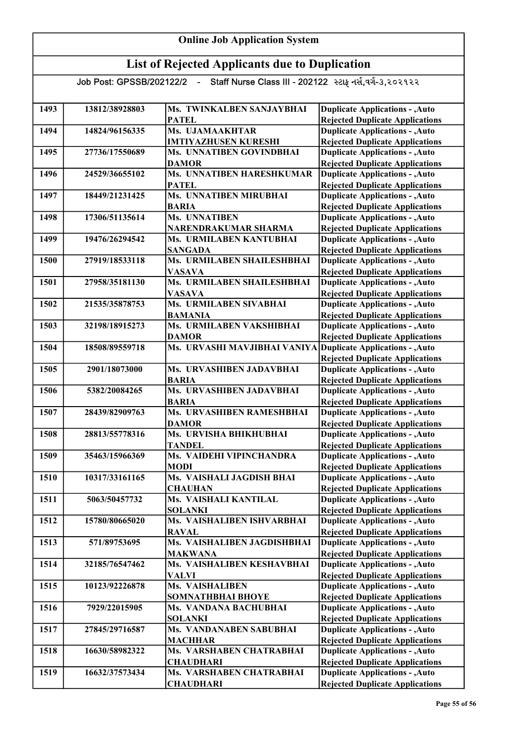| <b>Online Job Application System</b> |                          |                                                                   |                                                                                  |
|--------------------------------------|--------------------------|-------------------------------------------------------------------|----------------------------------------------------------------------------------|
|                                      |                          | <b>List of Rejected Applicants due to Duplication</b>             |                                                                                  |
|                                      | Job Post: GPSSB/202122/2 | Staff Nurse Class III - 202122 સ્ટાફ નર્સ,વર્ગ-૩,૨૦૨૧૨૨<br>$\sim$ |                                                                                  |
|                                      |                          |                                                                   |                                                                                  |
| 1493                                 | 13812/38928803           | Ms. TWINKALBEN SANJAYBHAI                                         | <b>Duplicate Applications - , Auto</b>                                           |
|                                      |                          | <b>PATEL</b>                                                      | <b>Rejected Duplicate Applications</b>                                           |
| 1494                                 | 14824/96156335           | Ms. UJAMAAKHTAR                                                   | <b>Duplicate Applications - , Auto</b>                                           |
| 1495                                 | 27736/17550689           | <b>IMTIYAZHUSEN KURESHI</b><br>Ms. UNNATIBEN GOVINDBHAI           | <b>Rejected Duplicate Applications</b><br><b>Duplicate Applications - , Auto</b> |
|                                      |                          | <b>DAMOR</b>                                                      | <b>Rejected Duplicate Applications</b>                                           |
| 1496                                 | 24529/36655102           | Ms. UNNATIBEN HARESHKUMAR<br><b>PATEL</b>                         | <b>Duplicate Applications - , Auto</b><br><b>Rejected Duplicate Applications</b> |
| 1497                                 | 18449/21231425           | Ms. UNNATIBEN MIRUBHAI                                            | <b>Duplicate Applications - , Auto</b>                                           |
|                                      |                          | <b>BARIA</b>                                                      | <b>Rejected Duplicate Applications</b>                                           |
| 1498                                 | 17306/51135614           | Ms. UNNATIBEN                                                     | <b>Duplicate Applications - , Auto</b>                                           |
|                                      |                          | NARENDRAKUMAR SHARMA                                              | <b>Rejected Duplicate Applications</b>                                           |
| 1499                                 | 19476/26294542           | Ms. URMILABEN KANTUBHAI                                           | <b>Duplicate Applications - , Auto</b>                                           |
|                                      |                          | <b>SANGADA</b>                                                    | <b>Rejected Duplicate Applications</b>                                           |
| 1500                                 | 27919/18533118           | Ms. URMILABEN SHAILESHBHAI                                        | <b>Duplicate Applications - , Auto</b>                                           |
| 1501                                 | 27958/35181130           | <b>VASAVA</b><br>Ms. URMILABEN SHAILESHBHAI                       | <b>Rejected Duplicate Applications</b><br><b>Duplicate Applications - , Auto</b> |
|                                      |                          | <b>VASAVA</b>                                                     | <b>Rejected Duplicate Applications</b>                                           |
| 1502                                 | 21535/35878753           | Ms. URMILABEN SIVABHAI                                            | <b>Duplicate Applications - , Auto</b>                                           |
|                                      |                          | <b>BAMANIA</b>                                                    | <b>Rejected Duplicate Applications</b>                                           |
| 1503                                 | 32198/18915273           | Ms. URMILABEN VAKSHIBHAI                                          | <b>Duplicate Applications - , Auto</b>                                           |
|                                      |                          | <b>DAMOR</b>                                                      | <b>Rejected Duplicate Applications</b>                                           |
| 1504                                 | 18508/89559718           | Ms. URVASHI MAVJIBHAI VANIYA Duplicate Applications - , Auto      | <b>Rejected Duplicate Applications</b>                                           |
| 1505                                 | 2901/18073000            | Ms. URVASHIBEN JADAVBHAI                                          | <b>Duplicate Applications - , Auto</b>                                           |
|                                      |                          | <b>BARIA</b>                                                      | <b>Rejected Duplicate Applications</b>                                           |
| 1506                                 | 5382/20084265            | Ms. URVASHIBEN JADAVBHAI                                          | <b>Duplicate Applications - , Auto</b>                                           |
| 1507                                 | 28439/82909763           | <b>BARIA</b><br>Ms. URVASHIBEN RAMESHBHAI                         | <b>Rejected Duplicate Applications</b>                                           |
|                                      |                          | <b>DAMOR</b>                                                      | <b>Duplicate Applications - , Auto</b><br><b>Rejected Duplicate Applications</b> |
| 1508                                 | 28813/55778316           | Ms. URVISHA BHIKHUBHAI                                            | <b>Duplicate Applications - , Auto</b>                                           |
|                                      |                          | <b>TANDEL</b>                                                     | <b>Rejected Duplicate Applications</b>                                           |
| 1509                                 | 35463/15966369           | Ms. VAIDEHI VIPINCHANDRA                                          | <b>Duplicate Applications - , Auto</b>                                           |
|                                      |                          | <b>MODI</b>                                                       | <b>Rejected Duplicate Applications</b>                                           |
| 1510                                 | 10317/33161165           | Ms. VAISHALI JAGDISH BHAI                                         | <b>Duplicate Applications - , Auto</b>                                           |
|                                      |                          | <b>CHAUHAN</b>                                                    | <b>Rejected Duplicate Applications</b>                                           |
| 1511                                 | 5063/50457732            | Ms. VAISHALI KANTILAL<br><b>SOLANKI</b>                           | <b>Duplicate Applications - , Auto</b><br><b>Rejected Duplicate Applications</b> |
| 1512                                 | 15780/80665020           | Ms. VAISHALIBEN ISHVARBHAI                                        | <b>Duplicate Applications - , Auto</b>                                           |
|                                      |                          | <b>RAVAL</b>                                                      | <b>Rejected Duplicate Applications</b>                                           |
| 1513                                 | 571/89753695             | Ms. VAISHALIBEN JAGDISHBHAI                                       | <b>Duplicate Applications - , Auto</b>                                           |
|                                      |                          | <b>MAKWANA</b>                                                    | <b>Rejected Duplicate Applications</b>                                           |
| 1514                                 | 32185/76547462           | Ms. VAISHALIBEN KESHAVBHAI<br><b>VALVI</b>                        | <b>Duplicate Applications - , Auto</b><br><b>Rejected Duplicate Applications</b> |
| 1515                                 | 10123/92226878           | <b>Ms. VAISHALIBEN</b>                                            | <b>Duplicate Applications - , Auto</b>                                           |
|                                      |                          | <b>SOMNATHBHAI BHOYE</b>                                          | <b>Rejected Duplicate Applications</b>                                           |
| 1516                                 | 7929/22015905            | Ms. VANDANA BACHUBHAI                                             | <b>Duplicate Applications - , Auto</b>                                           |
|                                      |                          | <b>SOLANKI</b>                                                    | <b>Rejected Duplicate Applications</b>                                           |
| 1517                                 | 27845/29716587           | Ms. VANDANABEN SABUBHAI                                           | <b>Duplicate Applications - , Auto</b>                                           |
| 1518                                 | 16630/58982322           | <b>MACHHAR</b><br>Ms. VARSHABEN CHATRABHAI                        | <b>Rejected Duplicate Applications</b>                                           |
|                                      |                          | <b>CHAUDHARI</b>                                                  | <b>Duplicate Applications - , Auto</b><br><b>Rejected Duplicate Applications</b> |
| 1519                                 | 16632/37573434           | Ms. VARSHABEN CHATRABHAI                                          | <b>Duplicate Applications - , Auto</b>                                           |
|                                      |                          | <b>CHAUDHARI</b>                                                  | <b>Rejected Duplicate Applications</b>                                           |